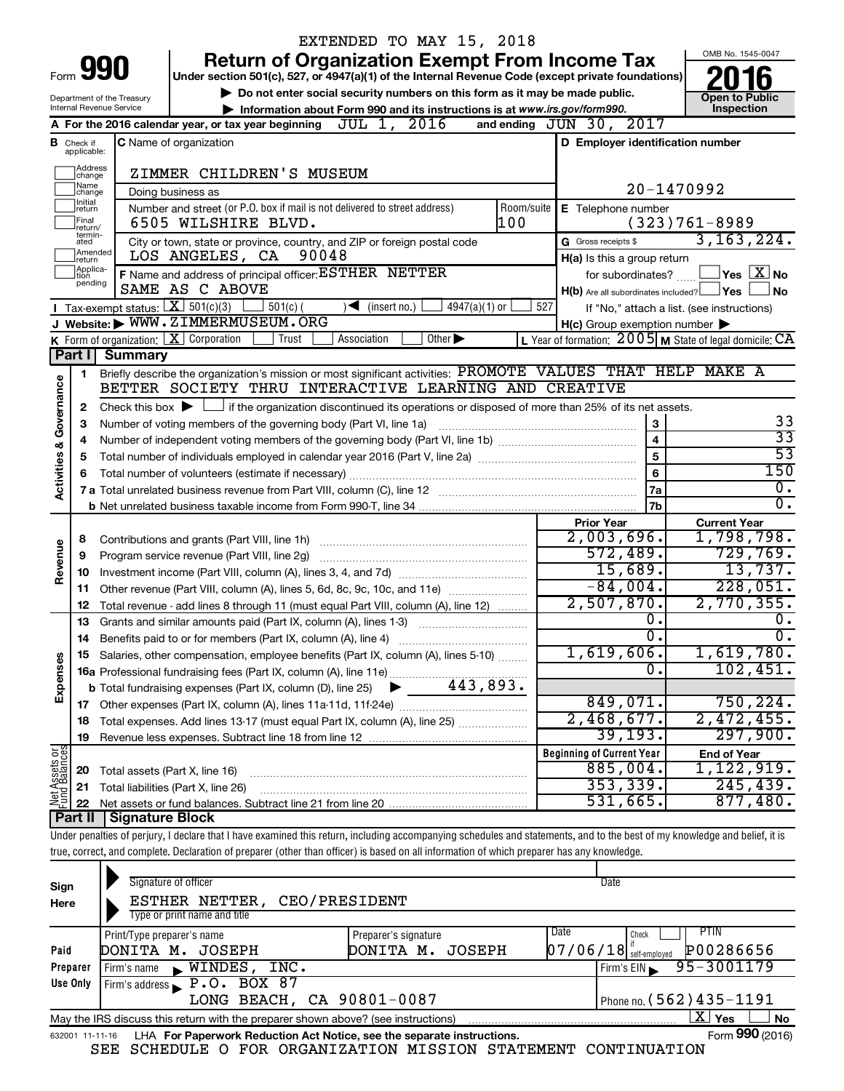|                         |                               |                            |                                                                                                                                                                            |       | EXTENDED TO MAY 15, 2018      |  |                             |                 |            |     |                                                                             |                                   |                                      |
|-------------------------|-------------------------------|----------------------------|----------------------------------------------------------------------------------------------------------------------------------------------------------------------------|-------|-------------------------------|--|-----------------------------|-----------------|------------|-----|-----------------------------------------------------------------------------|-----------------------------------|--------------------------------------|
|                         |                               | Form 990                   |                                                                                                                                                                            |       |                               |  |                             |                 |            |     | <b>Return of Organization Exempt From Income Tax</b>                        | OMB No. 1545-0047                 |                                      |
|                         |                               |                            | Under section 501(c), 527, or 4947(a)(1) of the Internal Revenue Code (except private foundations)                                                                         |       |                               |  |                             |                 |            |     |                                                                             |                                   |                                      |
|                         |                               | Department of the Treasury |                                                                                                                                                                            |       |                               |  |                             |                 |            |     | Do not enter social security numbers on this form as it may be made public. | <b>Open to Public</b>             |                                      |
|                         |                               | Internal Revenue Service   |                                                                                                                                                                            |       |                               |  |                             |                 |            |     | Information about Form 990 and its instructions is at www.irs.gov/form990.  | Inspection                        |                                      |
|                         |                               |                            | A For the 2016 calendar year, or tax year beginning                                                                                                                        |       | JUL 1, 2016                   |  |                             |                 |            |     | and ending JUN 30, 2017                                                     |                                   |                                      |
|                         | <b>B</b> Check if applicable: |                            | <b>C</b> Name of organization                                                                                                                                              |       |                               |  |                             |                 |            |     | D Employer identification number                                            |                                   |                                      |
|                         | Address                       |                            | ZIMMER CHILDREN'S MUSEUM                                                                                                                                                   |       |                               |  |                             |                 |            |     |                                                                             |                                   |                                      |
|                         | change<br>Name                |                            |                                                                                                                                                                            |       |                               |  |                             |                 |            |     |                                                                             | 20-1470992                        |                                      |
|                         | change<br>Initial<br>return   |                            | Doing business as<br>Number and street (or P.O. box if mail is not delivered to street address)                                                                            |       |                               |  |                             |                 | Room/suite |     | E Telephone number                                                          |                                   |                                      |
|                         | Final                         |                            | 6505 WILSHIRE BLVD.                                                                                                                                                        |       |                               |  |                             |                 | 100        |     |                                                                             | $(323)761-8989$                   |                                      |
|                         | return/<br>termin-<br>ated    |                            | City or town, state or province, country, and ZIP or foreign postal code                                                                                                   |       |                               |  |                             |                 |            |     | G Gross receipts \$                                                         | 3, 163, 224.                      |                                      |
|                         | Amended<br>Ireturn            |                            | LOS ANGELES, CA                                                                                                                                                            | 90048 |                               |  |                             |                 |            |     | H(a) Is this a group return                                                 |                                   |                                      |
|                         | Applica-<br>tion              |                            | F Name and address of principal officer: ESTHER NETTER                                                                                                                     |       |                               |  |                             |                 |            |     | for subordinates?                                                           | $\Box$ Yes $\Box X$ No            |                                      |
|                         | pending                       |                            | SAME AS C ABOVE                                                                                                                                                            |       |                               |  |                             |                 |            |     | $H(b)$ Are all subordinates included? $\Box$ Yes                            |                                   | No                                   |
|                         |                               |                            | Tax-exempt status: $X \overline{X}$ 501(c)(3)<br>$501(c)$ (                                                                                                                |       | $\sqrt{\bullet}$ (insert no.) |  |                             | $4947(a)(1)$ or |            | 527 | If "No," attach a list. (see instructions)                                  |                                   |                                      |
|                         |                               |                            | J Website: WWW.ZIMMERMUSEUM.ORG                                                                                                                                            |       |                               |  |                             |                 |            |     | $H(c)$ Group exemption number $\blacktriangleright$                         |                                   |                                      |
|                         |                               |                            | K Form of organization:   X Corporation                                                                                                                                    | Trust | Association                   |  | Other $\blacktriangleright$ |                 |            |     | L Year of formation: $2005$ M State of legal domicile: $\overline{CA}$      |                                   |                                      |
|                         | Part I                        | <b>Summary</b>             |                                                                                                                                                                            |       |                               |  |                             |                 |            |     |                                                                             |                                   |                                      |
|                         | 1                             |                            | Briefly describe the organization's mission or most significant activities: PROMOTE VALUES THAT HELP MAKE A                                                                |       |                               |  |                             |                 |            |     |                                                                             |                                   |                                      |
| Governance              |                               |                            | BETTER SOCIETY THRU INTERACTIVE LEARNING AND CREATIVE                                                                                                                      |       |                               |  |                             |                 |            |     |                                                                             |                                   |                                      |
|                         | 2                             |                            | Check this box $\blacktriangleright$ $\Box$ if the organization discontinued its operations or disposed of more than 25% of its net assets.                                |       |                               |  |                             |                 |            |     |                                                                             |                                   |                                      |
|                         | з                             |                            | Number of voting members of the governing body (Part VI, line 1a)                                                                                                          |       |                               |  |                             |                 |            |     | 3                                                                           |                                   | 33                                   |
|                         | 4                             | $\overline{4}$             |                                                                                                                                                                            |       |                               |  |                             |                 |            |     | $\overline{33}$                                                             |                                   |                                      |
| <b>Activities &amp;</b> | 5                             |                            |                                                                                                                                                                            |       |                               |  |                             |                 |            |     | $\overline{5}$                                                              |                                   | $\overline{53}$                      |
|                         | 6                             |                            |                                                                                                                                                                            |       |                               |  |                             |                 |            |     | 6                                                                           |                                   | 150                                  |
|                         |                               |                            |                                                                                                                                                                            |       |                               |  |                             |                 |            |     | <b>7a</b>                                                                   |                                   | $\overline{0}$ .<br>$\overline{0}$ . |
|                         |                               |                            |                                                                                                                                                                            |       |                               |  |                             |                 |            |     | <b>7b</b>                                                                   |                                   |                                      |
|                         |                               |                            |                                                                                                                                                                            |       |                               |  |                             |                 |            |     | <b>Prior Year</b><br>2,003,696.                                             | <b>Current Year</b><br>1,798,798. |                                      |
| Revenue                 | 8                             |                            |                                                                                                                                                                            |       |                               |  |                             |                 |            |     | 572,489.                                                                    |                                   | 729,769.                             |
|                         | 9                             |                            | Program service revenue (Part VIII, line 2g)                                                                                                                               |       |                               |  |                             |                 |            |     | 15,689.                                                                     |                                   | 13,737.                              |
|                         | 10<br>11                      |                            | Other revenue (Part VIII, column (A), lines 5, 6d, 8c, 9c, 10c, and 11e)                                                                                                   |       |                               |  |                             |                 |            |     | $-84,004.$                                                                  |                                   | 228,051.                             |
|                         | 12                            |                            | Total revenue - add lines 8 through 11 (must equal Part VIII, column (A), line 12)                                                                                         |       |                               |  |                             |                 |            |     | 2,507,870.                                                                  | 2,770,355.                        |                                      |
|                         | 13                            |                            | Grants and similar amounts paid (Part IX, column (A), lines 1-3)                                                                                                           |       |                               |  |                             |                 |            |     | $\overline{0}$ .                                                            |                                   | $0$ .                                |
|                         |                               |                            |                                                                                                                                                                            |       |                               |  |                             |                 |            |     | $\overline{\mathfrak{o}}$ .                                                 |                                   | $\overline{0}$ .                     |
|                         |                               |                            | Salaries, other compensation, employee benefits (Part IX, column (A), lines 5-10)                                                                                          |       |                               |  |                             |                 |            |     | 1,619,606.                                                                  | 1,619,780.                        |                                      |
| Expenses                |                               |                            | 16a Professional fundraising fees (Part IX, column (A), line 11e)                                                                                                          |       |                               |  |                             |                 |            |     | σ.                                                                          |                                   | 102,451.                             |
|                         |                               |                            | <b>b</b> Total fundraising expenses (Part IX, column (D), line 25)                                                                                                         |       |                               |  |                             |                 | 443,893.   |     |                                                                             |                                   |                                      |
|                         |                               |                            |                                                                                                                                                                            |       |                               |  |                             |                 |            |     | 849,071.                                                                    |                                   | 750, 224.                            |
|                         | 18                            |                            | Total expenses. Add lines 13-17 (must equal Part IX, column (A), line 25) <i></i>                                                                                          |       |                               |  |                             |                 |            |     | 2,468,677.                                                                  | 2,472,455.                        |                                      |
|                         | 19                            |                            |                                                                                                                                                                            |       |                               |  |                             |                 |            |     | 39, 193.                                                                    |                                   | 297,900.                             |
|                         |                               |                            |                                                                                                                                                                            |       |                               |  |                             |                 |            |     | <b>Beginning of Current Year</b>                                            | <b>End of Year</b>                |                                      |
| Net Assets or           | 20                            |                            | Total assets (Part X, line 16)                                                                                                                                             |       |                               |  |                             |                 |            |     | 885,004.                                                                    | 1,122,919.                        |                                      |
|                         | 21                            |                            | Total liabilities (Part X, line 26)                                                                                                                                        |       |                               |  |                             |                 |            |     | 353,339.                                                                    |                                   | 245, 439.                            |
|                         | 22                            |                            |                                                                                                                                                                            |       |                               |  |                             |                 |            |     | 531,665.                                                                    |                                   | 877,480.                             |
|                         | Part II                       | Signature Block            |                                                                                                                                                                            |       |                               |  |                             |                 |            |     |                                                                             |                                   |                                      |
|                         |                               |                            | Under penalties of perjury, I declare that I have examined this return, including accompanying schedules and statements, and to the best of my knowledge and belief, it is |       |                               |  |                             |                 |            |     |                                                                             |                                   |                                      |
|                         |                               |                            | true, correct, and complete. Declaration of preparer (other than officer) is based on all information of which preparer has any knowledge.                                 |       |                               |  |                             |                 |            |     |                                                                             |                                   |                                      |
|                         |                               |                            | Cianature of officer                                                                                                                                                       |       |                               |  |                             |                 |            |     | <b>D</b> ate                                                                |                                   |                                      |

| Sign<br>Here    | Signature of officer<br>CEO/PRESIDENT<br>ESTHER NETTER,<br>Type or print name and title |                                             | Date                                      |                        |
|-----------------|-----------------------------------------------------------------------------------------|---------------------------------------------|-------------------------------------------|------------------------|
| Paid            | Print/Type preparer's name<br>DONITA M. JOSEPH                                          | Preparer's signature<br>DONITA M.<br>JOSEPH | Date<br>Check<br>$07/06/18$ self-employed | PTIN<br>P00286656      |
| Preparer        | WINDES,<br>INC.<br>Firm's name                                                          |                                             | Firm's EIN                                | 95-3001179             |
| Use Only        | Firm's address $\blacktriangleright$ P.O. BOX 87                                        |                                             |                                           |                        |
|                 | LONG BEACH, CA 90801-0087                                                               |                                             | Phone no. $(562)$ 435 - 1191              |                        |
|                 | May the IRS discuss this return with the preparer shown above? (see instructions)       |                                             |                                           | x.<br>Yes<br><b>No</b> |
| 632001 11-11-16 | LHA For Paperwork Reduction Act Notice, see the separate instructions.                  |                                             |                                           | Form 990 (2016)        |

SEE SCHEDULE O FOR ORGANIZATION MISSION STATEMENT CONTINUATION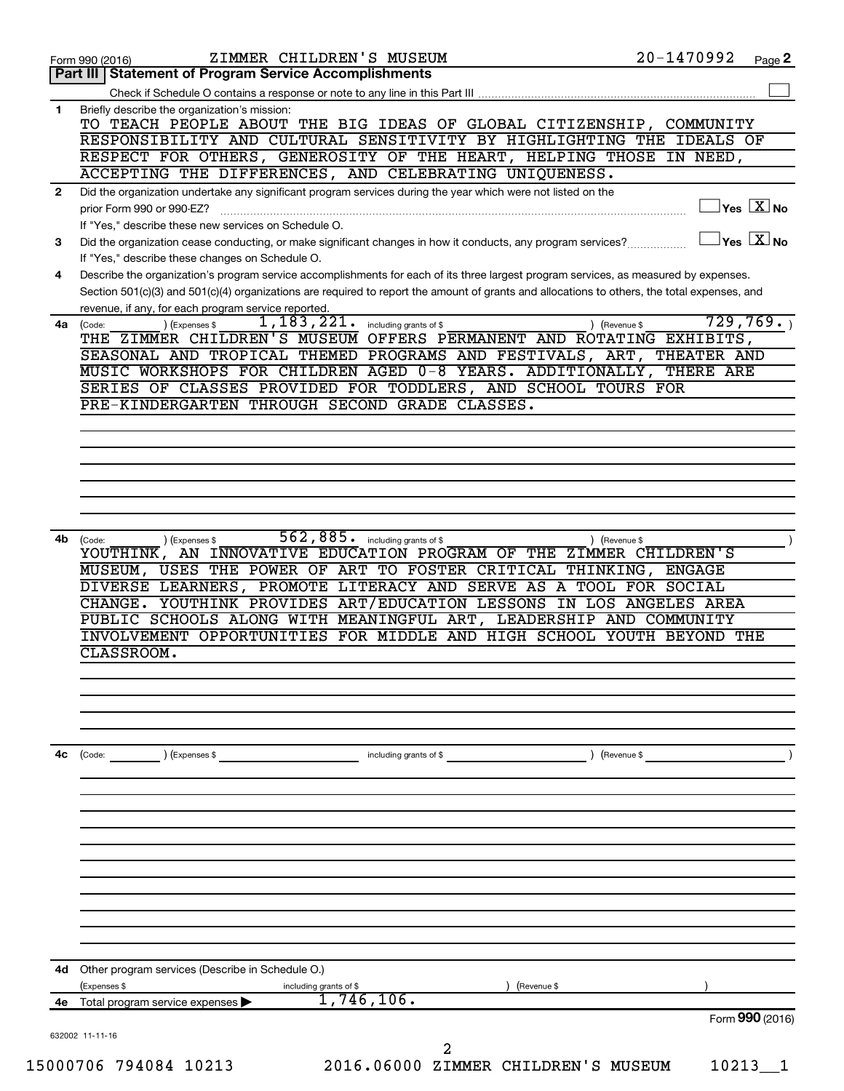| Part III   Statement of Program Service Accomplishments<br>Briefly describe the organization's mission:<br>1<br>TO TEACH PEOPLE ABOUT THE BIG IDEAS OF GLOBAL CITIZENSHIP, COMMUNITY |                                                  |
|--------------------------------------------------------------------------------------------------------------------------------------------------------------------------------------|--------------------------------------------------|
|                                                                                                                                                                                      |                                                  |
|                                                                                                                                                                                      |                                                  |
|                                                                                                                                                                                      |                                                  |
| RESPONSIBILITY AND CULTURAL SENSITIVITY BY HIGHLIGHTING THE IDEALS OF                                                                                                                |                                                  |
| RESPECT FOR OTHERS, GENEROSITY OF THE HEART, HELPING THOSE IN NEED,                                                                                                                  |                                                  |
| ACCEPTING THE DIFFERENCES, AND CELEBRATING UNIQUENESS.                                                                                                                               |                                                  |
| Did the organization undertake any significant program services during the year which were not listed on the<br>$\mathbf{2}$                                                         |                                                  |
| prior Form 990 or 990-EZ?                                                                                                                                                            | $\overline{\ }$ Yes $\overline{\phantom{a}X}$ No |
| If "Yes," describe these new services on Schedule O.                                                                                                                                 |                                                  |
| Did the organization cease conducting, or make significant changes in how it conducts, any program services?<br>3                                                                    | $\overline{\ }$ Yes $\overline{\phantom{a}X}$ No |
| If "Yes," describe these changes on Schedule O.                                                                                                                                      |                                                  |
| Describe the organization's program service accomplishments for each of its three largest program services, as measured by expenses.<br>4                                            |                                                  |
| Section 501(c)(3) and 501(c)(4) organizations are required to report the amount of grants and allocations to others, the total expenses, and                                         |                                                  |
| revenue, if any, for each program service reported.<br>1,183,221.                                                                                                                    | 729,769.                                         |
| (Expenses \$<br>including grants of \$<br>4a (Code:<br>(Revenue \$<br>THE ZIMMER CHILDREN'S MUSEUM OFFERS PERMANENT AND ROTATING EXHIBITS,                                           |                                                  |
| SEASONAL AND TROPICAL THEMED PROGRAMS AND FESTIVALS, ART, THEATER AND                                                                                                                |                                                  |
| MUSIC WORKSHOPS FOR CHILDREN AGED 0-8 YEARS. ADDITIONALLY, THERE ARE                                                                                                                 |                                                  |
| SERIES OF CLASSES PROVIDED FOR TODDLERS, AND SCHOOL TOURS FOR                                                                                                                        |                                                  |
| PRE-KINDERGARTEN THROUGH SECOND GRADE CLASSES.                                                                                                                                       |                                                  |
|                                                                                                                                                                                      |                                                  |
|                                                                                                                                                                                      |                                                  |
|                                                                                                                                                                                      |                                                  |
|                                                                                                                                                                                      |                                                  |
|                                                                                                                                                                                      |                                                  |
|                                                                                                                                                                                      |                                                  |
|                                                                                                                                                                                      |                                                  |
| 562,885.<br>including grants of \$<br>4b<br>(Expenses \$<br>(Code:<br>(Revenue \$<br>YOUTHINK, AN INNOVATIVE EDUCATION PROGRAM OF THE ZIMMER CHILDREN'S                              |                                                  |
| MUSEUM, USES THE POWER OF ART TO FOSTER CRITICAL THINKING, ENGAGE                                                                                                                    |                                                  |
| DIVERSE LEARNERS, PROMOTE LITERACY AND SERVE AS A TOOL FOR SOCIAL                                                                                                                    |                                                  |
| CHANGE. YOUTHINK PROVIDES ART/EDUCATION LESSONS IN LOS ANGELES AREA                                                                                                                  |                                                  |
| PUBLIC SCHOOLS ALONG WITH MEANINGFUL ART, LEADERSHIP AND COMMUNITY                                                                                                                   |                                                  |
| INVOLVEMENT OPPORTUNITIES FOR MIDDLE AND HIGH SCHOOL YOUTH BEYOND THE                                                                                                                |                                                  |
| CLASSROOM.                                                                                                                                                                           |                                                  |
|                                                                                                                                                                                      |                                                  |
|                                                                                                                                                                                      |                                                  |
|                                                                                                                                                                                      |                                                  |
|                                                                                                                                                                                      |                                                  |
|                                                                                                                                                                                      |                                                  |
| 4с<br>including grants of \$<br>(Code:<br>) (Expenses \$<br>Revenue \$                                                                                                               |                                                  |
|                                                                                                                                                                                      |                                                  |
|                                                                                                                                                                                      |                                                  |
|                                                                                                                                                                                      |                                                  |
|                                                                                                                                                                                      |                                                  |
|                                                                                                                                                                                      |                                                  |
|                                                                                                                                                                                      |                                                  |
|                                                                                                                                                                                      |                                                  |
|                                                                                                                                                                                      |                                                  |
|                                                                                                                                                                                      |                                                  |
|                                                                                                                                                                                      |                                                  |
|                                                                                                                                                                                      |                                                  |
| 4d<br>Other program services (Describe in Schedule O.)                                                                                                                               |                                                  |
| (Expenses \$<br>including grants of \$<br>(Revenue \$<br>1,746,106.                                                                                                                  |                                                  |
| Total program service expenses<br>4е                                                                                                                                                 | Form 990 (2016)                                  |
| 632002 11-11-16                                                                                                                                                                      |                                                  |
| 2                                                                                                                                                                                    |                                                  |
| 2016.06000 ZIMMER CHILDREN'S MUSEUM                                                                                                                                                  | 10213                                            |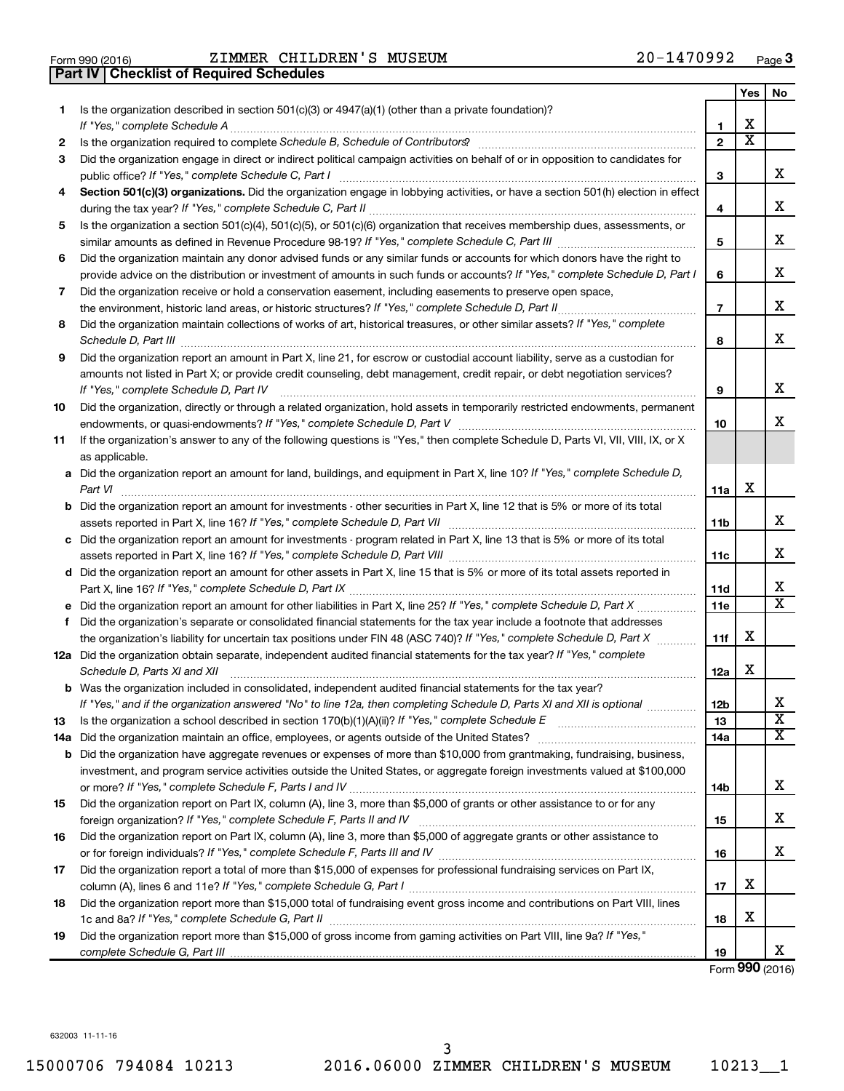| Form 990 (2016) |  |  |
|-----------------|--|--|

**Part IV Checklist of Required Schedules**

Form 990 (2016) Page ZIMMER CHILDREN'S MUSEUM 20-1470992

|    |                                                                                                                                                                                                                                             |                | Yes                     | No                           |
|----|---------------------------------------------------------------------------------------------------------------------------------------------------------------------------------------------------------------------------------------------|----------------|-------------------------|------------------------------|
| 1  | Is the organization described in section $501(c)(3)$ or $4947(a)(1)$ (other than a private foundation)?                                                                                                                                     |                |                         |                              |
|    |                                                                                                                                                                                                                                             | 1              | x                       |                              |
| 2  |                                                                                                                                                                                                                                             | $\mathbf{2}$   | $\overline{\textbf{x}}$ |                              |
| 3  | Did the organization engage in direct or indirect political campaign activities on behalf of or in opposition to candidates for                                                                                                             | 3              |                         | x                            |
| 4  | Section 501(c)(3) organizations. Did the organization engage in lobbying activities, or have a section 501(h) election in effect                                                                                                            |                |                         |                              |
|    |                                                                                                                                                                                                                                             | 4              |                         | x                            |
| 5  | Is the organization a section 501(c)(4), 501(c)(5), or 501(c)(6) organization that receives membership dues, assessments, or                                                                                                                |                |                         |                              |
|    |                                                                                                                                                                                                                                             | 5              |                         | x                            |
| 6  | Did the organization maintain any donor advised funds or any similar funds or accounts for which donors have the right to                                                                                                                   |                |                         |                              |
|    | provide advice on the distribution or investment of amounts in such funds or accounts? If "Yes," complete Schedule D, Part I                                                                                                                | 6              |                         | x                            |
| 7  | Did the organization receive or hold a conservation easement, including easements to preserve open space,                                                                                                                                   |                |                         |                              |
|    | the environment, historic land areas, or historic structures? If "Yes," complete Schedule D, Part II                                                                                                                                        | $\overline{7}$ |                         | x                            |
| 8  | Did the organization maintain collections of works of art, historical treasures, or other similar assets? If "Yes," complete                                                                                                                | 8              |                         | x                            |
| 9  | Did the organization report an amount in Part X, line 21, for escrow or custodial account liability, serve as a custodian for                                                                                                               |                |                         |                              |
|    | amounts not listed in Part X; or provide credit counseling, debt management, credit repair, or debt negotiation services?                                                                                                                   |                |                         |                              |
|    | If "Yes," complete Schedule D, Part IV                                                                                                                                                                                                      | 9              |                         | x                            |
| 10 | Did the organization, directly or through a related organization, hold assets in temporarily restricted endowments, permanent                                                                                                               |                |                         |                              |
|    |                                                                                                                                                                                                                                             | 10             |                         | x                            |
| 11 | If the organization's answer to any of the following questions is "Yes," then complete Schedule D, Parts VI, VII, VIII, IX, or X                                                                                                            |                |                         |                              |
|    | as applicable.                                                                                                                                                                                                                              |                |                         |                              |
|    | a Did the organization report an amount for land, buildings, and equipment in Part X, line 10? If "Yes," complete Schedule D,                                                                                                               |                |                         |                              |
|    | Part VI                                                                                                                                                                                                                                     | 11a            | х                       |                              |
|    | b Did the organization report an amount for investments - other securities in Part X, line 12 that is 5% or more of its total                                                                                                               | 11b            |                         | x                            |
|    | c Did the organization report an amount for investments - program related in Part X, line 13 that is 5% or more of its total                                                                                                                |                |                         |                              |
|    |                                                                                                                                                                                                                                             | 11c            |                         | x                            |
|    | d Did the organization report an amount for other assets in Part X, line 15 that is 5% or more of its total assets reported in                                                                                                              |                |                         |                              |
|    |                                                                                                                                                                                                                                             | 11d            |                         | х                            |
|    |                                                                                                                                                                                                                                             | 11e            |                         | $\overline{\texttt{x}}$      |
| f  | Did the organization's separate or consolidated financial statements for the tax year include a footnote that addresses                                                                                                                     |                |                         |                              |
|    | the organization's liability for uncertain tax positions under FIN 48 (ASC 740)? If "Yes," complete Schedule D, Part X                                                                                                                      | 11f            | х                       |                              |
|    | 12a Did the organization obtain separate, independent audited financial statements for the tax year? If "Yes," complete                                                                                                                     |                |                         |                              |
|    | Schedule D, Parts XI and XII                                                                                                                                                                                                                | 12a            | х                       |                              |
|    | <b>b</b> Was the organization included in consolidated, independent audited financial statements for the tax year?<br>If "Yes," and if the organization answered "No" to line 12a, then completing Schedule D, Parts XI and XII is optional |                |                         |                              |
|    |                                                                                                                                                                                                                                             | 12b<br>13      |                         | A<br>$\overline{\textbf{X}}$ |
| 13 | 14a Did the organization maintain an office, employees, or agents outside of the United States?                                                                                                                                             | 14a            |                         | х                            |
|    | <b>b</b> Did the organization have aggregate revenues or expenses of more than \$10,000 from grantmaking, fundraising, business,                                                                                                            |                |                         |                              |
|    | investment, and program service activities outside the United States, or aggregate foreign investments valued at \$100,000                                                                                                                  |                |                         |                              |
|    |                                                                                                                                                                                                                                             | 14b            |                         | x                            |
| 15 | Did the organization report on Part IX, column (A), line 3, more than \$5,000 of grants or other assistance to or for any                                                                                                                   |                |                         |                              |
|    |                                                                                                                                                                                                                                             | 15             |                         | x.                           |
| 16 | Did the organization report on Part IX, column (A), line 3, more than \$5,000 of aggregate grants or other assistance to                                                                                                                    |                |                         |                              |
|    |                                                                                                                                                                                                                                             | 16             |                         | x.                           |
| 17 | Did the organization report a total of more than \$15,000 of expenses for professional fundraising services on Part IX,                                                                                                                     |                |                         |                              |
|    |                                                                                                                                                                                                                                             | 17             | х                       |                              |
| 18 | Did the organization report more than \$15,000 total of fundraising event gross income and contributions on Part VIII, lines                                                                                                                |                |                         |                              |
|    |                                                                                                                                                                                                                                             | 18             | х                       |                              |
| 19 | Did the organization report more than \$15,000 of gross income from gaming activities on Part VIII, line 9a? If "Yes,"                                                                                                                      |                |                         |                              |
|    |                                                                                                                                                                                                                                             | 19             |                         | X.                           |

Form (2016) **990**

632003 11-11-16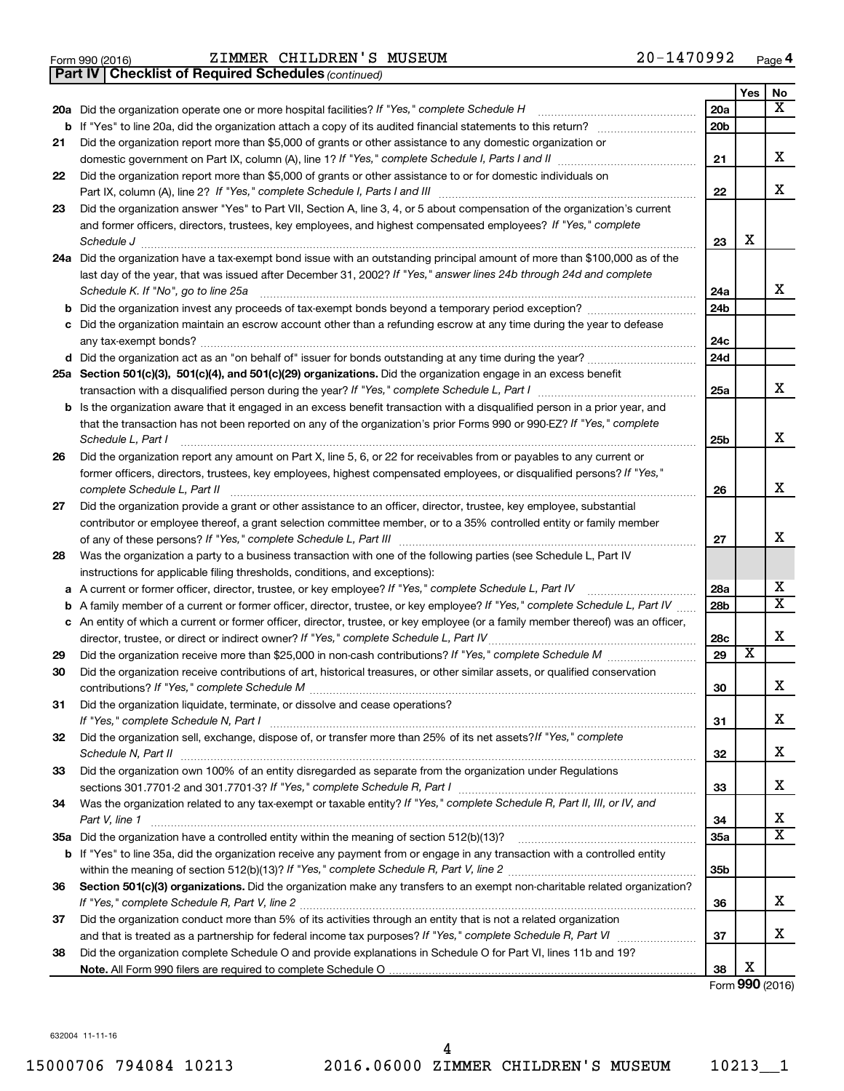|  | Form 990 (2016) |
|--|-----------------|
|  |                 |

Form 990 (2016) ZIMMER CHILDREN'S MUSEUM 20-1470992 <sub>Page</sub>

*(continued)* **Part IV Checklist of Required Schedules**

|    |                                                                                                                                                        |                 | Yes | No                      |
|----|--------------------------------------------------------------------------------------------------------------------------------------------------------|-----------------|-----|-------------------------|
|    | 20a Did the organization operate one or more hospital facilities? If "Yes," complete Schedule H                                                        | 20a             |     | x                       |
|    | <b>b</b> If "Yes" to line 20a, did the organization attach a copy of its audited financial statements to this return?                                  | 20 <sub>b</sub> |     |                         |
| 21 | Did the organization report more than \$5,000 of grants or other assistance to any domestic organization or                                            |                 |     |                         |
|    |                                                                                                                                                        | 21              |     | х                       |
| 22 | Did the organization report more than \$5,000 of grants or other assistance to or for domestic individuals on                                          |                 |     |                         |
|    | Part IX, column (A), line 2? If "Yes," complete Schedule I, Parts I and III                                                                            | 22              |     | x                       |
| 23 | Did the organization answer "Yes" to Part VII, Section A, line 3, 4, or 5 about compensation of the organization's current                             |                 |     |                         |
|    | and former officers, directors, trustees, key employees, and highest compensated employees? If "Yes," complete                                         |                 |     |                         |
|    | Schedule J                                                                                                                                             | 23              | х   |                         |
|    | 24a Did the organization have a tax-exempt bond issue with an outstanding principal amount of more than \$100,000 as of the                            |                 |     |                         |
|    | last day of the year, that was issued after December 31, 2002? If "Yes," answer lines 24b through 24d and complete                                     |                 |     |                         |
|    | Schedule K. If "No", go to line 25a                                                                                                                    | 24a             |     | x                       |
| b  | Did the organization invest any proceeds of tax-exempt bonds beyond a temporary period exception?                                                      | 24b             |     |                         |
| с  | Did the organization maintain an escrow account other than a refunding escrow at any time during the year to defease                                   |                 |     |                         |
|    |                                                                                                                                                        | 24c             |     |                         |
|    |                                                                                                                                                        | 24d             |     |                         |
|    | 25a Section 501(c)(3), 501(c)(4), and 501(c)(29) organizations. Did the organization engage in an excess benefit                                       |                 |     |                         |
|    |                                                                                                                                                        | 25a             |     | х                       |
|    | <b>b</b> Is the organization aware that it engaged in an excess benefit transaction with a disqualified person in a prior year, and                    |                 |     |                         |
|    | that the transaction has not been reported on any of the organization's prior Forms 990 or 990-EZ? If "Yes," complete                                  |                 |     | x                       |
|    | Schedule L, Part I                                                                                                                                     | 25b             |     |                         |
| 26 | Did the organization report any amount on Part X, line 5, 6, or 22 for receivables from or payables to any current or                                  |                 |     |                         |
|    | former officers, directors, trustees, key employees, highest compensated employees, or disqualified persons? If "Yes,"<br>complete Schedule L, Part II | 26              |     | x                       |
| 27 | Did the organization provide a grant or other assistance to an officer, director, trustee, key employee, substantial                                   |                 |     |                         |
|    | contributor or employee thereof, a grant selection committee member, or to a 35% controlled entity or family member                                    |                 |     |                         |
|    |                                                                                                                                                        | 27              |     | X                       |
| 28 | Was the organization a party to a business transaction with one of the following parties (see Schedule L, Part IV                                      |                 |     |                         |
|    | instructions for applicable filing thresholds, conditions, and exceptions):                                                                            |                 |     |                         |
| а  | A current or former officer, director, trustee, or key employee? If "Yes," complete Schedule L, Part IV                                                | 28a             |     | х                       |
| b  | A family member of a current or former officer, director, trustee, or key employee? If "Yes," complete Schedule L, Part IV                             | 28b             |     | х                       |
|    | c An entity of which a current or former officer, director, trustee, or key employee (or a family member thereof) was an officer,                      |                 |     |                         |
|    | director, trustee, or direct or indirect owner? If "Yes," complete Schedule L, Part IV                                                                 | 28c             |     | х                       |
| 29 | Did the organization receive more than \$25,000 in non-cash contributions? If "Yes," complete Schedule M                                               | 29              | х   |                         |
| 30 | Did the organization receive contributions of art, historical treasures, or other similar assets, or qualified conservation                            |                 |     |                         |
|    |                                                                                                                                                        | 30              |     | х                       |
| 31 | Did the organization liquidate, terminate, or dissolve and cease operations?                                                                           |                 |     |                         |
|    | If "Yes," complete Schedule N, Part I                                                                                                                  | 31              |     | х                       |
| 32 | Did the organization sell, exchange, dispose of, or transfer more than 25% of its net assets? If "Yes," complete                                       |                 |     |                         |
|    |                                                                                                                                                        | 32              |     | х                       |
| 33 | Did the organization own 100% of an entity disregarded as separate from the organization under Regulations                                             |                 |     |                         |
|    |                                                                                                                                                        | 33              |     | х                       |
| 34 | Was the organization related to any tax-exempt or taxable entity? If "Yes," complete Schedule R, Part II, III, or IV, and                              |                 |     |                         |
|    | Part V, line 1                                                                                                                                         | 34              |     | x                       |
|    |                                                                                                                                                        | 35a             |     | $\overline{\mathbf{X}}$ |
|    | b If "Yes" to line 35a, did the organization receive any payment from or engage in any transaction with a controlled entity                            |                 |     |                         |
|    |                                                                                                                                                        | 35 <sub>b</sub> |     |                         |
| 36 | Section 501(c)(3) organizations. Did the organization make any transfers to an exempt non-charitable related organization?                             |                 |     |                         |
|    |                                                                                                                                                        | 36              |     | х                       |
| 37 | Did the organization conduct more than 5% of its activities through an entity that is not a related organization                                       |                 |     |                         |
|    |                                                                                                                                                        | 37              |     | х                       |
| 38 | Did the organization complete Schedule O and provide explanations in Schedule O for Part VI, lines 11b and 19?                                         |                 | х   |                         |
|    |                                                                                                                                                        | 38              |     |                         |

Form (2016) **990**

632004 11-11-16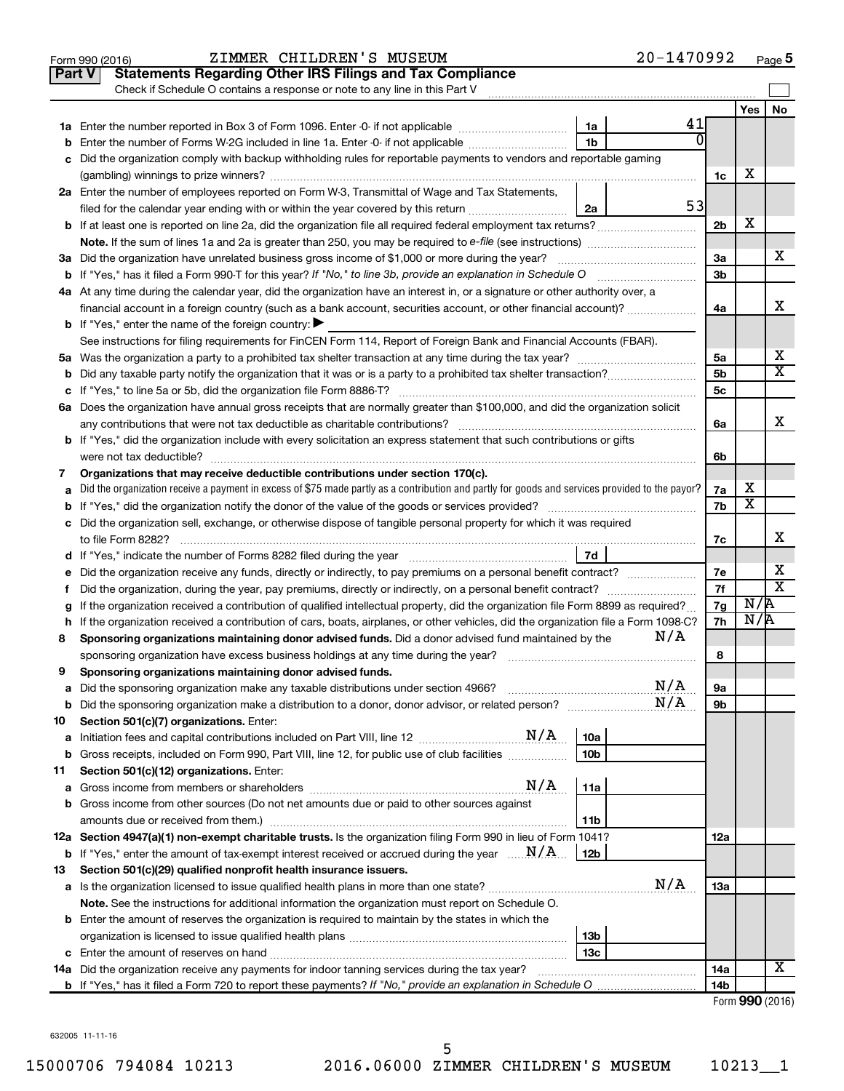|     | 20-1470992<br>ZIMMER CHILDREN'S MUSEUM<br>Form 990 (2016)                                                                                       |                |                         | Page 5                  |
|-----|-------------------------------------------------------------------------------------------------------------------------------------------------|----------------|-------------------------|-------------------------|
|     | <b>Statements Regarding Other IRS Filings and Tax Compliance</b><br><b>Part V</b>                                                               |                |                         |                         |
|     | Check if Schedule O contains a response or note to any line in this Part V                                                                      |                |                         |                         |
|     |                                                                                                                                                 |                | Yes                     | No                      |
|     | 41<br>1a                                                                                                                                        |                |                         |                         |
| b   | Enter the number of Forms W-2G included in line 1a. Enter -0- if not applicable <i>manumumumum</i><br>1b                                        |                |                         |                         |
| с   | Did the organization comply with backup withholding rules for reportable payments to vendors and reportable gaming                              |                |                         |                         |
|     |                                                                                                                                                 | 1c             | х                       |                         |
|     | 2a Enter the number of employees reported on Form W-3, Transmittal of Wage and Tax Statements,                                                  |                |                         |                         |
|     | 53<br>filed for the calendar year ending with or within the year covered by this return<br>2a                                                   |                |                         |                         |
|     |                                                                                                                                                 | 2 <sub>b</sub> | X                       |                         |
|     | Note. If the sum of lines 1a and 2a is greater than 250, you may be required to e-file (see instructions) <i>managererigion</i> ,               |                |                         |                         |
|     | 3a Did the organization have unrelated business gross income of \$1,000 or more during the year?                                                | 3a             |                         | X.                      |
|     | <b>b</b> If "Yes," has it filed a Form 990-T for this year? If "No," to line 3b, provide an explanation in Schedule O                           | 3 <sub>b</sub> |                         |                         |
|     | 4a At any time during the calendar year, did the organization have an interest in, or a signature or other authority over, a                    |                |                         |                         |
|     | financial account in a foreign country (such as a bank account, securities account, or other financial account)?                                | 4a             |                         | х                       |
|     | <b>b</b> If "Yes," enter the name of the foreign country: $\blacktriangleright$                                                                 |                |                         |                         |
|     | See instructions for filing requirements for FinCEN Form 114, Report of Foreign Bank and Financial Accounts (FBAR).                             |                |                         |                         |
|     |                                                                                                                                                 | 5a             |                         | х                       |
|     | <b>b</b> Did any taxable party notify the organization that it was or is a party to a prohibited tax shelter transaction?                       | 5 <sub>b</sub> |                         | х                       |
|     |                                                                                                                                                 | 5c             |                         |                         |
|     | 6a Does the organization have annual gross receipts that are normally greater than \$100,000, and did the organization solicit                  |                |                         |                         |
|     |                                                                                                                                                 | 6a             |                         | х                       |
|     | <b>b</b> If "Yes," did the organization include with every solicitation an express statement that such contributions or gifts                   |                |                         |                         |
|     |                                                                                                                                                 | 6b             |                         |                         |
| 7   | Organizations that may receive deductible contributions under section 170(c).                                                                   |                |                         |                         |
| а   | Did the organization receive a payment in excess of \$75 made partly as a contribution and partly for goods and services provided to the payor? | 7a             | х                       |                         |
|     |                                                                                                                                                 | 7b             | $\overline{\textbf{x}}$ |                         |
|     | c Did the organization sell, exchange, or otherwise dispose of tangible personal property for which it was required                             |                |                         |                         |
|     | to file Form 8282?                                                                                                                              | 7c             |                         | x                       |
|     | 7d                                                                                                                                              |                |                         |                         |
|     | e Did the organization receive any funds, directly or indirectly, to pay premiums on a personal benefit contract?                               | 7e             |                         | х                       |
| f.  | Did the organization, during the year, pay premiums, directly or indirectly, on a personal benefit contract?                                    | 7f             |                         | $\overline{\textbf{x}}$ |
| g   | If the organization received a contribution of qualified intellectual property, did the organization file Form 8899 as required?                | 7g             | N/R                     |                         |
|     | h If the organization received a contribution of cars, boats, airplanes, or other vehicles, did the organization file a Form 1098-C?            | 7h             | N/R                     |                         |
| 8   | N/A<br>Sponsoring organizations maintaining donor advised funds. Did a donor advised fund maintained by the                                     |                |                         |                         |
|     | sponsoring organization have excess business holdings at any time during the year?                                                              | 8              |                         |                         |
| 9   | Sponsoring organizations maintaining donor advised funds.                                                                                       |                |                         |                         |
| а   | N/A<br>Did the sponsoring organization make any taxable distributions under section 4966?                                                       | 9а             |                         |                         |
| b   | N/A                                                                                                                                             | 9b             |                         |                         |
| 10  | Section 501(c)(7) organizations. Enter:                                                                                                         |                |                         |                         |
| а   | 10a                                                                                                                                             |                |                         |                         |
| b   | Gross receipts, included on Form 990, Part VIII, line 12, for public use of club facilities<br>10 <sub>b</sub>                                  |                |                         |                         |
| 11  | Section 501(c)(12) organizations. Enter:                                                                                                        |                |                         |                         |
| а   | N/A<br>11a                                                                                                                                      |                |                         |                         |
| b   | Gross income from other sources (Do not net amounts due or paid to other sources against                                                        |                |                         |                         |
|     | 11b                                                                                                                                             |                |                         |                         |
|     | 12a Section 4947(a)(1) non-exempt charitable trusts. Is the organization filing Form 990 in lieu of Form 1041?                                  | 12a            |                         |                         |
| b   | If "Yes," enter the amount of tax-exempt interest received or accrued during the year $\ldots$ $\mathbf{N}/\mathbf{A}$ .<br>12b                 |                |                         |                         |
| 13  | Section 501(c)(29) qualified nonprofit health insurance issuers.                                                                                |                |                         |                         |
|     | N/A                                                                                                                                             | 13a            |                         |                         |
|     | Note. See the instructions for additional information the organization must report on Schedule O.                                               |                |                         |                         |
|     | <b>b</b> Enter the amount of reserves the organization is required to maintain by the states in which the                                       |                |                         |                         |
|     | 13b                                                                                                                                             |                |                         |                         |
|     | 13c                                                                                                                                             |                |                         |                         |
| 14a | Did the organization receive any payments for indoor tanning services during the tax year?                                                      | 14a            |                         | х                       |
|     |                                                                                                                                                 | 14b            |                         |                         |
|     |                                                                                                                                                 |                |                         | Form 990 (2016)         |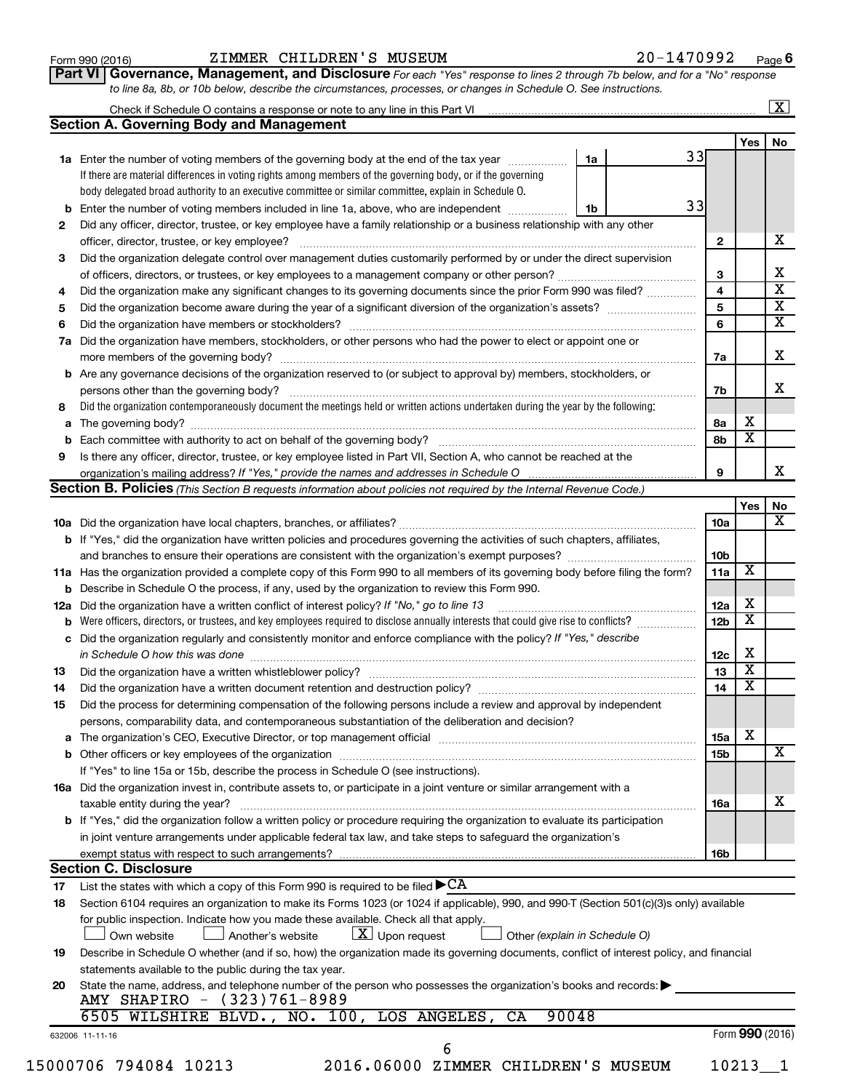| Form 990 (2016) |
|-----------------|
|-----------------|

#### Form 990 (2016) ZIMMER CHILDREN'S MUSEUM 20-1470992 <sub>Page</sub>

**Part VI** Governance, Management, and Disclosure For each "Yes" response to lines 2 through 7b below, and for a "No" response *to line 8a, 8b, or 10b below, describe the circumstances, processes, or changes in Schedule O. See instructions.*

| <b>Section A. Governing Body and Management</b><br>1a<br>1a Enter the number of voting members of the governing body at the end of the tax year<br>If there are material differences in voting rights among members of the governing body, or if the governing<br>body delegated broad authority to an executive committee or similar committee, explain in Schedule O.<br>Enter the number of voting members included in line 1a, above, who are independent<br>1b<br>b<br>Did any officer, director, trustee, or key employee have a family relationship or a business relationship with any other<br>2<br>officer, director, trustee, or key employee?<br>Did the organization delegate control over management duties customarily performed by or under the direct supervision<br>3<br>Did the organization make any significant changes to its governing documents since the prior Form 990 was filed?<br>4<br>5<br>6<br>Did the organization have members, stockholders, or other persons who had the power to elect or appoint one or<br>7a<br>Are any governance decisions of the organization reserved to (or subject to approval by) members, stockholders, or<br>b<br>persons other than the governing body?<br>Did the organization contemporaneously document the meetings held or written actions undertaken during the year by the following:<br>8<br>а<br>b<br>Is there any officer, director, trustee, or key employee listed in Part VII, Section A, who cannot be reached at the<br>9<br>organization's mailing address? If "Yes," provide the names and addresses in Schedule O<br><b>Section B. Policies</b> (This Section B requests information about policies not required by the Internal Revenue Code.) |    |                 |                         |                         |
|-----------------------------------------------------------------------------------------------------------------------------------------------------------------------------------------------------------------------------------------------------------------------------------------------------------------------------------------------------------------------------------------------------------------------------------------------------------------------------------------------------------------------------------------------------------------------------------------------------------------------------------------------------------------------------------------------------------------------------------------------------------------------------------------------------------------------------------------------------------------------------------------------------------------------------------------------------------------------------------------------------------------------------------------------------------------------------------------------------------------------------------------------------------------------------------------------------------------------------------------------------------------------------------------------------------------------------------------------------------------------------------------------------------------------------------------------------------------------------------------------------------------------------------------------------------------------------------------------------------------------------------------------------------------------------------------------------------------------------------|----|-----------------|-------------------------|-------------------------|
|                                                                                                                                                                                                                                                                                                                                                                                                                                                                                                                                                                                                                                                                                                                                                                                                                                                                                                                                                                                                                                                                                                                                                                                                                                                                                                                                                                                                                                                                                                                                                                                                                                                                                                                                   |    |                 |                         |                         |
|                                                                                                                                                                                                                                                                                                                                                                                                                                                                                                                                                                                                                                                                                                                                                                                                                                                                                                                                                                                                                                                                                                                                                                                                                                                                                                                                                                                                                                                                                                                                                                                                                                                                                                                                   |    |                 | <b>Yes</b>              | No                      |
|                                                                                                                                                                                                                                                                                                                                                                                                                                                                                                                                                                                                                                                                                                                                                                                                                                                                                                                                                                                                                                                                                                                                                                                                                                                                                                                                                                                                                                                                                                                                                                                                                                                                                                                                   | 33 |                 |                         |                         |
|                                                                                                                                                                                                                                                                                                                                                                                                                                                                                                                                                                                                                                                                                                                                                                                                                                                                                                                                                                                                                                                                                                                                                                                                                                                                                                                                                                                                                                                                                                                                                                                                                                                                                                                                   |    |                 |                         |                         |
|                                                                                                                                                                                                                                                                                                                                                                                                                                                                                                                                                                                                                                                                                                                                                                                                                                                                                                                                                                                                                                                                                                                                                                                                                                                                                                                                                                                                                                                                                                                                                                                                                                                                                                                                   |    |                 |                         |                         |
|                                                                                                                                                                                                                                                                                                                                                                                                                                                                                                                                                                                                                                                                                                                                                                                                                                                                                                                                                                                                                                                                                                                                                                                                                                                                                                                                                                                                                                                                                                                                                                                                                                                                                                                                   | 33 |                 |                         |                         |
|                                                                                                                                                                                                                                                                                                                                                                                                                                                                                                                                                                                                                                                                                                                                                                                                                                                                                                                                                                                                                                                                                                                                                                                                                                                                                                                                                                                                                                                                                                                                                                                                                                                                                                                                   |    |                 |                         |                         |
|                                                                                                                                                                                                                                                                                                                                                                                                                                                                                                                                                                                                                                                                                                                                                                                                                                                                                                                                                                                                                                                                                                                                                                                                                                                                                                                                                                                                                                                                                                                                                                                                                                                                                                                                   |    | $\mathbf{2}$    |                         | x                       |
|                                                                                                                                                                                                                                                                                                                                                                                                                                                                                                                                                                                                                                                                                                                                                                                                                                                                                                                                                                                                                                                                                                                                                                                                                                                                                                                                                                                                                                                                                                                                                                                                                                                                                                                                   |    |                 |                         |                         |
|                                                                                                                                                                                                                                                                                                                                                                                                                                                                                                                                                                                                                                                                                                                                                                                                                                                                                                                                                                                                                                                                                                                                                                                                                                                                                                                                                                                                                                                                                                                                                                                                                                                                                                                                   |    | 3               |                         | х                       |
|                                                                                                                                                                                                                                                                                                                                                                                                                                                                                                                                                                                                                                                                                                                                                                                                                                                                                                                                                                                                                                                                                                                                                                                                                                                                                                                                                                                                                                                                                                                                                                                                                                                                                                                                   |    | $\overline{4}$  |                         | $\overline{\text{x}}$   |
|                                                                                                                                                                                                                                                                                                                                                                                                                                                                                                                                                                                                                                                                                                                                                                                                                                                                                                                                                                                                                                                                                                                                                                                                                                                                                                                                                                                                                                                                                                                                                                                                                                                                                                                                   |    | 5               |                         | $\overline{\textbf{x}}$ |
|                                                                                                                                                                                                                                                                                                                                                                                                                                                                                                                                                                                                                                                                                                                                                                                                                                                                                                                                                                                                                                                                                                                                                                                                                                                                                                                                                                                                                                                                                                                                                                                                                                                                                                                                   |    | 6               |                         | $\overline{\text{x}}$   |
|                                                                                                                                                                                                                                                                                                                                                                                                                                                                                                                                                                                                                                                                                                                                                                                                                                                                                                                                                                                                                                                                                                                                                                                                                                                                                                                                                                                                                                                                                                                                                                                                                                                                                                                                   |    |                 |                         |                         |
|                                                                                                                                                                                                                                                                                                                                                                                                                                                                                                                                                                                                                                                                                                                                                                                                                                                                                                                                                                                                                                                                                                                                                                                                                                                                                                                                                                                                                                                                                                                                                                                                                                                                                                                                   |    | 7a              |                         | X                       |
|                                                                                                                                                                                                                                                                                                                                                                                                                                                                                                                                                                                                                                                                                                                                                                                                                                                                                                                                                                                                                                                                                                                                                                                                                                                                                                                                                                                                                                                                                                                                                                                                                                                                                                                                   |    |                 |                         |                         |
|                                                                                                                                                                                                                                                                                                                                                                                                                                                                                                                                                                                                                                                                                                                                                                                                                                                                                                                                                                                                                                                                                                                                                                                                                                                                                                                                                                                                                                                                                                                                                                                                                                                                                                                                   |    | 7b              |                         | X                       |
|                                                                                                                                                                                                                                                                                                                                                                                                                                                                                                                                                                                                                                                                                                                                                                                                                                                                                                                                                                                                                                                                                                                                                                                                                                                                                                                                                                                                                                                                                                                                                                                                                                                                                                                                   |    |                 |                         |                         |
|                                                                                                                                                                                                                                                                                                                                                                                                                                                                                                                                                                                                                                                                                                                                                                                                                                                                                                                                                                                                                                                                                                                                                                                                                                                                                                                                                                                                                                                                                                                                                                                                                                                                                                                                   |    | 8а              | х                       |                         |
|                                                                                                                                                                                                                                                                                                                                                                                                                                                                                                                                                                                                                                                                                                                                                                                                                                                                                                                                                                                                                                                                                                                                                                                                                                                                                                                                                                                                                                                                                                                                                                                                                                                                                                                                   |    | 8b              | $\overline{\textbf{x}}$ |                         |
|                                                                                                                                                                                                                                                                                                                                                                                                                                                                                                                                                                                                                                                                                                                                                                                                                                                                                                                                                                                                                                                                                                                                                                                                                                                                                                                                                                                                                                                                                                                                                                                                                                                                                                                                   |    |                 |                         |                         |
|                                                                                                                                                                                                                                                                                                                                                                                                                                                                                                                                                                                                                                                                                                                                                                                                                                                                                                                                                                                                                                                                                                                                                                                                                                                                                                                                                                                                                                                                                                                                                                                                                                                                                                                                   |    | 9               |                         | x                       |
|                                                                                                                                                                                                                                                                                                                                                                                                                                                                                                                                                                                                                                                                                                                                                                                                                                                                                                                                                                                                                                                                                                                                                                                                                                                                                                                                                                                                                                                                                                                                                                                                                                                                                                                                   |    |                 |                         |                         |
|                                                                                                                                                                                                                                                                                                                                                                                                                                                                                                                                                                                                                                                                                                                                                                                                                                                                                                                                                                                                                                                                                                                                                                                                                                                                                                                                                                                                                                                                                                                                                                                                                                                                                                                                   |    |                 | Yes                     | No                      |
|                                                                                                                                                                                                                                                                                                                                                                                                                                                                                                                                                                                                                                                                                                                                                                                                                                                                                                                                                                                                                                                                                                                                                                                                                                                                                                                                                                                                                                                                                                                                                                                                                                                                                                                                   |    | 10a             |                         | $\overline{\text{X}}$   |
| <b>b</b> If "Yes," did the organization have written policies and procedures governing the activities of such chapters, affiliates,                                                                                                                                                                                                                                                                                                                                                                                                                                                                                                                                                                                                                                                                                                                                                                                                                                                                                                                                                                                                                                                                                                                                                                                                                                                                                                                                                                                                                                                                                                                                                                                               |    |                 |                         |                         |
|                                                                                                                                                                                                                                                                                                                                                                                                                                                                                                                                                                                                                                                                                                                                                                                                                                                                                                                                                                                                                                                                                                                                                                                                                                                                                                                                                                                                                                                                                                                                                                                                                                                                                                                                   |    | 10 <sub>b</sub> |                         |                         |
| 11a Has the organization provided a complete copy of this Form 990 to all members of its governing body before filing the form?                                                                                                                                                                                                                                                                                                                                                                                                                                                                                                                                                                                                                                                                                                                                                                                                                                                                                                                                                                                                                                                                                                                                                                                                                                                                                                                                                                                                                                                                                                                                                                                                   |    | 11a             | $\overline{\mathbf{X}}$ |                         |
| Describe in Schedule O the process, if any, used by the organization to review this Form 990.                                                                                                                                                                                                                                                                                                                                                                                                                                                                                                                                                                                                                                                                                                                                                                                                                                                                                                                                                                                                                                                                                                                                                                                                                                                                                                                                                                                                                                                                                                                                                                                                                                     |    |                 |                         |                         |
| Did the organization have a written conflict of interest policy? If "No," go to line 13<br>12a                                                                                                                                                                                                                                                                                                                                                                                                                                                                                                                                                                                                                                                                                                                                                                                                                                                                                                                                                                                                                                                                                                                                                                                                                                                                                                                                                                                                                                                                                                                                                                                                                                    |    | 12a             | х                       |                         |
| Were officers, directors, or trustees, and key employees required to disclose annually interests that could give rise to conflicts?                                                                                                                                                                                                                                                                                                                                                                                                                                                                                                                                                                                                                                                                                                                                                                                                                                                                                                                                                                                                                                                                                                                                                                                                                                                                                                                                                                                                                                                                                                                                                                                               |    | 12 <sub>b</sub> | $\overline{\textbf{x}}$ |                         |
| Did the organization regularly and consistently monitor and enforce compliance with the policy? If "Yes," describe<br>с                                                                                                                                                                                                                                                                                                                                                                                                                                                                                                                                                                                                                                                                                                                                                                                                                                                                                                                                                                                                                                                                                                                                                                                                                                                                                                                                                                                                                                                                                                                                                                                                           |    |                 |                         |                         |
| in Schedule O how this was done <i>maching and accordination of the schedule O</i> how this was done                                                                                                                                                                                                                                                                                                                                                                                                                                                                                                                                                                                                                                                                                                                                                                                                                                                                                                                                                                                                                                                                                                                                                                                                                                                                                                                                                                                                                                                                                                                                                                                                                              |    | 12 <sub>c</sub> | х                       |                         |
| 13                                                                                                                                                                                                                                                                                                                                                                                                                                                                                                                                                                                                                                                                                                                                                                                                                                                                                                                                                                                                                                                                                                                                                                                                                                                                                                                                                                                                                                                                                                                                                                                                                                                                                                                                |    | 13              | $\overline{\textbf{x}}$ |                         |
| 14                                                                                                                                                                                                                                                                                                                                                                                                                                                                                                                                                                                                                                                                                                                                                                                                                                                                                                                                                                                                                                                                                                                                                                                                                                                                                                                                                                                                                                                                                                                                                                                                                                                                                                                                |    | 14              | $\overline{\textbf{x}}$ |                         |
| Did the process for determining compensation of the following persons include a review and approval by independent<br>15                                                                                                                                                                                                                                                                                                                                                                                                                                                                                                                                                                                                                                                                                                                                                                                                                                                                                                                                                                                                                                                                                                                                                                                                                                                                                                                                                                                                                                                                                                                                                                                                          |    |                 |                         |                         |
| persons, comparability data, and contemporaneous substantiation of the deliberation and decision?                                                                                                                                                                                                                                                                                                                                                                                                                                                                                                                                                                                                                                                                                                                                                                                                                                                                                                                                                                                                                                                                                                                                                                                                                                                                                                                                                                                                                                                                                                                                                                                                                                 |    |                 |                         |                         |
|                                                                                                                                                                                                                                                                                                                                                                                                                                                                                                                                                                                                                                                                                                                                                                                                                                                                                                                                                                                                                                                                                                                                                                                                                                                                                                                                                                                                                                                                                                                                                                                                                                                                                                                                   |    |                 | х                       |                         |
| а                                                                                                                                                                                                                                                                                                                                                                                                                                                                                                                                                                                                                                                                                                                                                                                                                                                                                                                                                                                                                                                                                                                                                                                                                                                                                                                                                                                                                                                                                                                                                                                                                                                                                                                                 |    | 15a             |                         | $\overline{\text{X}}$   |
|                                                                                                                                                                                                                                                                                                                                                                                                                                                                                                                                                                                                                                                                                                                                                                                                                                                                                                                                                                                                                                                                                                                                                                                                                                                                                                                                                                                                                                                                                                                                                                                                                                                                                                                                   |    | 15b             |                         |                         |
| If "Yes" to line 15a or 15b, describe the process in Schedule O (see instructions).                                                                                                                                                                                                                                                                                                                                                                                                                                                                                                                                                                                                                                                                                                                                                                                                                                                                                                                                                                                                                                                                                                                                                                                                                                                                                                                                                                                                                                                                                                                                                                                                                                               |    |                 |                         |                         |
| 16a Did the organization invest in, contribute assets to, or participate in a joint venture or similar arrangement with a                                                                                                                                                                                                                                                                                                                                                                                                                                                                                                                                                                                                                                                                                                                                                                                                                                                                                                                                                                                                                                                                                                                                                                                                                                                                                                                                                                                                                                                                                                                                                                                                         |    |                 |                         | х                       |
| taxable entity during the year?                                                                                                                                                                                                                                                                                                                                                                                                                                                                                                                                                                                                                                                                                                                                                                                                                                                                                                                                                                                                                                                                                                                                                                                                                                                                                                                                                                                                                                                                                                                                                                                                                                                                                                   |    | 16a             |                         |                         |
| b If "Yes," did the organization follow a written policy or procedure requiring the organization to evaluate its participation                                                                                                                                                                                                                                                                                                                                                                                                                                                                                                                                                                                                                                                                                                                                                                                                                                                                                                                                                                                                                                                                                                                                                                                                                                                                                                                                                                                                                                                                                                                                                                                                    |    |                 |                         |                         |
| in joint venture arrangements under applicable federal tax law, and take steps to safeguard the organization's                                                                                                                                                                                                                                                                                                                                                                                                                                                                                                                                                                                                                                                                                                                                                                                                                                                                                                                                                                                                                                                                                                                                                                                                                                                                                                                                                                                                                                                                                                                                                                                                                    |    |                 |                         |                         |
| exempt status with respect to such arrangements?                                                                                                                                                                                                                                                                                                                                                                                                                                                                                                                                                                                                                                                                                                                                                                                                                                                                                                                                                                                                                                                                                                                                                                                                                                                                                                                                                                                                                                                                                                                                                                                                                                                                                  |    | 16b             |                         |                         |
| <b>Section C. Disclosure</b>                                                                                                                                                                                                                                                                                                                                                                                                                                                                                                                                                                                                                                                                                                                                                                                                                                                                                                                                                                                                                                                                                                                                                                                                                                                                                                                                                                                                                                                                                                                                                                                                                                                                                                      |    |                 |                         |                         |
| List the states with which a copy of this Form 990 is required to be filed $\blacktriangleright$ CA<br>17                                                                                                                                                                                                                                                                                                                                                                                                                                                                                                                                                                                                                                                                                                                                                                                                                                                                                                                                                                                                                                                                                                                                                                                                                                                                                                                                                                                                                                                                                                                                                                                                                         |    |                 |                         |                         |
| Section 6104 requires an organization to make its Forms 1023 (or 1024 if applicable), 990, and 990-T (Section 501(c)(3)s only) available<br>18                                                                                                                                                                                                                                                                                                                                                                                                                                                                                                                                                                                                                                                                                                                                                                                                                                                                                                                                                                                                                                                                                                                                                                                                                                                                                                                                                                                                                                                                                                                                                                                    |    |                 |                         |                         |
| for public inspection. Indicate how you made these available. Check all that apply.                                                                                                                                                                                                                                                                                                                                                                                                                                                                                                                                                                                                                                                                                                                                                                                                                                                                                                                                                                                                                                                                                                                                                                                                                                                                                                                                                                                                                                                                                                                                                                                                                                               |    |                 |                         |                         |
| $\lfloor x \rfloor$ Upon request<br>Another's website<br>Own website<br>Other (explain in Schedule O)                                                                                                                                                                                                                                                                                                                                                                                                                                                                                                                                                                                                                                                                                                                                                                                                                                                                                                                                                                                                                                                                                                                                                                                                                                                                                                                                                                                                                                                                                                                                                                                                                             |    |                 |                         |                         |
| Describe in Schedule O whether (and if so, how) the organization made its governing documents, conflict of interest policy, and financial<br>19                                                                                                                                                                                                                                                                                                                                                                                                                                                                                                                                                                                                                                                                                                                                                                                                                                                                                                                                                                                                                                                                                                                                                                                                                                                                                                                                                                                                                                                                                                                                                                                   |    |                 |                         |                         |
| statements available to the public during the tax year.                                                                                                                                                                                                                                                                                                                                                                                                                                                                                                                                                                                                                                                                                                                                                                                                                                                                                                                                                                                                                                                                                                                                                                                                                                                                                                                                                                                                                                                                                                                                                                                                                                                                           |    |                 |                         |                         |
| State the name, address, and telephone number of the person who possesses the organization's books and records:<br>20                                                                                                                                                                                                                                                                                                                                                                                                                                                                                                                                                                                                                                                                                                                                                                                                                                                                                                                                                                                                                                                                                                                                                                                                                                                                                                                                                                                                                                                                                                                                                                                                             |    |                 |                         |                         |
| AMY SHAPIRO - (323)761-8989                                                                                                                                                                                                                                                                                                                                                                                                                                                                                                                                                                                                                                                                                                                                                                                                                                                                                                                                                                                                                                                                                                                                                                                                                                                                                                                                                                                                                                                                                                                                                                                                                                                                                                       |    |                 |                         |                         |
| 6505 WILSHIRE BLVD., NO. 100, LOS ANGELES, CA<br>90048                                                                                                                                                                                                                                                                                                                                                                                                                                                                                                                                                                                                                                                                                                                                                                                                                                                                                                                                                                                                                                                                                                                                                                                                                                                                                                                                                                                                                                                                                                                                                                                                                                                                            |    |                 |                         |                         |
| 632006 11-11-16                                                                                                                                                                                                                                                                                                                                                                                                                                                                                                                                                                                                                                                                                                                                                                                                                                                                                                                                                                                                                                                                                                                                                                                                                                                                                                                                                                                                                                                                                                                                                                                                                                                                                                                   |    |                 |                         |                         |
| 6                                                                                                                                                                                                                                                                                                                                                                                                                                                                                                                                                                                                                                                                                                                                                                                                                                                                                                                                                                                                                                                                                                                                                                                                                                                                                                                                                                                                                                                                                                                                                                                                                                                                                                                                 |    |                 | Form 990 (2016)         |                         |
| 15000706 794084 10213<br>2016.06000 ZIMMER CHILDREN'S MUSEUM                                                                                                                                                                                                                                                                                                                                                                                                                                                                                                                                                                                                                                                                                                                                                                                                                                                                                                                                                                                                                                                                                                                                                                                                                                                                                                                                                                                                                                                                                                                                                                                                                                                                      |    |                 | 10213 1                 |                         |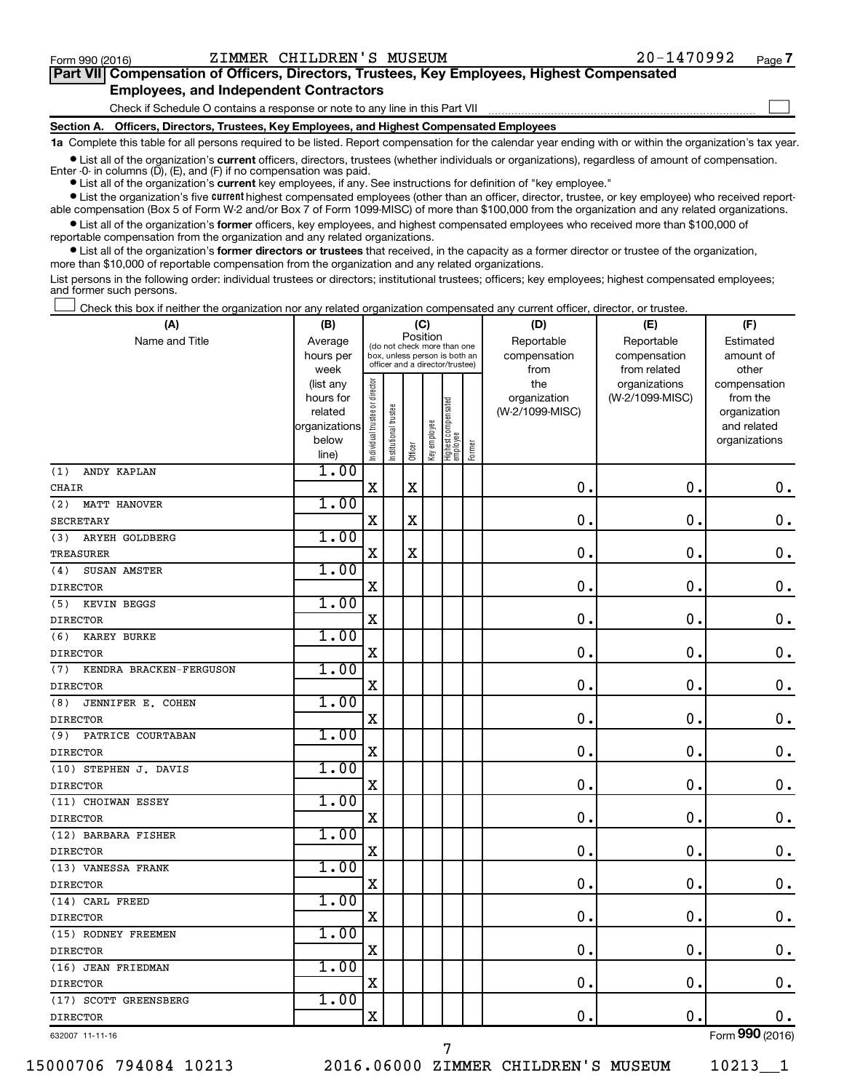$\Box$ 

| Part VII Compensation of Officers, Directors, Trustees, Key Employees, Highest Compensated |  |  |  |  |
|--------------------------------------------------------------------------------------------|--|--|--|--|
| <b>Employees, and Independent Contractors</b>                                              |  |  |  |  |

Check if Schedule O contains a response or note to any line in this Part VII

**Section A. Officers, Directors, Trustees, Key Employees, and Highest Compensated Employees**

**1a**  Complete this table for all persons required to be listed. Report compensation for the calendar year ending with or within the organization's tax year.

**•** List all of the organization's current officers, directors, trustees (whether individuals or organizations), regardless of amount of compensation. Enter -0- in columns  $(D)$ ,  $(E)$ , and  $(F)$  if no compensation was paid.

**•** List all of the organization's **current** key employees, if any. See instructions for definition of "key employee."

**•** List the organization's five current highest compensated employees (other than an officer, director, trustee, or key employee) who received reportable compensation (Box 5 of Form W-2 and/or Box 7 of Form 1099-MISC) of more than \$100,000 from the organization and any related organizations.

**•** List all of the organization's former officers, key employees, and highest compensated employees who received more than \$100,000 of reportable compensation from the organization and any related organizations.

**•** List all of the organization's former directors or trustees that received, in the capacity as a former director or trustee of the organization, more than \$10,000 of reportable compensation from the organization and any related organizations.

List persons in the following order: individual trustees or directors; institutional trustees; officers; key employees; highest compensated employees; and former such persons.

Check this box if neither the organization nor any related organization compensated any current officer, director, or trustee.  $\Box$ 

| (A)                                    | (B)               |                                |                                                                  | (C)         |              |                                 |        | (D)             | (E)                           | (F)                   |
|----------------------------------------|-------------------|--------------------------------|------------------------------------------------------------------|-------------|--------------|---------------------------------|--------|-----------------|-------------------------------|-----------------------|
| Name and Title                         | Average           |                                | (do not check more than one                                      | Position    |              |                                 |        | Reportable      | Reportable                    | Estimated             |
|                                        | hours per         |                                | box, unless person is both an<br>officer and a director/trustee) |             |              |                                 |        | compensation    | compensation                  | amount of             |
|                                        | week<br>(list any |                                |                                                                  |             |              |                                 |        | from<br>the     | from related<br>organizations | other<br>compensation |
|                                        | hours for         |                                |                                                                  |             |              |                                 |        | organization    | (W-2/1099-MISC)               | from the              |
|                                        | related           |                                |                                                                  |             |              |                                 |        | (W-2/1099-MISC) |                               | organization          |
|                                        | organizations     |                                |                                                                  |             |              |                                 |        |                 |                               | and related           |
|                                        | below             | Individual trustee or director | Institutional trustee                                            | Officer     | Key employee | Highest compensated<br>employee | Former |                 |                               | organizations         |
| ANDY KAPLAN                            | line)<br>1.00     |                                |                                                                  |             |              |                                 |        |                 |                               |                       |
| (1)<br>CHAIR                           |                   | $\mathbf X$                    |                                                                  | $\mathbf X$ |              |                                 |        | $\mathbf 0$ .   | $\mathbf 0$ .                 | $\mathbf 0$ .         |
| (2)<br>MATT HANOVER                    | 1.00              |                                |                                                                  |             |              |                                 |        |                 |                               |                       |
| <b>SECRETARY</b>                       |                   | $\mathbf X$                    |                                                                  | X           |              |                                 |        | $\mathbf 0$     | $\mathbf 0$                   | $\mathbf 0$ .         |
|                                        | 1.00              |                                |                                                                  |             |              |                                 |        |                 |                               |                       |
| ARYEH GOLDBERG<br>(3)                  |                   | X                              |                                                                  | $\rm X$     |              |                                 |        | 0               | $\mathbf 0$                   | $\mathbf 0$ .         |
| <b>TREASURER</b>                       | 1.00              |                                |                                                                  |             |              |                                 |        |                 |                               |                       |
| SUSAN AMSTER<br>(4)<br><b>DIRECTOR</b> |                   | $\mathbf X$                    |                                                                  |             |              |                                 |        | $\mathbf 0$     | $\mathbf 0$ .                 | $\mathbf 0$ .         |
| KEVIN BEGGS<br>(5)                     | 1.00              |                                |                                                                  |             |              |                                 |        |                 |                               |                       |
| <b>DIRECTOR</b>                        |                   | X                              |                                                                  |             |              |                                 |        | 0               | $\mathbf 0$ .                 | $\mathbf 0$ .         |
| (6)<br><b>KAREY BURKE</b>              | 1.00              |                                |                                                                  |             |              |                                 |        |                 |                               |                       |
| <b>DIRECTOR</b>                        |                   | $\mathbf X$                    |                                                                  |             |              |                                 |        | $\mathbf 0$     | $\mathbf 0$                   | $\mathbf 0$ .         |
| KENDRA BRACKEN-FERGUSON<br>(7)         | 1.00              |                                |                                                                  |             |              |                                 |        |                 |                               |                       |
| <b>DIRECTOR</b>                        |                   | X                              |                                                                  |             |              |                                 |        | 0               | 0.                            | $\mathbf 0$ .         |
| (8)<br>JENNIFER E. COHEN               | 1.00              |                                |                                                                  |             |              |                                 |        |                 |                               |                       |
| <b>DIRECTOR</b>                        |                   | $\mathbf X$                    |                                                                  |             |              |                                 |        | $\mathbf 0$ .   | $\mathbf 0$ .                 | $\mathbf 0$ .         |
| PATRICE COURTABAN<br>(9)               | 1.00              |                                |                                                                  |             |              |                                 |        |                 |                               |                       |
| <b>DIRECTOR</b>                        |                   | $\mathbf X$                    |                                                                  |             |              |                                 |        | $\mathbf 0$     | $\mathbf 0$ .                 | $\mathbf 0$ .         |
| (10) STEPHEN J. DAVIS                  | 1.00              |                                |                                                                  |             |              |                                 |        |                 |                               |                       |
| <b>DIRECTOR</b>                        |                   | X                              |                                                                  |             |              |                                 |        | $\mathbf 0$     | $\mathbf 0$                   | $\mathbf 0$ .         |
| (11) CHOIWAN ESSEY                     | 1.00              |                                |                                                                  |             |              |                                 |        |                 |                               |                       |
| <b>DIRECTOR</b>                        |                   | X                              |                                                                  |             |              |                                 |        | $\mathbf 0$     | $\mathbf 0$                   | $\mathbf 0$ .         |
| (12) BARBARA FISHER                    | 1.00              |                                |                                                                  |             |              |                                 |        |                 |                               |                       |
| <b>DIRECTOR</b>                        |                   | $\mathbf X$                    |                                                                  |             |              |                                 |        | $\mathbf 0$ .   | $\mathbf 0$                   | $\mathbf 0$ .         |
| (13) VANESSA FRANK                     | 1.00              |                                |                                                                  |             |              |                                 |        |                 |                               |                       |
| <b>DIRECTOR</b>                        |                   | X                              |                                                                  |             |              |                                 |        | 0               | $\mathbf 0$                   | $\mathbf 0$ .         |
| (14) CARL FREED                        | 1.00              |                                |                                                                  |             |              |                                 |        |                 |                               |                       |
| <b>DIRECTOR</b>                        |                   | X                              |                                                                  |             |              |                                 |        | $\mathbf 0$     | $\mathbf 0$                   | $\mathbf 0$ .         |
| (15) RODNEY FREEMEN                    | 1.00              |                                |                                                                  |             |              |                                 |        |                 |                               |                       |
| <b>DIRECTOR</b>                        |                   | X                              |                                                                  |             |              |                                 |        | $\mathbf 0$ .   | 0.                            | 0.                    |
| (16) JEAN FRIEDMAN                     | 1.00              |                                |                                                                  |             |              |                                 |        |                 |                               |                       |
| <b>DIRECTOR</b>                        |                   | X                              |                                                                  |             |              |                                 |        | 0.              | $\mathbf 0$ .                 | $\mathbf 0$ .         |
| (17) SCOTT GREENSBERG                  | 1.00              |                                |                                                                  |             |              |                                 |        |                 |                               |                       |
| <b>DIRECTOR</b>                        |                   | $\mathbf X$                    |                                                                  |             |              |                                 |        | 0.              | $\mathbf 0$ .                 | 0.                    |

632007 11-11-16

15000706 794084 10213 2016.06000 ZIMMER CHILDREN'S MUSEUM 10213\_\_1

7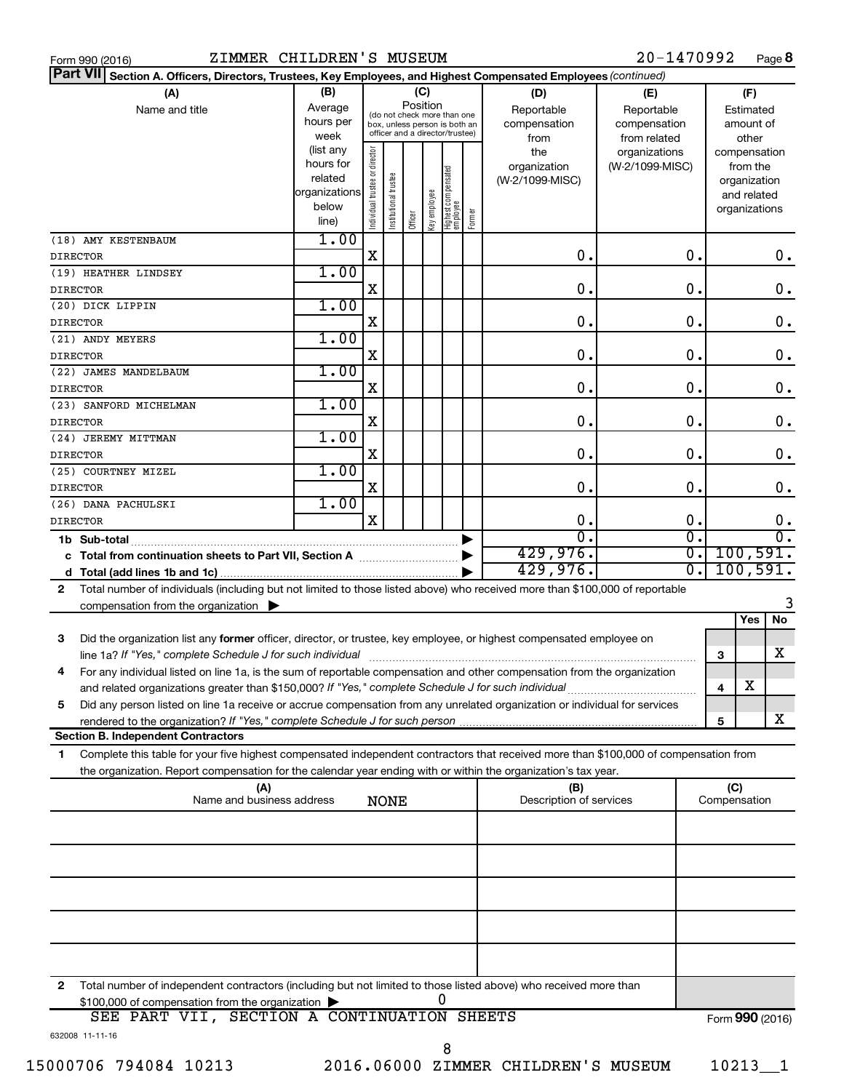| Form 990 (2016) |  |  |
|-----------------|--|--|

| Part VII Section A. Officers, Directors, Trustees, Key Employees, and Highest Compensated Employees (continued)                                                                         |                        |                                |                       |         |              |                                  |        |                                 |                 |                             |                 |                          |                        |
|-----------------------------------------------------------------------------------------------------------------------------------------------------------------------------------------|------------------------|--------------------------------|-----------------------|---------|--------------|----------------------------------|--------|---------------------------------|-----------------|-----------------------------|-----------------|--------------------------|------------------------|
| (A)                                                                                                                                                                                     | (B)                    |                                |                       |         | (C)          |                                  |        | (D)                             | (E)             |                             |                 | (F)                      |                        |
| Name and title                                                                                                                                                                          | Average                |                                |                       |         | Position     | (do not check more than one      |        | Reportable                      | Reportable      |                             |                 | Estimated                |                        |
|                                                                                                                                                                                         | hours per              |                                |                       |         |              | box, unless person is both an    |        | compensation                    | compensation    |                             |                 | amount of                |                        |
|                                                                                                                                                                                         | week                   |                                |                       |         |              | officer and a director/trustee)  |        | from                            | from related    |                             |                 | other                    |                        |
|                                                                                                                                                                                         | (list any<br>hours for |                                |                       |         |              |                                  |        | the                             | organizations   |                             |                 | compensation             |                        |
|                                                                                                                                                                                         | related                |                                |                       |         |              |                                  |        | organization<br>(W-2/1099-MISC) | (W-2/1099-MISC) |                             |                 | from the<br>organization |                        |
|                                                                                                                                                                                         | organizations          |                                |                       |         |              |                                  |        |                                 |                 |                             |                 | and related              |                        |
|                                                                                                                                                                                         | below                  | Individual trustee or director | Institutional trustee |         |              |                                  |        |                                 |                 |                             |                 | organizations            |                        |
|                                                                                                                                                                                         | line)                  |                                |                       | Officer | Key employee | Highest compensated<br> employee | Former |                                 |                 |                             |                 |                          |                        |
| (18) AMY KESTENBAUM                                                                                                                                                                     | 1.00                   |                                |                       |         |              |                                  |        |                                 |                 |                             |                 |                          |                        |
| <b>DIRECTOR</b>                                                                                                                                                                         |                        | X                              |                       |         |              |                                  |        | 0.                              |                 | 0.                          |                 |                          | 0.                     |
| (19) HEATHER LINDSEY                                                                                                                                                                    | 1.00                   |                                |                       |         |              |                                  |        |                                 |                 |                             |                 |                          |                        |
| <b>DIRECTOR</b>                                                                                                                                                                         |                        | X                              |                       |         |              |                                  |        | 0.                              |                 | $\mathbf 0$ .               |                 |                          | 0.                     |
| (20) DICK LIPPIN                                                                                                                                                                        | 1.00                   |                                |                       |         |              |                                  |        |                                 |                 |                             |                 |                          |                        |
| <b>DIRECTOR</b>                                                                                                                                                                         |                        | X                              |                       |         |              |                                  |        | 0.                              |                 | $\mathbf 0$ .               |                 |                          | 0.                     |
| (21) ANDY MEYERS                                                                                                                                                                        | 1.00                   |                                |                       |         |              |                                  |        |                                 |                 |                             |                 |                          |                        |
| <b>DIRECTOR</b>                                                                                                                                                                         |                        | X                              |                       |         |              |                                  |        | 0.                              |                 | 0.                          |                 |                          | 0.                     |
| (22) JAMES MANDELBAUM                                                                                                                                                                   | 1.00                   |                                |                       |         |              |                                  |        |                                 |                 |                             |                 |                          |                        |
| <b>DIRECTOR</b>                                                                                                                                                                         |                        | X                              |                       |         |              |                                  |        | 0.                              |                 | 0.                          |                 |                          | 0.                     |
| (23) SANFORD MICHELMAN                                                                                                                                                                  | 1.00                   |                                |                       |         |              |                                  |        |                                 |                 |                             |                 |                          |                        |
| <b>DIRECTOR</b>                                                                                                                                                                         |                        | X                              |                       |         |              |                                  |        | $\mathbf 0$ .                   |                 | 0.                          |                 |                          | $\mathbf 0$ .          |
| (24) JEREMY MITTMAN                                                                                                                                                                     | 1.00                   |                                |                       |         |              |                                  |        |                                 |                 |                             |                 |                          |                        |
| <b>DIRECTOR</b>                                                                                                                                                                         |                        | X                              |                       |         |              |                                  |        | 0.                              |                 | $\mathbf 0$ .               |                 |                          | $\mathbf 0$ .          |
| (25) COURTNEY MIZEL                                                                                                                                                                     | 1.00                   |                                |                       |         |              |                                  |        |                                 |                 |                             |                 |                          |                        |
| <b>DIRECTOR</b>                                                                                                                                                                         |                        | X                              |                       |         |              |                                  |        | 0.                              |                 | $\mathbf 0$ .               |                 |                          | 0.                     |
| (26) DANA PACHULSKI                                                                                                                                                                     | 1.00                   | X                              |                       |         |              |                                  |        | $\mathbf 0$ .                   |                 | $\mathbf 0$ .               |                 |                          |                        |
| <b>DIRECTOR</b>                                                                                                                                                                         |                        |                                |                       |         |              |                                  |        | $\overline{0}$ .                |                 | σ.                          |                 |                          | 0.<br>$\overline{0}$ . |
| 1b Sub-total                                                                                                                                                                            |                        |                                |                       |         |              |                                  |        | 429,976.                        |                 | $\overline{\mathfrak{o}}$ . |                 | 100, 591.                |                        |
|                                                                                                                                                                                         |                        |                                |                       |         |              |                                  |        | 429,976.                        |                 | $\overline{0}$ .            |                 | 100, 591.                |                        |
|                                                                                                                                                                                         |                        |                                |                       |         |              |                                  |        |                                 |                 |                             |                 |                          |                        |
| Total number of individuals (including but not limited to those listed above) who received more than \$100,000 of reportable<br>$\mathbf{2}$                                            |                        |                                |                       |         |              |                                  |        |                                 |                 |                             |                 |                          | 3                      |
| compensation from the organization $\blacktriangleright$                                                                                                                                |                        |                                |                       |         |              |                                  |        |                                 |                 |                             |                 | Yes                      | No                     |
|                                                                                                                                                                                         |                        |                                |                       |         |              |                                  |        |                                 |                 |                             |                 |                          |                        |
| Did the organization list any former officer, director, or trustee, key employee, or highest compensated employee on<br>3<br>line 1a? If "Yes," complete Schedule J for such individual |                        |                                |                       |         |              |                                  |        |                                 |                 |                             | 3               |                          | x                      |
| For any individual listed on line 1a, is the sum of reportable compensation and other compensation from the organization<br>4                                                           |                        |                                |                       |         |              |                                  |        |                                 |                 |                             |                 |                          |                        |
|                                                                                                                                                                                         |                        |                                |                       |         |              |                                  |        |                                 |                 |                             | 4               | X                        |                        |
| Did any person listed on line 1a receive or accrue compensation from any unrelated organization or individual for services<br>5                                                         |                        |                                |                       |         |              |                                  |        |                                 |                 |                             |                 |                          |                        |
| rendered to the organization? If "Yes," complete Schedule J for such person manufacture content content content                                                                         |                        |                                |                       |         |              |                                  |        |                                 |                 |                             | 5               |                          | X                      |
| <b>Section B. Independent Contractors</b>                                                                                                                                               |                        |                                |                       |         |              |                                  |        |                                 |                 |                             |                 |                          |                        |
| Complete this table for your five highest compensated independent contractors that received more than \$100,000 of compensation from<br>1                                               |                        |                                |                       |         |              |                                  |        |                                 |                 |                             |                 |                          |                        |
| the organization. Report compensation for the calendar year ending with or within the organization's tax year.                                                                          |                        |                                |                       |         |              |                                  |        |                                 |                 |                             |                 |                          |                        |
| (A)                                                                                                                                                                                     |                        |                                |                       |         |              |                                  |        | (B)                             |                 |                             | (C)             |                          |                        |
| Name and business address                                                                                                                                                               |                        |                                | <b>NONE</b>           |         |              |                                  |        | Description of services         |                 |                             | Compensation    |                          |                        |
|                                                                                                                                                                                         |                        |                                |                       |         |              |                                  |        |                                 |                 |                             |                 |                          |                        |
|                                                                                                                                                                                         |                        |                                |                       |         |              |                                  |        |                                 |                 |                             |                 |                          |                        |
|                                                                                                                                                                                         |                        |                                |                       |         |              |                                  |        |                                 |                 |                             |                 |                          |                        |
|                                                                                                                                                                                         |                        |                                |                       |         |              |                                  |        |                                 |                 |                             |                 |                          |                        |
|                                                                                                                                                                                         |                        |                                |                       |         |              |                                  |        |                                 |                 |                             |                 |                          |                        |
|                                                                                                                                                                                         |                        |                                |                       |         |              |                                  |        |                                 |                 |                             |                 |                          |                        |
|                                                                                                                                                                                         |                        |                                |                       |         |              |                                  |        |                                 |                 |                             |                 |                          |                        |
|                                                                                                                                                                                         |                        |                                |                       |         |              |                                  |        |                                 |                 |                             |                 |                          |                        |
|                                                                                                                                                                                         |                        |                                |                       |         |              |                                  |        |                                 |                 |                             |                 |                          |                        |
|                                                                                                                                                                                         |                        |                                |                       |         |              |                                  |        |                                 |                 |                             |                 |                          |                        |
| 2<br>Total number of independent contractors (including but not limited to those listed above) who received more than                                                                   |                        |                                |                       |         |              | 0                                |        |                                 |                 |                             |                 |                          |                        |
| \$100,000 of compensation from the organization<br>SEE PART VII, SECTION A CONTINUATION SHEETS                                                                                          |                        |                                |                       |         |              |                                  |        |                                 |                 |                             | Form 990 (2016) |                          |                        |
|                                                                                                                                                                                         |                        |                                |                       |         |              |                                  |        |                                 |                 |                             |                 |                          |                        |

Form (2016) **990**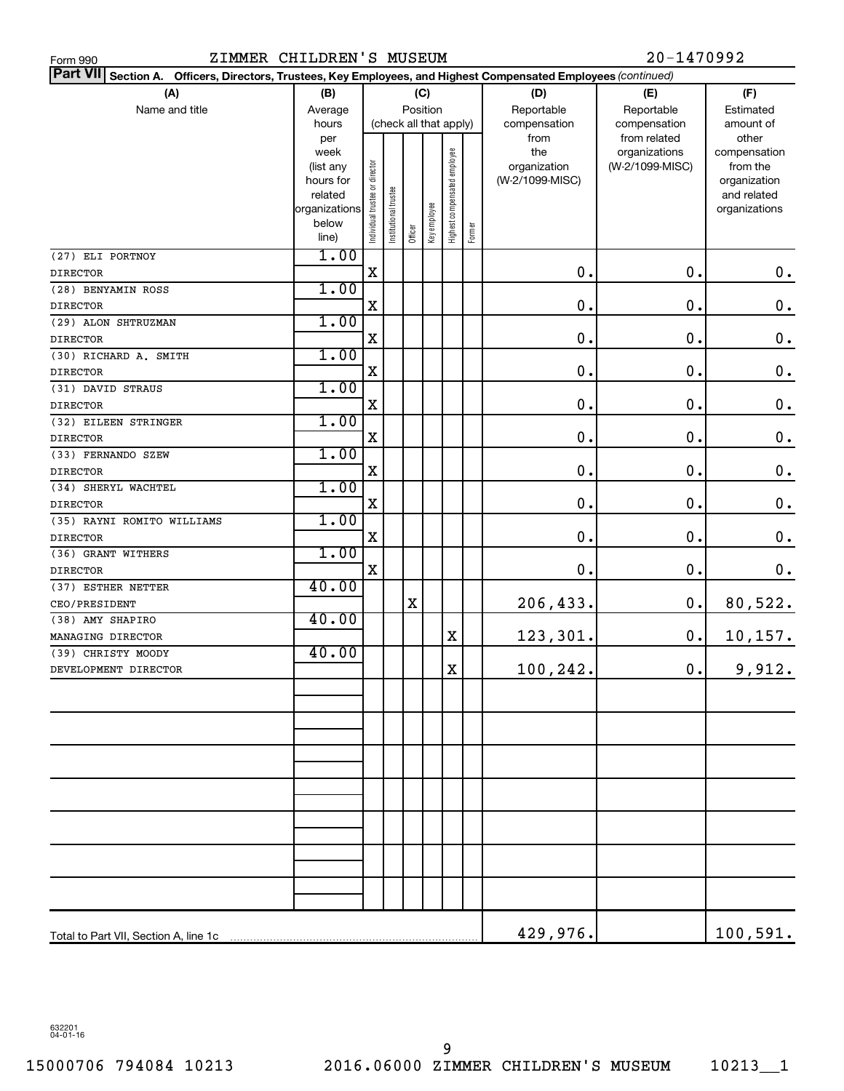| ZIMMER CHILDREN'S MUSEUM<br>Form 990          | 20-1470992               |                                |                      |         |                        |                              |        |                                                                                             |                               |                              |
|-----------------------------------------------|--------------------------|--------------------------------|----------------------|---------|------------------------|------------------------------|--------|---------------------------------------------------------------------------------------------|-------------------------------|------------------------------|
| <b>Part VII</b><br>Section A.                 |                          |                                |                      |         |                        |                              |        | Officers, Directors, Trustees, Key Employees, and Highest Compensated Employees (continued) |                               |                              |
| (A)                                           | (B)                      |                                |                      |         | (C)                    |                              |        | (D)                                                                                         | (E)                           | (F)                          |
| Name and title                                | Average                  |                                |                      |         | Position               |                              |        | Reportable                                                                                  | Reportable                    | Estimated                    |
|                                               | hours                    |                                |                      |         | (check all that apply) |                              |        | compensation                                                                                | compensation                  | amount of<br>other           |
|                                               | per<br>week              |                                |                      |         |                        |                              |        | from<br>the                                                                                 | from related<br>organizations | compensation                 |
|                                               | (list any                |                                |                      |         |                        |                              |        | organization                                                                                | (W-2/1099-MISC)               | from the                     |
|                                               | hours for                |                                |                      |         |                        |                              |        | (W-2/1099-MISC)                                                                             |                               | organization                 |
|                                               | related<br>organizations |                                |                      |         |                        |                              |        |                                                                                             |                               | and related<br>organizations |
|                                               | below                    | Individual trustee or director | nstitutional trustee |         | Key employee           | Highest compensated employee |        |                                                                                             |                               |                              |
|                                               | line)                    |                                |                      | Officer |                        |                              | Former |                                                                                             |                               |                              |
| (27) ELI PORTNOY                              | 1.00                     |                                |                      |         |                        |                              |        |                                                                                             |                               |                              |
| <b>DIRECTOR</b>                               |                          | X                              |                      |         |                        |                              |        | 0.                                                                                          | 0.                            | $\mathbf 0$ .                |
| (28) BENYAMIN ROSS                            | 1.00                     |                                |                      |         |                        |                              |        |                                                                                             |                               |                              |
| <b>DIRECTOR</b>                               |                          | X                              |                      |         |                        |                              |        | 0.                                                                                          | 0.                            | $\mathbf 0$ .                |
| (29) ALON SHTRUZMAN                           | 1.00                     |                                |                      |         |                        |                              |        |                                                                                             |                               |                              |
| <b>DIRECTOR</b>                               |                          | X                              |                      |         |                        |                              |        | 0.                                                                                          | 0.                            | $\mathbf 0$ .                |
| (30) RICHARD A. SMITH                         | 1.00                     |                                |                      |         |                        |                              |        |                                                                                             |                               |                              |
| <b>DIRECTOR</b>                               |                          | X                              |                      |         |                        |                              |        | 0.                                                                                          | 0.                            | $\mathbf 0$ .                |
| (31) DAVID STRAUS                             | 1.00                     |                                |                      |         |                        |                              |        |                                                                                             |                               |                              |
| <b>DIRECTOR</b>                               |                          | X                              |                      |         |                        |                              |        | 0.                                                                                          | 0.                            | $\mathbf 0$ .                |
| (32) EILEEN STRINGER                          | 1.00                     |                                |                      |         |                        |                              |        |                                                                                             |                               |                              |
| <b>DIRECTOR</b>                               |                          | X                              |                      |         |                        |                              |        | 0.                                                                                          | 0.                            | $\mathbf 0$ .                |
| (33) FERNANDO SZEW                            | 1.00                     |                                |                      |         |                        |                              |        | 0.                                                                                          |                               |                              |
| <b>DIRECTOR</b>                               | 1.00                     | X                              |                      |         |                        |                              |        |                                                                                             | 0.                            | $\mathbf 0$ .                |
| (34) SHERYL WACHTEL                           |                          | X                              |                      |         |                        |                              |        | 0.                                                                                          | 0.                            | $\mathbf 0$ .                |
| <b>DIRECTOR</b><br>(35) RAYNI ROMITO WILLIAMS | 1.00                     |                                |                      |         |                        |                              |        |                                                                                             |                               |                              |
| <b>DIRECTOR</b>                               |                          | X                              |                      |         |                        |                              |        | 0.                                                                                          | 0.                            | $\mathbf 0$ .                |
| (36) GRANT WITHERS                            | 1.00                     |                                |                      |         |                        |                              |        |                                                                                             |                               |                              |
| <b>DIRECTOR</b>                               |                          | $\mathbf X$                    |                      |         |                        |                              |        | 0.                                                                                          | 0.                            | $\mathbf 0$ .                |
| (37) ESTHER NETTER                            | 40.00                    |                                |                      |         |                        |                              |        |                                                                                             |                               |                              |
| CEO/PRESIDENT                                 |                          |                                |                      | X       |                        |                              |        | 206,433.                                                                                    | $\mathbf 0$ .                 | 80,522.                      |
| (38) AMY SHAPIRO                              | 40.00                    |                                |                      |         |                        |                              |        |                                                                                             |                               |                              |
| MANAGING DIRECTOR                             |                          |                                |                      |         |                        | X                            |        | 123,301.                                                                                    | 0.                            | 10, 157.                     |
| (39) CHRISTY MOODY                            | 40.00                    |                                |                      |         |                        |                              |        |                                                                                             |                               |                              |
| DEVELOPMENT DIRECTOR                          |                          |                                |                      |         |                        | X                            |        | 100,242.                                                                                    | $0$ .                         | 9,912.                       |
|                                               |                          |                                |                      |         |                        |                              |        |                                                                                             |                               |                              |
|                                               |                          |                                |                      |         |                        |                              |        |                                                                                             |                               |                              |
|                                               |                          |                                |                      |         |                        |                              |        |                                                                                             |                               |                              |
|                                               |                          |                                |                      |         |                        |                              |        |                                                                                             |                               |                              |
|                                               |                          |                                |                      |         |                        |                              |        |                                                                                             |                               |                              |
|                                               |                          |                                |                      |         |                        |                              |        |                                                                                             |                               |                              |
|                                               |                          |                                |                      |         |                        |                              |        |                                                                                             |                               |                              |
|                                               |                          |                                |                      |         |                        |                              |        |                                                                                             |                               |                              |
|                                               |                          |                                |                      |         |                        |                              |        |                                                                                             |                               |                              |
|                                               |                          |                                |                      |         |                        |                              |        |                                                                                             |                               |                              |
|                                               |                          |                                |                      |         |                        |                              |        |                                                                                             |                               |                              |
|                                               |                          |                                |                      |         |                        |                              |        |                                                                                             |                               |                              |
|                                               |                          |                                |                      |         |                        |                              |        |                                                                                             |                               |                              |
|                                               |                          |                                |                      |         |                        |                              |        |                                                                                             |                               |                              |
| Total to Part VII, Section A, line 1c         |                          |                                |                      |         |                        |                              |        | 429,976.                                                                                    |                               | 100, 591.                    |
|                                               |                          |                                |                      |         |                        |                              |        |                                                                                             |                               |                              |

632201 04-01-16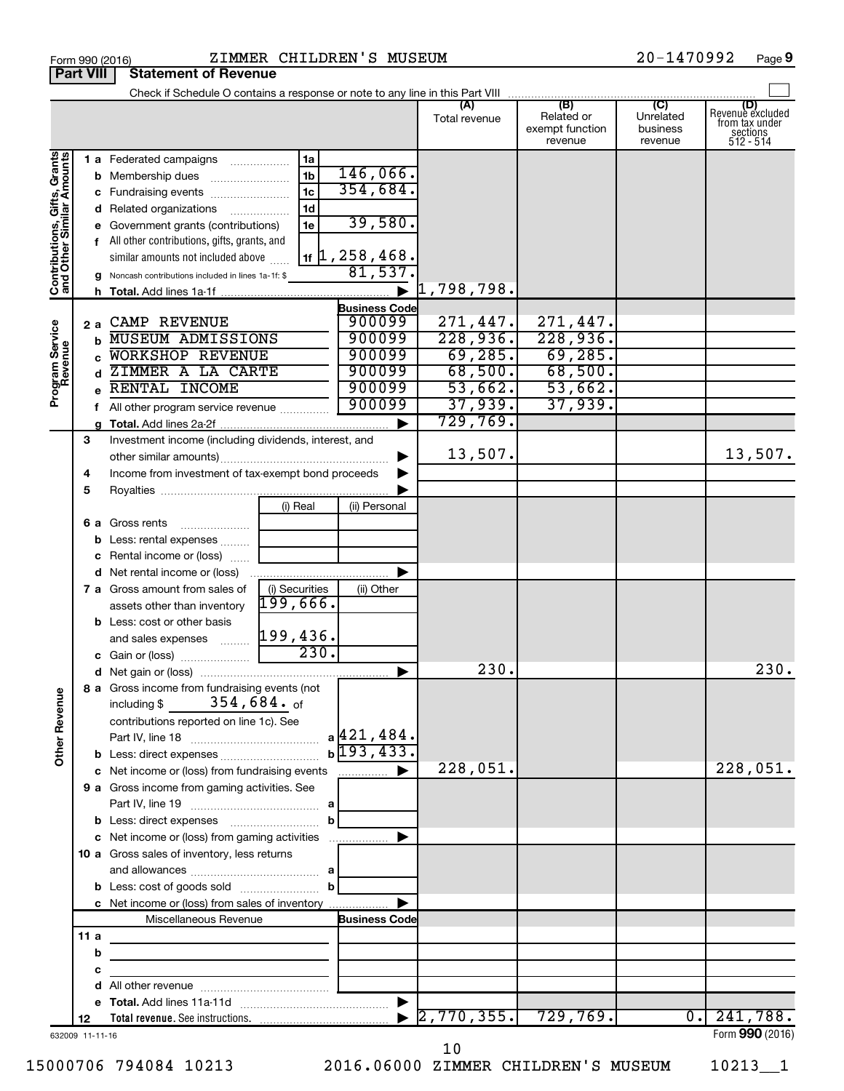| ZIMMER CHILDREN'S MUSEUM<br>Form 990 (2016)               |                  |                                                                                                                           |                |                               |                                  | 20-1470992                               | Page 9                           |                                                               |
|-----------------------------------------------------------|------------------|---------------------------------------------------------------------------------------------------------------------------|----------------|-------------------------------|----------------------------------|------------------------------------------|----------------------------------|---------------------------------------------------------------|
|                                                           | <b>Part VIII</b> | <b>Statement of Revenue</b>                                                                                               |                |                               |                                  |                                          |                                  |                                                               |
|                                                           |                  |                                                                                                                           |                |                               |                                  |                                          |                                  |                                                               |
|                                                           |                  |                                                                                                                           |                |                               | Total revenue                    | Related or<br>exempt function<br>revenue | Unrelated<br>business<br>revenue | Revenue excluded<br>from tax under<br>sections<br>$512 - 514$ |
|                                                           |                  | 1 a Federated campaigns                                                                                                   | 1a             |                               |                                  |                                          |                                  |                                                               |
| Contributions, Gifts, Grants<br>and Other Similar Amounts |                  | <b>b</b> Membership dues                                                                                                  | 1 <sub>b</sub> | 146,066.                      |                                  |                                          |                                  |                                                               |
|                                                           |                  | c Fundraising events                                                                                                      | 1 <sub>c</sub> | 354,684.                      |                                  |                                          |                                  |                                                               |
|                                                           |                  | d Related organizations                                                                                                   | 1 <sub>d</sub> |                               |                                  |                                          |                                  |                                                               |
|                                                           |                  | e Government grants (contributions)                                                                                       | 1e             | 39,580.                       |                                  |                                          |                                  |                                                               |
|                                                           |                  | f All other contributions, gifts, grants, and                                                                             |                |                               |                                  |                                          |                                  |                                                               |
|                                                           |                  | similar amounts not included above                                                                                        |                | $1$ if $\vert 1$ , 258 , 468. |                                  |                                          |                                  |                                                               |
|                                                           |                  | g Noncash contributions included in lines 1a-1f: \$                                                                       |                | 81,537.                       |                                  |                                          |                                  |                                                               |
|                                                           |                  | h.                                                                                                                        |                | $\blacktriangleright$         | 1,798,798.                       |                                          |                                  |                                                               |
|                                                           |                  |                                                                                                                           |                | <b>Business Code</b>          |                                  |                                          |                                  |                                                               |
|                                                           | 2а               | <b>CAMP REVENUE</b>                                                                                                       |                | 900099                        | 271,447.                         | 271,447.                                 |                                  |                                                               |
|                                                           |                  | <b>MUSEUM ADMISSIONS</b><br>$\mathbf b$                                                                                   |                | 900099                        | 228,936.                         | 228,936.                                 |                                  |                                                               |
|                                                           |                  | <b>WORKSHOP REVENUE</b>                                                                                                   |                | 900099                        | 69,285.                          | 69, 285.                                 |                                  |                                                               |
|                                                           |                  | ZIMMER A LA CARTE<br>d                                                                                                    |                | 900099                        | 68,500.                          | 68,500.                                  |                                  |                                                               |
| Program Service<br>Revenue                                |                  | RENTAL INCOME                                                                                                             |                | 900099                        | 53,662.                          | 53,662.                                  |                                  |                                                               |
|                                                           |                  | All other program service revenue<br>f                                                                                    |                | 900099                        | 37,939.                          | 37,939.                                  |                                  |                                                               |
|                                                           |                  |                                                                                                                           |                | ▶                             | 729,769.                         |                                          |                                  |                                                               |
|                                                           | 3                | Investment income (including dividends, interest, and                                                                     |                |                               |                                  |                                          |                                  |                                                               |
|                                                           |                  |                                                                                                                           |                | ▶                             | 13,507.                          |                                          |                                  | 13,507.                                                       |
|                                                           | 4                | Income from investment of tax-exempt bond proceeds                                                                        |                |                               |                                  |                                          |                                  |                                                               |
|                                                           | 5                |                                                                                                                           |                |                               |                                  |                                          |                                  |                                                               |
|                                                           |                  |                                                                                                                           | (i) Real       | (ii) Personal                 |                                  |                                          |                                  |                                                               |
|                                                           |                  | 6 a Gross rents                                                                                                           |                |                               |                                  |                                          |                                  |                                                               |
|                                                           |                  | <b>b</b> Less: rental expenses                                                                                            |                |                               |                                  |                                          |                                  |                                                               |
|                                                           |                  | c Rental income or (loss)                                                                                                 |                |                               |                                  |                                          |                                  |                                                               |
|                                                           |                  | <b>d</b> Net rental income or (loss)                                                                                      |                | ▶                             |                                  |                                          |                                  |                                                               |
|                                                           |                  | 7 a Gross amount from sales of                                                                                            | (i) Securities | (ii) Other                    |                                  |                                          |                                  |                                                               |
|                                                           |                  | assets other than inventory                                                                                               | 199,666.       |                               |                                  |                                          |                                  |                                                               |
|                                                           |                  | <b>b</b> Less: cost or other basis                                                                                        |                |                               |                                  |                                          |                                  |                                                               |
|                                                           |                  | and sales expenses                                                                                                        | 199,436.       |                               |                                  |                                          |                                  |                                                               |
|                                                           |                  | c Gain or (loss)                                                                                                          | 230.           |                               |                                  |                                          |                                  |                                                               |
|                                                           |                  |                                                                                                                           |                |                               | 230                              |                                          |                                  | 230.                                                          |
| <b>Other Revenue</b>                                      |                  | 8 a Gross income from fundraising events (not<br>including $$354,684.$ of                                                 |                |                               |                                  |                                          |                                  |                                                               |
|                                                           |                  | contributions reported on line 1c). See                                                                                   |                |                               |                                  |                                          |                                  |                                                               |
|                                                           |                  |                                                                                                                           |                |                               |                                  |                                          |                                  |                                                               |
|                                                           |                  |                                                                                                                           |                | $b\overline{193,433.}$        |                                  |                                          |                                  |                                                               |
|                                                           |                  |                                                                                                                           |                |                               | 228,051.                         |                                          |                                  | 228,051.                                                      |
|                                                           |                  | 9 a Gross income from gaming activities. See                                                                              |                |                               |                                  |                                          |                                  |                                                               |
|                                                           |                  |                                                                                                                           |                |                               |                                  |                                          |                                  |                                                               |
|                                                           |                  |                                                                                                                           | $\mathbf{b}$   |                               |                                  |                                          |                                  |                                                               |
|                                                           |                  |                                                                                                                           |                |                               |                                  |                                          |                                  |                                                               |
|                                                           |                  | 10 a Gross sales of inventory, less returns                                                                               |                |                               |                                  |                                          |                                  |                                                               |
|                                                           |                  |                                                                                                                           |                |                               |                                  |                                          |                                  |                                                               |
|                                                           |                  | <b>b</b> Less: cost of goods sold $\ldots$ <b>b</b>                                                                       |                |                               |                                  |                                          |                                  |                                                               |
|                                                           |                  | c Net income or (loss) from sales of inventory                                                                            |                | ▶                             |                                  |                                          |                                  |                                                               |
|                                                           |                  | Miscellaneous Revenue                                                                                                     |                | <b>Business Code</b>          |                                  |                                          |                                  |                                                               |
|                                                           | 11a              |                                                                                                                           |                |                               |                                  |                                          |                                  |                                                               |
|                                                           |                  | b<br><u> 1989 - Johann John Stein, markin fan it ferstjer fan it ferstjer fan it ferstjer fan it ferstjer fan it fers</u> |                |                               |                                  |                                          |                                  |                                                               |
|                                                           |                  | с<br>the control of the control of the control of the control of                                                          |                |                               |                                  |                                          |                                  |                                                               |
|                                                           |                  | d                                                                                                                         |                |                               |                                  |                                          |                                  |                                                               |
|                                                           |                  |                                                                                                                           |                |                               |                                  |                                          |                                  |                                                               |
|                                                           | 12               |                                                                                                                           |                |                               | $\blacktriangleright$ 2,770,355. | 729,769.                                 | $\overline{0}$ .                 | 241,788.                                                      |
| 632009 11-11-16                                           |                  |                                                                                                                           |                |                               |                                  |                                          |                                  | Form 990 (2016)                                               |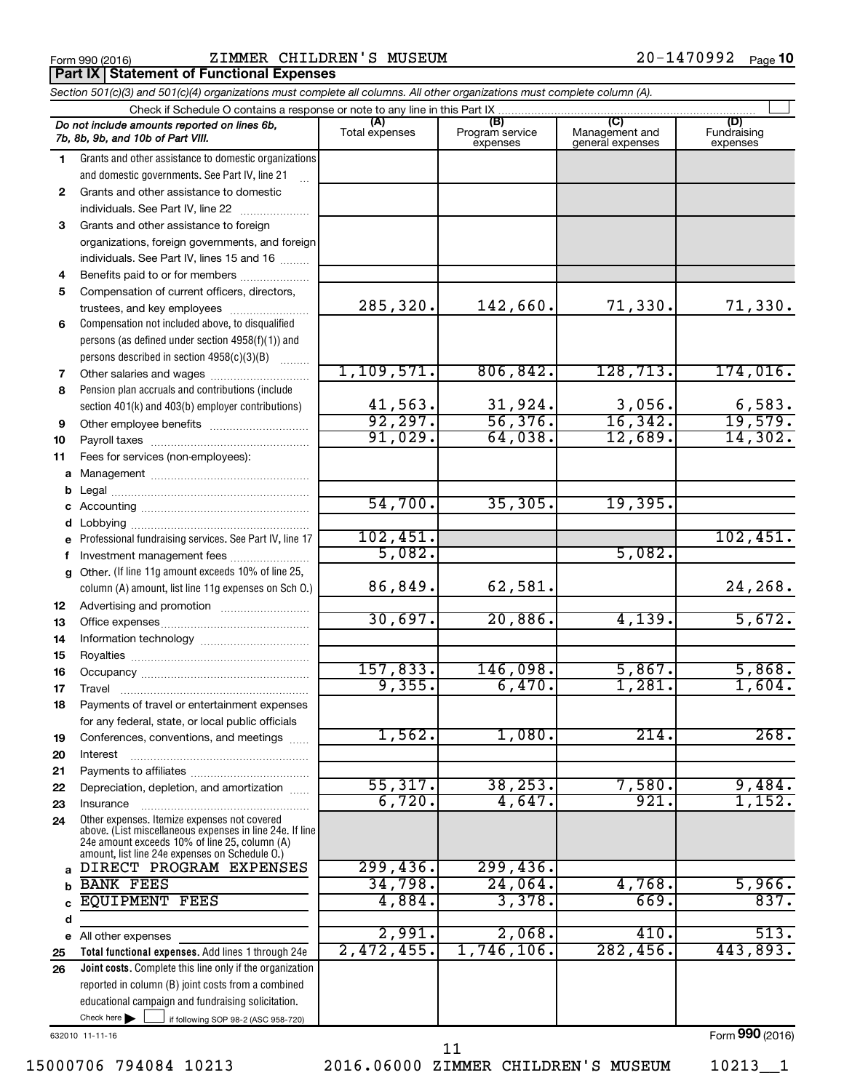**Part IX Statement of Functional Expenses** 

|                                                                             | Section 501(c)(3) and 501(c)(4) organizations must complete all columns. All other organizations must complete column (A).                                  |                         |                                    |                                           |                                |  |  |  |
|-----------------------------------------------------------------------------|-------------------------------------------------------------------------------------------------------------------------------------------------------------|-------------------------|------------------------------------|-------------------------------------------|--------------------------------|--|--|--|
| Check if Schedule O contains a response or note to any line in this Part IX |                                                                                                                                                             |                         |                                    |                                           |                                |  |  |  |
|                                                                             | Do not include amounts reported on lines 6b,<br>7b, 8b, 9b, and 10b of Part VIII.                                                                           | (A)<br>Total expenses   | (B)<br>Program service<br>expenses | (C)<br>Management and<br>general expenses | (D)<br>Fundraising<br>expenses |  |  |  |
| 1.                                                                          | Grants and other assistance to domestic organizations                                                                                                       |                         |                                    |                                           |                                |  |  |  |
|                                                                             | and domestic governments. See Part IV, line 21                                                                                                              |                         |                                    |                                           |                                |  |  |  |
| $\mathbf{2}$                                                                | Grants and other assistance to domestic                                                                                                                     |                         |                                    |                                           |                                |  |  |  |
|                                                                             | individuals. See Part IV, line 22                                                                                                                           |                         |                                    |                                           |                                |  |  |  |
| 3                                                                           | Grants and other assistance to foreign                                                                                                                      |                         |                                    |                                           |                                |  |  |  |
|                                                                             | organizations, foreign governments, and foreign                                                                                                             |                         |                                    |                                           |                                |  |  |  |
|                                                                             | individuals. See Part IV, lines 15 and 16                                                                                                                   |                         |                                    |                                           |                                |  |  |  |
| 4                                                                           | Benefits paid to or for members                                                                                                                             |                         |                                    |                                           |                                |  |  |  |
| 5                                                                           | Compensation of current officers, directors,                                                                                                                |                         |                                    |                                           |                                |  |  |  |
|                                                                             | trustees, and key employees                                                                                                                                 | 285,320.                | 142,660.                           | 71,330.                                   | 71,330.                        |  |  |  |
| 6                                                                           | Compensation not included above, to disqualified                                                                                                            |                         |                                    |                                           |                                |  |  |  |
|                                                                             | persons (as defined under section 4958(f)(1)) and                                                                                                           |                         |                                    |                                           |                                |  |  |  |
|                                                                             | persons described in section 4958(c)(3)(B)                                                                                                                  |                         |                                    |                                           |                                |  |  |  |
| 7                                                                           |                                                                                                                                                             | 1, 109, 571.            | 806, 842.                          | 128, 713.                                 | 174,016.                       |  |  |  |
| 8                                                                           | Pension plan accruals and contributions (include                                                                                                            |                         |                                    |                                           |                                |  |  |  |
|                                                                             | section 401(k) and 403(b) employer contributions)                                                                                                           | $\frac{41,563}{92,297}$ | $\frac{31,924}{56,376}$ .          | $\frac{3,056}{16,342}$                    | $\frac{6,583}{19,579}$         |  |  |  |
| 9                                                                           |                                                                                                                                                             |                         |                                    |                                           |                                |  |  |  |
| 10                                                                          |                                                                                                                                                             | 91,029.                 | 64,038.                            | 12,689.                                   | 14,302.                        |  |  |  |
| 11                                                                          | Fees for services (non-employees):                                                                                                                          |                         |                                    |                                           |                                |  |  |  |
| a                                                                           |                                                                                                                                                             |                         |                                    |                                           |                                |  |  |  |
| b                                                                           |                                                                                                                                                             | 54,700.                 | 35,305.                            | 19,395.                                   |                                |  |  |  |
| с                                                                           |                                                                                                                                                             |                         |                                    |                                           |                                |  |  |  |
| d                                                                           |                                                                                                                                                             | 102,451.                |                                    |                                           | 102,451.                       |  |  |  |
| е                                                                           | Professional fundraising services. See Part IV, line 17                                                                                                     | 5,082.                  |                                    | 5,082.                                    |                                |  |  |  |
| f                                                                           | Investment management fees<br>Other. (If line 11g amount exceeds 10% of line 25,                                                                            |                         |                                    |                                           |                                |  |  |  |
| g                                                                           | column (A) amount, list line 11g expenses on Sch O.)                                                                                                        | 86,849.                 | 62,581.                            |                                           | 24,268.                        |  |  |  |
| 12                                                                          |                                                                                                                                                             |                         |                                    |                                           |                                |  |  |  |
| 13                                                                          |                                                                                                                                                             | 30,697.                 | 20,886.                            | 4,139.                                    | 5,672.                         |  |  |  |
| 14                                                                          |                                                                                                                                                             |                         |                                    |                                           |                                |  |  |  |
| 15                                                                          |                                                                                                                                                             | 157,833.                | 146,098.                           | 5,867.                                    |                                |  |  |  |
| 16                                                                          |                                                                                                                                                             | 9,355.                  | 6,470.                             | 1,281.                                    | 5,868.<br>1,604.               |  |  |  |
| 17                                                                          |                                                                                                                                                             |                         |                                    |                                           |                                |  |  |  |
| 18                                                                          | Payments of travel or entertainment expenses                                                                                                                |                         |                                    |                                           |                                |  |  |  |
|                                                                             | for any federal, state, or local public officials                                                                                                           | 1,562.                  | 1,080.                             | 214.                                      | 268.                           |  |  |  |
| 19                                                                          | Conferences, conventions, and meetings                                                                                                                      |                         |                                    |                                           |                                |  |  |  |
| 20                                                                          | Interest                                                                                                                                                    |                         |                                    |                                           |                                |  |  |  |
| 21<br>22                                                                    | Depreciation, depletion, and amortization                                                                                                                   | 55,317.                 | 38, 253.                           | 7,580.                                    | 9,484.                         |  |  |  |
| 23                                                                          | Insurance                                                                                                                                                   | 6,720.                  | 4,647.                             | 921                                       | 1,152.                         |  |  |  |
| 24                                                                          | Other expenses. Itemize expenses not covered                                                                                                                |                         |                                    |                                           |                                |  |  |  |
|                                                                             | above. (List miscellaneous expenses in line 24e. If line<br>24e amount exceeds 10% of line 25, column (A)<br>amount, list line 24e expenses on Schedule O.) |                         |                                    |                                           |                                |  |  |  |
| a                                                                           | DIRECT PROGRAM EXPENSES                                                                                                                                     | 299,436.                | 299,436.                           |                                           |                                |  |  |  |
| b                                                                           | <b>BANK FEES</b>                                                                                                                                            | 34,798.                 | 24,064.                            | 4,768                                     | 5,966.                         |  |  |  |
|                                                                             | <b>EQUIPMENT</b><br>FEES                                                                                                                                    | 4,884.                  | 3,378.                             | 669.                                      | 837.                           |  |  |  |
| d                                                                           |                                                                                                                                                             |                         |                                    |                                           |                                |  |  |  |
| е                                                                           | All other expenses                                                                                                                                          | 2,991.                  | 2,068.                             | 410                                       | 513.                           |  |  |  |
| 25                                                                          | Total functional expenses. Add lines 1 through 24e                                                                                                          | 2,472,455.              | 1,746,106.                         | 282,456                                   | 443,893.                       |  |  |  |
| 26                                                                          | Joint costs. Complete this line only if the organization                                                                                                    |                         |                                    |                                           |                                |  |  |  |
|                                                                             | reported in column (B) joint costs from a combined                                                                                                          |                         |                                    |                                           |                                |  |  |  |
|                                                                             | educational campaign and fundraising solicitation.                                                                                                          |                         |                                    |                                           |                                |  |  |  |
|                                                                             | Check here $\blacktriangleright$<br>if following SOP 98-2 (ASC 958-720)                                                                                     |                         |                                    |                                           |                                |  |  |  |

632010 11-11-16

15000706 794084 10213 2016.06000 ZIMMER CHILDREN'S MUSEUM 10213\_\_1

11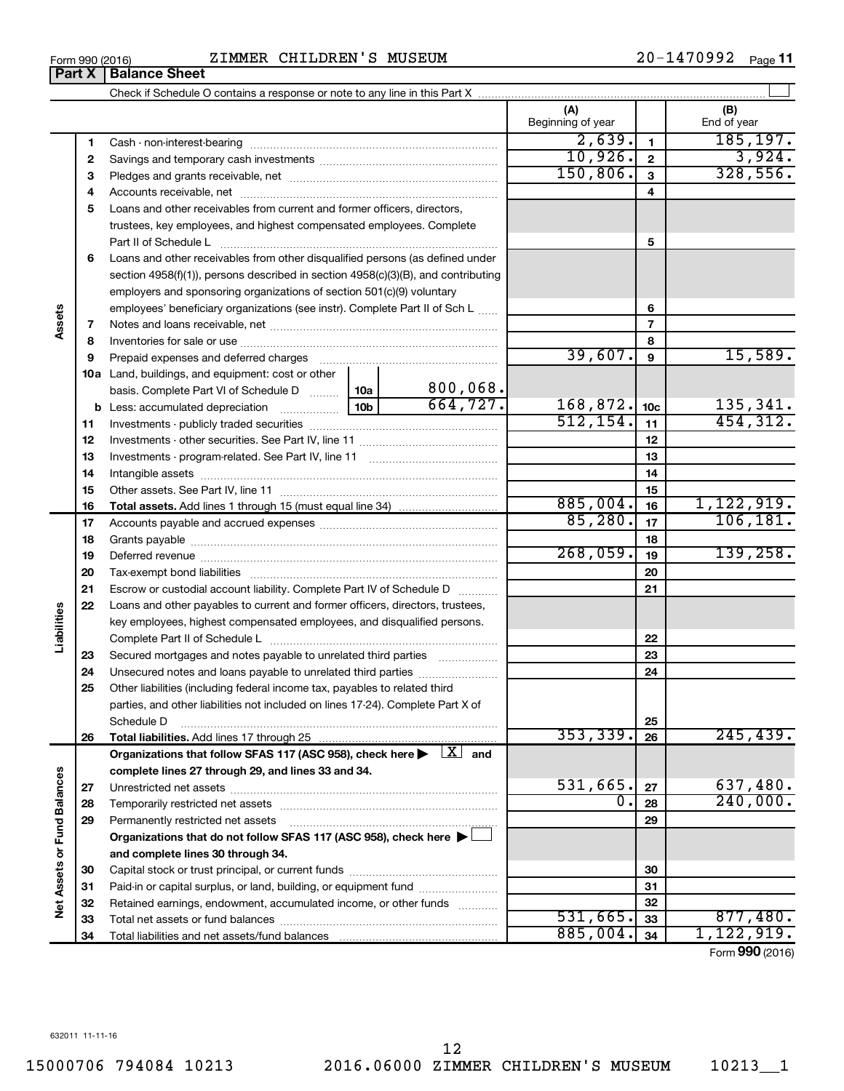| Form 990 (2016) | CHILDREN'S MUSEUM<br>ZIMMER | 1470992<br>20-<br>Page |
|-----------------|-----------------------------|------------------------|
|-----------------|-----------------------------|------------------------|

|    |                                                                                                                         |           | (A)<br>Beginning of year |                         | (B)<br>End of year |
|----|-------------------------------------------------------------------------------------------------------------------------|-----------|--------------------------|-------------------------|--------------------|
| 1  |                                                                                                                         |           | 2,639.                   | $\mathbf{1}$            | 185, 197.          |
| 2  |                                                                                                                         |           | 10,926.                  | $\overline{\mathbf{c}}$ | 3,924.             |
| З  |                                                                                                                         |           | 150, 806.                | 3                       | 328,556.           |
| 4  |                                                                                                                         |           |                          | $\overline{4}$          |                    |
| 5  | Loans and other receivables from current and former officers, directors,                                                |           |                          |                         |                    |
|    | trustees, key employees, and highest compensated employees. Complete                                                    |           |                          |                         |                    |
|    | Part II of Schedule L                                                                                                   |           |                          | 5                       |                    |
| 6  | Loans and other receivables from other disqualified persons (as defined under                                           |           |                          |                         |                    |
|    | section 4958(f)(1)), persons described in section 4958(c)(3)(B), and contributing                                       |           |                          |                         |                    |
|    | employers and sponsoring organizations of section 501(c)(9) voluntary                                                   |           |                          |                         |                    |
|    | employees' beneficiary organizations (see instr). Complete Part II of Sch L                                             |           |                          | 6                       |                    |
| 7  |                                                                                                                         |           |                          | $\overline{7}$          |                    |
| 8  |                                                                                                                         |           |                          | 8                       |                    |
| 9  | Prepaid expenses and deferred charges                                                                                   |           | 39,607.                  | 9                       | 15,589.            |
|    | 10a Land, buildings, and equipment: cost or other                                                                       |           |                          |                         |                    |
|    | basis. Complete Part VI of Schedule D  10a                                                                              | 800,068.  |                          |                         |                    |
|    |                                                                                                                         | 664, 727. | 168,872.                 | 10 <sub>c</sub>         | 135,341.           |
| 11 |                                                                                                                         |           | 512, 154.                | 11                      | 454, 312.          |
| 12 |                                                                                                                         |           |                          | 12                      |                    |
| 13 |                                                                                                                         |           |                          | 13                      |                    |
| 14 |                                                                                                                         |           |                          | 14                      |                    |
| 15 |                                                                                                                         |           |                          | 15                      |                    |
| 16 |                                                                                                                         |           | 885,004.                 | 16                      | 1,122,919.         |
| 17 |                                                                                                                         |           | 85,280.                  | 17                      | 106, 181.          |
| 18 |                                                                                                                         |           |                          | 18                      |                    |
| 19 |                                                                                                                         |           | 268,059.                 | 19                      | 139, 258.          |
| 20 |                                                                                                                         |           |                          | 20                      |                    |
| 21 | Escrow or custodial account liability. Complete Part IV of Schedule D                                                   |           |                          | 21                      |                    |
| 22 | Loans and other payables to current and former officers, directors, trustees,                                           |           |                          |                         |                    |
|    | key employees, highest compensated employees, and disqualified persons.                                                 |           |                          |                         |                    |
|    |                                                                                                                         |           |                          | 22                      |                    |
| 23 | Secured mortgages and notes payable to unrelated third parties                                                          |           |                          | 23                      |                    |
| 24 | Unsecured notes and loans payable to unrelated third parties                                                            |           |                          | 24                      |                    |
| 25 | Other liabilities (including federal income tax, payables to related third                                              |           |                          |                         |                    |
|    | parties, and other liabilities not included on lines 17-24). Complete Part X of                                         |           |                          | 25                      |                    |
| 26 | Schedule D                                                                                                              |           | 353,339.                 | 26                      | 245, 439.          |
|    | Organizations that follow SFAS 117 (ASC 958), check here $\blacktriangleright \begin{array}{c} \perp X \end{array}$ and |           |                          |                         |                    |
|    | complete lines 27 through 29, and lines 33 and 34.                                                                      |           |                          |                         |                    |
| 27 |                                                                                                                         |           | 531,665.                 | 27                      | 637,480.           |
| 28 |                                                                                                                         |           | 0.                       | 28                      | 240,000.           |
| 29 | Permanently restricted net assets                                                                                       |           |                          | 29                      |                    |
|    | Organizations that do not follow SFAS 117 (ASC 958), check here                                                         |           |                          |                         |                    |
|    | and complete lines 30 through 34.                                                                                       |           |                          |                         |                    |
| 30 |                                                                                                                         |           |                          | 30                      |                    |
| 31 | Paid-in or capital surplus, or land, building, or equipment fund                                                        |           |                          | 31                      |                    |
| 32 | Retained earnings, endowment, accumulated income, or other funds                                                        |           |                          | 32                      |                    |
| 33 |                                                                                                                         |           | 531,665.                 | 33                      | 877,480.           |
| 34 |                                                                                                                         |           | 885,004.                 | 34                      | 1,122,919.         |

Form (2016) **990**

**Part X** | Balance Sheet

**Assets**

**Liabilities**

**Net Assets or Fund Balances**

Net Assets or Fund Balances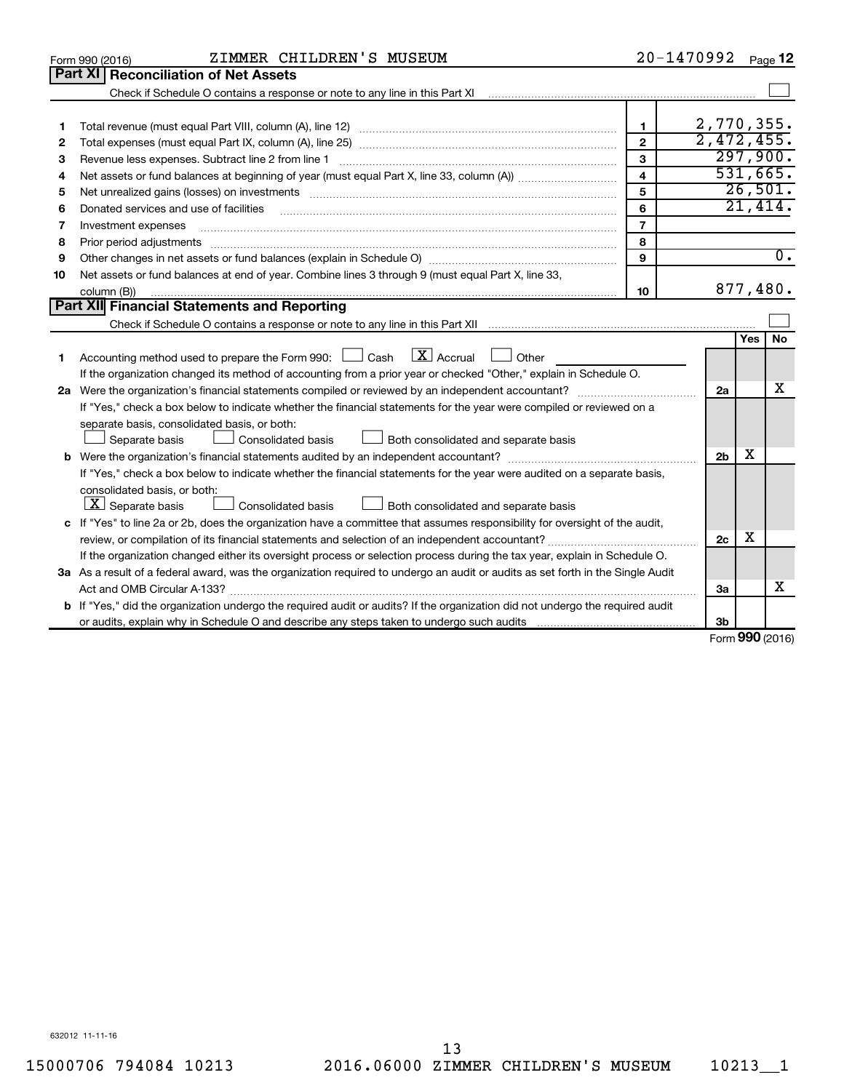|    | ZIMMER CHILDREN'S MUSEUM<br>Form 990 (2016)                                                                                                                                                                                    |                         | 20-1470992     |            | Page 12          |
|----|--------------------------------------------------------------------------------------------------------------------------------------------------------------------------------------------------------------------------------|-------------------------|----------------|------------|------------------|
|    | Part XI<br><b>Reconciliation of Net Assets</b>                                                                                                                                                                                 |                         |                |            |                  |
|    |                                                                                                                                                                                                                                |                         |                |            |                  |
|    |                                                                                                                                                                                                                                |                         |                |            |                  |
| 1  |                                                                                                                                                                                                                                | $\mathbf{1}$            | 2,770,355.     |            |                  |
| 2  |                                                                                                                                                                                                                                | $\overline{2}$          | 2,472,455.     |            |                  |
| З  | Revenue less expenses. Subtract line 2 from line 1                                                                                                                                                                             | 3                       |                |            | 297,900.         |
| 4  |                                                                                                                                                                                                                                | $\overline{\mathbf{4}}$ |                |            | 531,665.         |
| 5  | Net unrealized gains (losses) on investments [11] matter contracts and the state of the state of the state of the state of the state of the state of the state of the state of the state of the state of the state of the stat | 5                       |                |            | 26,501.          |
| 6  | Donated services and use of facilities                                                                                                                                                                                         | 6                       |                |            | 21,414.          |
| 7  | Investment expenses                                                                                                                                                                                                            | $\overline{7}$          |                |            |                  |
| 8  |                                                                                                                                                                                                                                | 8                       |                |            |                  |
| 9  |                                                                                                                                                                                                                                | 9                       |                |            | $\overline{0}$ . |
| 10 | Net assets or fund balances at end of year. Combine lines 3 through 9 (must equal Part X, line 33,                                                                                                                             |                         |                |            |                  |
|    | column (B))                                                                                                                                                                                                                    | 10                      |                |            | 877,480.         |
|    | Part XII Financial Statements and Reporting                                                                                                                                                                                    |                         |                |            |                  |
|    |                                                                                                                                                                                                                                |                         |                |            |                  |
|    |                                                                                                                                                                                                                                |                         |                | <b>Yes</b> | <b>No</b>        |
| 1. | Accounting method used to prepare the Form 990: $\Box$ Cash $\Box X$ Accrual<br>  Other                                                                                                                                        |                         |                |            |                  |
|    | If the organization changed its method of accounting from a prior year or checked "Other," explain in Schedule O.                                                                                                              |                         |                |            |                  |
|    |                                                                                                                                                                                                                                |                         | 2a             |            | x                |
|    | If "Yes," check a box below to indicate whether the financial statements for the year were compiled or reviewed on a                                                                                                           |                         |                |            |                  |
|    | separate basis, consolidated basis, or both:                                                                                                                                                                                   |                         |                |            |                  |
|    | Both consolidated and separate basis<br>Separate basis<br>Consolidated basis                                                                                                                                                   |                         |                |            |                  |
|    |                                                                                                                                                                                                                                |                         | 2 <sub>b</sub> | х          |                  |
|    | If "Yes," check a box below to indicate whether the financial statements for the year were audited on a separate basis,                                                                                                        |                         |                |            |                  |
|    | consolidated basis, or both:                                                                                                                                                                                                   |                         |                |            |                  |
|    | $\lfloor x \rfloor$ Separate basis<br>Consolidated basis<br>Both consolidated and separate basis                                                                                                                               |                         |                |            |                  |
|    | c If "Yes" to line 2a or 2b, does the organization have a committee that assumes responsibility for oversight of the audit,                                                                                                    |                         |                |            |                  |
|    |                                                                                                                                                                                                                                |                         | 2c             | x          |                  |
|    | If the organization changed either its oversight process or selection process during the tax year, explain in Schedule O.                                                                                                      |                         |                |            |                  |
|    | 3a As a result of a federal award, was the organization required to undergo an audit or audits as set forth in the Single Audit                                                                                                |                         |                |            |                  |
|    |                                                                                                                                                                                                                                |                         | За             |            | х                |
|    | b If "Yes," did the organization undergo the required audit or audits? If the organization did not undergo the required audit                                                                                                  |                         |                |            |                  |
|    |                                                                                                                                                                                                                                |                         | 3b             | <b>000</b> |                  |

Form (2016) **990**

632012 11-11-16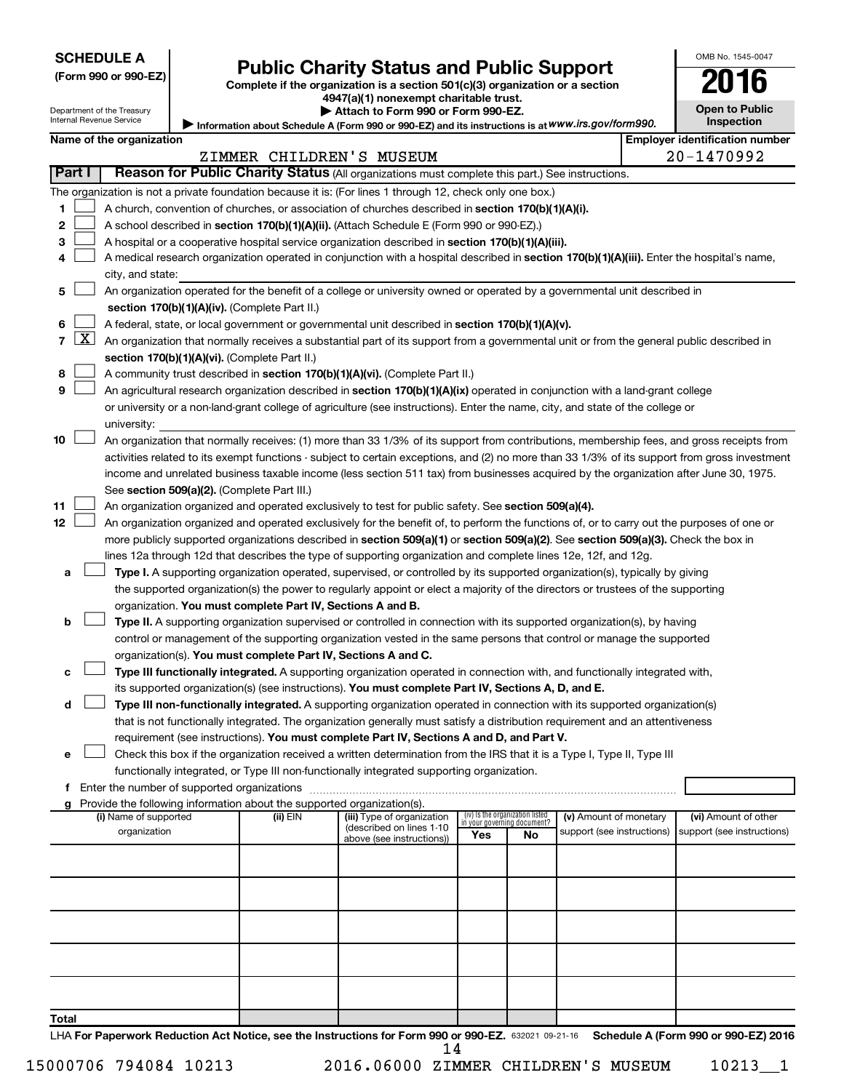| <b>SCHEDULE A</b> |  |
|-------------------|--|
|-------------------|--|

| (Form 990 or 990-EZ |  |  |  |  |
|---------------------|--|--|--|--|
|---------------------|--|--|--|--|

# Form 990 or 990-EZ) **Public Charity Status and Public Support**<br>
Complete if the organization is a section 501(c)(3) organization or a section<br> **2016**

**4947(a)(1) nonexempt charitable trust. | Attach to Form 990 or Form 990-EZ.** 

| LV.                   | . . |
|-----------------------|-----|
| <b>Open to Public</b> |     |
| <b>Inspection</b>     |     |

OMB No. 1545-0047

Department of the Treasury Internal Revenue Service

| Information about Schedule A (Form 990 or 990-EZ) and its instructions is at WWW.irs.gov/form990. | Inspection                     |
|---------------------------------------------------------------------------------------------------|--------------------------------|
|                                                                                                   | Emplover identification number |

| internal Revenue Service | Information al |
|--------------------------|----------------|
| Name of the organization |                |
|                          | ZIMMER         |

|        |                     |                                                                                                                                               |          | ZIMMER CHILDREN'S MUSEUM                               |                                                                |    |                            |  | 20-1470992                 |
|--------|---------------------|-----------------------------------------------------------------------------------------------------------------------------------------------|----------|--------------------------------------------------------|----------------------------------------------------------------|----|----------------------------|--|----------------------------|
| Part I |                     | Reason for Public Charity Status (All organizations must complete this part.) See instructions.                                               |          |                                                        |                                                                |    |                            |  |                            |
|        |                     | The organization is not a private foundation because it is: (For lines 1 through 12, check only one box.)                                     |          |                                                        |                                                                |    |                            |  |                            |
| 1      |                     | A church, convention of churches, or association of churches described in section 170(b)(1)(A)(i).                                            |          |                                                        |                                                                |    |                            |  |                            |
| 2      |                     | A school described in section 170(b)(1)(A)(ii). (Attach Schedule E (Form 990 or 990-EZ).)                                                     |          |                                                        |                                                                |    |                            |  |                            |
| з      |                     | A hospital or a cooperative hospital service organization described in section 170(b)(1)(A)(iii).                                             |          |                                                        |                                                                |    |                            |  |                            |
| 4      |                     | A medical research organization operated in conjunction with a hospital described in section 170(b)(1)(A)(iii). Enter the hospital's name,    |          |                                                        |                                                                |    |                            |  |                            |
|        |                     | city, and state:                                                                                                                              |          |                                                        |                                                                |    |                            |  |                            |
| 5      |                     | An organization operated for the benefit of a college or university owned or operated by a governmental unit described in                     |          |                                                        |                                                                |    |                            |  |                            |
|        |                     | section 170(b)(1)(A)(iv). (Complete Part II.)                                                                                                 |          |                                                        |                                                                |    |                            |  |                            |
| 6      |                     | A federal, state, or local government or governmental unit described in section 170(b)(1)(A)(v).                                              |          |                                                        |                                                                |    |                            |  |                            |
| 7      | $\lfloor x \rfloor$ | An organization that normally receives a substantial part of its support from a governmental unit or from the general public described in     |          |                                                        |                                                                |    |                            |  |                            |
|        |                     |                                                                                                                                               |          |                                                        |                                                                |    |                            |  |                            |
|        |                     | section 170(b)(1)(A)(vi). (Complete Part II.)                                                                                                 |          |                                                        |                                                                |    |                            |  |                            |
| 8      |                     | A community trust described in section 170(b)(1)(A)(vi). (Complete Part II.)                                                                  |          |                                                        |                                                                |    |                            |  |                            |
| 9      |                     | An agricultural research organization described in section 170(b)(1)(A)(ix) operated in conjunction with a land-grant college                 |          |                                                        |                                                                |    |                            |  |                            |
|        |                     | or university or a non-land-grant college of agriculture (see instructions). Enter the name, city, and state of the college or                |          |                                                        |                                                                |    |                            |  |                            |
|        |                     | university:                                                                                                                                   |          |                                                        |                                                                |    |                            |  |                            |
| 10     |                     | An organization that normally receives: (1) more than 33 1/3% of its support from contributions, membership fees, and gross receipts from     |          |                                                        |                                                                |    |                            |  |                            |
|        |                     | activities related to its exempt functions - subject to certain exceptions, and (2) no more than 33 1/3% of its support from gross investment |          |                                                        |                                                                |    |                            |  |                            |
|        |                     | income and unrelated business taxable income (less section 511 tax) from businesses acquired by the organization after June 30, 1975.         |          |                                                        |                                                                |    |                            |  |                            |
|        |                     | See section 509(a)(2). (Complete Part III.)                                                                                                   |          |                                                        |                                                                |    |                            |  |                            |
| 11     |                     | An organization organized and operated exclusively to test for public safety. See section 509(a)(4).                                          |          |                                                        |                                                                |    |                            |  |                            |
| 12     |                     | An organization organized and operated exclusively for the benefit of, to perform the functions of, or to carry out the purposes of one or    |          |                                                        |                                                                |    |                            |  |                            |
|        |                     | more publicly supported organizations described in section 509(a)(1) or section 509(a)(2). See section 509(a)(3). Check the box in            |          |                                                        |                                                                |    |                            |  |                            |
|        |                     | lines 12a through 12d that describes the type of supporting organization and complete lines 12e, 12f, and 12g.                                |          |                                                        |                                                                |    |                            |  |                            |
| а      |                     | Type I. A supporting organization operated, supervised, or controlled by its supported organization(s), typically by giving                   |          |                                                        |                                                                |    |                            |  |                            |
|        |                     | the supported organization(s) the power to regularly appoint or elect a majority of the directors or trustees of the supporting               |          |                                                        |                                                                |    |                            |  |                            |
|        |                     | organization. You must complete Part IV, Sections A and B.                                                                                    |          |                                                        |                                                                |    |                            |  |                            |
| b      |                     | Type II. A supporting organization supervised or controlled in connection with its supported organization(s), by having                       |          |                                                        |                                                                |    |                            |  |                            |
|        |                     | control or management of the supporting organization vested in the same persons that control or manage the supported                          |          |                                                        |                                                                |    |                            |  |                            |
|        |                     | organization(s). You must complete Part IV, Sections A and C.                                                                                 |          |                                                        |                                                                |    |                            |  |                            |
| с      |                     | Type III functionally integrated. A supporting organization operated in connection with, and functionally integrated with,                    |          |                                                        |                                                                |    |                            |  |                            |
|        |                     | its supported organization(s) (see instructions). You must complete Part IV, Sections A, D, and E.                                            |          |                                                        |                                                                |    |                            |  |                            |
| d      |                     | Type III non-functionally integrated. A supporting organization operated in connection with its supported organization(s)                     |          |                                                        |                                                                |    |                            |  |                            |
|        |                     | that is not functionally integrated. The organization generally must satisfy a distribution requirement and an attentiveness                  |          |                                                        |                                                                |    |                            |  |                            |
|        |                     | requirement (see instructions). You must complete Part IV, Sections A and D, and Part V.                                                      |          |                                                        |                                                                |    |                            |  |                            |
| е      |                     | Check this box if the organization received a written determination from the IRS that it is a Type I, Type II, Type III                       |          |                                                        |                                                                |    |                            |  |                            |
|        |                     | functionally integrated, or Type III non-functionally integrated supporting organization.                                                     |          |                                                        |                                                                |    |                            |  |                            |
|        |                     | f Enter the number of supported organizations                                                                                                 |          |                                                        |                                                                |    |                            |  |                            |
|        |                     | Provide the following information about the supported organization(s).                                                                        |          |                                                        |                                                                |    |                            |  |                            |
|        |                     | (i) Name of supported                                                                                                                         | (ii) EIN | (iii) Type of organization<br>(described on lines 1-10 | (iv) Is the organization listed<br>in your governing document? |    | (v) Amount of monetary     |  | (vi) Amount of other       |
|        |                     | organization                                                                                                                                  |          | above (see instructions))                              | Yes                                                            | No | support (see instructions) |  | support (see instructions) |
|        |                     |                                                                                                                                               |          |                                                        |                                                                |    |                            |  |                            |
|        |                     |                                                                                                                                               |          |                                                        |                                                                |    |                            |  |                            |
|        |                     |                                                                                                                                               |          |                                                        |                                                                |    |                            |  |                            |
|        |                     |                                                                                                                                               |          |                                                        |                                                                |    |                            |  |                            |
|        |                     |                                                                                                                                               |          |                                                        |                                                                |    |                            |  |                            |
|        |                     |                                                                                                                                               |          |                                                        |                                                                |    |                            |  |                            |
|        |                     |                                                                                                                                               |          |                                                        |                                                                |    |                            |  |                            |
|        |                     |                                                                                                                                               |          |                                                        |                                                                |    |                            |  |                            |
|        |                     |                                                                                                                                               |          |                                                        |                                                                |    |                            |  |                            |
|        |                     |                                                                                                                                               |          |                                                        |                                                                |    |                            |  |                            |
| Total  |                     |                                                                                                                                               |          |                                                        |                                                                |    |                            |  |                            |

LHA For Paperwork Reduction Act Notice, see the Instructions for Form 990 or 990-EZ. 632021 09-21-16 Schedule A (Form 990 or 990-EZ) 2016 14

15000706 794084 10213 2016.06000 ZIMMER CHILDREN'S MUSEUM 10213\_\_1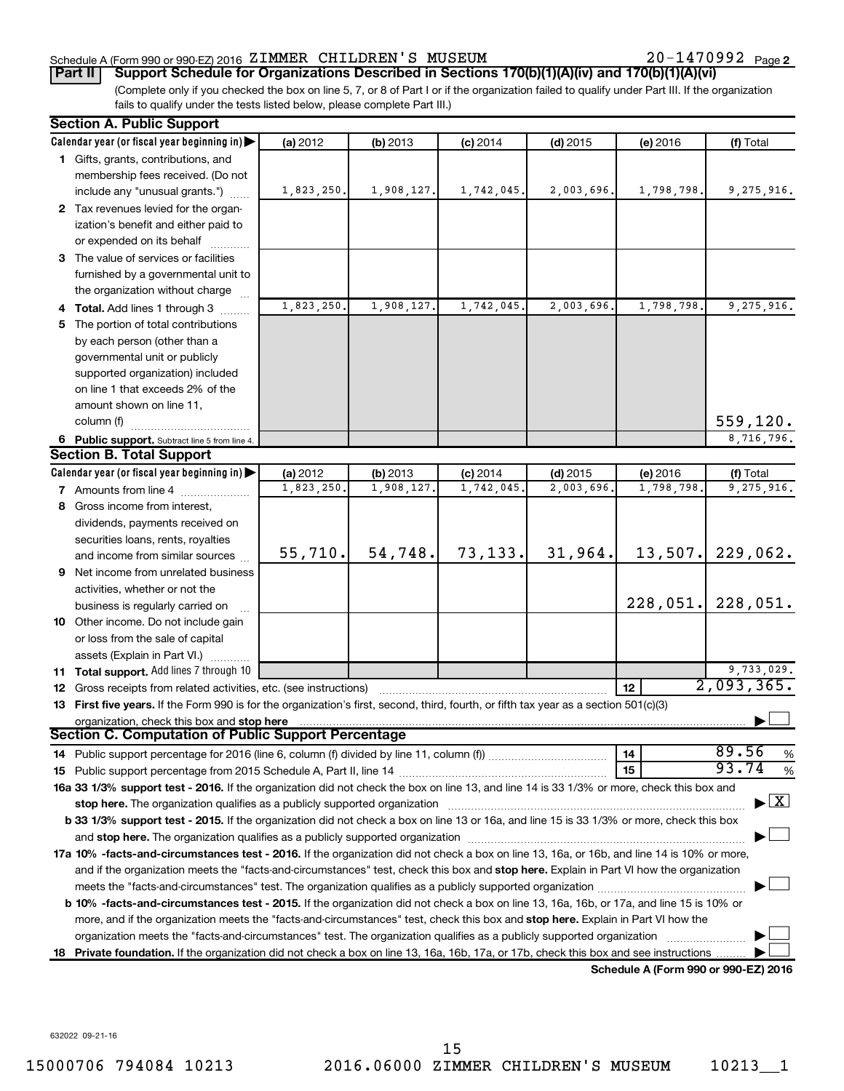#### Schedule A (Form 990 or 990-EZ) 2016 Page ZIMMER CHILDREN'S MUSEUM 20-1470992

20-1470992 Page 2

(Complete only if you checked the box on line 5, 7, or 8 of Part I or if the organization failed to qualify under Part III. If the organization fails to qualify under the tests listed below, please complete Part III.) **Part II Support Schedule for Organizations Described in Sections 170(b)(1)(A)(iv) and 170(b)(1)(A)(vi)**

|    | <b>Section A. Public Support</b>                                                                                                                                                                                                                                                      |            |            |            |            |                                      |                               |  |
|----|---------------------------------------------------------------------------------------------------------------------------------------------------------------------------------------------------------------------------------------------------------------------------------------|------------|------------|------------|------------|--------------------------------------|-------------------------------|--|
|    | Calendar year (or fiscal year beginning in)                                                                                                                                                                                                                                           | (a) 2012   | (b) 2013   | $(c)$ 2014 | $(d)$ 2015 | (e) 2016                             | (f) Total                     |  |
|    | 1 Gifts, grants, contributions, and                                                                                                                                                                                                                                                   |            |            |            |            |                                      |                               |  |
|    | membership fees received. (Do not                                                                                                                                                                                                                                                     |            |            |            |            |                                      |                               |  |
|    | include any "unusual grants.")                                                                                                                                                                                                                                                        | 1,823,250. | 1,908,127. | 1,742,045. | 2,003,696. | 1,798,798.                           | 9,275,916.                    |  |
|    | 2 Tax revenues levied for the organ-                                                                                                                                                                                                                                                  |            |            |            |            |                                      |                               |  |
|    | ization's benefit and either paid to                                                                                                                                                                                                                                                  |            |            |            |            |                                      |                               |  |
|    | or expended on its behalf                                                                                                                                                                                                                                                             |            |            |            |            |                                      |                               |  |
|    | 3 The value of services or facilities                                                                                                                                                                                                                                                 |            |            |            |            |                                      |                               |  |
|    | furnished by a governmental unit to                                                                                                                                                                                                                                                   |            |            |            |            |                                      |                               |  |
|    | the organization without charge                                                                                                                                                                                                                                                       |            |            |            |            |                                      |                               |  |
|    | 4 Total. Add lines 1 through 3                                                                                                                                                                                                                                                        | 1,823,250. | 1,908,127. | 1,742,045. | 2,003,696. | 1,798,798.                           | 9,275,916.                    |  |
|    | 5 The portion of total contributions                                                                                                                                                                                                                                                  |            |            |            |            |                                      |                               |  |
|    | by each person (other than a                                                                                                                                                                                                                                                          |            |            |            |            |                                      |                               |  |
|    | governmental unit or publicly                                                                                                                                                                                                                                                         |            |            |            |            |                                      |                               |  |
|    | supported organization) included                                                                                                                                                                                                                                                      |            |            |            |            |                                      |                               |  |
|    | on line 1 that exceeds 2% of the                                                                                                                                                                                                                                                      |            |            |            |            |                                      |                               |  |
|    |                                                                                                                                                                                                                                                                                       |            |            |            |            |                                      |                               |  |
|    | amount shown on line 11,                                                                                                                                                                                                                                                              |            |            |            |            |                                      |                               |  |
|    | column (f)                                                                                                                                                                                                                                                                            |            |            |            |            |                                      | 559, 120.                     |  |
|    | 6 Public support. Subtract line 5 from line 4.                                                                                                                                                                                                                                        |            |            |            |            |                                      | 8,716,796.                    |  |
|    | <b>Section B. Total Support</b>                                                                                                                                                                                                                                                       |            |            |            |            |                                      |                               |  |
|    | Calendar year (or fiscal year beginning in)                                                                                                                                                                                                                                           | (a) 2012   | (b) 2013   | $(c)$ 2014 | $(d)$ 2015 | (e) 2016                             | (f) Total                     |  |
|    | <b>7</b> Amounts from line 4                                                                                                                                                                                                                                                          | 1,823,250. | 1,908,127  | 1,742,045  | 2,003,696. | 1,798,798.                           | 9,275,916.                    |  |
| 8  | Gross income from interest,                                                                                                                                                                                                                                                           |            |            |            |            |                                      |                               |  |
|    | dividends, payments received on                                                                                                                                                                                                                                                       |            |            |            |            |                                      |                               |  |
|    | securities loans, rents, royalties                                                                                                                                                                                                                                                    |            |            |            |            |                                      |                               |  |
|    | and income from similar sources                                                                                                                                                                                                                                                       | 55,710.    | 54,748.    | 73,133.    | 31,964.    | 13,507.                              | 229,062.                      |  |
| 9  | Net income from unrelated business                                                                                                                                                                                                                                                    |            |            |            |            |                                      |                               |  |
|    | activities, whether or not the                                                                                                                                                                                                                                                        |            |            |            |            |                                      |                               |  |
|    | business is regularly carried on                                                                                                                                                                                                                                                      |            |            |            |            | 228,051.                             | 228,051.                      |  |
|    | 10 Other income. Do not include gain                                                                                                                                                                                                                                                  |            |            |            |            |                                      |                               |  |
|    | or loss from the sale of capital                                                                                                                                                                                                                                                      |            |            |            |            |                                      |                               |  |
|    | assets (Explain in Part VI.)                                                                                                                                                                                                                                                          |            |            |            |            |                                      |                               |  |
|    | 11 Total support. Add lines 7 through 10                                                                                                                                                                                                                                              |            |            |            |            |                                      |                               |  |
|    | <b>12</b> Gross receipts from related activities, etc. (see instructions)                                                                                                                                                                                                             |            |            |            |            | 12                                   | $\frac{9,733,029}{2,093,365}$ |  |
|    | 13 First five years. If the Form 990 is for the organization's first, second, third, fourth, or fifth tax year as a section 501(c)(3)                                                                                                                                                 |            |            |            |            |                                      |                               |  |
|    | organization, check this box and stop here                                                                                                                                                                                                                                            |            |            |            |            |                                      |                               |  |
|    | Section C. Computation of Public Support Percentage                                                                                                                                                                                                                                   |            |            |            |            |                                      |                               |  |
|    |                                                                                                                                                                                                                                                                                       |            |            |            |            | 14                                   | 89.56<br>%                    |  |
|    |                                                                                                                                                                                                                                                                                       |            |            |            |            | 15                                   | 93.74<br>%                    |  |
|    | 16a 33 1/3% support test - 2016. If the organization did not check the box on line 13, and line 14 is 33 1/3% or more, check this box and                                                                                                                                             |            |            |            |            |                                      |                               |  |
|    | stop here. The organization qualifies as a publicly supported organization                                                                                                                                                                                                            |            |            |            |            |                                      | $\mathbf{X}$                  |  |
|    | b 33 1/3% support test - 2015. If the organization did not check a box on line 13 or 16a, and line 15 is 33 1/3% or more, check this box                                                                                                                                              |            |            |            |            |                                      |                               |  |
|    | and stop here. The organization qualifies as a publicly supported organization [11] manuscription manuscription manuscription manuscription and stop here. The organization qualifies as a publicly supported organization                                                            |            |            |            |            |                                      |                               |  |
|    |                                                                                                                                                                                                                                                                                       |            |            |            |            |                                      |                               |  |
|    | 17a 10% -facts-and-circumstances test - 2016. If the organization did not check a box on line 13, 16a, or 16b, and line 14 is 10% or more,<br>and if the organization meets the "facts-and-circumstances" test, check this box and stop here. Explain in Part VI how the organization |            |            |            |            |                                      |                               |  |
|    | meets the "facts-and-circumstances" test. The organization qualifies as a publicly supported organization <i>manumumum</i>                                                                                                                                                            |            |            |            |            |                                      |                               |  |
|    |                                                                                                                                                                                                                                                                                       |            |            |            |            |                                      |                               |  |
|    | <b>b 10%</b> -facts-and-circumstances test - 2015. If the organization did not check a box on line 13, 16a, 16b, or 17a, and line 15 is 10% or                                                                                                                                        |            |            |            |            |                                      |                               |  |
|    | more, and if the organization meets the "facts-and-circumstances" test, check this box and stop here. Explain in Part VI how the                                                                                                                                                      |            |            |            |            |                                      |                               |  |
|    | organization meets the "facts-and-circumstances" test. The organization qualifies as a publicly supported organization                                                                                                                                                                |            |            |            |            |                                      |                               |  |
| 18 | Private foundation. If the organization did not check a box on line 13, 16a, 16b, 17a, or 17b, check this box and see instructions                                                                                                                                                    |            |            |            |            | Schedule A (Form 990 or 990-F7) 2016 |                               |  |

**Schedule A (Form 990 or 990-EZ) 2016**

632022 09-21-16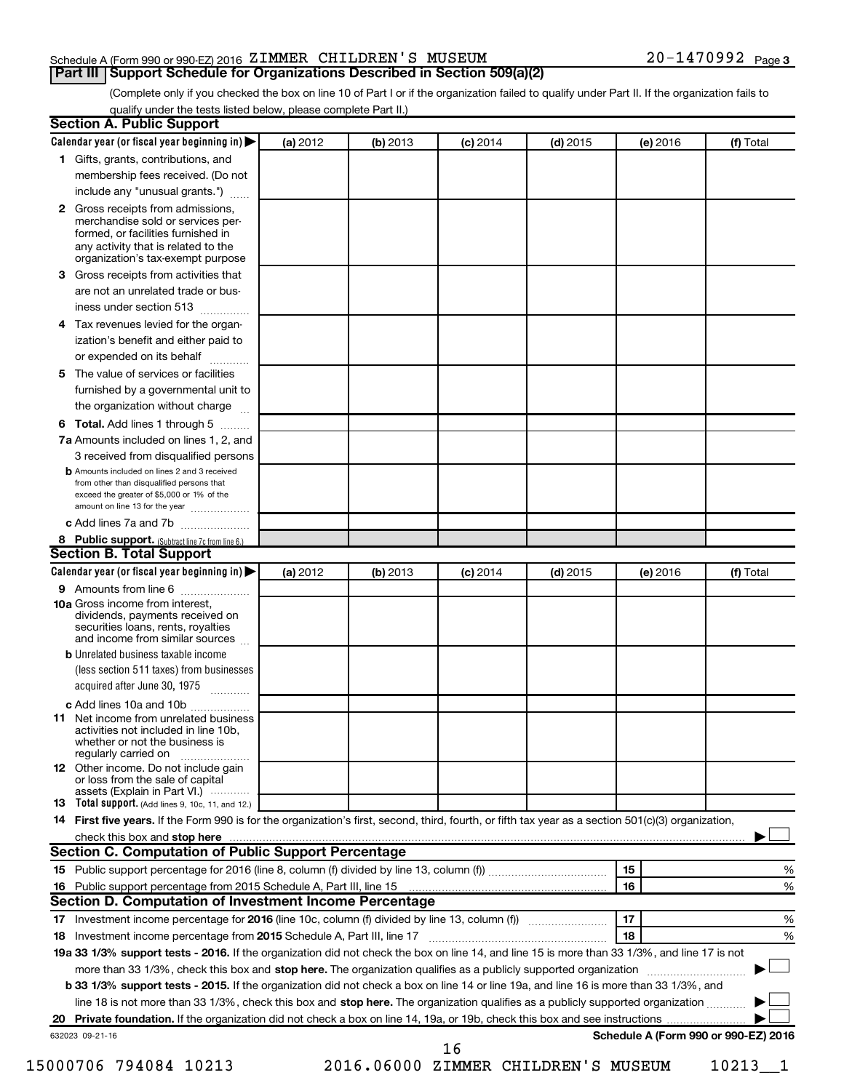#### Schedule A (Form 990 or 990-EZ) 2016 Page ZIMMER CHILDREN'S MUSEUM 20-1470992

(Complete only if you checked the box on line 10 of Part I or if the organization failed to qualify under Part II. If the organization fails to **Part III Support Schedule for Organizations Described in Section 509(a)(2)** 

qualify under the tests listed below, please complete Part II.)

|              | Calendar year (or fiscal year beginning in)                                                                                                         | (a) 2012 | (b) 2013                            | $(c)$ 2014 | $(d)$ 2015 |    | (e) 2016 | (f) Total                            |   |
|--------------|-----------------------------------------------------------------------------------------------------------------------------------------------------|----------|-------------------------------------|------------|------------|----|----------|--------------------------------------|---|
|              | 1 Gifts, grants, contributions, and                                                                                                                 |          |                                     |            |            |    |          |                                      |   |
|              | membership fees received. (Do not                                                                                                                   |          |                                     |            |            |    |          |                                      |   |
|              | include any "unusual grants.")                                                                                                                      |          |                                     |            |            |    |          |                                      |   |
| $\mathbf{2}$ | Gross receipts from admissions,<br>merchandise sold or services per-<br>formed, or facilities furnished in<br>any activity that is related to the   |          |                                     |            |            |    |          |                                      |   |
|              | organization's tax-exempt purpose                                                                                                                   |          |                                     |            |            |    |          |                                      |   |
| 3.           | Gross receipts from activities that                                                                                                                 |          |                                     |            |            |    |          |                                      |   |
|              | are not an unrelated trade or bus-                                                                                                                  |          |                                     |            |            |    |          |                                      |   |
|              | iness under section 513                                                                                                                             |          |                                     |            |            |    |          |                                      |   |
| 4            | Tax revenues levied for the organ-                                                                                                                  |          |                                     |            |            |    |          |                                      |   |
|              | ization's benefit and either paid to<br>or expended on its behalf<br>.                                                                              |          |                                     |            |            |    |          |                                      |   |
| 5            | The value of services or facilities                                                                                                                 |          |                                     |            |            |    |          |                                      |   |
|              | furnished by a governmental unit to                                                                                                                 |          |                                     |            |            |    |          |                                      |   |
|              | the organization without charge                                                                                                                     |          |                                     |            |            |    |          |                                      |   |
| 6            | Total. Add lines 1 through 5                                                                                                                        |          |                                     |            |            |    |          |                                      |   |
|              | 7a Amounts included on lines 1, 2, and                                                                                                              |          |                                     |            |            |    |          |                                      |   |
|              | 3 received from disqualified persons                                                                                                                |          |                                     |            |            |    |          |                                      |   |
|              | <b>b</b> Amounts included on lines 2 and 3 received                                                                                                 |          |                                     |            |            |    |          |                                      |   |
|              | from other than disqualified persons that<br>exceed the greater of \$5,000 or 1% of the<br>amount on line 13 for the year                           |          |                                     |            |            |    |          |                                      |   |
|              | c Add lines 7a and 7b                                                                                                                               |          |                                     |            |            |    |          |                                      |   |
|              | 8 Public support. (Subtract line 7c from line 6.)                                                                                                   |          |                                     |            |            |    |          |                                      |   |
|              | <b>Section B. Total Support</b>                                                                                                                     |          |                                     |            |            |    |          |                                      |   |
|              | Calendar year (or fiscal year beginning in)                                                                                                         | (a) 2012 | (b) 2013                            | $(c)$ 2014 | $(d)$ 2015 |    | (e) 2016 | (f) Total                            |   |
|              | 9 Amounts from line 6                                                                                                                               |          |                                     |            |            |    |          |                                      |   |
|              | <b>10a</b> Gross income from interest,<br>dividends, payments received on<br>securities loans, rents, royalties<br>and income from similar sources  |          |                                     |            |            |    |          |                                      |   |
|              | <b>b</b> Unrelated business taxable income                                                                                                          |          |                                     |            |            |    |          |                                      |   |
|              | (less section 511 taxes) from businesses<br>acquired after June 30, 1975                                                                            |          |                                     |            |            |    |          |                                      |   |
|              | c Add lines 10a and 10b                                                                                                                             |          |                                     |            |            |    |          |                                      |   |
| 11           | Net income from unrelated business<br>activities not included in line 10b.<br>whether or not the business is<br>regularly carried on                |          |                                     |            |            |    |          |                                      |   |
|              | <b>12</b> Other income. Do not include gain<br>or loss from the sale of capital<br>assets (Explain in Part VI.)                                     |          |                                     |            |            |    |          |                                      |   |
|              | <b>13</b> Total support. (Add lines 9, 10c, 11, and 12.)                                                                                            |          |                                     |            |            |    |          |                                      |   |
|              | 14 First five years. If the Form 990 is for the organization's first, second, third, fourth, or fifth tax year as a section 501(c)(3) organization, |          |                                     |            |            |    |          |                                      |   |
|              |                                                                                                                                                     |          |                                     |            |            |    |          |                                      |   |
|              | Section C. Computation of Public Support Percentage                                                                                                 |          |                                     |            |            |    |          |                                      |   |
|              |                                                                                                                                                     |          |                                     |            |            | 15 |          |                                      | % |
|              |                                                                                                                                                     |          |                                     |            |            | 16 |          |                                      | % |
|              | Section D. Computation of Investment Income Percentage                                                                                              |          |                                     |            |            |    |          |                                      |   |
|              |                                                                                                                                                     |          |                                     |            |            | 17 |          |                                      | % |
|              |                                                                                                                                                     |          |                                     |            |            | 18 |          |                                      | % |
|              | 19a 33 1/3% support tests - 2016. If the organization did not check the box on line 14, and line 15 is more than 33 1/3%, and line 17 is not        |          |                                     |            |            |    |          |                                      |   |
|              | more than 33 1/3%, check this box and stop here. The organization qualifies as a publicly supported organization                                    |          |                                     |            |            |    |          |                                      |   |
|              | b 33 1/3% support tests - 2015. If the organization did not check a box on line 14 or line 19a, and line 16 is more than 33 1/3%, and               |          |                                     |            |            |    |          |                                      |   |
|              | line 18 is not more than 33 1/3%, check this box and stop here. The organization qualifies as a publicly supported organization                     |          |                                     |            |            |    |          |                                      |   |
|              |                                                                                                                                                     |          |                                     |            |            |    |          |                                      |   |
|              | 632023 09-21-16                                                                                                                                     |          |                                     |            |            |    |          | Schedule A (Form 990 or 990-EZ) 2016 |   |
|              |                                                                                                                                                     |          |                                     | 16         |            |    |          |                                      |   |
|              | 15000706 794084 10213                                                                                                                               |          | 2016.06000 ZIMMER CHILDREN'S MUSEUM |            |            |    |          | 10213 1                              |   |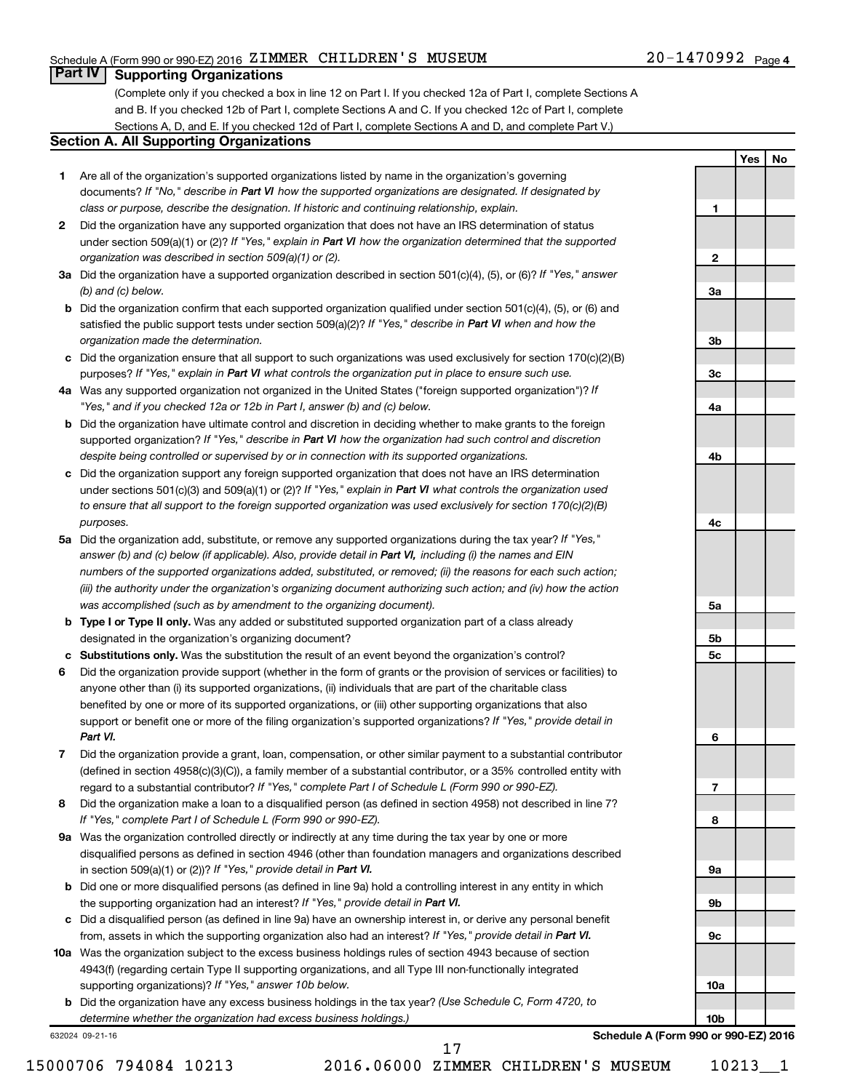#### Schedule A (Form 990 or 990-EZ) 2016 Page ZIMMER CHILDREN'S MUSEUM 20-1470992

#### 20-1470992 <sub>Page 4</sub>

**1**

**2**

**3a**

**3b**

**3c**

**4a**

**4b**

**4c**

**5a**

**5b 5c**

**6**

**7**

**8**

**9a**

**9b**

**9c**

**10a**

**Yes No**

#### **Part IV Supporting Organizations**

(Complete only if you checked a box in line 12 on Part I. If you checked 12a of Part I, complete Sections A and B. If you checked 12b of Part I, complete Sections A and C. If you checked 12c of Part I, complete Sections A, D, and E. If you checked 12d of Part I, complete Sections A and D, and complete Part V.)

#### **Section A. All Supporting Organizations**

- **1** Are all of the organization's supported organizations listed by name in the organization's governing documents? If "No," describe in Part VI how the supported organizations are designated. If designated by *class or purpose, describe the designation. If historic and continuing relationship, explain.*
- **2** Did the organization have any supported organization that does not have an IRS determination of status under section 509(a)(1) or (2)? If "Yes," explain in Part VI how the organization determined that the supported *organization was described in section 509(a)(1) or (2).*
- **3a** Did the organization have a supported organization described in section 501(c)(4), (5), or (6)? If "Yes," answer *(b) and (c) below.*
- **b** Did the organization confirm that each supported organization qualified under section 501(c)(4), (5), or (6) and satisfied the public support tests under section 509(a)(2)? If "Yes," describe in Part VI when and how the *organization made the determination.*
- **c** Did the organization ensure that all support to such organizations was used exclusively for section 170(c)(2)(B) purposes? If "Yes," explain in Part VI what controls the organization put in place to ensure such use.
- **4 a** *If* Was any supported organization not organized in the United States ("foreign supported organization")? *"Yes," and if you checked 12a or 12b in Part I, answer (b) and (c) below.*
- **b** Did the organization have ultimate control and discretion in deciding whether to make grants to the foreign supported organization? If "Yes," describe in Part VI how the organization had such control and discretion *despite being controlled or supervised by or in connection with its supported organizations.*
- **c** Did the organization support any foreign supported organization that does not have an IRS determination under sections 501(c)(3) and 509(a)(1) or (2)? If "Yes," explain in Part VI what controls the organization used *to ensure that all support to the foreign supported organization was used exclusively for section 170(c)(2)(B) purposes.*
- **5a** Did the organization add, substitute, or remove any supported organizations during the tax year? If "Yes," answer (b) and (c) below (if applicable). Also, provide detail in Part VI, including (i) the names and EIN *numbers of the supported organizations added, substituted, or removed; (ii) the reasons for each such action; (iii) the authority under the organization's organizing document authorizing such action; and (iv) how the action was accomplished (such as by amendment to the organizing document).*
- **b** Type I or Type II only. Was any added or substituted supported organization part of a class already designated in the organization's organizing document?
- **c Substitutions only.**  Was the substitution the result of an event beyond the organization's control?
- **6** Did the organization provide support (whether in the form of grants or the provision of services or facilities) to support or benefit one or more of the filing organization's supported organizations? If "Yes," provide detail in anyone other than (i) its supported organizations, (ii) individuals that are part of the charitable class benefited by one or more of its supported organizations, or (iii) other supporting organizations that also *Part VI.*
- **7** Did the organization provide a grant, loan, compensation, or other similar payment to a substantial contributor regard to a substantial contributor? If "Yes," complete Part I of Schedule L (Form 990 or 990-EZ). (defined in section 4958(c)(3)(C)), a family member of a substantial contributor, or a 35% controlled entity with
- **8** Did the organization make a loan to a disqualified person (as defined in section 4958) not described in line 7? *If "Yes," complete Part I of Schedule L (Form 990 or 990-EZ).*
- **9 a** Was the organization controlled directly or indirectly at any time during the tax year by one or more in section 509(a)(1) or (2))? If "Yes," provide detail in Part VI. disqualified persons as defined in section 4946 (other than foundation managers and organizations described
- **b** Did one or more disqualified persons (as defined in line 9a) hold a controlling interest in any entity in which the supporting organization had an interest? If "Yes," provide detail in Part VI.
- **c** Did a disqualified person (as defined in line 9a) have an ownership interest in, or derive any personal benefit from, assets in which the supporting organization also had an interest? If "Yes," provide detail in Part VI.
- **10 a** Was the organization subject to the excess business holdings rules of section 4943 because of section supporting organizations)? If "Yes," answer 10b below. 4943(f) (regarding certain Type II supporting organizations, and all Type III non-functionally integrated
	- **b** Did the organization have any excess business holdings in the tax year? (Use Schedule C, Form 4720, to *determine whether the organization had excess business holdings.)*

632024 09-21-16

**10b Schedule A (Form 990 or 990-EZ) 2016**

15000706 794084 10213 2016.06000 ZIMMER CHILDREN'S MUSEUM 10213\_\_1

17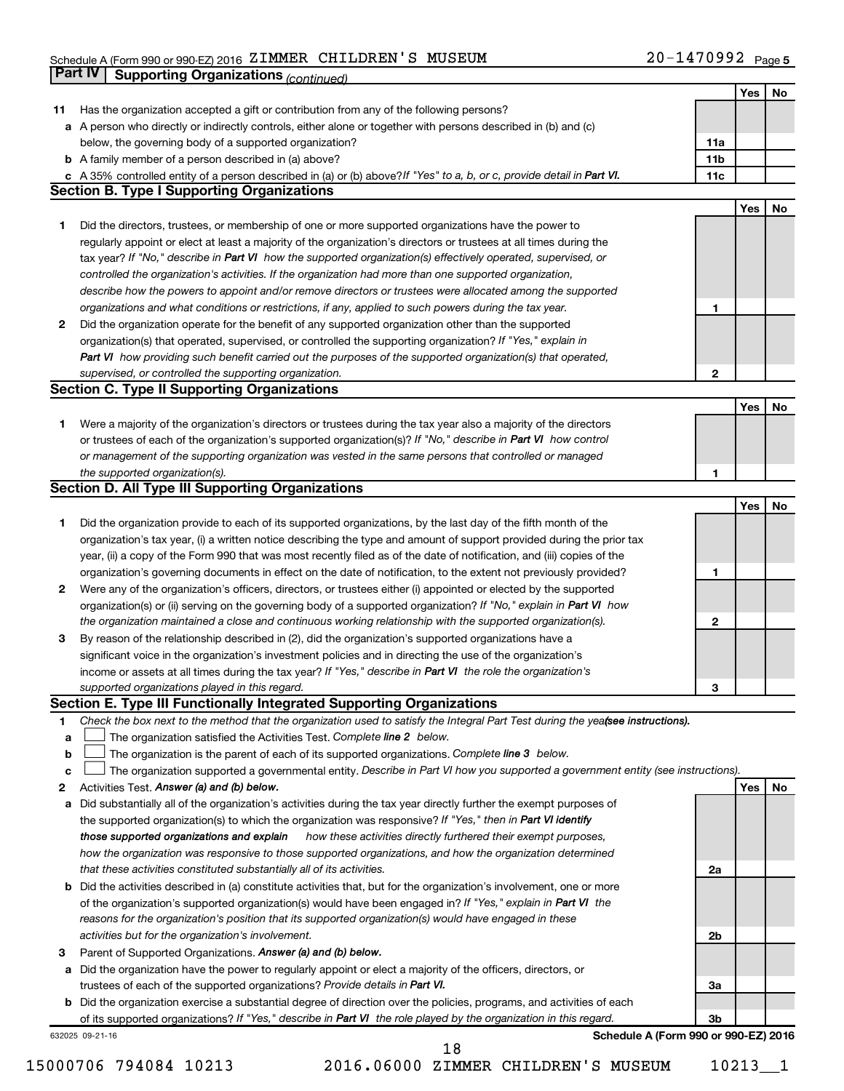#### Schedule A (Form 990 or 990-EZ) 2016 ZIMMER CHILDREN S MUSEUM NORTH PAGE NATIONAL Page ZIMMER CHILDREN'S MUSEUM 20-1470992

|    | <b>Part IV</b>  | <b>Supporting Organizations (continued)</b>                                                                                     |                 |     |    |
|----|-----------------|---------------------------------------------------------------------------------------------------------------------------------|-----------------|-----|----|
|    |                 |                                                                                                                                 |                 | Yes | No |
| 11 |                 | Has the organization accepted a gift or contribution from any of the following persons?                                         |                 |     |    |
|    |                 | a A person who directly or indirectly controls, either alone or together with persons described in (b) and (c)                  |                 |     |    |
|    |                 | below, the governing body of a supported organization?                                                                          | 11a             |     |    |
|    |                 | <b>b</b> A family member of a person described in (a) above?                                                                    | 11 <sub>b</sub> |     |    |
|    |                 | c A 35% controlled entity of a person described in (a) or (b) above? If "Yes" to a, b, or c, provide detail in Part VI.         | 11c             |     |    |
|    |                 | <b>Section B. Type I Supporting Organizations</b>                                                                               |                 |     |    |
|    |                 |                                                                                                                                 |                 | Yes | No |
| 1  |                 | Did the directors, trustees, or membership of one or more supported organizations have the power to                             |                 |     |    |
|    |                 | regularly appoint or elect at least a majority of the organization's directors or trustees at all times during the              |                 |     |    |
|    |                 |                                                                                                                                 |                 |     |    |
|    |                 | tax year? If "No," describe in Part VI how the supported organization(s) effectively operated, supervised, or                   |                 |     |    |
|    |                 | controlled the organization's activities. If the organization had more than one supported organization,                         |                 |     |    |
|    |                 | describe how the powers to appoint and/or remove directors or trustees were allocated among the supported                       |                 |     |    |
|    |                 | organizations and what conditions or restrictions, if any, applied to such powers during the tax year.                          | 1               |     |    |
| 2  |                 | Did the organization operate for the benefit of any supported organization other than the supported                             |                 |     |    |
|    |                 | organization(s) that operated, supervised, or controlled the supporting organization? If "Yes," explain in                      |                 |     |    |
|    |                 | Part VI how providing such benefit carried out the purposes of the supported organization(s) that operated,                     |                 |     |    |
|    |                 | supervised, or controlled the supporting organization.                                                                          | $\mathbf{2}$    |     |    |
|    |                 | <b>Section C. Type II Supporting Organizations</b>                                                                              |                 |     |    |
|    |                 |                                                                                                                                 |                 | Yes | No |
| 1. |                 | Were a majority of the organization's directors or trustees during the tax year also a majority of the directors                |                 |     |    |
|    |                 | or trustees of each of the organization's supported organization(s)? If "No," describe in Part VI how control                   |                 |     |    |
|    |                 | or management of the supporting organization was vested in the same persons that controlled or managed                          |                 |     |    |
|    |                 | the supported organization(s).                                                                                                  | 1               |     |    |
|    |                 | <b>Section D. All Type III Supporting Organizations</b>                                                                         |                 |     |    |
|    |                 |                                                                                                                                 |                 | Yes | No |
| 1  |                 | Did the organization provide to each of its supported organizations, by the last day of the fifth month of the                  |                 |     |    |
|    |                 | organization's tax year, (i) a written notice describing the type and amount of support provided during the prior tax           |                 |     |    |
|    |                 | year, (ii) a copy of the Form 990 that was most recently filed as of the date of notification, and (iii) copies of the          |                 |     |    |
|    |                 | organization's governing documents in effect on the date of notification, to the extent not previously provided?                | 1               |     |    |
| 2  |                 | Were any of the organization's officers, directors, or trustees either (i) appointed or elected by the supported                |                 |     |    |
|    |                 | organization(s) or (ii) serving on the governing body of a supported organization? If "No," explain in Part VI how              |                 |     |    |
|    |                 | the organization maintained a close and continuous working relationship with the supported organization(s).                     | 2               |     |    |
| 3  |                 | By reason of the relationship described in (2), did the organization's supported organizations have a                           |                 |     |    |
|    |                 | significant voice in the organization's investment policies and in directing the use of the organization's                      |                 |     |    |
|    |                 | income or assets at all times during the tax year? If "Yes," describe in Part VI the role the organization's                    |                 |     |    |
|    |                 | supported organizations played in this regard.                                                                                  | з               |     |    |
|    |                 | Section E. Type III Functionally Integrated Supporting Organizations                                                            |                 |     |    |
| 1  |                 | Check the box next to the method that the organization used to satisfy the Integral Part Test during the yealsee instructions). |                 |     |    |
| a  |                 | The organization satisfied the Activities Test. Complete line 2 below.                                                          |                 |     |    |
| b  |                 | The organization is the parent of each of its supported organizations. Complete line 3 below.                                   |                 |     |    |
| с  |                 | The organization supported a governmental entity. Describe in Part VI how you supported a government entity (see instructions). |                 |     |    |
| 2  |                 | Activities Test. Answer (a) and (b) below.                                                                                      |                 | Yes | No |
| а  |                 | Did substantially all of the organization's activities during the tax year directly further the exempt purposes of              |                 |     |    |
|    |                 | the supported organization(s) to which the organization was responsive? If "Yes," then in Part VI identify                      |                 |     |    |
|    |                 | those supported organizations and explain<br>how these activities directly furthered their exempt purposes,                     |                 |     |    |
|    |                 | how the organization was responsive to those supported organizations, and how the organization determined                       |                 |     |    |
|    |                 | that these activities constituted substantially all of its activities.                                                          | 2a              |     |    |
| b  |                 | Did the activities described in (a) constitute activities that, but for the organization's involvement, one or more             |                 |     |    |
|    |                 | of the organization's supported organization(s) would have been engaged in? If "Yes," explain in Part VI the                    |                 |     |    |
|    |                 | reasons for the organization's position that its supported organization(s) would have engaged in these                          |                 |     |    |
|    |                 |                                                                                                                                 | 2b              |     |    |
|    |                 | activities but for the organization's involvement.                                                                              |                 |     |    |
| З  |                 | Parent of Supported Organizations. Answer (a) and (b) below.                                                                    |                 |     |    |
| а  |                 | Did the organization have the power to regularly appoint or elect a majority of the officers, directors, or                     |                 |     |    |
|    |                 | trustees of each of the supported organizations? Provide details in Part VI.                                                    | За              |     |    |
|    |                 | <b>b</b> Did the organization exercise a substantial degree of direction over the policies, programs, and activities of each    |                 |     |    |
|    |                 | of its supported organizations? If "Yes," describe in Part VI the role played by the organization in this regard.               | Зb              |     |    |
|    | 632025 09-21-16 | Schedule A (Form 990 or 990-EZ) 2016<br>18                                                                                      |                 |     |    |
|    |                 |                                                                                                                                 |                 |     |    |

<sup>15000706 794084 10213 2016.06000</sup> ZIMMER CHILDREN'S MUSEUM 10213\_\_1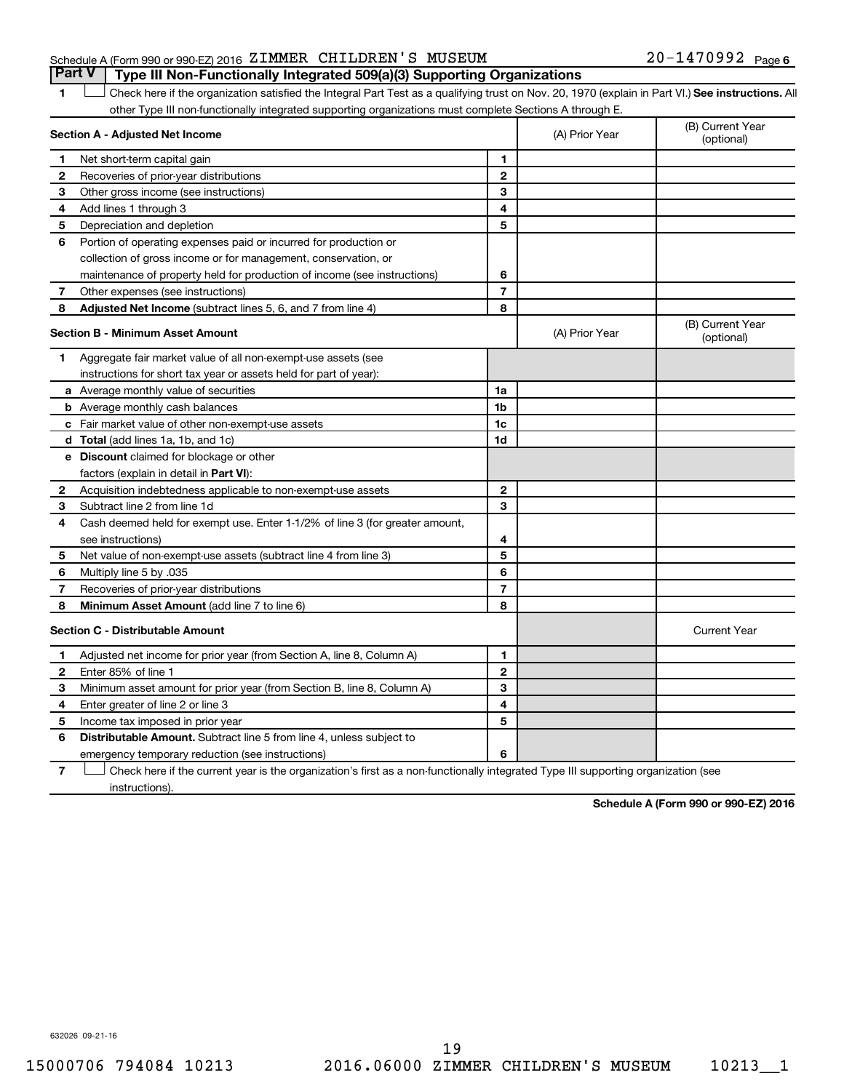#### Schedule A (Form 990 or 990-EZ) 2016 Page ZIMMER CHILDREN'S MUSEUM 20-1470992 **Part V Type III Non-Functionally Integrated 509(a)(3) Supporting Organizations**

1 **Letter See instructions.** All Check here if the organization satisfied the Integral Part Test as a qualifying trust on Nov. 20, 1970 (explain in Part VI.) See instructions. All other Type III non-functionally integrated supporting organizations must complete Sections A through E.

|              | Section A - Adjusted Net Income                                                                                                   |                | (A) Prior Year | (B) Current Year<br>(optional) |
|--------------|-----------------------------------------------------------------------------------------------------------------------------------|----------------|----------------|--------------------------------|
| 1            | Net short-term capital gain                                                                                                       | 1              |                |                                |
| 2            | Recoveries of prior-year distributions                                                                                            | $\mathbf{2}$   |                |                                |
| З            | Other gross income (see instructions)                                                                                             | 3              |                |                                |
| 4            | Add lines 1 through 3                                                                                                             | 4              |                |                                |
| 5            | Depreciation and depletion                                                                                                        | 5              |                |                                |
| 6            | Portion of operating expenses paid or incurred for production or                                                                  |                |                |                                |
|              | collection of gross income or for management, conservation, or                                                                    |                |                |                                |
|              | maintenance of property held for production of income (see instructions)                                                          | 6              |                |                                |
| 7            | Other expenses (see instructions)                                                                                                 | $\overline{7}$ |                |                                |
| 8            | Adjusted Net Income (subtract lines 5, 6, and 7 from line 4)                                                                      | 8              |                |                                |
|              | <b>Section B - Minimum Asset Amount</b>                                                                                           |                | (A) Prior Year | (B) Current Year<br>(optional) |
| 1            | Aggregate fair market value of all non-exempt-use assets (see                                                                     |                |                |                                |
|              | instructions for short tax year or assets held for part of year):                                                                 |                |                |                                |
|              | <b>a</b> Average monthly value of securities                                                                                      | 1a             |                |                                |
|              | <b>b</b> Average monthly cash balances                                                                                            | 1b             |                |                                |
|              | <b>c</b> Fair market value of other non-exempt-use assets                                                                         | 1c             |                |                                |
|              | d Total (add lines 1a, 1b, and 1c)                                                                                                | 1d             |                |                                |
|              | <b>e</b> Discount claimed for blockage or other                                                                                   |                |                |                                |
|              | factors (explain in detail in Part VI):                                                                                           |                |                |                                |
| $\mathbf{2}$ | Acquisition indebtedness applicable to non-exempt-use assets                                                                      | $\mathbf{2}$   |                |                                |
| 3            | Subtract line 2 from line 1d                                                                                                      | 3              |                |                                |
| 4            | Cash deemed held for exempt use. Enter 1-1/2% of line 3 (for greater amount,                                                      |                |                |                                |
|              | see instructions)                                                                                                                 | 4              |                |                                |
| 5            | Net value of non-exempt-use assets (subtract line 4 from line 3)                                                                  | 5              |                |                                |
| 6            | Multiply line 5 by .035                                                                                                           | 6              |                |                                |
| 7            | Recoveries of prior-year distributions                                                                                            | $\overline{7}$ |                |                                |
| 8            | <b>Minimum Asset Amount (add line 7 to line 6)</b>                                                                                | 8              |                |                                |
|              | Section C - Distributable Amount                                                                                                  |                |                | <b>Current Year</b>            |
| 1            | Adjusted net income for prior year (from Section A, line 8, Column A)                                                             | 1              |                |                                |
| 2            | Enter 85% of line 1                                                                                                               | $\mathbf{2}$   |                |                                |
| з            | Minimum asset amount for prior year (from Section B, line 8, Column A)                                                            | 3              |                |                                |
| 4            | Enter greater of line 2 or line 3                                                                                                 | 4              |                |                                |
| 5            | Income tax imposed in prior year                                                                                                  | 5              |                |                                |
| 6            | <b>Distributable Amount.</b> Subtract line 5 from line 4, unless subject to                                                       |                |                |                                |
|              | emergency temporary reduction (see instructions)                                                                                  | 6              |                |                                |
| 7            | Check here if the current year is the organization's first as a non-functionally integrated Type III supporting organization (see |                |                |                                |

**7** instructions).

**Schedule A (Form 990 or 990-EZ) 2016**

632026 09-21-16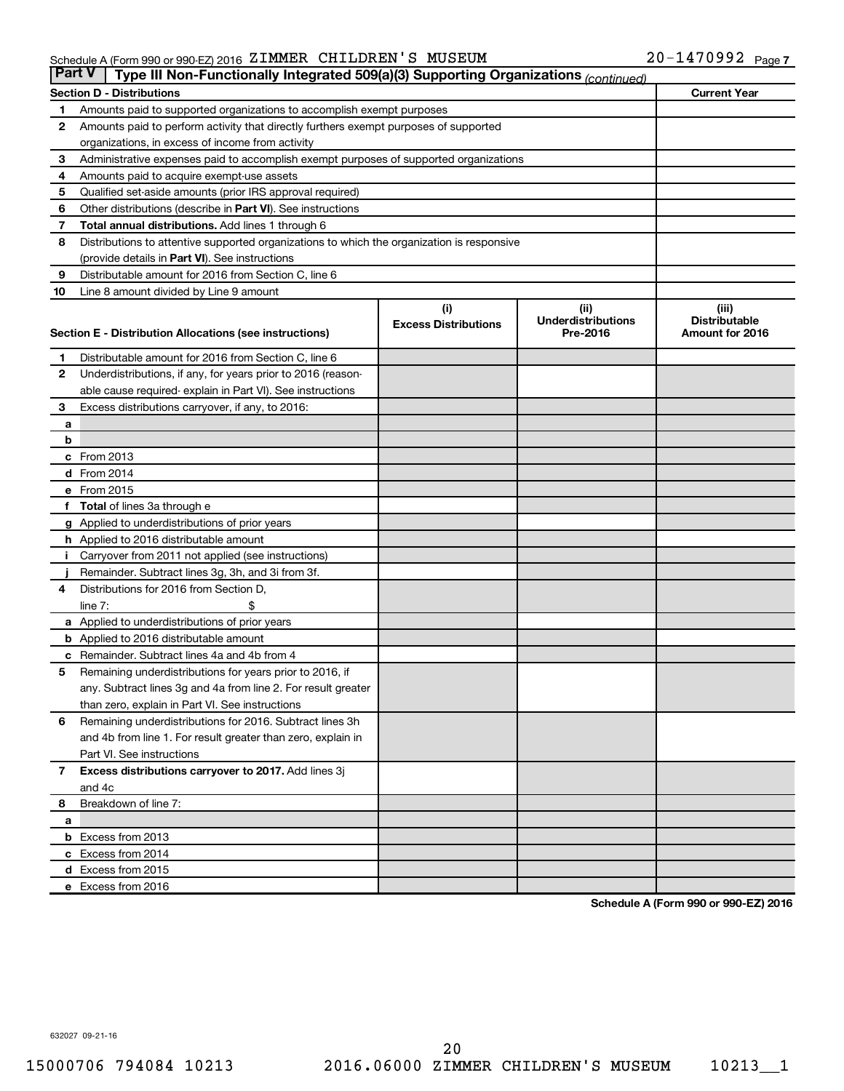#### Schedule A (Form 990 or 990-EZ) 2016 ZIMMER CHILDREN S MUSEUM NORTH PAGE NATIONAL Page ZIMMER CHILDREN'S MUSEUM 20-1470992

| <b>Part V</b>  | Type III Non-Functionally Integrated 509(a)(3) Supporting Organizations (continued)        |                             |                                       |                                         |  |  |  |
|----------------|--------------------------------------------------------------------------------------------|-----------------------------|---------------------------------------|-----------------------------------------|--|--|--|
|                | <b>Section D - Distributions</b>                                                           |                             |                                       | <b>Current Year</b>                     |  |  |  |
| 1              | Amounts paid to supported organizations to accomplish exempt purposes                      |                             |                                       |                                         |  |  |  |
| $\mathbf{2}$   | Amounts paid to perform activity that directly furthers exempt purposes of supported       |                             |                                       |                                         |  |  |  |
|                | organizations, in excess of income from activity                                           |                             |                                       |                                         |  |  |  |
| 3              | Administrative expenses paid to accomplish exempt purposes of supported organizations      |                             |                                       |                                         |  |  |  |
| 4              | Amounts paid to acquire exempt-use assets                                                  |                             |                                       |                                         |  |  |  |
| 5              | Qualified set-aside amounts (prior IRS approval required)                                  |                             |                                       |                                         |  |  |  |
| 6              | Other distributions (describe in <b>Part VI</b> ). See instructions                        |                             |                                       |                                         |  |  |  |
| 7              | <b>Total annual distributions.</b> Add lines 1 through 6                                   |                             |                                       |                                         |  |  |  |
| 8              | Distributions to attentive supported organizations to which the organization is responsive |                             |                                       |                                         |  |  |  |
|                | (provide details in Part VI). See instructions                                             |                             |                                       |                                         |  |  |  |
| 9              | Distributable amount for 2016 from Section C, line 6                                       |                             |                                       |                                         |  |  |  |
| 10             | Line 8 amount divided by Line 9 amount                                                     |                             |                                       |                                         |  |  |  |
|                |                                                                                            | (i)                         | (ii)                                  | (iii)                                   |  |  |  |
|                |                                                                                            | <b>Excess Distributions</b> | <b>Underdistributions</b><br>Pre-2016 | <b>Distributable</b><br>Amount for 2016 |  |  |  |
|                | Section E - Distribution Allocations (see instructions)                                    |                             |                                       |                                         |  |  |  |
| 1              | Distributable amount for 2016 from Section C, line 6                                       |                             |                                       |                                         |  |  |  |
| $\mathbf{2}$   | Underdistributions, if any, for years prior to 2016 (reason-                               |                             |                                       |                                         |  |  |  |
|                | able cause required-explain in Part VI). See instructions                                  |                             |                                       |                                         |  |  |  |
| 3              | Excess distributions carryover, if any, to 2016:                                           |                             |                                       |                                         |  |  |  |
| а              |                                                                                            |                             |                                       |                                         |  |  |  |
| b              |                                                                                            |                             |                                       |                                         |  |  |  |
|                | c From 2013                                                                                |                             |                                       |                                         |  |  |  |
|                | <b>d</b> From 2014                                                                         |                             |                                       |                                         |  |  |  |
|                | e From 2015                                                                                |                             |                                       |                                         |  |  |  |
|                | f Total of lines 3a through e                                                              |                             |                                       |                                         |  |  |  |
|                | g Applied to underdistributions of prior years                                             |                             |                                       |                                         |  |  |  |
|                | h Applied to 2016 distributable amount                                                     |                             |                                       |                                         |  |  |  |
| Ť.             | Carryover from 2011 not applied (see instructions)                                         |                             |                                       |                                         |  |  |  |
|                | Remainder. Subtract lines 3g, 3h, and 3i from 3f.                                          |                             |                                       |                                         |  |  |  |
| 4              | Distributions for 2016 from Section D,                                                     |                             |                                       |                                         |  |  |  |
|                | line $7:$                                                                                  |                             |                                       |                                         |  |  |  |
|                | a Applied to underdistributions of prior years                                             |                             |                                       |                                         |  |  |  |
|                | <b>b</b> Applied to 2016 distributable amount                                              |                             |                                       |                                         |  |  |  |
| c              | Remainder. Subtract lines 4a and 4b from 4                                                 |                             |                                       |                                         |  |  |  |
| 5              | Remaining underdistributions for years prior to 2016, if                                   |                             |                                       |                                         |  |  |  |
|                | any. Subtract lines 3g and 4a from line 2. For result greater                              |                             |                                       |                                         |  |  |  |
|                | than zero, explain in Part VI. See instructions                                            |                             |                                       |                                         |  |  |  |
| 6              | Remaining underdistributions for 2016. Subtract lines 3h                                   |                             |                                       |                                         |  |  |  |
|                | and 4b from line 1. For result greater than zero, explain in                               |                             |                                       |                                         |  |  |  |
|                | Part VI. See instructions                                                                  |                             |                                       |                                         |  |  |  |
| $\overline{7}$ | Excess distributions carryover to 2017. Add lines 3j                                       |                             |                                       |                                         |  |  |  |
|                | and 4c                                                                                     |                             |                                       |                                         |  |  |  |
| 8              | Breakdown of line 7:                                                                       |                             |                                       |                                         |  |  |  |
| а              |                                                                                            |                             |                                       |                                         |  |  |  |
|                | <b>b</b> Excess from 2013                                                                  |                             |                                       |                                         |  |  |  |
|                | c Excess from 2014                                                                         |                             |                                       |                                         |  |  |  |
|                | d Excess from 2015                                                                         |                             |                                       |                                         |  |  |  |
|                | e Excess from 2016                                                                         |                             |                                       |                                         |  |  |  |

**Schedule A (Form 990 or 990-EZ) 2016**

632027 09-21-16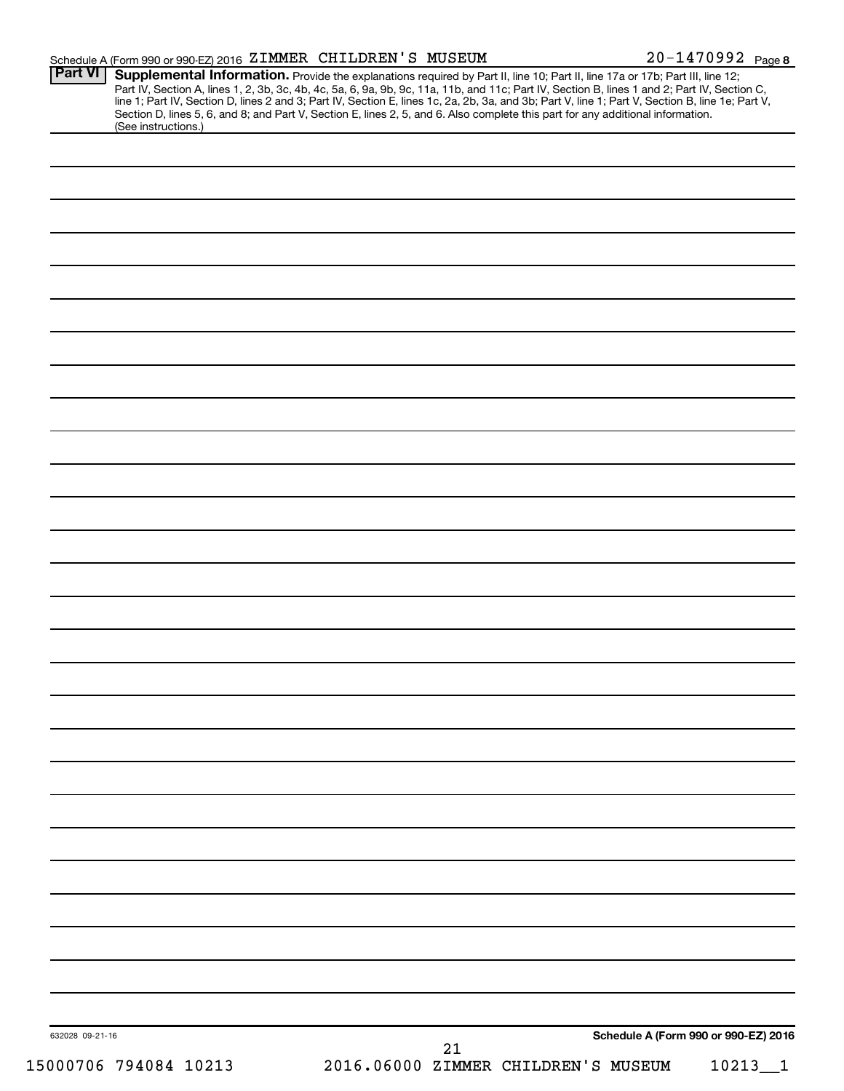|                                       | Schedule A (Form 990 or 990-EZ) 2016 ZIMMER CHILDREN'S MUSEUM                                                                                                                                                                                                                                                                                                                                                                                                                                                                                                        | 20-1470992 Page 8                    |
|---------------------------------------|----------------------------------------------------------------------------------------------------------------------------------------------------------------------------------------------------------------------------------------------------------------------------------------------------------------------------------------------------------------------------------------------------------------------------------------------------------------------------------------------------------------------------------------------------------------------|--------------------------------------|
| <b>Part VI</b><br>(See instructions.) | Supplemental Information. Provide the explanations required by Part II, line 10; Part II, line 17a or 17b; Part III, line 12;<br>Part IV, Section A, lines 1, 2, 3b, 3c, 4b, 4c, 5a, 6, 9a, 9b, 9c, 11a, 11b, and 11c; Part IV, Section B, lines 1 and 2; Part IV, Section C,<br>line 1; Part IV, Section D, lines 2 and 3; Part IV, Section E, lines 1c, 2a, 2b, 3a, and 3b; Part V, line 1; Part V, Section B, line 1e; Part V,<br>Section D, lines 5, 6, and 8; and Part V, Section E, lines 2, 5, and 6. Also complete this part for any additional information. |                                      |
|                                       |                                                                                                                                                                                                                                                                                                                                                                                                                                                                                                                                                                      |                                      |
|                                       |                                                                                                                                                                                                                                                                                                                                                                                                                                                                                                                                                                      |                                      |
|                                       |                                                                                                                                                                                                                                                                                                                                                                                                                                                                                                                                                                      |                                      |
|                                       |                                                                                                                                                                                                                                                                                                                                                                                                                                                                                                                                                                      |                                      |
|                                       |                                                                                                                                                                                                                                                                                                                                                                                                                                                                                                                                                                      |                                      |
|                                       |                                                                                                                                                                                                                                                                                                                                                                                                                                                                                                                                                                      |                                      |
|                                       |                                                                                                                                                                                                                                                                                                                                                                                                                                                                                                                                                                      |                                      |
|                                       |                                                                                                                                                                                                                                                                                                                                                                                                                                                                                                                                                                      |                                      |
|                                       |                                                                                                                                                                                                                                                                                                                                                                                                                                                                                                                                                                      |                                      |
|                                       |                                                                                                                                                                                                                                                                                                                                                                                                                                                                                                                                                                      |                                      |
|                                       |                                                                                                                                                                                                                                                                                                                                                                                                                                                                                                                                                                      |                                      |
|                                       |                                                                                                                                                                                                                                                                                                                                                                                                                                                                                                                                                                      |                                      |
|                                       |                                                                                                                                                                                                                                                                                                                                                                                                                                                                                                                                                                      |                                      |
|                                       |                                                                                                                                                                                                                                                                                                                                                                                                                                                                                                                                                                      |                                      |
|                                       |                                                                                                                                                                                                                                                                                                                                                                                                                                                                                                                                                                      |                                      |
|                                       |                                                                                                                                                                                                                                                                                                                                                                                                                                                                                                                                                                      |                                      |
|                                       |                                                                                                                                                                                                                                                                                                                                                                                                                                                                                                                                                                      |                                      |
|                                       |                                                                                                                                                                                                                                                                                                                                                                                                                                                                                                                                                                      |                                      |
|                                       |                                                                                                                                                                                                                                                                                                                                                                                                                                                                                                                                                                      |                                      |
|                                       |                                                                                                                                                                                                                                                                                                                                                                                                                                                                                                                                                                      |                                      |
|                                       |                                                                                                                                                                                                                                                                                                                                                                                                                                                                                                                                                                      |                                      |
|                                       |                                                                                                                                                                                                                                                                                                                                                                                                                                                                                                                                                                      |                                      |
|                                       |                                                                                                                                                                                                                                                                                                                                                                                                                                                                                                                                                                      |                                      |
|                                       |                                                                                                                                                                                                                                                                                                                                                                                                                                                                                                                                                                      |                                      |
|                                       |                                                                                                                                                                                                                                                                                                                                                                                                                                                                                                                                                                      |                                      |
|                                       |                                                                                                                                                                                                                                                                                                                                                                                                                                                                                                                                                                      |                                      |
|                                       |                                                                                                                                                                                                                                                                                                                                                                                                                                                                                                                                                                      |                                      |
|                                       |                                                                                                                                                                                                                                                                                                                                                                                                                                                                                                                                                                      |                                      |
|                                       |                                                                                                                                                                                                                                                                                                                                                                                                                                                                                                                                                                      |                                      |
|                                       |                                                                                                                                                                                                                                                                                                                                                                                                                                                                                                                                                                      |                                      |
| 632028 09-21-16                       | 21                                                                                                                                                                                                                                                                                                                                                                                                                                                                                                                                                                   | Schedule A (Form 990 or 990-EZ) 2016 |
| 15000706 794084 10213                 | 2016.06000 ZIMMER CHILDREN'S MUSEUM                                                                                                                                                                                                                                                                                                                                                                                                                                                                                                                                  | 10213<br>$\overline{1}$              |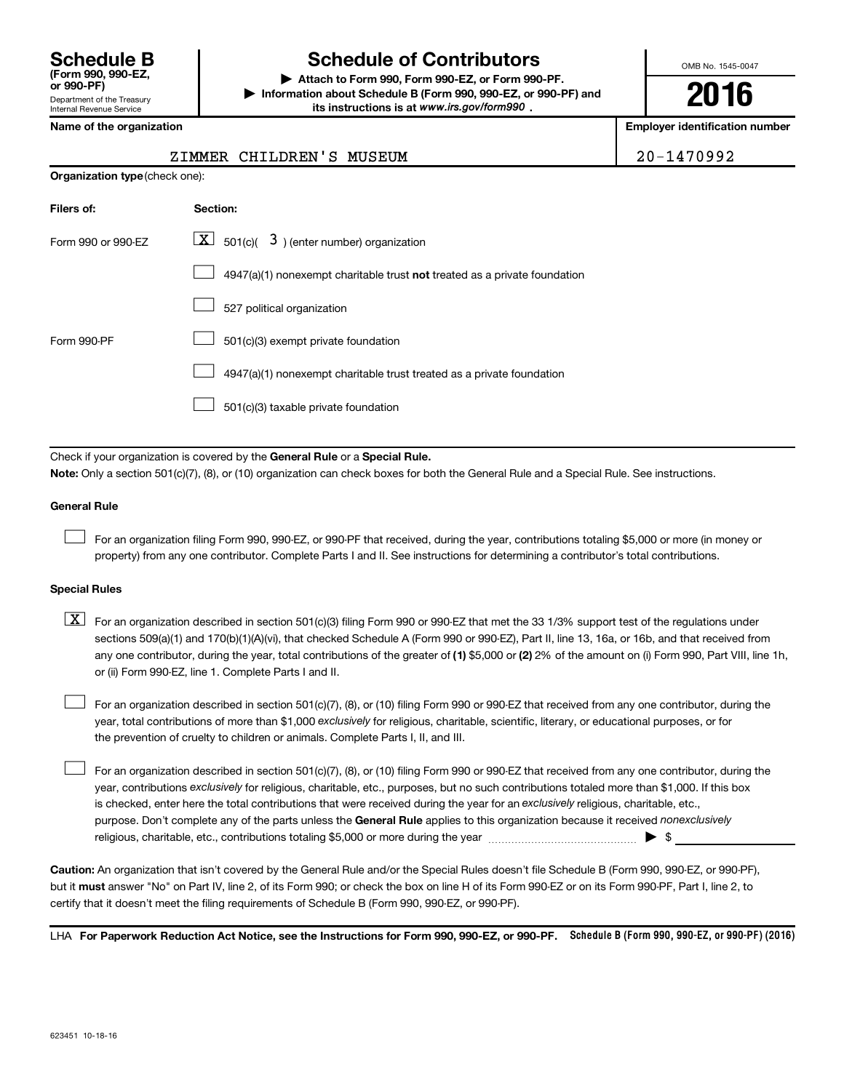## **Schedule B Schedule of Contributors**

**or 990-PF) | Attach to Form 990, Form 990-EZ, or Form 990-PF. | Information about Schedule B (Form 990, 990-EZ, or 990-PF) and** its instructions is at www.irs.gov/form990.

OMB No. 1545-0047

**2016**

**Name of the organization Employer identification number**

|  | lame of the organization |
|--|--------------------------|
|--|--------------------------|

| <b>Organization type</b> (check one): |                                                                           |  |  |  |  |
|---------------------------------------|---------------------------------------------------------------------------|--|--|--|--|
| Filers of:                            | Section:                                                                  |  |  |  |  |
| Form 990 or 990-EZ                    | $ \mathbf{X} $ 501(c)( 3) (enter number) organization                     |  |  |  |  |
|                                       | 4947(a)(1) nonexempt charitable trust not treated as a private foundation |  |  |  |  |
|                                       | 527 political organization                                                |  |  |  |  |
| Form 990-PF                           | 501(c)(3) exempt private foundation                                       |  |  |  |  |
|                                       | 4947(a)(1) nonexempt charitable trust treated as a private foundation     |  |  |  |  |
|                                       | 501(c)(3) taxable private foundation                                      |  |  |  |  |
|                                       |                                                                           |  |  |  |  |

Check if your organization is covered by the General Rule or a Special Rule.

**Note:**  Only a section 501(c)(7), (8), or (10) organization can check boxes for both the General Rule and a Special Rule. See instructions.

#### **General Rule**

 $\Box$ 

For an organization filing Form 990, 990-EZ, or 990-PF that received, during the year, contributions totaling \$5,000 or more (in money or property) from any one contributor. Complete Parts I and II. See instructions for determining a contributor's total contributions.

#### **Special Rules**

any one contributor, during the year, total contributions of the greater of **(1)** \$5,000 or **(2)** 2% of the amount on (i) Form 990, Part VIII, line 1h,  $\boxed{\text{X}}$  For an organization described in section 501(c)(3) filing Form 990 or 990-EZ that met the 33 1/3% support test of the regulations under sections 509(a)(1) and 170(b)(1)(A)(vi), that checked Schedule A (Form 990 or 990-EZ), Part II, line 13, 16a, or 16b, and that received from or (ii) Form 990-EZ, line 1. Complete Parts I and II.

year, total contributions of more than \$1,000 *exclusively* for religious, charitable, scientific, literary, or educational purposes, or for For an organization described in section 501(c)(7), (8), or (10) filing Form 990 or 990-EZ that received from any one contributor, during the the prevention of cruelty to children or animals. Complete Parts I, II, and III.  $\Box$ 

purpose. Don't complete any of the parts unless the General Rule applies to this organization because it received nonexclusively year, contributions exclusively for religious, charitable, etc., purposes, but no such contributions totaled more than \$1,000. If this box is checked, enter here the total contributions that were received during the year for an exclusively religious, charitable, etc., For an organization described in section 501(c)(7), (8), or (10) filing Form 990 or 990-EZ that received from any one contributor, during the religious, charitable, etc., contributions totaling \$5,000 or more during the year  $\ldots$  $\ldots$  $\ldots$  $\ldots$  $\ldots$  $\ldots$  $\Box$ 

**Caution:**  An organization that isn't covered by the General Rule and/or the Special Rules doesn't file Schedule B (Form 990, 990-EZ, or 990-PF),  **must** but it answer "No" on Part IV, line 2, of its Form 990; or check the box on line H of its Form 990-EZ or on its Form 990-PF, Part I, line 2, to certify that it doesn't meet the filing requirements of Schedule B (Form 990, 990-EZ, or 990-PF).

LHA For Paperwork Reduction Act Notice, see the Instructions for Form 990, 990-EZ, or 990-PF. Schedule B (Form 990, 990-EZ, or 990-PF) (2016)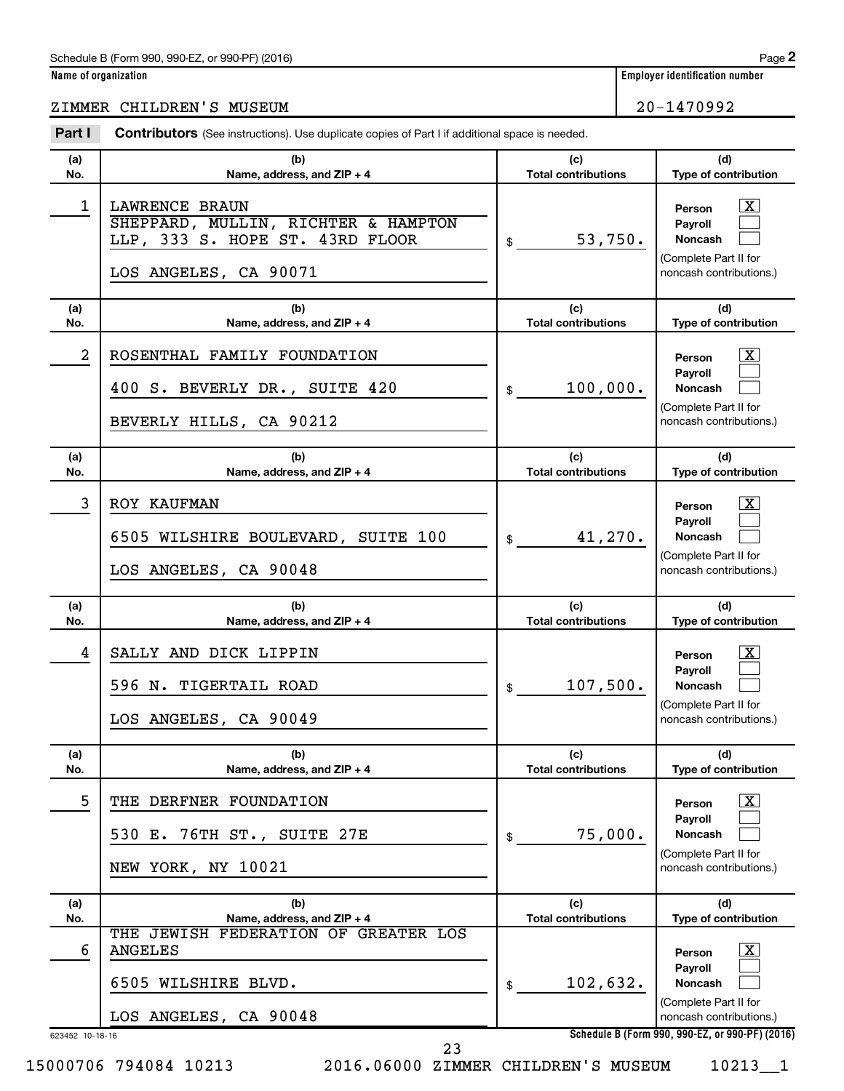#### Schedule B (Form 990, 990-EZ, or 990-PF) (2016)

### ZIMMER CHILDREN'S MUSEUM 20-1470992

| Name of organization | <b>Employer identification number</b> |
|----------------------|---------------------------------------|
|                      |                                       |

| Part I          | <b>Contributors</b> (See instructions). Use duplicate copies of Part I if additional space is needed.                    |                                   |                                                                                                                |
|-----------------|--------------------------------------------------------------------------------------------------------------------------|-----------------------------------|----------------------------------------------------------------------------------------------------------------|
| (a)<br>No.      | (b)<br>Name, address, and ZIP + 4                                                                                        | (c)<br><b>Total contributions</b> | (d)<br>Type of contribution                                                                                    |
| 1               | <b>LAWRENCE BRAUN</b><br>SHEPPARD, MULLIN, RICHTER & HAMPTON<br>LLP, 333 S. HOPE ST. 43RD FLOOR<br>LOS ANGELES, CA 90071 | 53,750.<br>\$                     | $\mathbf{X}$<br>Person<br><b>Payroll</b><br>Noncash<br>(Complete Part II for<br>noncash contributions.)        |
| (a)<br>No.      | (b)<br>Name, address, and ZIP + 4                                                                                        | (c)<br><b>Total contributions</b> | (d)<br>Type of contribution                                                                                    |
| $\overline{a}$  | ROSENTHAL FAMILY FOUNDATION<br>400 S. BEVERLY DR., SUITE 420<br>BEVERLY HILLS, CA 90212                                  | 100,000.<br>\$                    | $\mathbf{X}$<br>Person<br><b>Payroll</b><br>Noncash<br>(Complete Part II for<br>noncash contributions.)        |
| (a)<br>No.      | (b)<br>Name, address, and ZIP + 4                                                                                        | (c)<br><b>Total contributions</b> | (d)<br>Type of contribution                                                                                    |
| 3               | ROY KAUFMAN<br>6505 WILSHIRE BOULEVARD, SUITE 100<br>LOS ANGELES, CA 90048                                               | 41,270.<br>\$                     | $\mathbf{X}$<br>Person<br><b>Payroll</b><br><b>Noncash</b><br>(Complete Part II for<br>noncash contributions.) |
| (a)<br>No.      | (b)<br>Name, address, and ZIP + 4                                                                                        | (c)<br><b>Total contributions</b> | (d)<br>Type of contribution                                                                                    |
| 4               | SALLY AND DICK LIPPIN<br>596 N. TIGERTAIL ROAD<br>LOS ANGELES, CA 90049                                                  | 107,500.<br>\$                    | $\mathbf{X}$<br>Person<br><b>Payroll</b><br><b>Noncash</b><br>(Complete Part II for<br>noncash contributions.) |
| (a)<br>No.      | (b)<br>Name, address, and ZIP + 4                                                                                        | (c)<br><b>Total contributions</b> | (d)<br><b>Type of contribution</b>                                                                             |
| 5               | THE DERFNER FOUNDATION<br>76TH ST., SUITE 27E<br>530 E.<br>NEW YORK, NY 10021                                            | 75,000.<br>\$                     | $\mathbf{X}$<br>Person<br><b>Payroll</b><br>Noncash<br>(Complete Part II for<br>noncash contributions.)        |
| (a)<br>No.      | (b)<br>Name, address, and ZIP + 4                                                                                        | (c)<br><b>Total contributions</b> | (d)<br>Type of contribution                                                                                    |
| 6               | THE JEWISH FEDERATION OF GREATER LOS<br><b>ANGELES</b><br>6505 WILSHIRE BLVD.<br>LOS ANGELES, CA 90048                   | 102,632.<br>\$                    | $\mathbf{X}$<br>Person<br><b>Payroll</b><br>Noncash<br>(Complete Part II for<br>noncash contributions.)        |
| 623452 10-18-16 |                                                                                                                          |                                   | Schedule B (Form 990, 990-EZ, or 990-PF) (2016)                                                                |

15000706 794084 10213 2016.06000 ZIMMER CHILDREN'S MUSEUM 10213\_\_1

23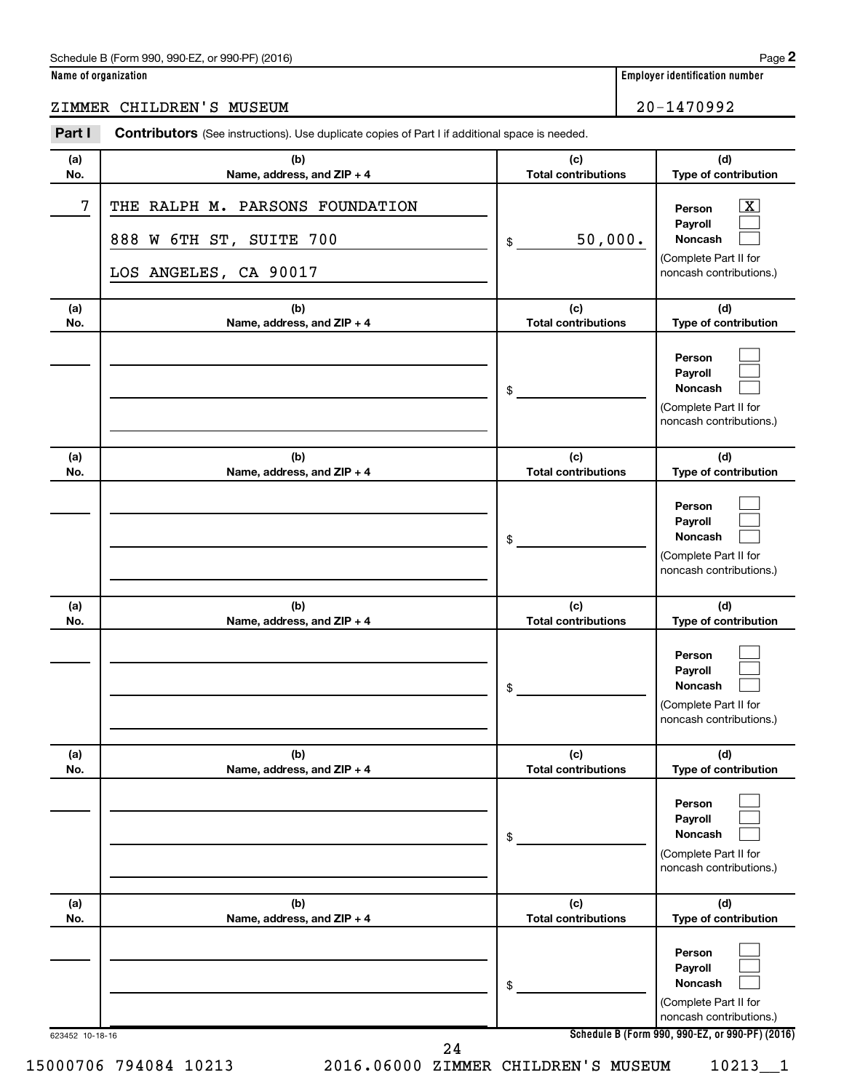#### Schedule B (Form 990, 990-EZ, or 990-PF) (2016)

| Name of organization |  |
|----------------------|--|
|----------------------|--|

**Employer identification number** 

ZIMMER CHILDREN'S MUSEUM 20-1470992

| Part I     | <b>Contributors</b> (See instructions). Use duplicate copies of Part I if additional space is needed. |                                   |                                                                                                           |
|------------|-------------------------------------------------------------------------------------------------------|-----------------------------------|-----------------------------------------------------------------------------------------------------------|
| (a)<br>No. | (b)<br>Name, address, and ZIP + 4                                                                     | (c)<br><b>Total contributions</b> | (d)<br>Type of contribution                                                                               |
| 7          | THE RALPH M. PARSONS FOUNDATION<br>888 W 6TH ST, SUITE 700<br>LOS ANGELES, CA 90017                   | 50,000.<br>\$                     | $\overline{\text{X}}$<br>Person<br>Payroll<br>Noncash<br>(Complete Part II for<br>noncash contributions.) |
| (a)<br>No. | (b)<br>Name, address, and ZIP + 4                                                                     | (c)<br><b>Total contributions</b> | (d)<br>Type of contribution                                                                               |
|            |                                                                                                       | \$                                | Person<br>Payroll<br>Noncash<br>(Complete Part II for<br>noncash contributions.)                          |
| (a)<br>No. | (b)<br>Name, address, and ZIP + 4                                                                     | (c)<br><b>Total contributions</b> | (d)<br>Type of contribution                                                                               |
|            |                                                                                                       | \$                                | Person<br>Payroll<br>Noncash<br>(Complete Part II for<br>noncash contributions.)                          |
| (a)<br>No. | (b)<br>Name, address, and ZIP + 4                                                                     | (c)<br><b>Total contributions</b> | (d)<br>Type of contribution                                                                               |
|            |                                                                                                       | \$                                | Person<br>Payroll<br>Noncash<br>(Complete Part II for<br>noncash contributions.)                          |
| (a)<br>No. | (b)<br>Name, address, and ZIP + 4                                                                     | (c)<br><b>Total contributions</b> | (d)<br>Type of contribution                                                                               |
|            |                                                                                                       | \$                                | Person<br>Payroll<br>Noncash<br>(Complete Part II for<br>noncash contributions.)                          |
| (a)<br>No. | (b)<br>Name, address, and ZIP + 4                                                                     | (c)<br><b>Total contributions</b> | (d)<br>Type of contribution                                                                               |
|            |                                                                                                       | \$                                | Person<br>Payroll<br>Noncash<br>(Complete Part II for<br>noncash contributions.)                          |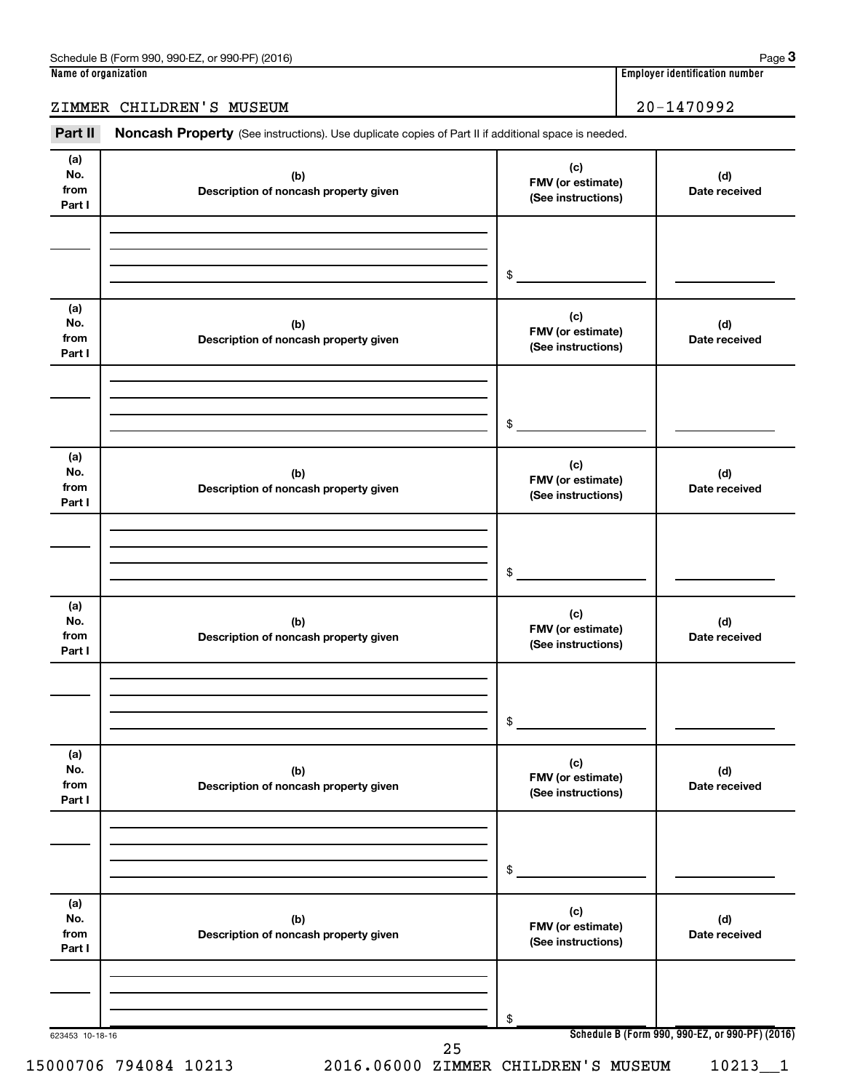#### ZIMMER CHILDREN'S MUSEUM 20-1470992

Part II Noncash Property (See instructions). Use duplicate copies of Part II if additional space is needed.

| No.<br>from<br>Part I        | (b)<br>Description of noncash property given | FMV (or estimate)<br>(See instructions)        | (d)<br>Date received                            |
|------------------------------|----------------------------------------------|------------------------------------------------|-------------------------------------------------|
|                              |                                              |                                                |                                                 |
|                              |                                              | \$                                             |                                                 |
| (a)<br>No.<br>from<br>Part I | (b)<br>Description of noncash property given | (c)<br>FMV (or estimate)<br>(See instructions) | (d)<br>Date received                            |
|                              |                                              | \$                                             |                                                 |
| (a)<br>No.<br>from<br>Part I | (b)<br>Description of noncash property given | (c)<br>FMV (or estimate)<br>(See instructions) | (d)<br>Date received                            |
|                              |                                              | \$                                             |                                                 |
| (a)<br>No.<br>from<br>Part I | (b)<br>Description of noncash property given | (c)<br>FMV (or estimate)<br>(See instructions) | (d)<br>Date received                            |
|                              |                                              | \$                                             |                                                 |
| (a)<br>No.<br>from<br>Part I | (b)<br>Description of noncash property given | (c)<br>FMV (or estimate)<br>(See instructions) | (d)<br>Date received                            |
|                              |                                              | \$                                             |                                                 |
| (a)<br>No.<br>from<br>Part I | (b)<br>Description of noncash property given | (c)<br>FMV (or estimate)<br>(See instructions) | (d)<br>Date received                            |
|                              |                                              | \$                                             |                                                 |
| 623453 10-18-16              | 25                                           |                                                | Schedule B (Form 990, 990-EZ, or 990-PF) (2016) |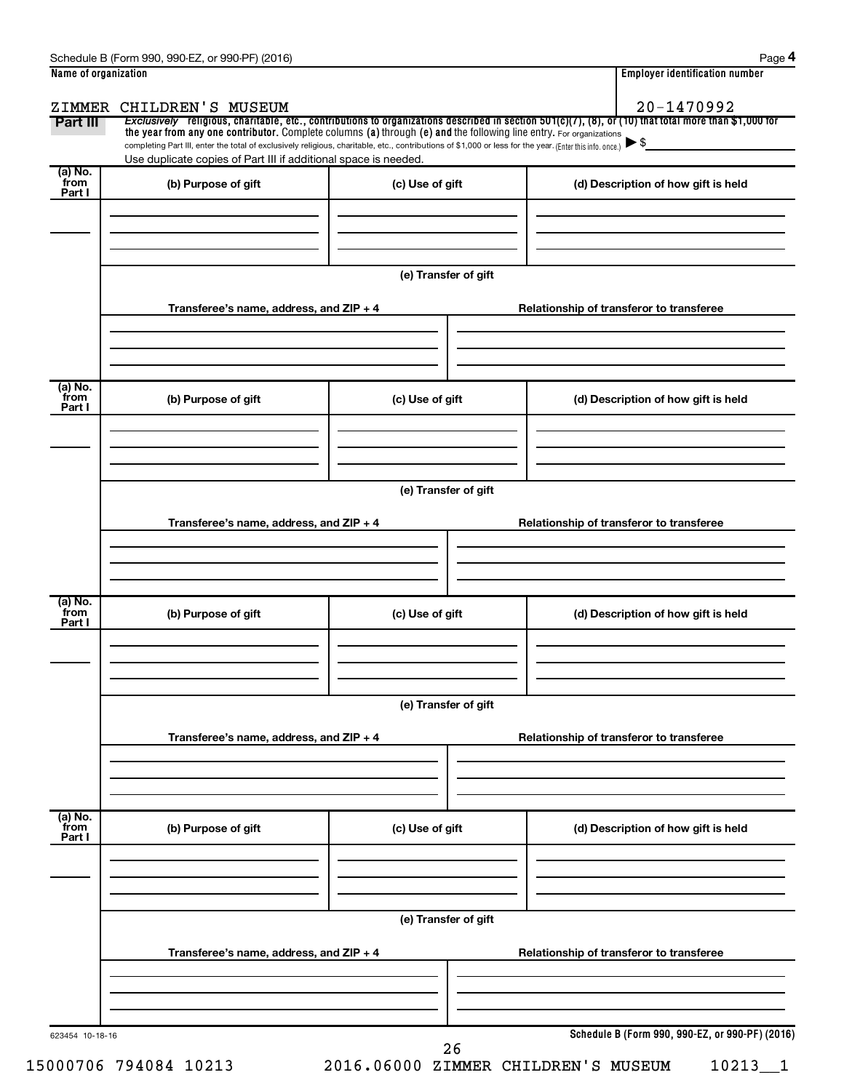|                           | Name of organization                                                                                                                                                                                                        |                      | <b>Employer identification number</b>                                                                                                                                  |
|---------------------------|-----------------------------------------------------------------------------------------------------------------------------------------------------------------------------------------------------------------------------|----------------------|------------------------------------------------------------------------------------------------------------------------------------------------------------------------|
|                           | ZIMMER CHILDREN'S MUSEUM                                                                                                                                                                                                    |                      | 20-1470992<br>Exclusively religious, charitable, etc., contributions to organizations described in section $501(c)(7)$ , (8), or (10) that total more than \$1,000 for |
| Part III                  | the year from any one contributor. Complete columns (a) through (e) and the following line entry. For organizations                                                                                                         |                      |                                                                                                                                                                        |
|                           | completing Part III, enter the total of exclusively religious, charitable, etc., contributions of \$1,000 or less for the year. (Enter this info. once.)<br>Use duplicate copies of Part III if additional space is needed. |                      |                                                                                                                                                                        |
| (a) No.<br>from<br>Part I | (b) Purpose of gift                                                                                                                                                                                                         | (c) Use of gift      | (d) Description of how gift is held                                                                                                                                    |
|                           |                                                                                                                                                                                                                             |                      |                                                                                                                                                                        |
|                           |                                                                                                                                                                                                                             |                      |                                                                                                                                                                        |
|                           |                                                                                                                                                                                                                             | (e) Transfer of gift |                                                                                                                                                                        |
|                           | Transferee's name, address, and $ZIP + 4$                                                                                                                                                                                   |                      | Relationship of transferor to transferee                                                                                                                               |
|                           |                                                                                                                                                                                                                             |                      |                                                                                                                                                                        |
| (a) No.<br>from<br>Part I | (b) Purpose of gift                                                                                                                                                                                                         | (c) Use of gift      | (d) Description of how gift is held                                                                                                                                    |
|                           |                                                                                                                                                                                                                             |                      |                                                                                                                                                                        |
|                           |                                                                                                                                                                                                                             | (e) Transfer of gift |                                                                                                                                                                        |
|                           | Transferee's name, address, and ZIP + 4                                                                                                                                                                                     |                      | Relationship of transferor to transferee                                                                                                                               |
|                           |                                                                                                                                                                                                                             |                      |                                                                                                                                                                        |
|                           |                                                                                                                                                                                                                             |                      |                                                                                                                                                                        |
| (a) No.<br>from<br>Part I | (b) Purpose of gift                                                                                                                                                                                                         | (c) Use of gift      | (d) Description of how gift is held                                                                                                                                    |
|                           |                                                                                                                                                                                                                             |                      |                                                                                                                                                                        |
|                           |                                                                                                                                                                                                                             | (e) Transfer of gift |                                                                                                                                                                        |
|                           | Transferee's name, address, and ZIP + 4                                                                                                                                                                                     |                      | Relationship of transferor to transferee                                                                                                                               |
|                           |                                                                                                                                                                                                                             |                      |                                                                                                                                                                        |
| (a) No.<br>from<br>Part I | (b) Purpose of gift                                                                                                                                                                                                         | (c) Use of gift      | (d) Description of how gift is held                                                                                                                                    |
|                           |                                                                                                                                                                                                                             |                      |                                                                                                                                                                        |
|                           |                                                                                                                                                                                                                             |                      |                                                                                                                                                                        |
|                           | Transferee's name, address, and ZIP + 4                                                                                                                                                                                     | (e) Transfer of gift | Relationship of transferor to transferee                                                                                                                               |
|                           |                                                                                                                                                                                                                             |                      |                                                                                                                                                                        |
|                           |                                                                                                                                                                                                                             |                      |                                                                                                                                                                        |
|                           |                                                                                                                                                                                                                             |                      | Schedule B (Form 990, 990-EZ, or 990-PF) (2016)                                                                                                                        |

15000706 794084 10213 2016.06000 ZIMMER CHILDREN'S MUSEUM 10213\_\_1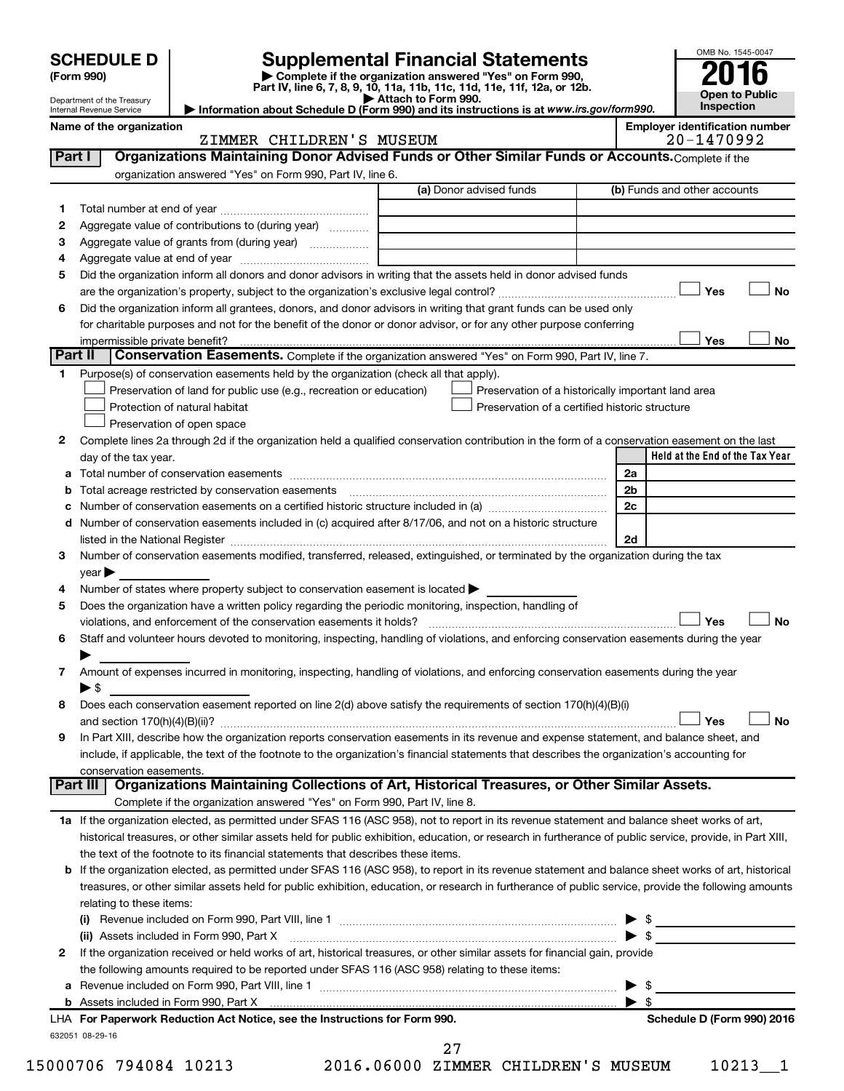| <b>SCHEDULE D</b>                                             | <b>Supplemental Financial Statements</b>                                                                                             | OMB No. 1545-004                   |
|---------------------------------------------------------------|--------------------------------------------------------------------------------------------------------------------------------------|------------------------------------|
| (Form 990)                                                    | Complete if the organization answered "Yes" on Form 990,<br>Part IV, line 6, 7, 8, 9, 10, 11a, 11b, 11c, 11d, 11e, 11f, 12a, or 12b. | 2016                               |
| Department of the Treasury<br><b>Internal Revenue Service</b> | Attach to Form 990.<br>Information about Schedule D (Form 990) and its instructions is at www.irs.gov/form990.                       | <b>Open to Publ</b><br>Inspection  |
| Name of the organization                                      |                                                                                                                                      | <b>Employer identification nur</b> |
|                                                               | CHILDREN'S<br>MUSEUM<br>ZIMMER                                                                                                       | $20 - 1470992$                     |
| Part I                                                        | Organizations Maintaining Donor Advised Funds or Other Similar Funds or Accounts. Complete if the                                    |                                    |
|                                                               |                                                                                                                                      |                                    |

|         | meanono mamammig Donor Aavio<br>organization answered "Yes" on Form 990, Part IV, line 6.                                                                                                                                     |                                                |                                                    |  |  |  |  |
|---------|-------------------------------------------------------------------------------------------------------------------------------------------------------------------------------------------------------------------------------|------------------------------------------------|----------------------------------------------------|--|--|--|--|
|         |                                                                                                                                                                                                                               | (a) Donor advised funds                        | (b) Funds and other accounts                       |  |  |  |  |
| 1       |                                                                                                                                                                                                                               |                                                |                                                    |  |  |  |  |
| 2       | Aggregate value of contributions to (during year)                                                                                                                                                                             |                                                |                                                    |  |  |  |  |
| 3       |                                                                                                                                                                                                                               |                                                |                                                    |  |  |  |  |
|         | Aggregate value of grants from (during year)                                                                                                                                                                                  |                                                |                                                    |  |  |  |  |
| 4       |                                                                                                                                                                                                                               |                                                |                                                    |  |  |  |  |
| 5       | Did the organization inform all donors and donor advisors in writing that the assets held in donor advised funds                                                                                                              |                                                |                                                    |  |  |  |  |
|         | are the organization's property, subject to the organization's exclusive legal control?                                                                                                                                       |                                                | Yes<br>No                                          |  |  |  |  |
| 6       | Did the organization inform all grantees, donors, and donor advisors in writing that grant funds can be used only                                                                                                             |                                                |                                                    |  |  |  |  |
|         | for charitable purposes and not for the benefit of the donor or donor advisor, or for any other purpose conferring                                                                                                            |                                                |                                                    |  |  |  |  |
|         | impermissible private benefit?                                                                                                                                                                                                |                                                | Yes<br>No                                          |  |  |  |  |
| Part II | Conservation Easements. Complete if the organization answered "Yes" on Form 990, Part IV, line 7.                                                                                                                             |                                                |                                                    |  |  |  |  |
| 1       | Purpose(s) of conservation easements held by the organization (check all that apply).                                                                                                                                         |                                                |                                                    |  |  |  |  |
|         | Preservation of land for public use (e.g., recreation or education)                                                                                                                                                           |                                                | Preservation of a historically important land area |  |  |  |  |
|         | Protection of natural habitat                                                                                                                                                                                                 | Preservation of a certified historic structure |                                                    |  |  |  |  |
|         | Preservation of open space                                                                                                                                                                                                    |                                                |                                                    |  |  |  |  |
| 2       | Complete lines 2a through 2d if the organization held a qualified conservation contribution in the form of a conservation easement on the last                                                                                |                                                |                                                    |  |  |  |  |
|         | day of the tax year.                                                                                                                                                                                                          |                                                | Held at the End of the Tax Year                    |  |  |  |  |
|         |                                                                                                                                                                                                                               |                                                | 2a                                                 |  |  |  |  |
|         | <b>b</b> Total acreage restricted by conservation easements                                                                                                                                                                   |                                                | 2 <sub>b</sub>                                     |  |  |  |  |
|         |                                                                                                                                                                                                                               |                                                | 2c                                                 |  |  |  |  |
|         | d Number of conservation easements included in (c) acquired after 8/17/06, and not on a historic structure                                                                                                                    |                                                |                                                    |  |  |  |  |
|         |                                                                                                                                                                                                                               |                                                |                                                    |  |  |  |  |
|         | listed in the National Register [111] Marshall Register [11] Marshall Register [11] Marshall Register [11] Marshall Register [11] Marshall Register [11] Marshall Register [11] Marshall Register [11] Marshall Register [11] |                                                | 2d                                                 |  |  |  |  |
| 3       | Number of conservation easements modified, transferred, released, extinguished, or terminated by the organization during the tax                                                                                              |                                                |                                                    |  |  |  |  |
|         | year                                                                                                                                                                                                                          |                                                |                                                    |  |  |  |  |
| 4       | Number of states where property subject to conservation easement is located >                                                                                                                                                 |                                                |                                                    |  |  |  |  |
| 5       | Does the organization have a written policy regarding the periodic monitoring, inspection, handling of                                                                                                                        |                                                |                                                    |  |  |  |  |
|         | violations, and enforcement of the conservation easements it holds?                                                                                                                                                           |                                                | Yes<br><b>No</b>                                   |  |  |  |  |
| 6       | Staff and volunteer hours devoted to monitoring, inspecting, handling of violations, and enforcing conservation easements during the year                                                                                     |                                                |                                                    |  |  |  |  |
|         |                                                                                                                                                                                                                               |                                                |                                                    |  |  |  |  |
| 7       | Amount of expenses incurred in monitoring, inspecting, handling of violations, and enforcing conservation easements during the year                                                                                           |                                                |                                                    |  |  |  |  |
|         | $\blacktriangleright$ \$                                                                                                                                                                                                      |                                                |                                                    |  |  |  |  |
| 8       | Does each conservation easement reported on line 2(d) above satisfy the requirements of section 170(h)(4)(B)(i)                                                                                                               |                                                |                                                    |  |  |  |  |
|         |                                                                                                                                                                                                                               |                                                | <b>No</b><br>Yes                                   |  |  |  |  |
| 9       | In Part XIII, describe how the organization reports conservation easements in its revenue and expense statement, and balance sheet, and                                                                                       |                                                |                                                    |  |  |  |  |
|         | include, if applicable, the text of the footnote to the organization's financial statements that describes the organization's accounting for                                                                                  |                                                |                                                    |  |  |  |  |
|         | conservation easements.                                                                                                                                                                                                       |                                                |                                                    |  |  |  |  |
|         | <b>Part III</b><br>Organizations Maintaining Collections of Art, Historical Treasures, or Other Similar Assets.                                                                                                               |                                                |                                                    |  |  |  |  |
|         | Complete if the organization answered "Yes" on Form 990, Part IV, line 8.                                                                                                                                                     |                                                |                                                    |  |  |  |  |
|         | 1a If the organization elected, as permitted under SFAS 116 (ASC 958), not to report in its revenue statement and balance sheet works of art,                                                                                 |                                                |                                                    |  |  |  |  |
|         | historical treasures, or other similar assets held for public exhibition, education, or research in furtherance of public service, provide, in Part XIII,                                                                     |                                                |                                                    |  |  |  |  |
|         | the text of the footnote to its financial statements that describes these items.                                                                                                                                              |                                                |                                                    |  |  |  |  |
|         | b If the organization elected, as permitted under SFAS 116 (ASC 958), to report in its revenue statement and balance sheet works of art, historical                                                                           |                                                |                                                    |  |  |  |  |
|         | treasures, or other similar assets held for public exhibition, education, or research in furtherance of public service, provide the following amounts                                                                         |                                                |                                                    |  |  |  |  |
|         |                                                                                                                                                                                                                               |                                                |                                                    |  |  |  |  |
|         | relating to these items:                                                                                                                                                                                                      |                                                |                                                    |  |  |  |  |
|         | (i) Revenue included on Form 990, Part VIII, line 1                                                                                                                                                                           |                                                | \$                                                 |  |  |  |  |

|                         | include, if applicable, the text of the footnote to the organization's financial statements that describes the organization's accounting for |  |  |  |  |  |  |
|-------------------------|----------------------------------------------------------------------------------------------------------------------------------------------|--|--|--|--|--|--|
| conservation easements. |                                                                                                                                              |  |  |  |  |  |  |
|                         | Part III   Organizations Maintaining Collections of Art, Historical Treasures, or Other Similar Assets.                                      |  |  |  |  |  |  |
|                         | Complete if the organization answered "Yes" on Form 990, Part IV, line 8.                                                                    |  |  |  |  |  |  |

| 1a If the organization elected, as permitted under SFAS 116 (ASC 958), not to report in its revenue statement and balance sheet works of art,             |
|-----------------------------------------------------------------------------------------------------------------------------------------------------------|
| historical treasures, or other similar assets held for public exhibition, education, or research in furtherance of public service, provide, in Part XIII, |
| the text of the footnote to its financial statements that describes these items.                                                                          |

| <b>b</b> If the organization elected, as permitted under SFAS 116 (ASC 958), to report in its revenue statement and balance sheet works of art, historical |
|------------------------------------------------------------------------------------------------------------------------------------------------------------|
| treasures, or other similar assets held for public exhibition, education, or research in furtherance of public service, provide the following amounts      |
| relating to these items:                                                                                                                                   |

|   | <b>a</b> Revenue included on Form 990, Part VIII, line 1<br>$\blacktriangleright$ s                                          |      |
|---|------------------------------------------------------------------------------------------------------------------------------|------|
|   | the following amounts required to be reported under SFAS 116 (ASC 958) relating to these items:                              |      |
| 2 | If the organization received or held works of art, historical treasures, or other similar assets for financial gain, provide |      |
|   | (ii) Assets included in Form 990, Part X [[2010] [2010] Marting and Times and Times and Times and Times and Ti               | - \$ |
|   | (i)<br>Revenue included on Form 990, Part VIII, line 1                                                                       |      |

15000706 794084 10213 2016.06000 ZIMMER CHILDREN'S MUSEUM 10213\_\_1 27



**Name of the organization Employer identification number**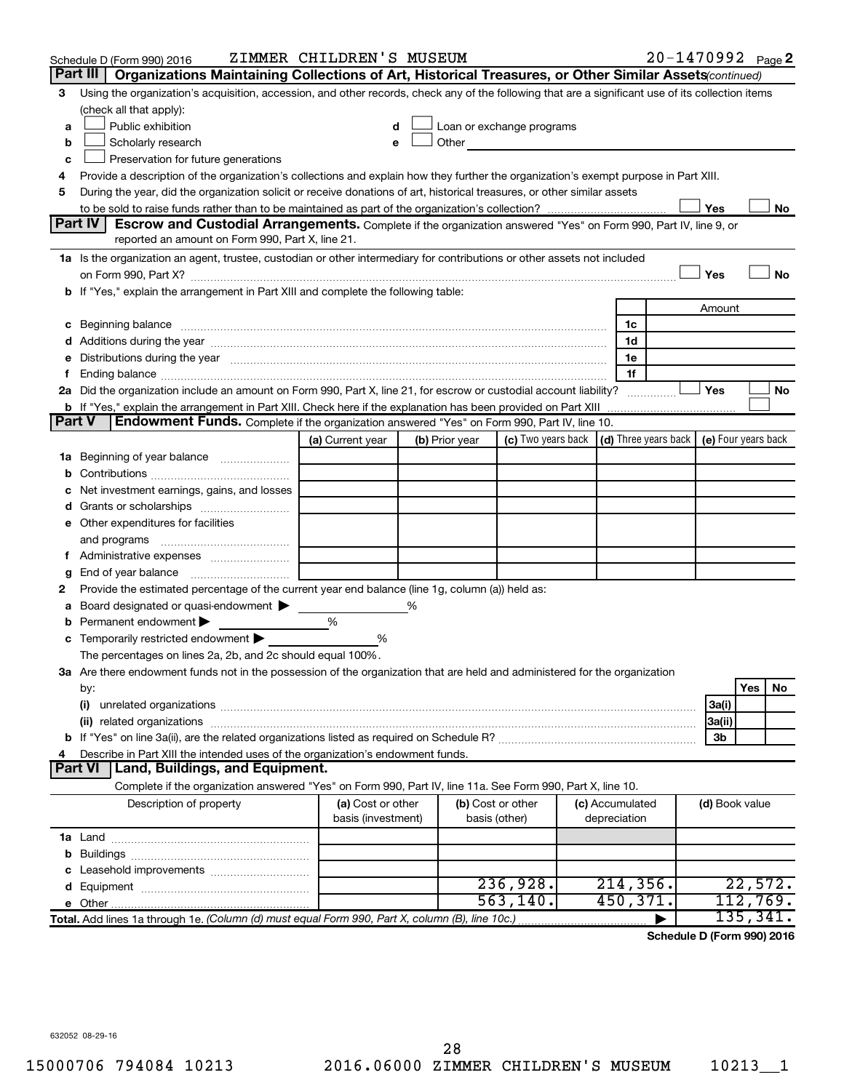|    | Schedule D (Form 990) 2016                                                                                                                                                                                                     | ZIMMER CHILDREN'S MUSEUM                |   |                |                                                                                                                                                                                                                               |  |                                                          | 20-1470992 Page 2 |                |           |    |
|----|--------------------------------------------------------------------------------------------------------------------------------------------------------------------------------------------------------------------------------|-----------------------------------------|---|----------------|-------------------------------------------------------------------------------------------------------------------------------------------------------------------------------------------------------------------------------|--|----------------------------------------------------------|-------------------|----------------|-----------|----|
|    | Part III   Organizations Maintaining Collections of Art, Historical Treasures, or Other Similar Assets (continued)                                                                                                             |                                         |   |                |                                                                                                                                                                                                                               |  |                                                          |                   |                |           |    |
| 3  | Using the organization's acquisition, accession, and other records, check any of the following that are a significant use of its collection items                                                                              |                                         |   |                |                                                                                                                                                                                                                               |  |                                                          |                   |                |           |    |
|    | (check all that apply):                                                                                                                                                                                                        |                                         |   |                |                                                                                                                                                                                                                               |  |                                                          |                   |                |           |    |
| a  | Public exhibition                                                                                                                                                                                                              | d                                       |   |                | Loan or exchange programs                                                                                                                                                                                                     |  |                                                          |                   |                |           |    |
| b  | Scholarly research                                                                                                                                                                                                             |                                         |   |                | Other and the contract of the contract of the contract of the contract of the contract of the contract of the contract of the contract of the contract of the contract of the contract of the contract of the contract of the |  |                                                          |                   |                |           |    |
| c  | Preservation for future generations                                                                                                                                                                                            |                                         |   |                |                                                                                                                                                                                                                               |  |                                                          |                   |                |           |    |
| 4  | Provide a description of the organization's collections and explain how they further the organization's exempt purpose in Part XIII.                                                                                           |                                         |   |                |                                                                                                                                                                                                                               |  |                                                          |                   |                |           |    |
| 5  | During the year, did the organization solicit or receive donations of art, historical treasures, or other similar assets                                                                                                       |                                         |   |                |                                                                                                                                                                                                                               |  |                                                          |                   |                |           |    |
|    |                                                                                                                                                                                                                                |                                         |   |                |                                                                                                                                                                                                                               |  |                                                          |                   | Yes            |           | No |
|    | <b>Part IV</b><br>Escrow and Custodial Arrangements. Complete if the organization answered "Yes" on Form 990, Part IV, line 9, or                                                                                              |                                         |   |                |                                                                                                                                                                                                                               |  |                                                          |                   |                |           |    |
|    | reported an amount on Form 990, Part X, line 21.                                                                                                                                                                               |                                         |   |                |                                                                                                                                                                                                                               |  |                                                          |                   |                |           |    |
|    | 1a Is the organization an agent, trustee, custodian or other intermediary for contributions or other assets not included                                                                                                       |                                         |   |                |                                                                                                                                                                                                                               |  |                                                          |                   |                |           |    |
|    |                                                                                                                                                                                                                                |                                         |   |                |                                                                                                                                                                                                                               |  |                                                          |                   | Yes            |           | No |
|    | <b>b</b> If "Yes," explain the arrangement in Part XIII and complete the following table:                                                                                                                                      |                                         |   |                |                                                                                                                                                                                                                               |  |                                                          |                   |                |           |    |
|    |                                                                                                                                                                                                                                |                                         |   |                |                                                                                                                                                                                                                               |  |                                                          |                   | Amount         |           |    |
| c  | Beginning balance measurements and contain a series of the series of the series of the series of the series of the series of the series of the series of the series of the series of the series of the series of the series of |                                         |   |                |                                                                                                                                                                                                                               |  | 1c                                                       |                   |                |           |    |
|    |                                                                                                                                                                                                                                |                                         |   |                |                                                                                                                                                                                                                               |  | 1d                                                       |                   |                |           |    |
|    | Distributions during the year manufactured and an account of the year manufactured and the year manufactured and the year manufactured and the year manufactured and the year manufactured and the year manufactured and the y |                                         |   |                |                                                                                                                                                                                                                               |  | 1e                                                       |                   |                |           |    |
|    |                                                                                                                                                                                                                                |                                         |   |                |                                                                                                                                                                                                                               |  | 1f                                                       |                   |                |           |    |
|    | 2a Did the organization include an amount on Form 990, Part X, line 21, for escrow or custodial account liability?                                                                                                             |                                         |   |                |                                                                                                                                                                                                                               |  |                                                          |                   | Yes            |           | No |
|    | Endowment Funds. Complete if the organization answered "Yes" on Form 990, Part IV, line 10.<br><b>Part V</b>                                                                                                                   |                                         |   |                |                                                                                                                                                                                                                               |  |                                                          |                   |                |           |    |
|    |                                                                                                                                                                                                                                | (a) Current year                        |   | (b) Prior year | (c) Two years back                                                                                                                                                                                                            |  | $\vert$ (d) Three years back $\vert$ (e) Four years back |                   |                |           |    |
| ٦а | Beginning of year balance                                                                                                                                                                                                      |                                         |   |                |                                                                                                                                                                                                                               |  |                                                          |                   |                |           |    |
|    |                                                                                                                                                                                                                                |                                         |   |                |                                                                                                                                                                                                                               |  |                                                          |                   |                |           |    |
|    | Net investment earnings, gains, and losses                                                                                                                                                                                     |                                         |   |                |                                                                                                                                                                                                                               |  |                                                          |                   |                |           |    |
|    |                                                                                                                                                                                                                                |                                         |   |                |                                                                                                                                                                                                                               |  |                                                          |                   |                |           |    |
|    | e Other expenditures for facilities                                                                                                                                                                                            |                                         |   |                |                                                                                                                                                                                                                               |  |                                                          |                   |                |           |    |
|    | and programs                                                                                                                                                                                                                   |                                         |   |                |                                                                                                                                                                                                                               |  |                                                          |                   |                |           |    |
|    |                                                                                                                                                                                                                                |                                         |   |                |                                                                                                                                                                                                                               |  |                                                          |                   |                |           |    |
|    | End of year balance                                                                                                                                                                                                            |                                         |   |                |                                                                                                                                                                                                                               |  |                                                          |                   |                |           |    |
| 2  | Provide the estimated percentage of the current year end balance (line 1g, column (a)) held as:                                                                                                                                |                                         |   |                |                                                                                                                                                                                                                               |  |                                                          |                   |                |           |    |
|    | Board designated or quasi-endowment                                                                                                                                                                                            |                                         | % |                |                                                                                                                                                                                                                               |  |                                                          |                   |                |           |    |
|    | Permanent endowment                                                                                                                                                                                                            | %                                       |   |                |                                                                                                                                                                                                                               |  |                                                          |                   |                |           |    |
| с  | Temporarily restricted endowment                                                                                                                                                                                               | %                                       |   |                |                                                                                                                                                                                                                               |  |                                                          |                   |                |           |    |
|    | The percentages on lines 2a, 2b, and 2c should equal 100%.                                                                                                                                                                     |                                         |   |                |                                                                                                                                                                                                                               |  |                                                          |                   |                |           |    |
|    | 3a Are there endowment funds not in the possession of the organization that are held and administered for the organization                                                                                                     |                                         |   |                |                                                                                                                                                                                                                               |  |                                                          |                   |                |           |    |
|    | by:                                                                                                                                                                                                                            |                                         |   |                |                                                                                                                                                                                                                               |  |                                                          |                   |                | Yes       | No |
|    | (i)                                                                                                                                                                                                                            |                                         |   |                |                                                                                                                                                                                                                               |  |                                                          |                   | 3a(i)          |           |    |
|    | (ii) related organizations                                                                                                                                                                                                     |                                         |   |                |                                                                                                                                                                                                                               |  |                                                          |                   | 3a(ii)         |           |    |
|    |                                                                                                                                                                                                                                |                                         |   |                |                                                                                                                                                                                                                               |  |                                                          |                   | 3b             |           |    |
|    | Describe in Part XIII the intended uses of the organization's endowment funds.                                                                                                                                                 |                                         |   |                |                                                                                                                                                                                                                               |  |                                                          |                   |                |           |    |
|    | Land, Buildings, and Equipment.<br><b>Part VI</b>                                                                                                                                                                              |                                         |   |                |                                                                                                                                                                                                                               |  |                                                          |                   |                |           |    |
|    | Complete if the organization answered "Yes" on Form 990, Part IV, line 11a. See Form 990, Part X, line 10.                                                                                                                     |                                         |   |                |                                                                                                                                                                                                                               |  |                                                          |                   |                |           |    |
|    | Description of property                                                                                                                                                                                                        | (a) Cost or other<br>basis (investment) |   |                | (b) Cost or other<br>basis (other)                                                                                                                                                                                            |  | (c) Accumulated<br>depreciation                          |                   | (d) Book value |           |    |
|    |                                                                                                                                                                                                                                |                                         |   |                |                                                                                                                                                                                                                               |  |                                                          |                   |                |           |    |
| b  |                                                                                                                                                                                                                                |                                         |   |                |                                                                                                                                                                                                                               |  |                                                          |                   |                |           |    |
|    |                                                                                                                                                                                                                                |                                         |   |                |                                                                                                                                                                                                                               |  |                                                          |                   |                |           |    |
|    |                                                                                                                                                                                                                                |                                         |   |                | 236,928.                                                                                                                                                                                                                      |  | 214, 356.                                                |                   |                | 22,572.   |    |
|    |                                                                                                                                                                                                                                |                                         |   |                | 563, 140.                                                                                                                                                                                                                     |  | 450, 371.                                                |                   |                | 112,769.  |    |
|    | Total. Add lines 1a through 1e. (Column (d) must equal Form 990, Part X, column (B), line 10c.)                                                                                                                                |                                         |   |                |                                                                                                                                                                                                                               |  |                                                          |                   |                | 135, 341. |    |

**Schedule D (Form 990) 2016**

632052 08-29-16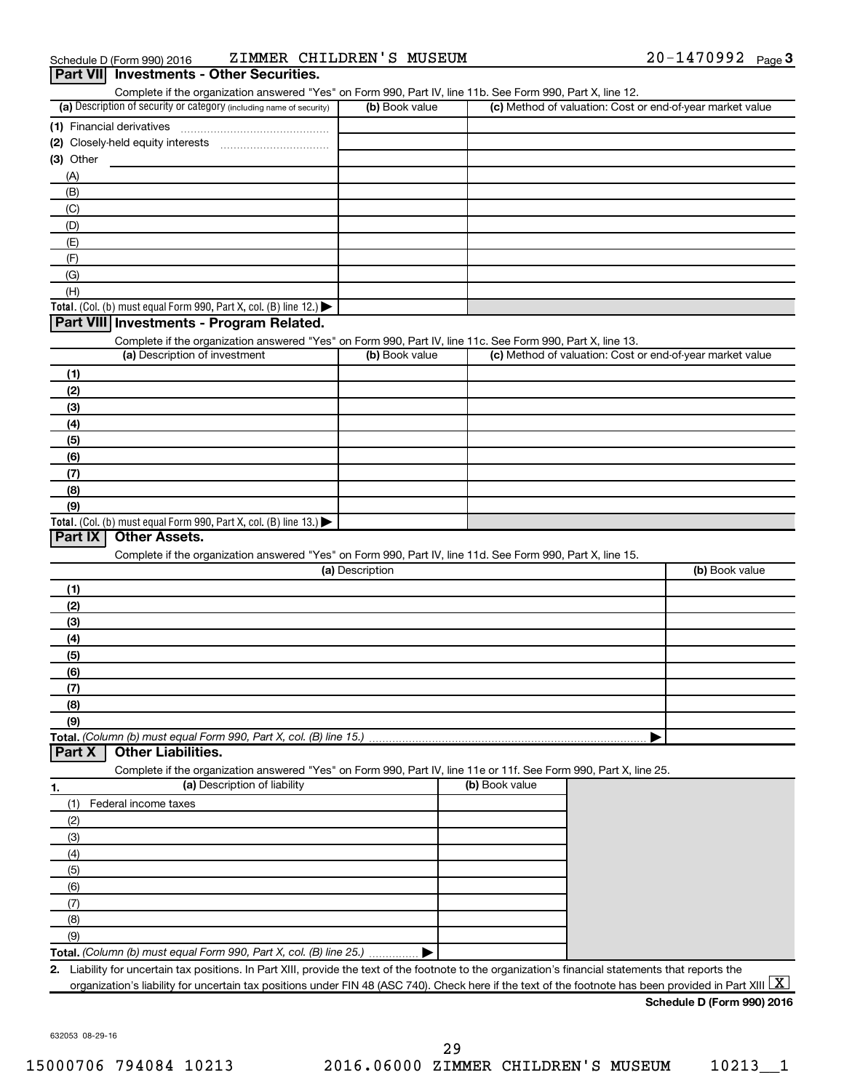| Schedule D (Form 990) 2016                      | ZIMMER CHILDREN'S MUSEUM | 20-1470992 | Page $3$ |
|-------------------------------------------------|--------------------------|------------|----------|
| <b>Part VII</b> Investments - Other Securities. |                          |            |          |

| (a) Description of security or category (including name of security)                                              | (b) Book value  | Complete if the organization answered "Yes" on Form 990, Part IV, line 11b. See Form 990, Part X, line 12.<br>(c) Method of valuation: Cost or end-of-year market value |                |
|-------------------------------------------------------------------------------------------------------------------|-----------------|-------------------------------------------------------------------------------------------------------------------------------------------------------------------------|----------------|
|                                                                                                                   |                 |                                                                                                                                                                         |                |
|                                                                                                                   |                 |                                                                                                                                                                         |                |
| $(3)$ Other                                                                                                       |                 |                                                                                                                                                                         |                |
| (A)                                                                                                               |                 |                                                                                                                                                                         |                |
| (B)                                                                                                               |                 |                                                                                                                                                                         |                |
| (C)                                                                                                               |                 |                                                                                                                                                                         |                |
| (D)                                                                                                               |                 |                                                                                                                                                                         |                |
| (E)                                                                                                               |                 |                                                                                                                                                                         |                |
| (F)                                                                                                               |                 |                                                                                                                                                                         |                |
| (G)                                                                                                               |                 |                                                                                                                                                                         |                |
| (H)                                                                                                               |                 |                                                                                                                                                                         |                |
| Total. (Col. (b) must equal Form 990, Part X, col. (B) line $12$ .)                                               |                 |                                                                                                                                                                         |                |
| Part VIII Investments - Program Related.                                                                          |                 |                                                                                                                                                                         |                |
| Complete if the organization answered "Yes" on Form 990, Part IV, line 11c. See Form 990, Part X, line 13.        |                 |                                                                                                                                                                         |                |
| (a) Description of investment                                                                                     | (b) Book value  | (c) Method of valuation: Cost or end-of-year market value                                                                                                               |                |
| (1)                                                                                                               |                 |                                                                                                                                                                         |                |
| (2)                                                                                                               |                 |                                                                                                                                                                         |                |
| (3)                                                                                                               |                 |                                                                                                                                                                         |                |
|                                                                                                                   |                 |                                                                                                                                                                         |                |
| (4)                                                                                                               |                 |                                                                                                                                                                         |                |
| (5)                                                                                                               |                 |                                                                                                                                                                         |                |
| (6)                                                                                                               |                 |                                                                                                                                                                         |                |
| (7)                                                                                                               |                 |                                                                                                                                                                         |                |
| (8)                                                                                                               |                 |                                                                                                                                                                         |                |
| (9)<br>Total. (Col. (b) must equal Form 990, Part X, col. (B) line 13.) $\blacktriangleright$                     |                 |                                                                                                                                                                         |                |
| <b>Other Assets.</b><br>Part IX                                                                                   |                 |                                                                                                                                                                         |                |
| Complete if the organization answered "Yes" on Form 990, Part IV, line 11d. See Form 990, Part X, line 15.        | (a) Description |                                                                                                                                                                         | (b) Book value |
| (1)                                                                                                               |                 |                                                                                                                                                                         |                |
|                                                                                                                   |                 |                                                                                                                                                                         |                |
|                                                                                                                   |                 |                                                                                                                                                                         |                |
| (2)                                                                                                               |                 |                                                                                                                                                                         |                |
| (3)                                                                                                               |                 |                                                                                                                                                                         |                |
| (4)                                                                                                               |                 |                                                                                                                                                                         |                |
| (5)                                                                                                               |                 |                                                                                                                                                                         |                |
| (6)                                                                                                               |                 |                                                                                                                                                                         |                |
| (7)                                                                                                               |                 |                                                                                                                                                                         |                |
| (8)                                                                                                               |                 |                                                                                                                                                                         |                |
| (9)                                                                                                               |                 |                                                                                                                                                                         |                |
|                                                                                                                   |                 |                                                                                                                                                                         |                |
| Total. (Column (b) must equal Form 990, Part X, col. (B) line 15.)<br><b>Other Liabilities.</b><br>Part X         |                 |                                                                                                                                                                         |                |
| Complete if the organization answered "Yes" on Form 990, Part IV, line 11e or 11f. See Form 990, Part X, line 25. |                 |                                                                                                                                                                         |                |
| (a) Description of liability                                                                                      |                 | (b) Book value                                                                                                                                                          |                |
| Federal income taxes<br>(1)                                                                                       |                 |                                                                                                                                                                         |                |
| 1.<br>(2)                                                                                                         |                 |                                                                                                                                                                         |                |
| (3)                                                                                                               |                 |                                                                                                                                                                         |                |
| (4)                                                                                                               |                 |                                                                                                                                                                         |                |
| (5)                                                                                                               |                 |                                                                                                                                                                         |                |
| (6)                                                                                                               |                 |                                                                                                                                                                         |                |
|                                                                                                                   |                 |                                                                                                                                                                         |                |
| (7)                                                                                                               |                 |                                                                                                                                                                         |                |
| (8)                                                                                                               |                 |                                                                                                                                                                         |                |
| (9)<br>Total. (Column (b) must equal Form 990, Part X, col. (B) line 25.)                                         |                 |                                                                                                                                                                         |                |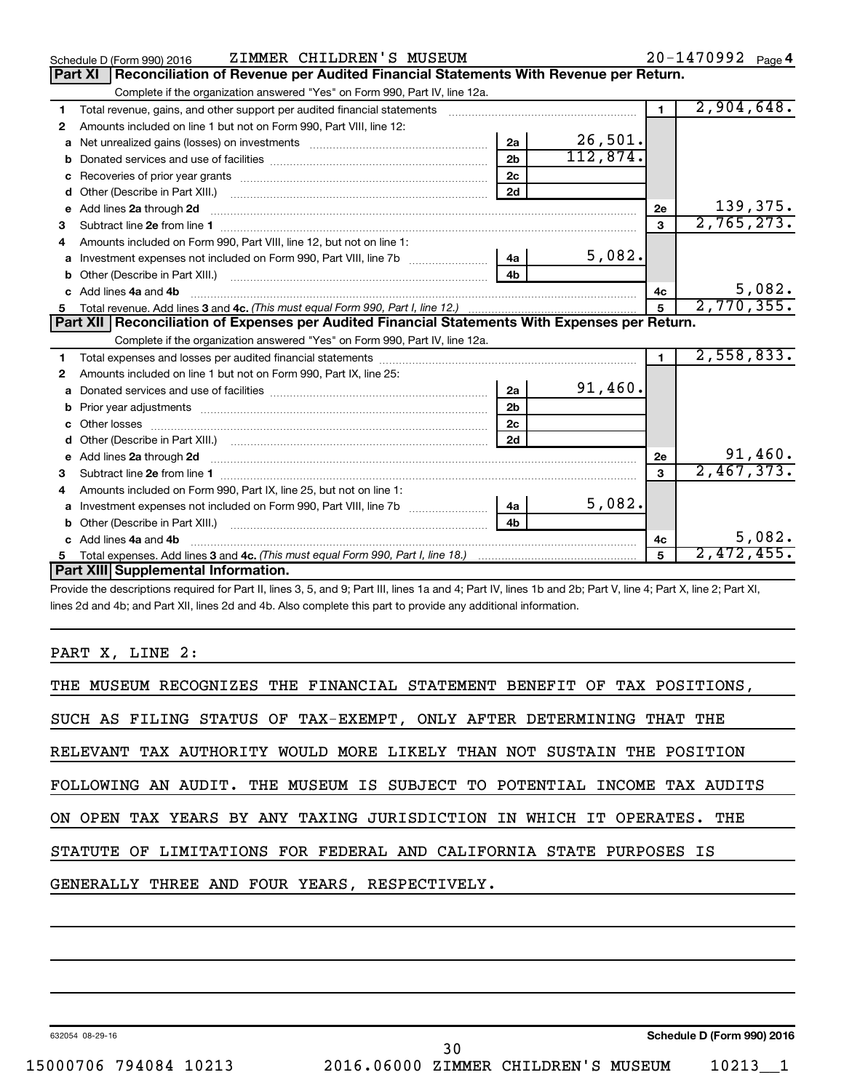|              | ZIMMER CHILDREN'S MUSEUM<br>Schedule D (Form 990) 2016                                                                                                                                                                              |                |            |                | 20-1470992 Page 4 |
|--------------|-------------------------------------------------------------------------------------------------------------------------------------------------------------------------------------------------------------------------------------|----------------|------------|----------------|-------------------|
|              | Reconciliation of Revenue per Audited Financial Statements With Revenue per Return.<br><b>Part XI</b>                                                                                                                               |                |            |                |                   |
|              | Complete if the organization answered "Yes" on Form 990, Part IV, line 12a.                                                                                                                                                         |                |            |                |                   |
| 1            | Total revenue, gains, and other support per audited financial statements [111] [11] Total revenue, gains, and other support per audited financial statements                                                                        |                |            | $\blacksquare$ | 2,904,648.        |
| 2            | Amounts included on line 1 but not on Form 990, Part VIII, line 12:                                                                                                                                                                 |                |            |                |                   |
| a            | Net unrealized gains (losses) on investments [11] matter contracts and the unrealized gains (losses) on investments                                                                                                                 | 2a             | 26,501.    |                |                   |
|              |                                                                                                                                                                                                                                     | 2 <sub>b</sub> | 112,874.   |                |                   |
| c            |                                                                                                                                                                                                                                     | 2c             |            |                |                   |
| d            |                                                                                                                                                                                                                                     | 2d             |            |                |                   |
| e            | Add lines 2a through 2d <b>continuum continuum contracts</b> and an analysis of the contract of the contract of the contract of the contract of the contract of the contract of the contract of the contract of the contract of the |                |            | 2e             | 139,375.          |
| 3            |                                                                                                                                                                                                                                     |                |            | 3              | 2,765,273.        |
|              | Amounts included on Form 990, Part VIII, line 12, but not on line 1:                                                                                                                                                                |                |            |                |                   |
|              | a Investment expenses not included on Form 990, Part VIII, line 7b [11, 111, 111, 111]                                                                                                                                              | 4a             | 5,082.     |                |                   |
|              |                                                                                                                                                                                                                                     | 4 <sub>h</sub> |            |                |                   |
| $\mathbf{c}$ | Add lines 4a and 4b                                                                                                                                                                                                                 |                |            | 4c             | 5,082.            |
| 5            |                                                                                                                                                                                                                                     | $\overline{5}$ | 2,770,355. |                |                   |
|              |                                                                                                                                                                                                                                     |                |            |                |                   |
|              | Part XII   Reconciliation of Expenses per Audited Financial Statements With Expenses per Return.                                                                                                                                    |                |            |                |                   |
|              | Complete if the organization answered "Yes" on Form 990, Part IV, line 12a.                                                                                                                                                         |                |            |                |                   |
| 1.           |                                                                                                                                                                                                                                     |                |            | $\mathbf{1}$   | 2,558,833.        |
| 2            | Amounts included on line 1 but not on Form 990, Part IX, line 25:                                                                                                                                                                   |                |            |                |                   |
| a            |                                                                                                                                                                                                                                     | 2a             | 91,460.    |                |                   |
| b            | Prior year adjustments [ www.communications of the contract of the contract of the contract of the contract of                                                                                                                      | 2 <sub>b</sub> |            |                |                   |
| c.           |                                                                                                                                                                                                                                     | 2c             |            |                |                   |
|              |                                                                                                                                                                                                                                     | 2d             |            |                |                   |
|              |                                                                                                                                                                                                                                     |                |            | 2e             | 91,460.           |
| 3            |                                                                                                                                                                                                                                     |                |            | 3              | 2,467,373.        |
| 4            | Amounts included on Form 990, Part IX, line 25, but not on line 1:                                                                                                                                                                  |                |            |                |                   |
| a            | Investment expenses not included on Form 990, Part VIII, line 7b [                                                                                                                                                                  | 4a             | 5,082.     |                |                   |
|              |                                                                                                                                                                                                                                     | 4 <sub>h</sub> |            |                |                   |
|              | c Add lines 4a and 4b                                                                                                                                                                                                               |                |            | 4с             | 5,082.            |
|              | Part XIII Supplemental Information.                                                                                                                                                                                                 |                |            | 5              | 2,472,455.        |

Provide the descriptions required for Part II, lines 3, 5, and 9; Part III, lines 1a and 4; Part IV, lines 1b and 2b; Part V, line 4; Part X, line 2; Part XI, lines 2d and 4b; and Part XII, lines 2d and 4b. Also complete this part to provide any additional information.

#### PART X, LINE 2:

| THE MUSEUM RECOGNIZES THE FINANCIAL STATEMENT BENEFIT OF TAX POSITIONS,  |
|--------------------------------------------------------------------------|
| SUCH AS FILING STATUS OF TAX-EXEMPT, ONLY AFTER DETERMINING THAT THE     |
| RELEVANT TAX AUTHORITY WOULD MORE LIKELY THAN NOT SUSTAIN THE POSITION   |
| FOLLOWING AN AUDIT. THE MUSEUM IS SUBJECT TO POTENTIAL INCOME TAX AUDITS |
| ON OPEN TAX YEARS BY ANY TAXING JURISDICTION IN WHICH IT OPERATES. THE   |
| STATUTE OF LIMITATIONS FOR FEDERAL AND CALIFORNIA STATE PURPOSES IS      |
| GENERALLY THREE AND FOUR YEARS, RESPECTIVELY.                            |
|                                                                          |

632054 08-29-16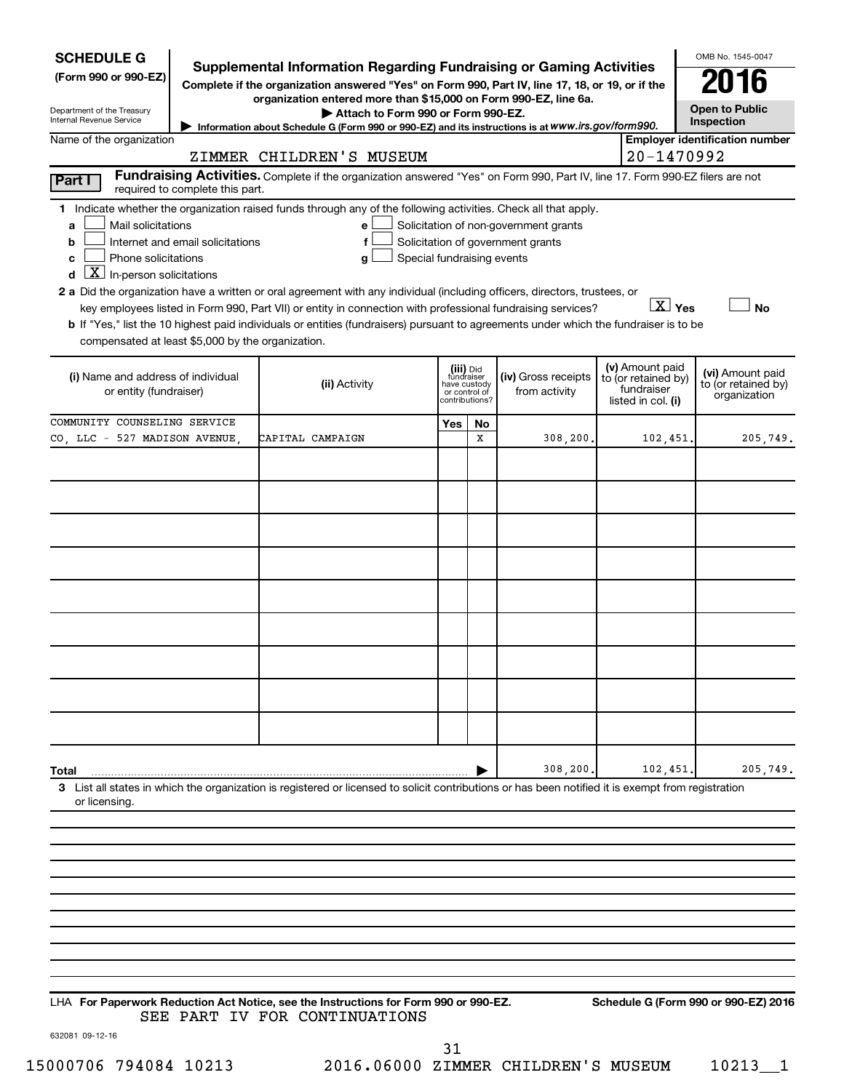| <b>SCHEDULE G</b><br>(Form 990 or 990-EZ)<br>Department of the Treasury<br>Internal Revenue Service                                                                                                    | <b>Supplemental Information Regarding Fundraising or Gaming Activities</b><br>Complete if the organization answered "Yes" on Form 990, Part IV, line 17, 18, or 19, or if the<br>organization entered more than \$15,000 on Form 990-EZ, line 6a.<br>Attach to Form 990 or Form 990-EZ.<br>Information about Schedule G (Form 990 or 990-EZ) and its instructions is at WWW.irs.gov/form990.                                                                                                                         |                            |    |                                                                            |  |                        | OMB No. 1545-0047<br><b>Open to Public</b><br><b>Inspection</b> |
|--------------------------------------------------------------------------------------------------------------------------------------------------------------------------------------------------------|----------------------------------------------------------------------------------------------------------------------------------------------------------------------------------------------------------------------------------------------------------------------------------------------------------------------------------------------------------------------------------------------------------------------------------------------------------------------------------------------------------------------|----------------------------|----|----------------------------------------------------------------------------|--|------------------------|-----------------------------------------------------------------|
| Name of the organization                                                                                                                                                                               |                                                                                                                                                                                                                                                                                                                                                                                                                                                                                                                      |                            |    |                                                                            |  |                        | <b>Employer identification number</b>                           |
|                                                                                                                                                                                                        | ZIMMER CHILDREN'S MUSEUM                                                                                                                                                                                                                                                                                                                                                                                                                                                                                             |                            |    |                                                                            |  | 20-1470992             |                                                                 |
| Part I<br>required to complete this part.                                                                                                                                                              | Fundraising Activities. Complete if the organization answered "Yes" on Form 990, Part IV, line 17. Form 990-EZ filers are not                                                                                                                                                                                                                                                                                                                                                                                        |                            |    |                                                                            |  |                        |                                                                 |
| Mail solicitations<br>a<br>Internet and email solicitations<br>b<br>Phone solicitations<br>c<br>$\boxed{\mathbf{X}}$ In-person solicitations<br>d<br>compensated at least \$5,000 by the organization. | 1 Indicate whether the organization raised funds through any of the following activities. Check all that apply.<br>e<br>f<br>g<br>2 a Did the organization have a written or oral agreement with any individual (including officers, directors, trustees, or<br>key employees listed in Form 990, Part VII) or entity in connection with professional fundraising services?<br>b If "Yes," list the 10 highest paid individuals or entities (fundraisers) pursuant to agreements under which the fundraiser is to be | Special fundraising events |    | Solicitation of non-government grants<br>Solicitation of government grants |  | $\boxed{\text{X}}$ Yes | <b>No</b>                                                       |
| or entity (fundraiser)                                                                                                                                                                                 | (v) Amount paid<br>(iii) Did<br>fundraiser<br>(iv) Gross receipts<br>(i) Name and address of individual<br>to (or retained by)<br>(ii) Activity<br>have custody<br>fundraiser<br>from activity<br>or control of<br>contributions?<br>listed in col. (i)                                                                                                                                                                                                                                                              |                            |    |                                                                            |  |                        | (vi) Amount paid<br>to (or retained by)<br>organization         |
| COMMUNITY COUNSELING SERVICE                                                                                                                                                                           |                                                                                                                                                                                                                                                                                                                                                                                                                                                                                                                      | Yes                        | No |                                                                            |  |                        |                                                                 |
| CO, LLC - 527 MADISON AVENUE                                                                                                                                                                           | CAPITAL CAMPAIGN                                                                                                                                                                                                                                                                                                                                                                                                                                                                                                     |                            | x  | 308,200,                                                                   |  | 102,451.               | 205,749.                                                        |
|                                                                                                                                                                                                        |                                                                                                                                                                                                                                                                                                                                                                                                                                                                                                                      |                            |    |                                                                            |  |                        |                                                                 |
|                                                                                                                                                                                                        |                                                                                                                                                                                                                                                                                                                                                                                                                                                                                                                      |                            |    |                                                                            |  |                        |                                                                 |
|                                                                                                                                                                                                        |                                                                                                                                                                                                                                                                                                                                                                                                                                                                                                                      |                            |    |                                                                            |  |                        |                                                                 |
|                                                                                                                                                                                                        |                                                                                                                                                                                                                                                                                                                                                                                                                                                                                                                      |                            |    |                                                                            |  |                        |                                                                 |
|                                                                                                                                                                                                        |                                                                                                                                                                                                                                                                                                                                                                                                                                                                                                                      |                            |    |                                                                            |  |                        |                                                                 |
|                                                                                                                                                                                                        |                                                                                                                                                                                                                                                                                                                                                                                                                                                                                                                      |                            |    |                                                                            |  |                        |                                                                 |
|                                                                                                                                                                                                        |                                                                                                                                                                                                                                                                                                                                                                                                                                                                                                                      |                            |    |                                                                            |  |                        |                                                                 |
| Total                                                                                                                                                                                                  | 3 List all states in which the organization is registered or licensed to solicit contributions or has been notified it is exempt from registration                                                                                                                                                                                                                                                                                                                                                                   |                            |    | 308,200.                                                                   |  | 102,451                | 205,749.                                                        |
| or licensing.                                                                                                                                                                                          |                                                                                                                                                                                                                                                                                                                                                                                                                                                                                                                      |                            |    |                                                                            |  |                        |                                                                 |
|                                                                                                                                                                                                        |                                                                                                                                                                                                                                                                                                                                                                                                                                                                                                                      |                            |    |                                                                            |  |                        |                                                                 |
|                                                                                                                                                                                                        |                                                                                                                                                                                                                                                                                                                                                                                                                                                                                                                      |                            |    |                                                                            |  |                        |                                                                 |

**For Paperwork Reduction Act Notice, see the Instructions for Form 990 or 990-EZ. Schedule G (Form 990 or 990-EZ) 2016** LHA SEE PART IV FOR CONTINUATIONS

632081 09-12-16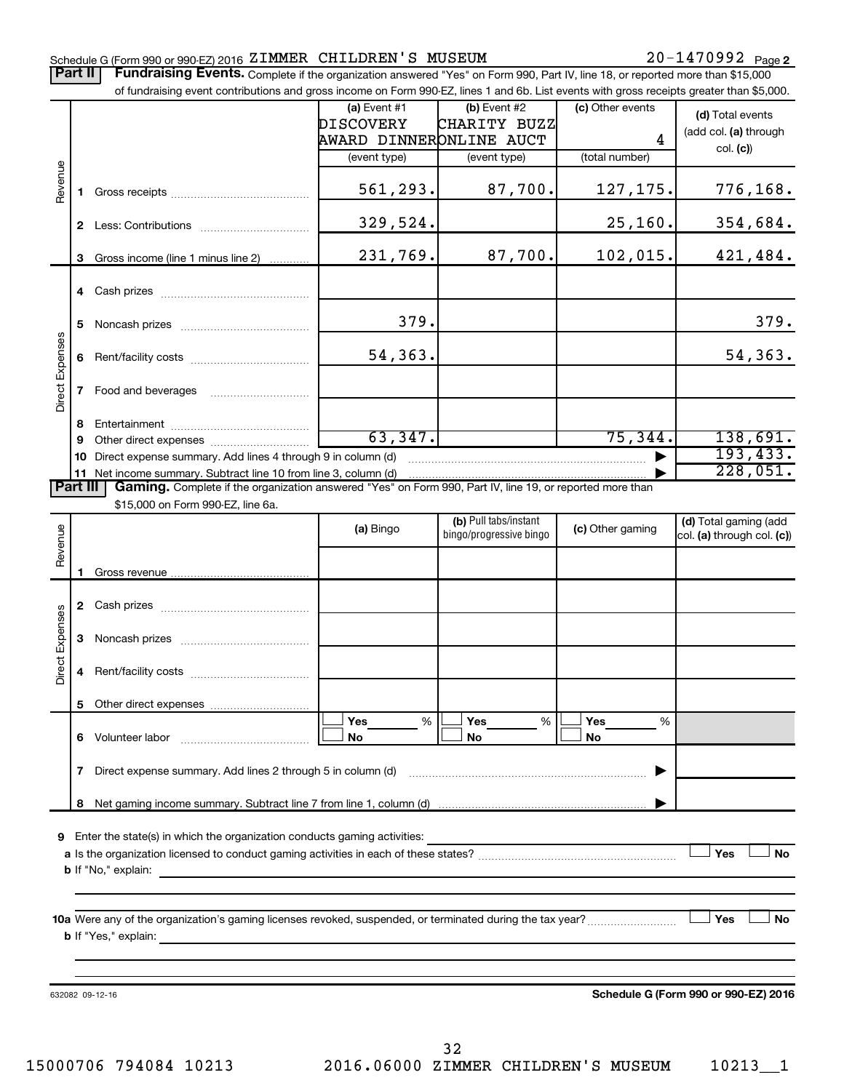#### Schedule G (Form 990 or 990-EZ) 2016  ${\tt ZIMMER\_CHILDREN}$   $^{\prime}$  S  ${\tt MUSEUM}$   $20-1470992$   $_{\rm Page}$

Part II | Fundraising Events. Complete if the organization answered "Yes" on Form 990, Part IV, line 18, or reported more than \$15,000 of fundraising event contributions and gross income on Form 990-EZ, lines 1 and 6b. List events with gross receipts greater than \$5,000.

|                 |   | or fundraising event contributions and gross income on Form 990-EZ, lines T and 6D. List events with gross receipts greater than \$5,000. |                         |                         |                  |                                                     |
|-----------------|---|-------------------------------------------------------------------------------------------------------------------------------------------|-------------------------|-------------------------|------------------|-----------------------------------------------------|
|                 |   |                                                                                                                                           | (a) Event $#1$          | $(b)$ Event #2          | (c) Other events | (d) Total events                                    |
|                 |   |                                                                                                                                           | DISCOVERY               | CHARITY BUZZ            |                  | (add col. (a) through                               |
|                 |   |                                                                                                                                           | AWARD DINNERONLINE AUCT |                         | 4                | col. (c)                                            |
|                 |   |                                                                                                                                           | (event type)            | (event type)            | (total number)   |                                                     |
| Revenue         |   |                                                                                                                                           | 561,293.                | 87,700.                 | 127,175.         | 776,168.                                            |
|                 |   |                                                                                                                                           | 329,524.                |                         | 25, 160.         | 354,684.                                            |
|                 |   | 3 Gross income (line 1 minus line 2)                                                                                                      | 231,769.                | 87,700.                 | 102,015.         | 421,484.                                            |
|                 |   |                                                                                                                                           |                         |                         |                  |                                                     |
|                 | 5 |                                                                                                                                           | 379.                    |                         |                  | 379.                                                |
|                 |   |                                                                                                                                           | 54,363.                 |                         |                  | 54,363.                                             |
| Direct Expenses |   | 7 Food and beverages                                                                                                                      |                         |                         |                  |                                                     |
|                 | 8 |                                                                                                                                           |                         |                         |                  |                                                     |
|                 | 9 |                                                                                                                                           | 63,347.                 |                         | 75, 344.         | 138,691.                                            |
|                 |   | 10 Direct expense summary. Add lines 4 through 9 in column (d)                                                                            |                         |                         |                  | 193, 433.                                           |
|                 |   | 11 Net income summary. Subtract line 10 from line 3, column (d)                                                                           |                         |                         |                  | 228,051.                                            |
| <b>Part III</b> |   | Gaming. Complete if the organization answered "Yes" on Form 990, Part IV, line 19, or reported more than                                  |                         |                         |                  |                                                     |
|                 |   | \$15,000 on Form 990-EZ, line 6a.                                                                                                         |                         | (b) Pull tabs/instant   |                  |                                                     |
| Revenue         |   |                                                                                                                                           | (a) Bingo               | bingo/progressive bingo | (c) Other gaming | (d) Total gaming (add<br>col. (a) through col. (c)) |
|                 |   |                                                                                                                                           |                         |                         |                  |                                                     |
|                 |   |                                                                                                                                           |                         |                         |                  |                                                     |
|                 |   |                                                                                                                                           |                         |                         |                  |                                                     |
| Direct Expenses | 3 |                                                                                                                                           |                         |                         |                  |                                                     |
|                 | 4 |                                                                                                                                           |                         |                         |                  |                                                     |
|                 |   |                                                                                                                                           |                         |                         |                  |                                                     |
|                 |   | 6 Volunteer labor                                                                                                                         | Yes<br>%<br>No          | %<br>Yes<br>No          | Yes<br>%<br>No   |                                                     |
|                 |   | 7 Direct expense summary. Add lines 2 through 5 in column (d)                                                                             |                         |                         |                  |                                                     |
|                 | 8 |                                                                                                                                           |                         |                         |                  |                                                     |
|                 |   |                                                                                                                                           |                         |                         |                  |                                                     |
| 9               |   | Enter the state(s) in which the organization conducts gaming activities:                                                                  |                         |                         |                  |                                                     |
|                 |   |                                                                                                                                           |                         |                         |                  | Yes<br>No                                           |
|                 |   |                                                                                                                                           |                         |                         |                  |                                                     |
|                 |   | <b>b</b> If "Yes," explain:                                                                                                               |                         |                         |                  | Yes<br>No                                           |
|                 |   |                                                                                                                                           |                         |                         |                  |                                                     |
|                 |   |                                                                                                                                           |                         |                         |                  |                                                     |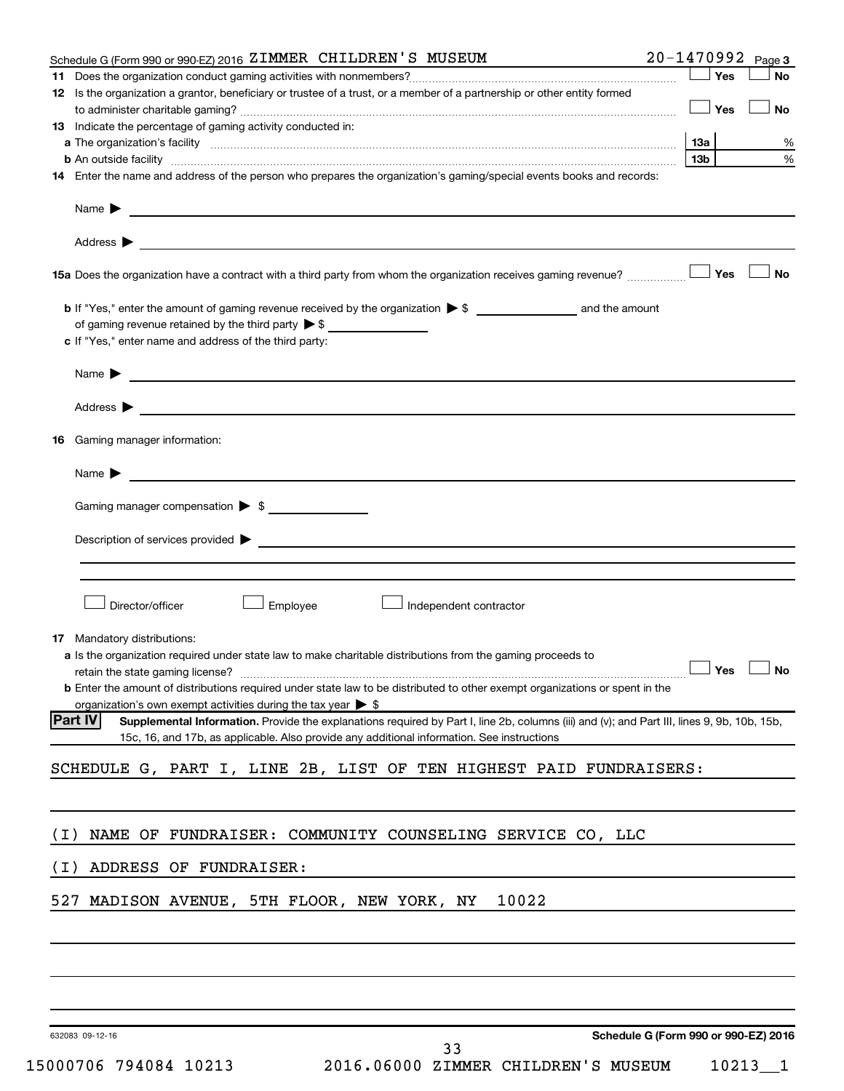|       | Schedule G (Form 990 or 990-EZ) 2016 ZIMMER CHILDREN'S MUSEUM                                                                                                                                                                                 | 20-1470992 Page 3                    |      |
|-------|-----------------------------------------------------------------------------------------------------------------------------------------------------------------------------------------------------------------------------------------------|--------------------------------------|------|
| 11.   |                                                                                                                                                                                                                                               | Yes                                  | No   |
|       | 12 Is the organization a grantor, beneficiary or trustee of a trust, or a member of a partnership or other entity formed                                                                                                                      | $\Box$ Yes                           | No   |
|       | 13 Indicate the percentage of gaming activity conducted in:                                                                                                                                                                                   |                                      |      |
|       |                                                                                                                                                                                                                                               | 13а                                  | %    |
|       | <b>b</b> An outside facility <i>www.communicality.communicality.communicality www.communicality.communicality.communicality</i>                                                                                                               | 13b                                  | $\%$ |
|       | 14 Enter the name and address of the person who prepares the organization's gaming/special events books and records:                                                                                                                          |                                      |      |
|       |                                                                                                                                                                                                                                               |                                      |      |
|       |                                                                                                                                                                                                                                               |                                      |      |
|       |                                                                                                                                                                                                                                               |                                      | ∣ No |
|       |                                                                                                                                                                                                                                               |                                      |      |
|       | of gaming revenue retained by the third party $\triangleright$ \$                                                                                                                                                                             |                                      |      |
|       | c If "Yes," enter name and address of the third party:                                                                                                                                                                                        |                                      |      |
|       | Name $\blacktriangleright$                                                                                                                                                                                                                    |                                      |      |
|       | Address > Natural Management of the Management of the Management of the Management of the Management of the Management of the Management of the Management of the Management of the Management of the Management of the Manage                |                                      |      |
| 16.   | Gaming manager information:                                                                                                                                                                                                                   |                                      |      |
|       | <u> 1989 - Johann Harry Harry Harry Harry Harry Harry Harry Harry Harry Harry Harry Harry Harry Harry Harry Harry</u><br>Name $\blacktriangleright$                                                                                           |                                      |      |
|       |                                                                                                                                                                                                                                               |                                      |      |
|       | Gaming manager compensation > \$                                                                                                                                                                                                              |                                      |      |
|       | Description of services provided <b>by the contract of the contract of services</b> provided <b>by the contract of the contract of the contract of the contract of the contract of the contract of the contract of the contract of th</b>     |                                      |      |
|       |                                                                                                                                                                                                                                               |                                      |      |
|       |                                                                                                                                                                                                                                               |                                      |      |
|       | Director/officer<br>Employee<br>Independent contractor                                                                                                                                                                                        |                                      |      |
|       | <b>17</b> Mandatory distributions:                                                                                                                                                                                                            |                                      |      |
|       | <b>a</b> Is the organization required under state law to make charitable distributions from the gaming proceeds to                                                                                                                            |                                      |      |
|       |                                                                                                                                                                                                                                               |                                      |      |
|       | <b>b</b> Enter the amount of distributions required under state law to be distributed to other exempt organizations or spent in the                                                                                                           |                                      |      |
|       | organization's own exempt activities during the tax year $\triangleright$ \$<br><b>Part IV</b><br>Supplemental Information. Provide the explanations required by Part I, line 2b, columns (iii) and (v); and Part III, lines 9, 9b, 10b, 15b, |                                      |      |
|       | 15c, 16, and 17b, as applicable. Also provide any additional information. See instructions                                                                                                                                                    |                                      |      |
|       | SCHEDULE G, PART I, LINE 2B, LIST OF TEN HIGHEST PAID FUNDRAISERS:                                                                                                                                                                            |                                      |      |
|       |                                                                                                                                                                                                                                               |                                      |      |
|       |                                                                                                                                                                                                                                               |                                      |      |
| ( I ) | NAME OF FUNDRAISER: COMMUNITY COUNSELING SERVICE CO, LLC                                                                                                                                                                                      |                                      |      |
| ( I ) | ADDRESS OF FUNDRAISER:                                                                                                                                                                                                                        |                                      |      |
|       | 10022<br>527 MADISON AVENUE, 5TH FLOOR, NEW YORK, NY                                                                                                                                                                                          |                                      |      |
|       |                                                                                                                                                                                                                                               |                                      |      |
|       |                                                                                                                                                                                                                                               |                                      |      |
|       |                                                                                                                                                                                                                                               |                                      |      |
|       |                                                                                                                                                                                                                                               | Schedule G (Form 990 or 990-EZ) 2016 |      |
|       | 632083 09-12-16<br>33                                                                                                                                                                                                                         |                                      |      |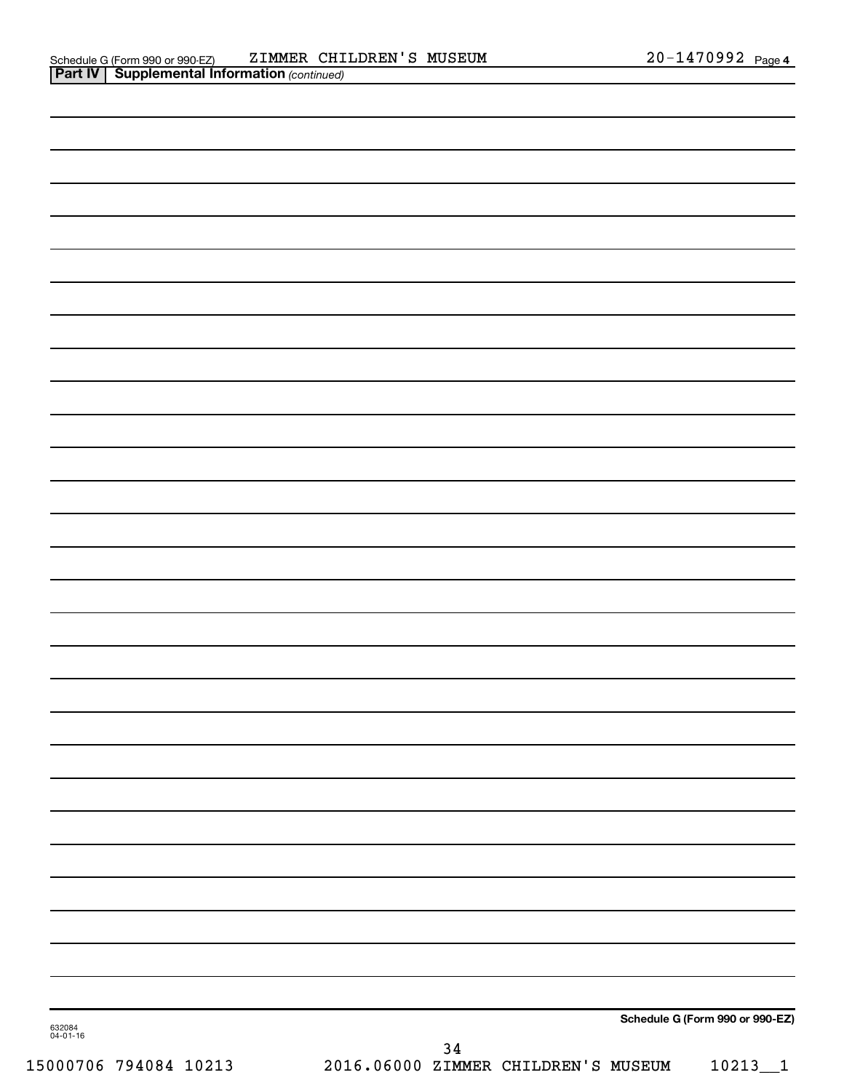| 632084<br>04-01-16 | 2 <sub>h</sub> |                                 |
|--------------------|----------------|---------------------------------|
|                    |                | Schedule G (Form 990 or 990-EZ) |
|                    |                |                                 |
|                    |                |                                 |
|                    |                |                                 |
|                    |                |                                 |
|                    |                |                                 |
|                    |                |                                 |
|                    |                |                                 |
|                    |                |                                 |
|                    |                |                                 |
|                    |                |                                 |
|                    |                |                                 |
|                    |                |                                 |
|                    |                |                                 |
|                    |                |                                 |
|                    |                |                                 |
|                    |                |                                 |
|                    |                |                                 |
|                    |                |                                 |
|                    |                |                                 |
|                    |                |                                 |
|                    |                |                                 |
|                    |                |                                 |
|                    |                |                                 |
|                    |                |                                 |
|                    |                |                                 |
|                    |                |                                 |
|                    |                |                                 |
|                    |                |                                 |
|                    |                |                                 |
|                    |                |                                 |
|                    |                |                                 |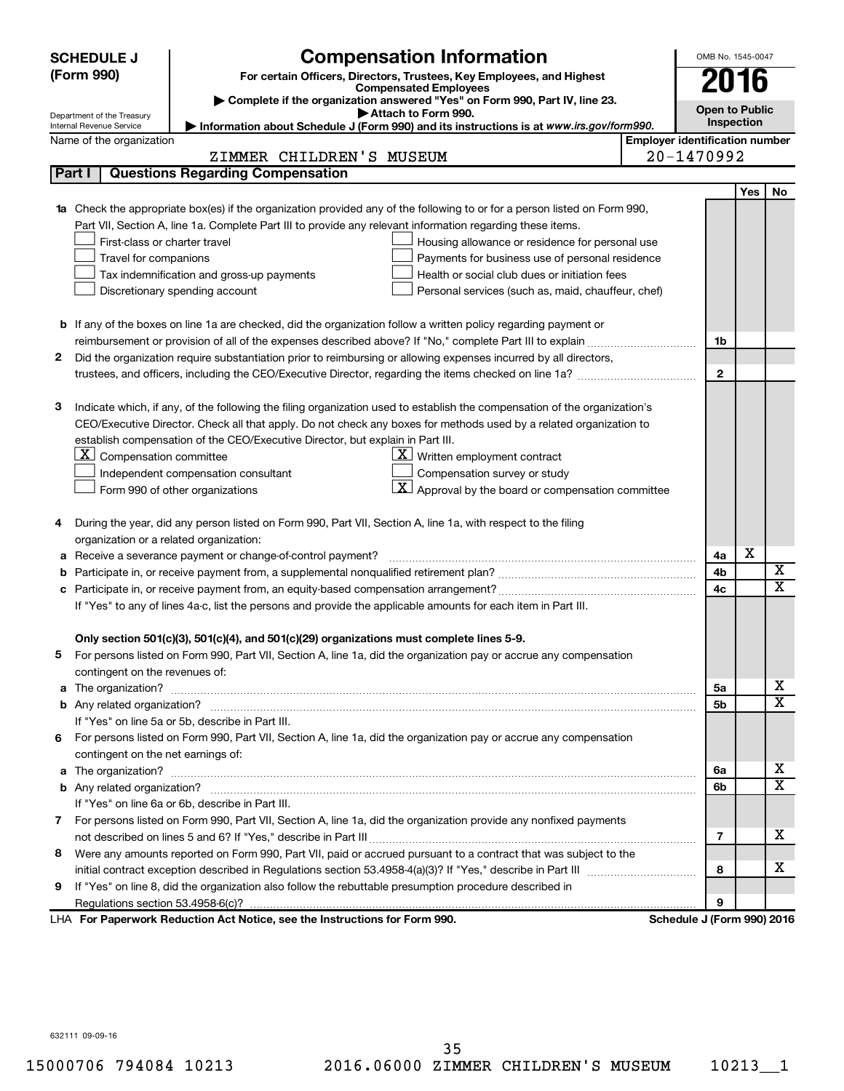|   | <b>SCHEDULE J</b>                       | <b>Compensation Information</b>                                                                                                  | OMB No. 1545-0047                     |            |                         |  |
|---|-----------------------------------------|----------------------------------------------------------------------------------------------------------------------------------|---------------------------------------|------------|-------------------------|--|
|   | (Form 990)                              | For certain Officers, Directors, Trustees, Key Employees, and Highest                                                            | 2016                                  |            |                         |  |
|   |                                         | <b>Compensated Employees</b>                                                                                                     |                                       |            |                         |  |
|   | Department of the Treasury              | Complete if the organization answered "Yes" on Form 990, Part IV, line 23.<br>Attach to Form 990.                                | <b>Open to Public</b>                 |            |                         |  |
|   | Internal Revenue Service                | Information about Schedule J (Form 990) and its instructions is at www.irs.gov/form990.                                          |                                       | Inspection |                         |  |
|   | Name of the organization                |                                                                                                                                  | <b>Employer identification number</b> |            |                         |  |
|   |                                         | ZIMMER CHILDREN'S MUSEUM                                                                                                         | 20-1470992                            |            |                         |  |
|   | Part I                                  | <b>Questions Regarding Compensation</b>                                                                                          |                                       |            |                         |  |
|   |                                         |                                                                                                                                  |                                       | Yes        | No                      |  |
|   |                                         | <b>1a</b> Check the appropriate box(es) if the organization provided any of the following to or for a person listed on Form 990, |                                       |            |                         |  |
|   |                                         | Part VII, Section A, line 1a. Complete Part III to provide any relevant information regarding these items.                       |                                       |            |                         |  |
|   | First-class or charter travel           | Housing allowance or residence for personal use                                                                                  |                                       |            |                         |  |
|   | Travel for companions                   | Payments for business use of personal residence                                                                                  |                                       |            |                         |  |
|   |                                         | Tax indemnification and gross-up payments<br>Health or social club dues or initiation fees                                       |                                       |            |                         |  |
|   |                                         | Discretionary spending account<br>Personal services (such as, maid, chauffeur, chef)                                             |                                       |            |                         |  |
|   |                                         |                                                                                                                                  |                                       |            |                         |  |
|   |                                         | <b>b</b> If any of the boxes on line 1a are checked, did the organization follow a written policy regarding payment or           |                                       |            |                         |  |
|   |                                         |                                                                                                                                  | 1b                                    |            |                         |  |
| 2 |                                         | Did the organization require substantiation prior to reimbursing or allowing expenses incurred by all directors,                 |                                       |            |                         |  |
|   |                                         |                                                                                                                                  | $\mathbf{2}$                          |            |                         |  |
| 3 |                                         | Indicate which, if any, of the following the filing organization used to establish the compensation of the organization's        |                                       |            |                         |  |
|   |                                         | CEO/Executive Director. Check all that apply. Do not check any boxes for methods used by a related organization to               |                                       |            |                         |  |
|   |                                         | establish compensation of the CEO/Executive Director, but explain in Part III.                                                   |                                       |            |                         |  |
|   | $X$ Compensation committee              | $\underline{\mathbf{X}}$ Written employment contract                                                                             |                                       |            |                         |  |
|   |                                         | Compensation survey or study<br>Independent compensation consultant                                                              |                                       |            |                         |  |
|   |                                         | $ \mathbf{X} $ Approval by the board or compensation committee<br>Form 990 of other organizations                                |                                       |            |                         |  |
|   |                                         |                                                                                                                                  |                                       |            |                         |  |
| 4 |                                         | During the year, did any person listed on Form 990, Part VII, Section A, line 1a, with respect to the filing                     |                                       |            |                         |  |
|   | organization or a related organization: |                                                                                                                                  |                                       |            |                         |  |
| а |                                         | Receive a severance payment or change-of-control payment?                                                                        | 4a                                    | х          |                         |  |
| b |                                         |                                                                                                                                  | 4b                                    |            | х                       |  |
|   |                                         |                                                                                                                                  | 4c                                    |            | $\overline{\textbf{x}}$ |  |
|   |                                         | If "Yes" to any of lines 4a-c, list the persons and provide the applicable amounts for each item in Part III.                    |                                       |            |                         |  |
|   |                                         |                                                                                                                                  |                                       |            |                         |  |
|   |                                         | Only section 501(c)(3), 501(c)(4), and 501(c)(29) organizations must complete lines 5-9.                                         |                                       |            |                         |  |
|   |                                         | For persons listed on Form 990, Part VII, Section A, line 1a, did the organization pay or accrue any compensation                |                                       |            |                         |  |
|   | contingent on the revenues of:          |                                                                                                                                  |                                       |            |                         |  |
|   |                                         |                                                                                                                                  | 5а                                    |            | х                       |  |
|   |                                         |                                                                                                                                  | 5b                                    |            | х                       |  |
|   |                                         | If "Yes" on line 5a or 5b, describe in Part III.                                                                                 |                                       |            |                         |  |
|   |                                         | 6 For persons listed on Form 990, Part VII, Section A, line 1a, did the organization pay or accrue any compensation              |                                       |            |                         |  |
|   | contingent on the net earnings of:      |                                                                                                                                  |                                       |            |                         |  |
|   |                                         |                                                                                                                                  | 6a                                    |            | х                       |  |
|   |                                         |                                                                                                                                  | 6b                                    |            | х                       |  |
|   |                                         | If "Yes" on line 6a or 6b, describe in Part III.                                                                                 |                                       |            |                         |  |
|   |                                         | 7 For persons listed on Form 990, Part VII, Section A, line 1a, did the organization provide any nonfixed payments               |                                       |            |                         |  |
|   |                                         |                                                                                                                                  | 7                                     |            | х                       |  |
|   |                                         | 8 Were any amounts reported on Form 990, Part VII, paid or accrued pursuant to a contract that was subject to the                |                                       |            |                         |  |
|   |                                         |                                                                                                                                  | 8                                     |            | х                       |  |
| 9 |                                         | If "Yes" on line 8, did the organization also follow the rebuttable presumption procedure described in                           |                                       |            |                         |  |
|   |                                         |                                                                                                                                  | 9                                     |            |                         |  |
|   |                                         | LHA For Paperwork Reduction Act Notice, see the Instructions for Form 990.                                                       | Schedule J (Form 990) 2016            |            |                         |  |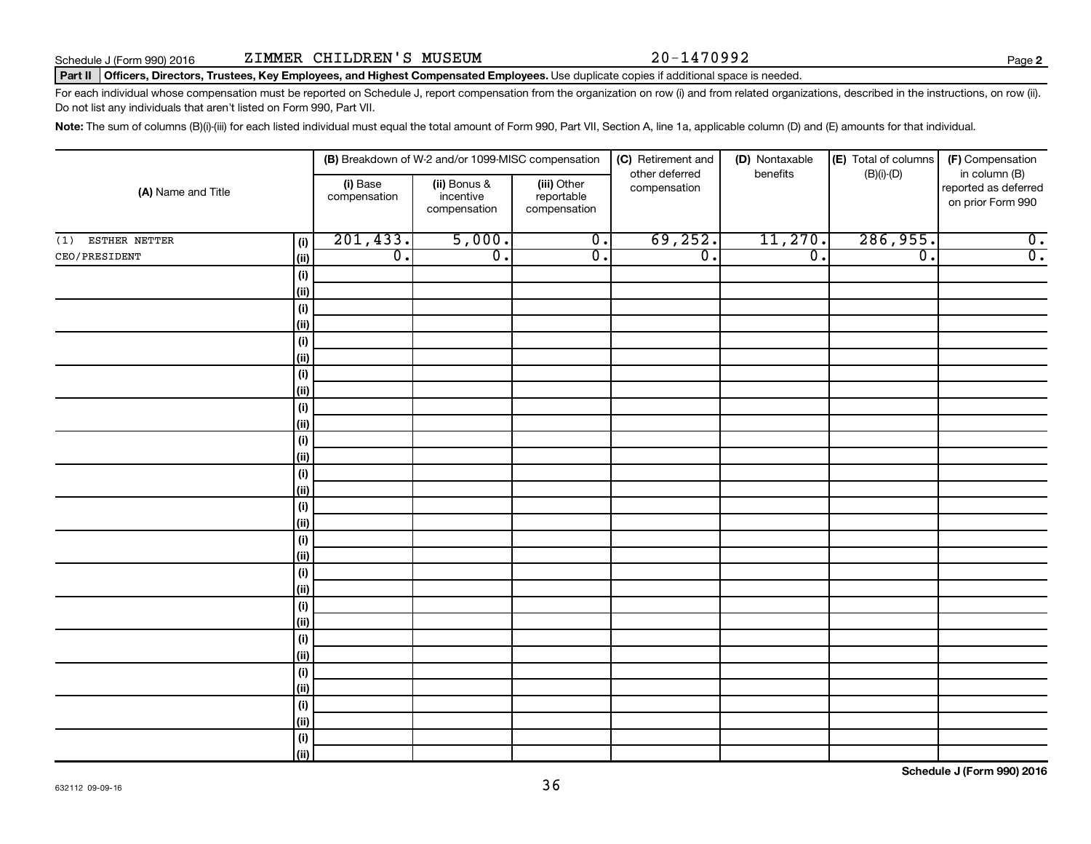**2**

#### Part II | Officers, Directors, Trustees, Key Employees, and Highest Compensated Employees. Use duplicate copies if additional space is needed.

For each individual whose compensation must be reported on Schedule J, report compensation from the organization on row (i) and from related organizations, described in the instructions, on row (ii). Do not list any individuals that aren't listed on Form 990, Part VII.

Note: The sum of columns (B)(i)-(iii) for each listed individual must equal the total amount of Form 990, Part VII, Section A, line 1a, applicable column (D) and (E) amounts for that individual.

| (A) Name and Title   |                    | (B) Breakdown of W-2 and/or 1099-MISC compensation |                                           | (C) Retirement and<br>other deferred      | (D) Nontaxable<br>benefits  | (E) Total of columns | (F) Compensation            |                                                            |
|----------------------|--------------------|----------------------------------------------------|-------------------------------------------|-------------------------------------------|-----------------------------|----------------------|-----------------------------|------------------------------------------------------------|
|                      |                    | (i) Base<br>compensation                           | (ii) Bonus &<br>incentive<br>compensation | (iii) Other<br>reportable<br>compensation | compensation                |                      | $(B)(i)$ - $(D)$            | in column (B)<br>reported as deferred<br>on prior Form 990 |
| ESTHER NETTER<br>(1) | (i)                | 201, 433.                                          | 5,000.                                    | $\overline{0}$ .                          | 69, 252.                    | 11,270.              | 286,955.                    | $\overline{0}$ .                                           |
| CEO/PRESIDENT        | (ii)               | $\overline{\mathfrak{o}}$ .                        | $\overline{0}$ .                          | $\overline{0}$ .                          | $\overline{\mathfrak{o}}$ . | $\overline{0}$ .     | $\overline{\mathfrak{o}}$ . | $\overline{0}$ .                                           |
|                      | (i)                |                                                    |                                           |                                           |                             |                      |                             |                                                            |
|                      | (ii)               |                                                    |                                           |                                           |                             |                      |                             |                                                            |
|                      | $(\sf{i})$         |                                                    |                                           |                                           |                             |                      |                             |                                                            |
|                      | (ii)               |                                                    |                                           |                                           |                             |                      |                             |                                                            |
|                      | $(\sf{i})$         |                                                    |                                           |                                           |                             |                      |                             |                                                            |
|                      | (ii)               |                                                    |                                           |                                           |                             |                      |                             |                                                            |
|                      | $(\sf{i})$         |                                                    |                                           |                                           |                             |                      |                             |                                                            |
|                      | (ii)               |                                                    |                                           |                                           |                             |                      |                             |                                                            |
|                      | $(\sf{i})$         |                                                    |                                           |                                           |                             |                      |                             |                                                            |
|                      | (ii)               |                                                    |                                           |                                           |                             |                      |                             |                                                            |
|                      | $(\sf{i})$         |                                                    |                                           |                                           |                             |                      |                             |                                                            |
|                      | (ii)               |                                                    |                                           |                                           |                             |                      |                             |                                                            |
|                      | $(\sf{i})$<br>(ii) |                                                    |                                           |                                           |                             |                      |                             |                                                            |
|                      |                    |                                                    |                                           |                                           |                             |                      |                             |                                                            |
|                      | $(\sf{i})$<br>(ii) |                                                    |                                           |                                           |                             |                      |                             |                                                            |
|                      | $(\sf{i})$         |                                                    |                                           |                                           |                             |                      |                             |                                                            |
|                      | (ii)               |                                                    |                                           |                                           |                             |                      |                             |                                                            |
|                      | $(\sf{i})$         |                                                    |                                           |                                           |                             |                      |                             |                                                            |
|                      | (ii)               |                                                    |                                           |                                           |                             |                      |                             |                                                            |
|                      | $(\sf{i})$         |                                                    |                                           |                                           |                             |                      |                             |                                                            |
|                      | (ii)               |                                                    |                                           |                                           |                             |                      |                             |                                                            |
|                      | $(\sf{i})$         |                                                    |                                           |                                           |                             |                      |                             |                                                            |
|                      | (ii)               |                                                    |                                           |                                           |                             |                      |                             |                                                            |
|                      | $(\sf{i})$         |                                                    |                                           |                                           |                             |                      |                             |                                                            |
|                      | (ii)               |                                                    |                                           |                                           |                             |                      |                             |                                                            |
|                      | $(\sf{i})$         |                                                    |                                           |                                           |                             |                      |                             |                                                            |
|                      | (ii)               |                                                    |                                           |                                           |                             |                      |                             |                                                            |
|                      | $(\sf{i})$         |                                                    |                                           |                                           |                             |                      |                             |                                                            |
|                      | (ii)               |                                                    |                                           |                                           |                             |                      |                             |                                                            |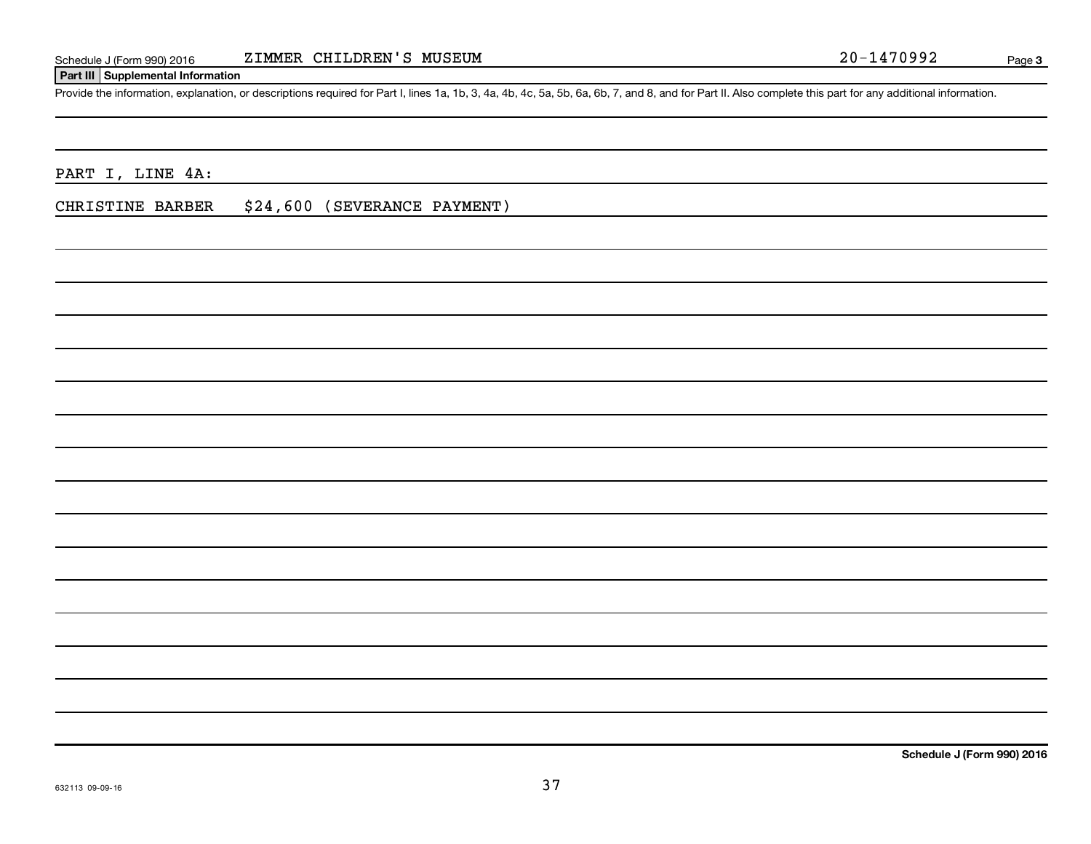#### **Part III Supplemental Information**

Provide the information, explanation, or descriptions required for Part I, lines 1a, 1b, 3, 4a, 4b, 4c, 5a, 5b, 6a, 6b, 7, and 8, and for Part II. Also complete this part for any additional information.

PART I, LINE 4A:

CHRISTINE BARBER \$24,600 (SEVERANCE PAYMENT)

**Schedule J (Form 990) 2016**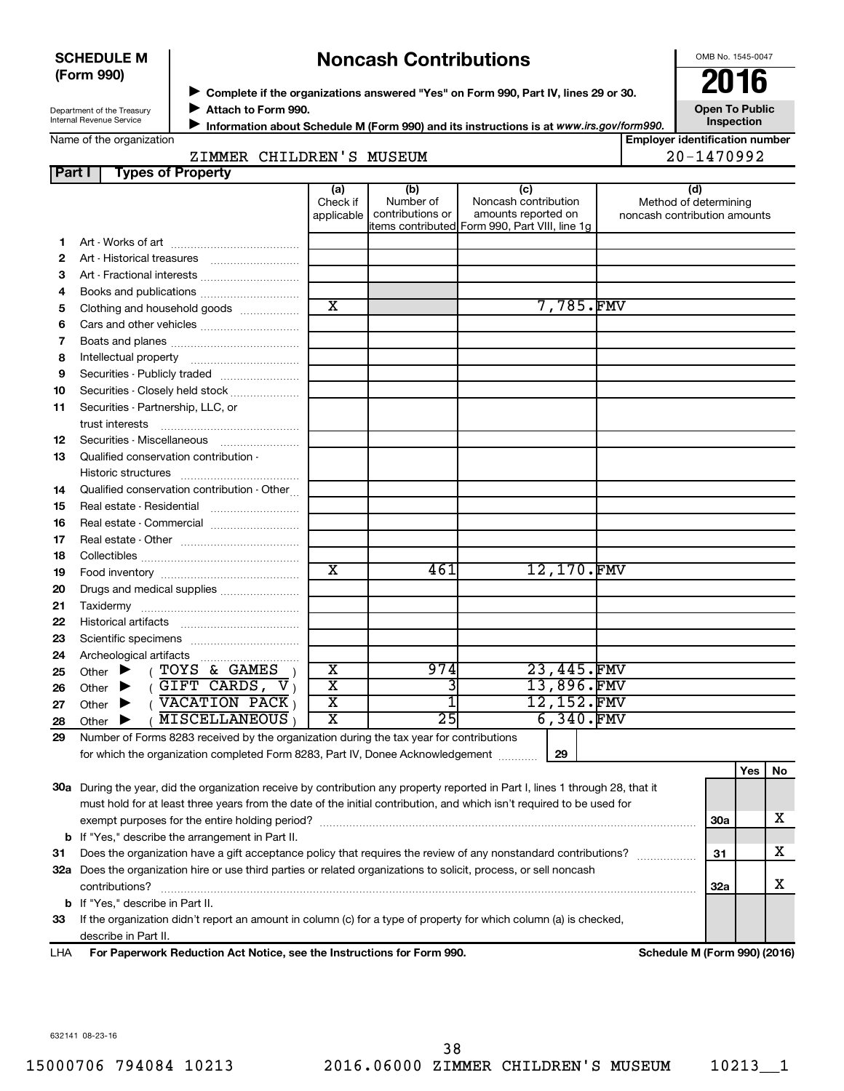#### **SCHEDULE M (Form 990)**

# **Noncash Contributions**

OMB No. 1545-0047

| Department of the Treasury |
|----------------------------|
| Internal Revenue Service   |

◆ Complete if the organizations answered "Yes" on Form 990, Part IV, lines 29 or 30.<br>● Complete if the organizations answered "Yes" on Form 990, Part IV, lines 29 or 30. **Attach to Form 990.**  $\blacktriangleright$ 

**Open To Public Inspection**

**E**mumber

|  | Name of the organization |
|--|--------------------------|
|  |                          |

J

**Information about Schedule M (Form 990) and its instructions is at**  *www.irs.gov/form990.*

| <b>Employer identification</b> |  |       |  |
|--------------------------------|--|-------|--|
|                                |  | 1.7.0 |  |

|      | ZIMMER            | CHILDREN'S      | MUSEUM           |                            | $20 - 1470992$                                                                                                       |
|------|-------------------|-----------------|------------------|----------------------------|----------------------------------------------------------------------------------------------------------------------|
| Part | Types of Property |                 |                  |                            |                                                                                                                      |
|      |                   | (a)<br>$Q = 25$ | (b)<br>Number of | (C<br>Nanogob contribution | (d<br>A A subject of the state in the set of the set of the set of the set of the set of the set of the set of the s |

|    |                                                                                              | Check if                | Number of        | Noncash contribution                                                  | Method of determining        |
|----|----------------------------------------------------------------------------------------------|-------------------------|------------------|-----------------------------------------------------------------------|------------------------------|
|    |                                                                                              | applicable              | contributions or | amounts reported on<br>items contributed Form 990, Part VIII, line 1g | noncash contribution amounts |
| 1. |                                                                                              |                         |                  |                                                                       |                              |
| 2  |                                                                                              |                         |                  |                                                                       |                              |
| З  |                                                                                              |                         |                  |                                                                       |                              |
| 4  |                                                                                              |                         |                  |                                                                       |                              |
| 5  | Clothing and household goods                                                                 | $\overline{\textbf{x}}$ |                  | 7,785.FMV                                                             |                              |
| 6  |                                                                                              |                         |                  |                                                                       |                              |
| 7  |                                                                                              |                         |                  |                                                                       |                              |
| 8  |                                                                                              |                         |                  |                                                                       |                              |
| 9  | Securities - Publicly traded                                                                 |                         |                  |                                                                       |                              |
| 10 | Securities - Closely held stock                                                              |                         |                  |                                                                       |                              |
| 11 | Securities - Partnership, LLC, or                                                            |                         |                  |                                                                       |                              |
|    | trust interests                                                                              |                         |                  |                                                                       |                              |
| 12 | Securities - Miscellaneous                                                                   |                         |                  |                                                                       |                              |
| 13 | Qualified conservation contribution -                                                        |                         |                  |                                                                       |                              |
|    | Historic structures                                                                          |                         |                  |                                                                       |                              |
| 14 | Qualified conservation contribution - Other                                                  |                         |                  |                                                                       |                              |
| 15 | Real estate - Residential                                                                    |                         |                  |                                                                       |                              |
| 16 | Real estate - Commercial                                                                     |                         |                  |                                                                       |                              |
| 17 |                                                                                              |                         |                  |                                                                       |                              |
| 18 |                                                                                              |                         |                  |                                                                       |                              |
| 19 |                                                                                              | $\overline{\texttt{x}}$ | 461              | 12,170.FMV                                                            |                              |
| 20 | Drugs and medical supplies                                                                   |                         |                  |                                                                       |                              |
| 21 |                                                                                              |                         |                  |                                                                       |                              |
| 22 |                                                                                              |                         |                  |                                                                       |                              |
| 23 |                                                                                              |                         |                  |                                                                       |                              |
| 24 |                                                                                              |                         |                  |                                                                       |                              |
| 25 | (TOYS & GAMES<br>Other $\blacktriangleright$                                                 | $\overline{\text{x}}$   | 974              | 23,445.FMV                                                            |                              |
| 26 | $($ GIFT CARDS, $V_1$<br>Other $\blacktriangleright$                                         | $\overline{\text{x}}$   | 3                | 13,896.FMV                                                            |                              |
| 27 | $($ $\overline{\text{VACATION}}$ $\overline{\text{PACK}}$ $)$<br>Other $\blacktriangleright$ | $\overline{\text{x}}$   | $\overline{1}$   | 12,152.FMV                                                            |                              |
| 28 | <b>MISCELLANEOUS</b><br>Other $\blacktriangleright$                                          | $\overline{\text{x}}$   | $\overline{25}$  | 6,340.FMV                                                             |                              |
| 29 | Number of Forms 8283 received by the organization during the tax year for contributions      |                         |                  |                                                                       |                              |
|    | for which the organization completed Form 8283, Part IV, Donee Acknowledgement               |                         |                  | 29                                                                    |                              |
|    |                                                                                              |                         |                  |                                                                       | Yes   No                     |

|    |                                                                                                                                                                                                                                                         |     | . |  |
|----|---------------------------------------------------------------------------------------------------------------------------------------------------------------------------------------------------------------------------------------------------------|-----|---|--|
|    | 30a During the year, did the organization receive by contribution any property reported in Part I, lines 1 through 28, that it<br>must hold for at least three years from the date of the initial contribution, and which isn't required to be used for |     |   |  |
|    | exempt purposes for the entire holding period?                                                                                                                                                                                                          | 30a |   |  |
|    | <b>b</b> If "Yes," describe the arrangement in Part II.                                                                                                                                                                                                 |     |   |  |
| 31 | Does the organization have a gift acceptance policy that requires the review of any nonstandard contributions?                                                                                                                                          | 31  |   |  |
|    | 32a Does the organization hire or use third parties or related organizations to solicit, process, or sell noncash<br>contributions?                                                                                                                     | 32a |   |  |
|    | <b>b</b> If "Yes," describe in Part II.                                                                                                                                                                                                                 |     |   |  |
| 33 | If the organization didn't report an amount in column (c) for a type of property for which column (a) is checked,                                                                                                                                       |     |   |  |
|    | describe in Part II.                                                                                                                                                                                                                                    |     |   |  |
|    |                                                                                                                                                                                                                                                         |     |   |  |

**For Paperwork Reduction Act Notice, see the Instructions for Form 990. Schedule M (Form 990) (2016)** LHA

632141 08-23-16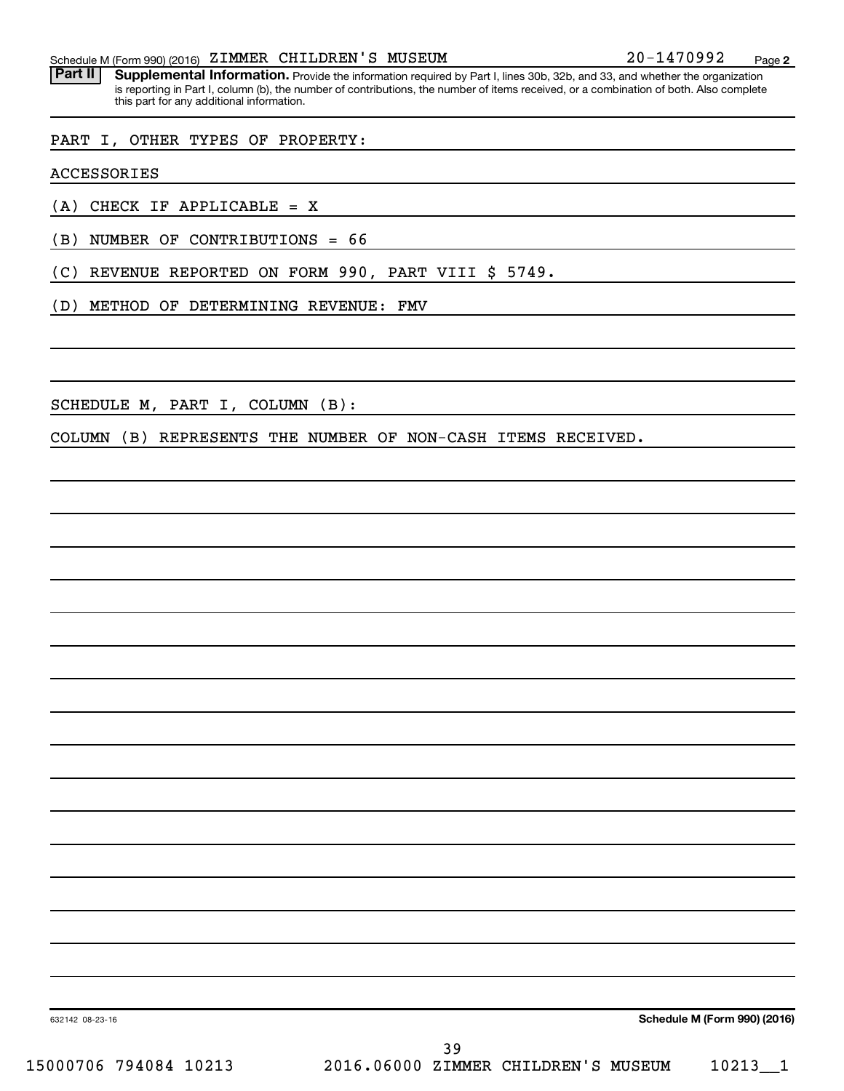Part II | Supplemental Information. Provide the information required by Part I, lines 30b, 32b, and 33, and whether the organization is reporting in Part I, column (b), the number of contributions, the number of items received, or a combination of both. Also complete this part for any additional information.

#### PART I, OTHER TYPES OF PROPERTY:

ACCESSORIES

(A) CHECK IF APPLICABLE = X

(B) NUMBER OF CONTRIBUTIONS = 66

(C) REVENUE REPORTED ON FORM 990, PART VIII \$ 5749.

(D) METHOD OF DETERMINING REVENUE: FMV

SCHEDULE M, PART I, COLUMN (B):

COLUMN (B) REPRESENTS THE NUMBER OF NON-CASH ITEMS RECEIVED.

632142 08-23-16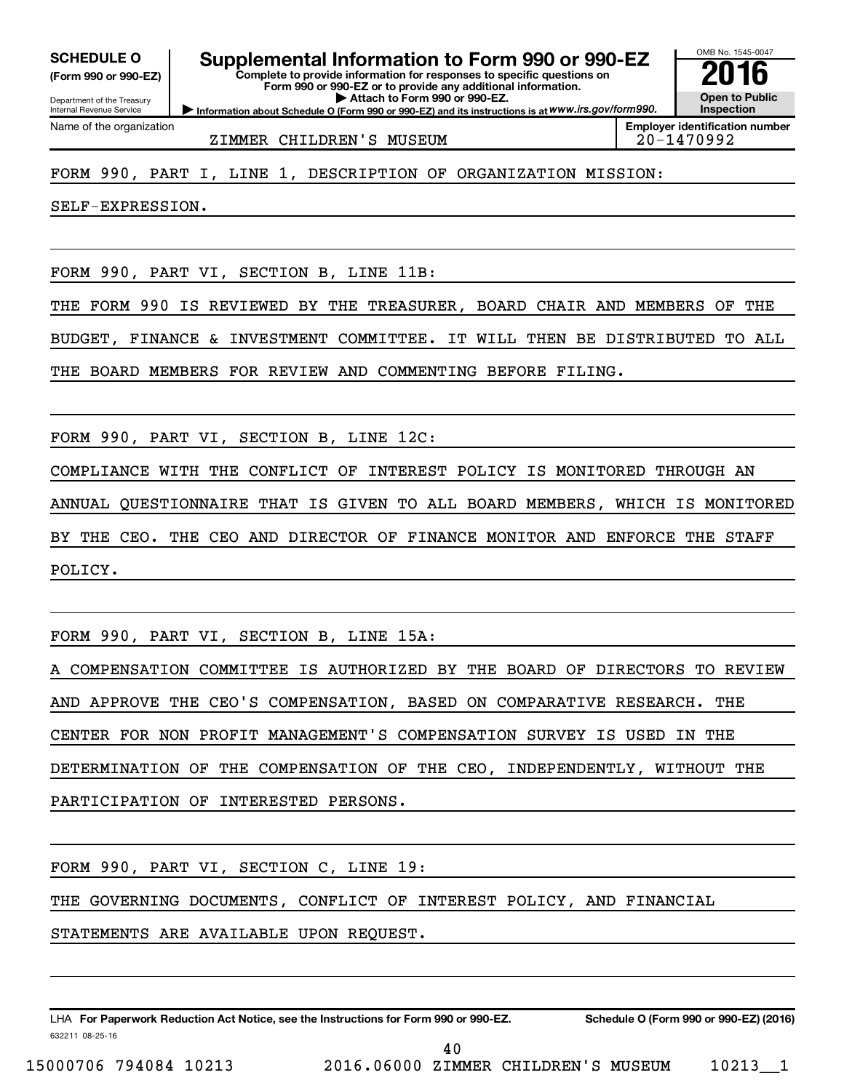**(Form 990 or 990-EZ)**

Department of the Treasury Internal Revenue Service Name of the organization

**SCHEDULE O Supplemental Information to Form 990 or 990-EZ 2016**

**Complete to provide information for responses to specific questions on Form 990 or 990-EZ or to provide any additional information. | Attach to Form 990 or 990-EZ.**

**Information about Schedule O (Form 990 or 990-EZ) and its instructions is at WWW.irs.gov/form990.** 

OMB No. 1545-0047 **Open to Public Inspection**

**Employer identification number**

ZIMMER CHILDREN'S MUSEUM 20-1470992

FORM 990, PART I, LINE 1, DESCRIPTION OF ORGANIZATION MISSION:

SELF-EXPRESSION.

FORM 990, PART VI, SECTION B, LINE 11B:

THE FORM 990 IS REVIEWED BY THE TREASURER, BOARD CHAIR AND MEMBERS OF THE

BUDGET, FINANCE & INVESTMENT COMMITTEE. IT WILL THEN BE DISTRIBUTED TO ALL

THE BOARD MEMBERS FOR REVIEW AND COMMENTING BEFORE FILING.

FORM 990, PART VI, SECTION B, LINE 12C:

COMPLIANCE WITH THE CONFLICT OF INTEREST POLICY IS MONITORED THROUGH AN ANNUAL QUESTIONNAIRE THAT IS GIVEN TO ALL BOARD MEMBERS, WHICH IS MONITORED BY THE CEO. THE CEO AND DIRECTOR OF FINANCE MONITOR AND ENFORCE THE STAFF POLICY.

FORM 990, PART VI, SECTION B, LINE 15A:

A COMPENSATION COMMITTEE IS AUTHORIZED BY THE BOARD OF DIRECTORS TO REVIEW AND APPROVE THE CEO'S COMPENSATION, BASED ON COMPARATIVE RESEARCH. THE CENTER FOR NON PROFIT MANAGEMENT'S COMPENSATION SURVEY IS USED IN THE DETERMINATION OF THE COMPENSATION OF THE CEO, INDEPENDENTLY, WITHOUT THE PARTICIPATION OF INTERESTED PERSONS.

FORM 990, PART VI, SECTION C, LINE 19:

THE GOVERNING DOCUMENTS, CONFLICT OF INTEREST POLICY, AND FINANCIAL

STATEMENTS ARE AVAILABLE UPON REQUEST.

632211 08-25-16 LHA For Paperwork Reduction Act Notice, see the Instructions for Form 990 or 990-EZ. Schedule O (Form 990 or 990-EZ) (2016)

15000706 794084 10213 2016.06000 ZIMMER CHILDREN'S MUSEUM 10213\_\_1

40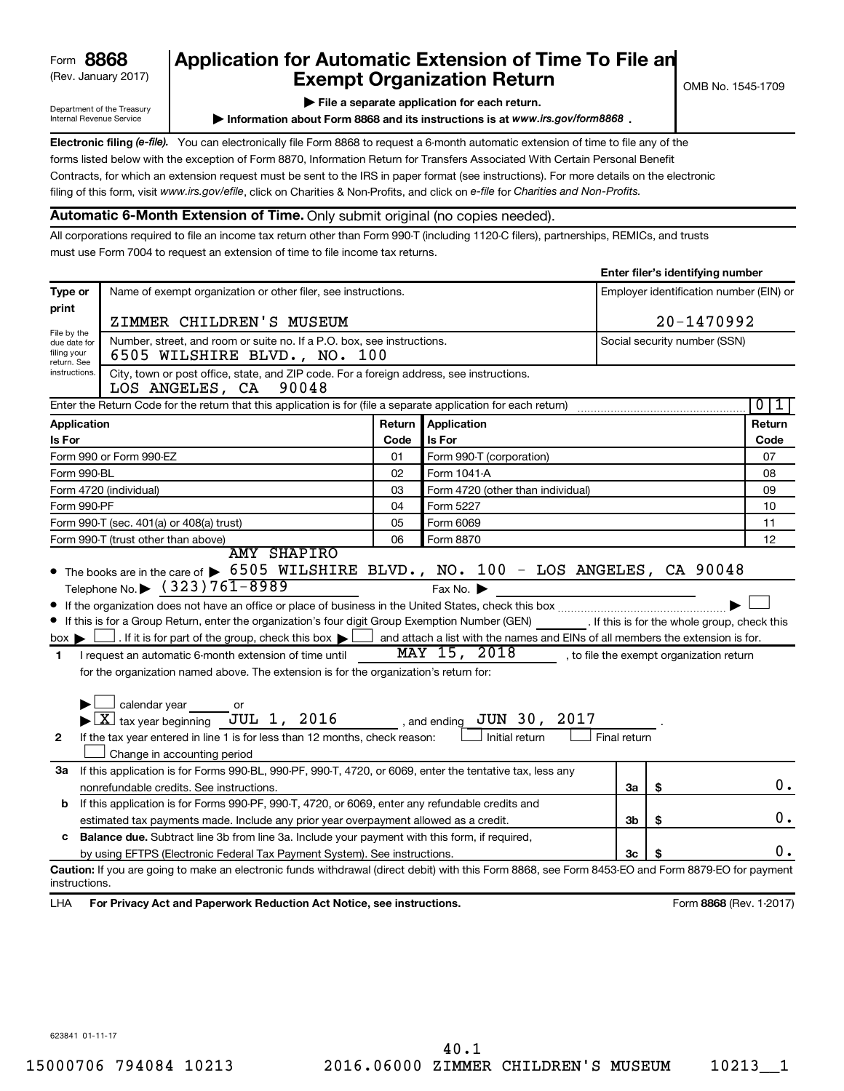### (Rev. January 2017) **Exempt Organization Return** and  $\overline{\text{C}}$  OMB No. 1545-1709 **Form 8868 Application for Automatic Extension of Time To File an**<br>**Exempt Organization Return**

**Enter filer's identifying number**

Department of the Treasury Internal Revenue Service

**| File a separate application for each return.**

**Information about Form 8868 and its instructions is at www.irs.gov/form8868.** 

Electronic filing (e-file). You can electronically file Form 8868 to request a 6-month automatic extension of time to file any of the filing of this form, visit www.irs.gov/efile, click on Charities & Non-Profits, and click on e-file for Charities and Non-Profits. forms listed below with the exception of Form 8870, Information Return for Transfers Associated With Certain Personal Benefit Contracts, for which an extension request must be sent to the IRS in paper format (see instructions). For more details on the electronic

#### **Automatic 6-Month Extension of Time.** Only submit original (no copies needed).

All corporations required to file an income tax return other than Form 990-T (including 1120-C filers), partnerships, REMICs, and trusts must use Form 7004 to request an extension of time to file income tax returns.

|                                                |                                                                                                                                                                                                                                                                                                                                                                                                                                                                                                                                                                                                                                                                                      |        |                                                                                                                                                                                                             |              | <b>ETICE THE STACHTIGHTS HAMDER</b>     |                                |
|------------------------------------------------|--------------------------------------------------------------------------------------------------------------------------------------------------------------------------------------------------------------------------------------------------------------------------------------------------------------------------------------------------------------------------------------------------------------------------------------------------------------------------------------------------------------------------------------------------------------------------------------------------------------------------------------------------------------------------------------|--------|-------------------------------------------------------------------------------------------------------------------------------------------------------------------------------------------------------------|--------------|-----------------------------------------|--------------------------------|
| Type or                                        | Name of exempt organization or other filer, see instructions.                                                                                                                                                                                                                                                                                                                                                                                                                                                                                                                                                                                                                        |        |                                                                                                                                                                                                             |              | Employer identification number (EIN) or |                                |
| print                                          | ZIMMER CHILDREN'S MUSEUM                                                                                                                                                                                                                                                                                                                                                                                                                                                                                                                                                                                                                                                             |        |                                                                                                                                                                                                             | 20-1470992   |                                         |                                |
| File by the                                    | Number, street, and room or suite no. If a P.O. box, see instructions.                                                                                                                                                                                                                                                                                                                                                                                                                                                                                                                                                                                                               |        | Social security number (SSN)                                                                                                                                                                                |              |                                         |                                |
| due date for<br>filing your<br>return. See     | 6505 WILSHIRE BLVD., NO. 100                                                                                                                                                                                                                                                                                                                                                                                                                                                                                                                                                                                                                                                         |        |                                                                                                                                                                                                             |              |                                         |                                |
| instructions.                                  | City, town or post office, state, and ZIP code. For a foreign address, see instructions.<br>LOS ANGELES, CA 90048                                                                                                                                                                                                                                                                                                                                                                                                                                                                                                                                                                    |        |                                                                                                                                                                                                             |              |                                         |                                |
|                                                | Enter the Return Code for the return that this application is for (file a separate application for each return)                                                                                                                                                                                                                                                                                                                                                                                                                                                                                                                                                                      |        |                                                                                                                                                                                                             |              |                                         | 0 <sup>1</sup><br>$\mathbf{1}$ |
| Application                                    |                                                                                                                                                                                                                                                                                                                                                                                                                                                                                                                                                                                                                                                                                      | Return | Application                                                                                                                                                                                                 |              |                                         | Return                         |
| Is For                                         |                                                                                                                                                                                                                                                                                                                                                                                                                                                                                                                                                                                                                                                                                      | Code   | Is For                                                                                                                                                                                                      |              |                                         | Code                           |
|                                                | Form 990 or Form 990-EZ                                                                                                                                                                                                                                                                                                                                                                                                                                                                                                                                                                                                                                                              | 01     | Form 990-T (corporation)                                                                                                                                                                                    |              |                                         | 07                             |
| Form 990-BL                                    |                                                                                                                                                                                                                                                                                                                                                                                                                                                                                                                                                                                                                                                                                      | 02     | Form 1041-A                                                                                                                                                                                                 |              |                                         | 08                             |
|                                                | Form 4720 (individual)                                                                                                                                                                                                                                                                                                                                                                                                                                                                                                                                                                                                                                                               | 03     | Form 4720 (other than individual)                                                                                                                                                                           |              |                                         | 09                             |
| Form 990-PF                                    |                                                                                                                                                                                                                                                                                                                                                                                                                                                                                                                                                                                                                                                                                      | 04     | Form 5227                                                                                                                                                                                                   |              |                                         | 10                             |
|                                                | Form 990-T (sec. 401(a) or 408(a) trust)                                                                                                                                                                                                                                                                                                                                                                                                                                                                                                                                                                                                                                             | 05     | Form 6069                                                                                                                                                                                                   |              |                                         | 11                             |
|                                                | Form 990-T (trust other than above)<br><b>AMY SHAPIRO</b>                                                                                                                                                                                                                                                                                                                                                                                                                                                                                                                                                                                                                            | 06     | Form 8870                                                                                                                                                                                                   |              |                                         | 12                             |
| $box \blacktriangleright$<br>1<br>$\mathbf{2}$ | Telephone No. $\triangleright$ (323) 761-8989<br>If this is for a Group Return, enter the organization's four digit Group Exemption Number (GEN) _________. If this is for the whole group, check this<br>$\Box$ . If it is for part of the group, check this box $\blacktriangleright$ [<br>I request an automatic 6-month extension of time until<br>for the organization named above. The extension is for the organization's return for:<br>$\Box$ calendar year $\_\_$ or<br>$\blacktriangleright$ $\boxed{\text{X}}$ tax year beginning JUL 1, 2016 , and ending<br>If the tax year entered in line 1 is for less than 12 months, check reason:<br>Change in accounting period |        | Fax No.<br>and attach a list with the names and EINs of all members the extension is for.<br>$\overline{\text{MAX} 15}$ , $2018$ , to file the exempt organization return<br>JUN 30, 2017<br>Initial return | Final return |                                         |                                |
| За                                             | If this application is for Forms 990-BL, 990-PF, 990-T, 4720, or 6069, enter the tentative tax, less any                                                                                                                                                                                                                                                                                                                                                                                                                                                                                                                                                                             |        |                                                                                                                                                                                                             |              |                                         |                                |
|                                                | nonrefundable credits. See instructions.                                                                                                                                                                                                                                                                                                                                                                                                                                                                                                                                                                                                                                             |        |                                                                                                                                                                                                             | За           | \$                                      | $0$ .                          |
| b                                              | If this application is for Forms 990-PF, 990-T, 4720, or 6069, enter any refundable credits and                                                                                                                                                                                                                                                                                                                                                                                                                                                                                                                                                                                      |        |                                                                                                                                                                                                             |              |                                         |                                |
|                                                | estimated tax payments made. Include any prior year overpayment allowed as a credit.                                                                                                                                                                                                                                                                                                                                                                                                                                                                                                                                                                                                 |        |                                                                                                                                                                                                             | 3b           | \$                                      | 0.                             |
| c                                              | Balance due. Subtract line 3b from line 3a. Include your payment with this form, if required,                                                                                                                                                                                                                                                                                                                                                                                                                                                                                                                                                                                        |        |                                                                                                                                                                                                             |              |                                         |                                |
|                                                | by using EFTPS (Electronic Federal Tax Payment System). See instructions.                                                                                                                                                                                                                                                                                                                                                                                                                                                                                                                                                                                                            |        |                                                                                                                                                                                                             | Зc           |                                         | 0.                             |
| instructions.<br>LHA                           | Caution: If you are going to make an electronic funds withdrawal (direct debit) with this Form 8868, see Form 8453-EO and Form 8879-EO for payment<br>For Privacy Act and Paperwork Reduction Act Notice, see instructions.                                                                                                                                                                                                                                                                                                                                                                                                                                                          |        |                                                                                                                                                                                                             |              |                                         | Form 8868 (Rev. 1-2017)        |

623841 01-11-17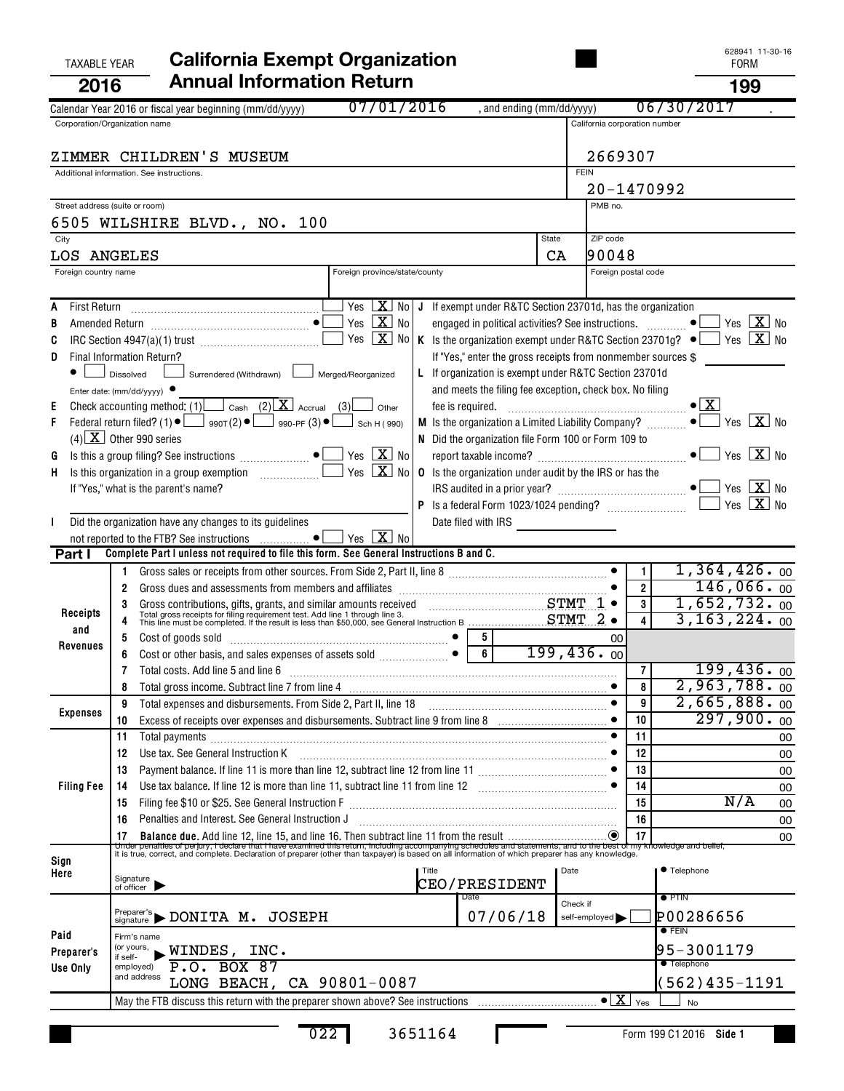| <b>TAXABLE YEAR</b>                 | <b>California Exempt Organization</b>                                                                                                                                                                                                |                               |                                          | 028941 11-30-10<br><b>FORM</b>                       |
|-------------------------------------|--------------------------------------------------------------------------------------------------------------------------------------------------------------------------------------------------------------------------------------|-------------------------------|------------------------------------------|------------------------------------------------------|
| 2016                                | <b>Annual Information Return</b>                                                                                                                                                                                                     |                               |                                          | 199                                                  |
|                                     | 07/01/2016<br>, and ending (mm/dd/yyyy)<br>Calendar Year 2016 or fiscal year beginning (mm/dd/yyyy)                                                                                                                                  |                               |                                          | 06/30/2017                                           |
|                                     | Corporation/Organization name                                                                                                                                                                                                        | California corporation number |                                          |                                                      |
|                                     | ZIMMER CHILDREN'S MUSEUM                                                                                                                                                                                                             | 2669307                       |                                          |                                                      |
|                                     | Additional information. See instructions.                                                                                                                                                                                            | <b>FEIN</b>                   |                                          |                                                      |
|                                     |                                                                                                                                                                                                                                      |                               | 20-1470992                               |                                                      |
|                                     | Street address (suite or room)                                                                                                                                                                                                       | PMB no.                       |                                          |                                                      |
|                                     | 6505 WILSHIRE BLVD., NO. 100                                                                                                                                                                                                         |                               |                                          |                                                      |
| City                                | State                                                                                                                                                                                                                                | ZIP code<br>90048             |                                          |                                                      |
| LOS ANGELES<br>Foreign country name | CA<br>Foreign province/state/county                                                                                                                                                                                                  |                               | Foreign postal code                      |                                                      |
|                                     |                                                                                                                                                                                                                                      |                               |                                          |                                                      |
|                                     | $\sqrt{2}$ No J If exempt under R&TC Section 23701d, has the organization                                                                                                                                                            |                               |                                          |                                                      |
|                                     | Yes $\boxed{\mathbf{X}}$ No<br>engaged in political activities? See instructions.                                                                                                                                                    |                               |                                          | $\exists$ Yes $\boxed{\mathbf{X}}$ No                |
|                                     | Yes $X$ No<br>K Is the organization exempt under R&TC Section 23701g? $\bullet$ Yes $\boxed{\mathbf{X}}$ No                                                                                                                          |                               |                                          |                                                      |
| D                                   | Final Information Return?<br>If "Yes," enter the gross receipts from nonmember sources \$<br>L If organization is exempt under R&TC Section 23701d<br>Dissolved                                                                      |                               |                                          |                                                      |
|                                     | Surrendered (Withdrawn) [Surrendered / Merged/Reorganized<br>and meets the filing fee exception, check box. No filing<br>Enter date: (mm/dd/yyyy) $\bullet$                                                                          |                               |                                          |                                                      |
|                                     | Check accounting method: (1) $\Box$ Cash (2) $\overline{\mathbf{X}}$ Accrual (3)<br>fee is required.<br>Other                                                                                                                        |                               |                                          | $\bullet$ $\boxed{\text{X}}$                         |
|                                     | Federal return filed? (1) $\bullet$ $\Box$ 990T(2) $\bullet$ $\Box$ 990-PF (3) $\bullet$ $\Box$<br>M Is the organization a Limited Liability Company?<br>Sch H (990)                                                                 |                               |                                          | $\bullet$ $\blacksquare$ Yes $\boxed{\mathbf{X}}$ No |
|                                     | $(4)$ X Other 990 series<br>N Did the organization file Form 100 or Form 109 to                                                                                                                                                      |                               |                                          |                                                      |
| G                                   | Yes $\boxed{\mathbf{X}}$ No<br>Yes $X$ No                                                                                                                                                                                            |                               |                                          | $\bullet$ $\blacksquare$ Yes $\boxed{X}$ No          |
| Н.                                  | <b>0</b> Is the organization under audit by the IRS or has the<br>If "Yes," what is the parent's name?                                                                                                                               |                               |                                          |                                                      |
|                                     |                                                                                                                                                                                                                                      |                               |                                          | Yes $X$ No                                           |
|                                     | Did the organization have any changes to its guidelines<br>Date filed with IRS <u>___________________</u>                                                                                                                            |                               |                                          |                                                      |
|                                     | not reported to the FTB? See instructions $\ldots$ • $\Box$ Yes $\boxed{\mathbf{X}}$ No                                                                                                                                              |                               |                                          |                                                      |
| Part I                              | Complete Part I unless not required to file this form. See General Instructions B and C.                                                                                                                                             |                               |                                          | 1,364,426.00                                         |
|                                     | Gross sales or receipts from other sources. From Side 2, Part II, line 8 [11, 1111] (12, 2016) [12] (12, 2016)<br>2                                                                                                                  |                               | 1<br>$\overline{2}$                      | 146,066.00                                           |
|                                     |                                                                                                                                                                                                                                      |                               | 3                                        | 1,652,732.00                                         |
| Receipts                            | Gross contributions, gifts, grants, and similar amounts received STMT 1<br>Total gross receipts for filing requirement test. Add line 1 through line 3.<br>This line must be completed. If the result is less than \$50,000, see Gen |                               | 4                                        | 3, 163, 224.00                                       |
| and<br>Revenues                     | - 5<br>Cost of goods sold with a construction of the cost of goods sold with an intervention of $\begin{bmatrix} \bullet & \bullet \end{bmatrix}$                                                                                    | 00                            |                                          |                                                      |
|                                     | $6\phantom{.}6$                                                                                                                                                                                                                      | 199,436.00                    |                                          |                                                      |
|                                     | Total costs. Add line 5 and line 6                                                                                                                                                                                                   |                               | 7 <sup>1</sup><br>8                      | 199,436.00<br>$2,963,788.$ 00                        |
|                                     | Total expenses and disbursements. From Side 2, Part II, line 18<br>9                                                                                                                                                                 |                               | 9                                        | 2,665,888.00                                         |
| <b>Expenses</b>                     | Excess of receipts over expenses and disbursements. Subtract line 9 from line 8 [11, 11, 11, 11, 12, 12, 12, 1<br>10                                                                                                                 |                               | 10                                       | 297,900.00                                           |
|                                     | 11<br>Total payments [111] continuum contract and continuum contract and contract and continuum contract and contract and contract and contract and contract and contract and contract and contract and contract and contract and co |                               | 11                                       | 00                                                   |
|                                     | Use tax. See General Instruction K<br>12                                                                                                                                                                                             |                               | 12                                       | 00                                                   |
|                                     | 13                                                                                                                                                                                                                                   |                               | 13                                       | 00                                                   |
| <b>Filing Fee</b>                   | Use tax balance. If line 12 is more than line 11, subtract line 11 from line 12 [11] [12] [11] Use tax balance. If line 12 [13] Use tax balance. If line 12<br>14                                                                    |                               | 14<br>15                                 | 00<br>N/A                                            |
|                                     | 15<br>Penalties and Interest. See General Instruction J<br>16                                                                                                                                                                        |                               | 16                                       | 00<br>00                                             |
|                                     |                                                                                                                                                                                                                                      |                               |                                          | 00                                                   |
| Sign                                |                                                                                                                                                                                                                                      |                               |                                          |                                                      |
| Here                                | Title                                                                                                                                                                                                                                | Date                          |                                          | ● Telephone                                          |
|                                     | Signature<br>of officer<br>CEO/PRESIDENT<br>Date                                                                                                                                                                                     |                               |                                          | $\bullet$ PTIN                                       |
|                                     | $P_{\text{reparent}}$ 's $\blacktriangleright$ DONITA M. JOSEPH<br>07/06/18                                                                                                                                                          | Check if<br>self-employed     |                                          | P00286656                                            |
| Paid                                | Firm's name                                                                                                                                                                                                                          |                               |                                          | $\bullet$ FEIN                                       |
| Preparer's                          | (or yours,<br>$\_$ WINDES, INC.<br>if self-                                                                                                                                                                                          |                               |                                          | 95-3001179                                           |
| Use Only                            | P.O. BOX 87<br>employed)<br>and address                                                                                                                                                                                              |                               |                                          | <b>Telephone</b>                                     |
|                                     | LONG BEACH, CA 90801-0087                                                                                                                                                                                                            |                               |                                          | (562)435-1191                                        |
|                                     |                                                                                                                                                                                                                                      |                               | $\bullet$ $\overline{X}$ $_{\text{Yes}}$ | <b>No</b>                                            |

L

628941 11-30-16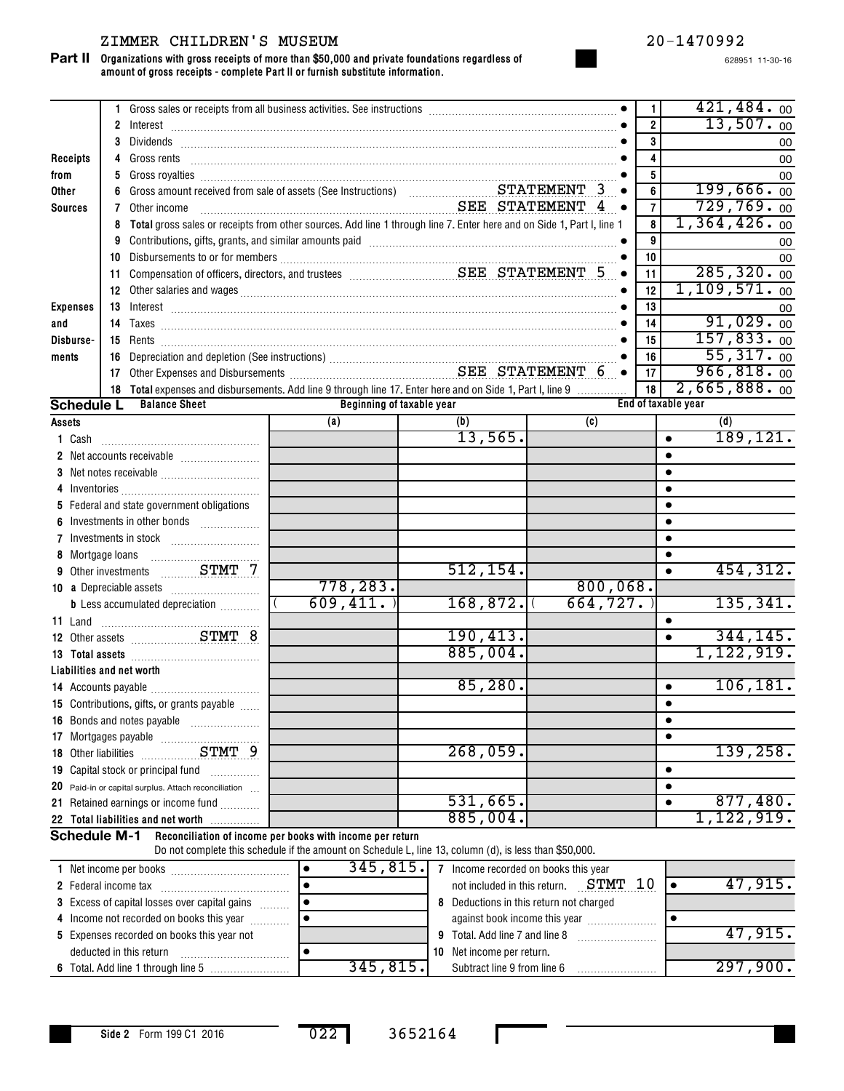#### ZIMMER CHILDREN'S MUSEUM 20-1470992

**Organizations with gross receipts of more than \$50,000 and private foundations regardless of amount of gross receipts - complete Part II or furnish substitute information. Part II**

628951 11-30-16

|                           | 1.           | Gross sales or receipts from all business activities. See instructions [11] contains the sales or receipts from all business activities. See instructions [11] [12] contains a set of the sales or receipts from all business |                                                                                                                                                                     |                                      |                                         | 1.             | 421, 484.00                              |
|---------------------------|--------------|-------------------------------------------------------------------------------------------------------------------------------------------------------------------------------------------------------------------------------|---------------------------------------------------------------------------------------------------------------------------------------------------------------------|--------------------------------------|-----------------------------------------|----------------|------------------------------------------|
|                           | $\mathbf{2}$ |                                                                                                                                                                                                                               |                                                                                                                                                                     |                                      |                                         | $\overline{2}$ | 13,507.00                                |
|                           | 3            | Dividends                                                                                                                                                                                                                     |                                                                                                                                                                     |                                      |                                         | 3              | 00                                       |
| Receipts                  | 4            | Gross rents                                                                                                                                                                                                                   |                                                                                                                                                                     |                                      |                                         | 4              | 00                                       |
| from                      | 5            |                                                                                                                                                                                                                               |                                                                                                                                                                     |                                      |                                         | 5              | 00                                       |
| <b>Other</b>              | 6            |                                                                                                                                                                                                                               |                                                                                                                                                                     |                                      | $\bullet$                               | 6              | 199,666.00                               |
| <b>Sources</b>            | 7            | Other income                                                                                                                                                                                                                  | SEE STATEMENT 4                                                                                                                                                     |                                      | $\bullet$                               | $\overline{7}$ | 729,769.00                               |
|                           | 8            | Total gross sales or receipts from other sources. Add line 1 through line 7. Enter here and on Side 1, Part I, line 1                                                                                                         |                                                                                                                                                                     |                                      |                                         | 8              | 1,364,426.00                             |
|                           | 9            | Contributions, gifts, grants, and similar amounts paid manufactured contractions are contributions, and similar                                                                                                               |                                                                                                                                                                     |                                      |                                         | 9              | 00                                       |
|                           | 10           |                                                                                                                                                                                                                               |                                                                                                                                                                     |                                      |                                         | 10             | 00                                       |
|                           | 11           |                                                                                                                                                                                                                               |                                                                                                                                                                     |                                      | $\bullet$                               | 11             | 285, 320.00                              |
|                           |              |                                                                                                                                                                                                                               |                                                                                                                                                                     |                                      |                                         | 12             | $1,109,571.$ 00                          |
| <b>Expenses</b>           |              |                                                                                                                                                                                                                               |                                                                                                                                                                     |                                      |                                         | 13             | 00                                       |
| and                       | 14           |                                                                                                                                                                                                                               |                                                                                                                                                                     |                                      |                                         | 14             | 91,029.00                                |
| Disburse-                 |              |                                                                                                                                                                                                                               |                                                                                                                                                                     |                                      |                                         | 15             | 157,833.00                               |
| ments                     | 16           |                                                                                                                                                                                                                               |                                                                                                                                                                     |                                      |                                         | 16             | 55,317.00                                |
|                           | 17           |                                                                                                                                                                                                                               |                                                                                                                                                                     |                                      |                                         | 17             | 966, 818.00                              |
|                           |              | 18 Total expenses and disbursements. Add line 9 through line 17. Enter here and on Side 1, Part I, line 9                                                                                                                     |                                                                                                                                                                     |                                      |                                         | 18             | 2,665,888.00                             |
| <b>Schedule L</b>         |              | <b>Balance Sheet</b>                                                                                                                                                                                                          |                                                                                                                                                                     | Beginning of taxable year            |                                         |                | End of taxable year                      |
| Assets                    |              |                                                                                                                                                                                                                               | (a)                                                                                                                                                                 | (b)                                  | (c)                                     |                | (d)                                      |
| 1 Cash                    |              |                                                                                                                                                                                                                               |                                                                                                                                                                     | 13,565.                              |                                         |                | 189, 121.<br>$\bullet$                   |
|                           |              |                                                                                                                                                                                                                               |                                                                                                                                                                     |                                      |                                         |                | $\bullet$                                |
|                           |              |                                                                                                                                                                                                                               |                                                                                                                                                                     |                                      |                                         |                | $\bullet$                                |
| 4                         |              |                                                                                                                                                                                                                               |                                                                                                                                                                     |                                      |                                         |                | $\bullet$                                |
|                           |              | 5 Federal and state government obligations                                                                                                                                                                                    |                                                                                                                                                                     |                                      |                                         |                | $\bullet$                                |
|                           |              | Investments in other bonds                                                                                                                                                                                                    |                                                                                                                                                                     |                                      |                                         |                | $\bullet$                                |
| 7                         |              |                                                                                                                                                                                                                               |                                                                                                                                                                     |                                      |                                         |                | $\bullet$                                |
|                           |              |                                                                                                                                                                                                                               |                                                                                                                                                                     |                                      |                                         |                | $\bullet$                                |
| 9                         |              |                                                                                                                                                                                                                               |                                                                                                                                                                     | 512, 154.                            |                                         |                | 454, 312.<br>$\bullet$                   |
|                           |              |                                                                                                                                                                                                                               | 778, 283.                                                                                                                                                           |                                      | 800,068.                                |                |                                          |
|                           |              | <b>b</b> Less accumulated depreciation                                                                                                                                                                                        | 609, 411.                                                                                                                                                           | 168,872.                             | 664, 727.                               |                | 135, 341.                                |
| 11 Land                   |              | <u> Albuminista Albuminista A</u>                                                                                                                                                                                             |                                                                                                                                                                     |                                      |                                         |                | $\bullet$                                |
|                           |              |                                                                                                                                                                                                                               |                                                                                                                                                                     | 190, 413.                            |                                         |                | 344, 145.<br>$\bullet$                   |
|                           |              |                                                                                                                                                                                                                               |                                                                                                                                                                     | 885,004.                             |                                         |                | 1,122,919.                               |
| Liabilities and net worth |              |                                                                                                                                                                                                                               |                                                                                                                                                                     |                                      |                                         |                |                                          |
|                           |              |                                                                                                                                                                                                                               |                                                                                                                                                                     | 85,280.                              |                                         |                | 106, 181.<br>$\bullet$                   |
|                           |              | 15 Contributions, gifts, or grants payable                                                                                                                                                                                    |                                                                                                                                                                     |                                      |                                         |                | $\bullet$                                |
|                           |              | <b>16</b> Bonds and notes payable                                                                                                                                                                                             |                                                                                                                                                                     |                                      |                                         |                | $\bullet$                                |
| 17                        |              |                                                                                                                                                                                                                               |                                                                                                                                                                     |                                      |                                         |                | ٠                                        |
|                           |              | 18 Other liabilities STMT 9                                                                                                                                                                                                   |                                                                                                                                                                     | 268,059.                             |                                         |                | 139, 258.                                |
|                           |              | <b>19</b> Capital stock or principal fund<br>$\cdots$                                                                                                                                                                         |                                                                                                                                                                     |                                      |                                         |                | $\bullet$                                |
|                           |              | 20 Paid-in or capital surplus. Attach reconciliation                                                                                                                                                                          |                                                                                                                                                                     |                                      |                                         |                | $\bullet$                                |
| 21                        |              | Retained earnings or income fund                                                                                                                                                                                              |                                                                                                                                                                     | 531,665.                             |                                         |                | $\frac{877,480}{1,122,919}$<br>$\bullet$ |
|                           |              | 22 Total liabilities and net worth                                                                                                                                                                                            |                                                                                                                                                                     | 885,004.                             |                                         |                |                                          |
| <b>Schedule M-1</b>       |              |                                                                                                                                                                                                                               | Reconciliation of income per books with income per return<br>Do not complete this schedule if the amount on Schedule L, line 13, column (d), is less than \$50,000. |                                      |                                         |                |                                          |
|                           |              |                                                                                                                                                                                                                               | 345,815.<br>$\bullet$                                                                                                                                               | 7 Income recorded on books this year |                                         |                |                                          |
|                           |              |                                                                                                                                                                                                                               | $\bullet$                                                                                                                                                           |                                      | not included in this return. STMT 10    |                | 47,915.<br>$\bullet$                     |
| 3                         |              | Excess of capital losses over capital gains                                                                                                                                                                                   | $\bullet$                                                                                                                                                           |                                      | 8 Deductions in this return not charged |                |                                          |
| 4                         |              | Income not recorded on books this year                                                                                                                                                                                        | $\bullet$                                                                                                                                                           |                                      | against book income this year           |                | $\bullet$                                |
|                           |              | 5 Expenses recorded on books this year not                                                                                                                                                                                    |                                                                                                                                                                     | 9 Total. Add line 7 and line 8       |                                         |                | 47,915.                                  |
|                           |              | deducted in this return                                                                                                                                                                                                       | $\bullet$                                                                                                                                                           | 10 Net income per return.            |                                         |                |                                          |

**6** Total. Add line 1 through line 5

**Side 2** Form 199 C1 2016

022 3652164

Subtract line 9 from line 6 345,815. 297,900.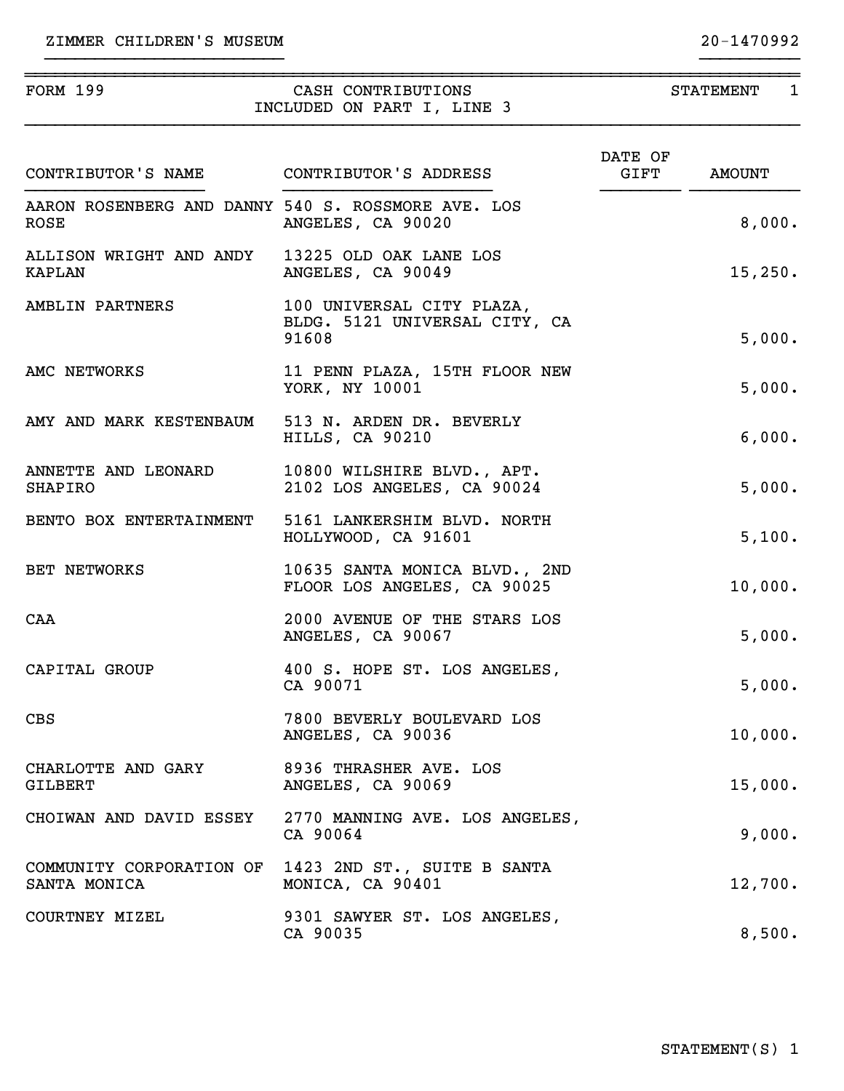| ZIMMER CHILDREN'S MUSEUM |  |  |  |  |  |
|--------------------------|--|--|--|--|--|
|--------------------------|--|--|--|--|--|

| <b>FORM 199</b><br>INCLUDED ON PART I, LINE 3                     |                                                                          | STATEMENT 1           |               |  |
|-------------------------------------------------------------------|--------------------------------------------------------------------------|-----------------------|---------------|--|
| CONTRIBUTOR'S NAME CONTRIBUTOR'S ADDRESS                          |                                                                          | DATE OF<br>$\tt GIFT$ | <b>AMOUNT</b> |  |
| AARON ROSENBERG AND DANNY 540 S. ROSSMORE AVE. LOS<br><b>ROSE</b> | ANGELES, CA 90020                                                        |                       | 8,000.        |  |
| ALLISON WRIGHT AND ANDY 13225 OLD OAK LANE LOS<br>KAPLAN          | ANGELES, CA 90049                                                        |                       | 15,250.       |  |
| AMBLIN PARTNERS                                                   | 100 UNIVERSAL CITY PLAZA,<br>BLDG. 5121 UNIVERSAL CITY, CA<br>91608      |                       | 5,000.        |  |
| AMC NETWORKS                                                      | 11 PENN PLAZA, 15TH FLOOR NEW<br>YORK, NY 10001                          |                       | 5,000.        |  |
| AMY AND MARK KESTENBAUM                                           | 513 N. ARDEN DR. BEVERLY<br>HILLS, CA 90210                              |                       | 6,000.        |  |
| ANNETTE AND LEONARD<br>SHAPIRO                                    | 10800 WILSHIRE BLVD., APT.<br>2102 LOS ANGELES, CA 90024                 |                       | 5,000.        |  |
| BENTO BOX ENTERTAINMENT                                           | 5161 LANKERSHIM BLVD. NORTH<br>HOLLYWOOD, CA 91601                       |                       | 5,100.        |  |
| BET NETWORKS                                                      | 10635 SANTA MONICA BLVD., 2ND<br>FLOOR LOS ANGELES, CA 90025             |                       | 10,000.       |  |
| CAA                                                               | 2000 AVENUE OF THE STARS LOS<br>ANGELES, CA 90067                        |                       | 5,000.        |  |
| CAPITAL GROUP                                                     | 400 S. HOPE ST. LOS ANGELES,<br>CA 90071                                 |                       | 5,000.        |  |
| <b>CBS</b>                                                        | 7800 BEVERLY BOULEVARD LOS<br>ANGELES, CA 90036                          |                       | 10,000.       |  |
| CHARLOTTE AND GARY<br><b>GILBERT</b>                              | 8936 THRASHER AVE. LOS<br>ANGELES, CA 90069                              |                       | 15,000.       |  |
| CHOIWAN AND DAVID ESSEY                                           | 2770 MANNING AVE. LOS ANGELES,<br>CA 90064                               |                       | 9,000.        |  |
| SANTA MONICA                                                      | COMMUNITY CORPORATION OF 1423 2ND ST., SUITE B SANTA<br>MONICA, CA 90401 |                       | 12,700.       |  |
| COURTNEY MIZEL                                                    | 9301 SAWYER ST. LOS ANGELES,<br>CA 90035                                 |                       | 8,500.        |  |

}}}}}}}}}}}}}}}}}}}}}}}} }}}}}}}}}}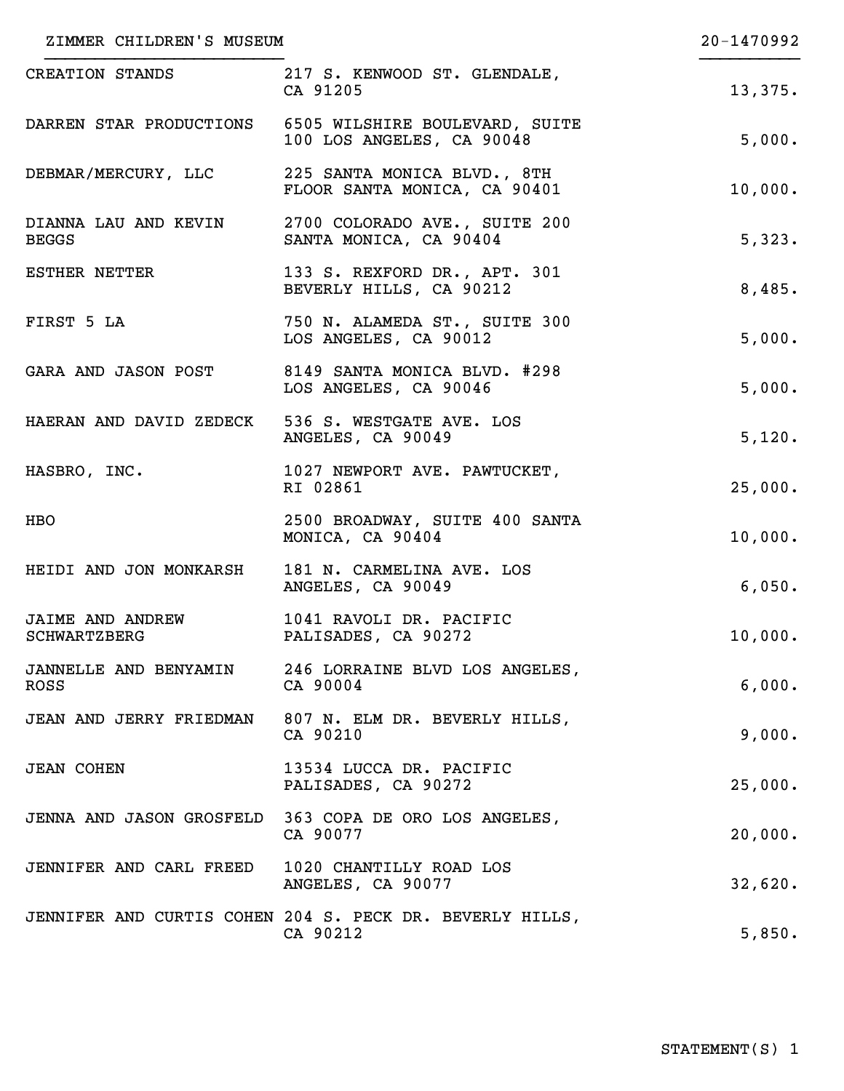| ZIMMER CHILDREN'S MUSEUM                         | 20-1470992                                                                          |         |
|--------------------------------------------------|-------------------------------------------------------------------------------------|---------|
| CREATION STANDS                                  | 217 S. KENWOOD ST. GLENDALE,<br>CA 91205                                            | 13,375. |
|                                                  | DARREN STAR PRODUCTIONS 6505 WILSHIRE BOULEVARD, SUITE<br>100 LOS ANGELES, CA 90048 | 5,000.  |
| DEBMAR/MERCURY, LLC                              | 225 SANTA MONICA BLVD., 8TH<br>FLOOR SANTA MONICA, CA 90401                         | 10,000. |
| DIANNA LAU AND KEVIN<br><b>BEGGS</b>             | 2700 COLORADO AVE., SUITE 200<br>SANTA MONICA, CA 90404                             | 5,323.  |
| <b>ESTHER NETTER</b>                             | 133 S. REXFORD DR., APT. 301<br>BEVERLY HILLS, CA 90212                             | 8,485.  |
| FIRST 5 LA                                       | 750 N. ALAMEDA ST., SUITE 300<br>LOS ANGELES, CA 90012                              | 5,000.  |
| GARA AND JASON POST                              | 8149 SANTA MONICA BLVD. #298<br>LOS ANGELES, CA 90046                               | 5,000.  |
| HAERAN AND DAVID ZEDECK 536 S. WESTGATE AVE. LOS | ANGELES, CA 90049                                                                   | 5,120.  |
| HASBRO, INC.                                     | 1027 NEWPORT AVE. PAWTUCKET,<br>RI 02861                                            | 25,000. |
| HBO                                              | 2500 BROADWAY, SUITE 400 SANTA<br>MONICA, CA 90404                                  | 10,000. |
| HEIDI AND JON MONKARSH                           | 181 N. CARMELINA AVE. LOS<br>ANGELES, CA 90049                                      | 6,050.  |
| <b>JAIME AND ANDREW</b><br>SCHWARTZBERG          | 1041 RAVOLI DR. PACIFIC<br>PALISADES, CA 90272                                      | 10,000. |
| <b>ROSS</b>                                      | JANNELLE AND BENYAMIN 246 LORRAINE BLVD LOS ANGELES,<br>CA 90004                    | 6,000.  |
| JEAN AND JERRY FRIEDMAN                          | 807 N. ELM DR. BEVERLY HILLS,<br>CA 90210                                           | 9,000.  |
| <b>JEAN COHEN</b>                                | 13534 LUCCA DR. PACIFIC<br>PALISADES, CA 90272                                      | 25,000. |
|                                                  | JENNA AND JASON GROSFELD 363 COPA DE ORO LOS ANGELES,<br>CA 90077                   | 20,000. |
| JENNIFER AND CARL FREED 1020 CHANTILLY ROAD LOS  | ANGELES, CA 90077                                                                   | 32,620. |
|                                                  | JENNIFER AND CURTIS COHEN 204 S. PECK DR. BEVERLY HILLS,<br>CA 90212                | 5,850.  |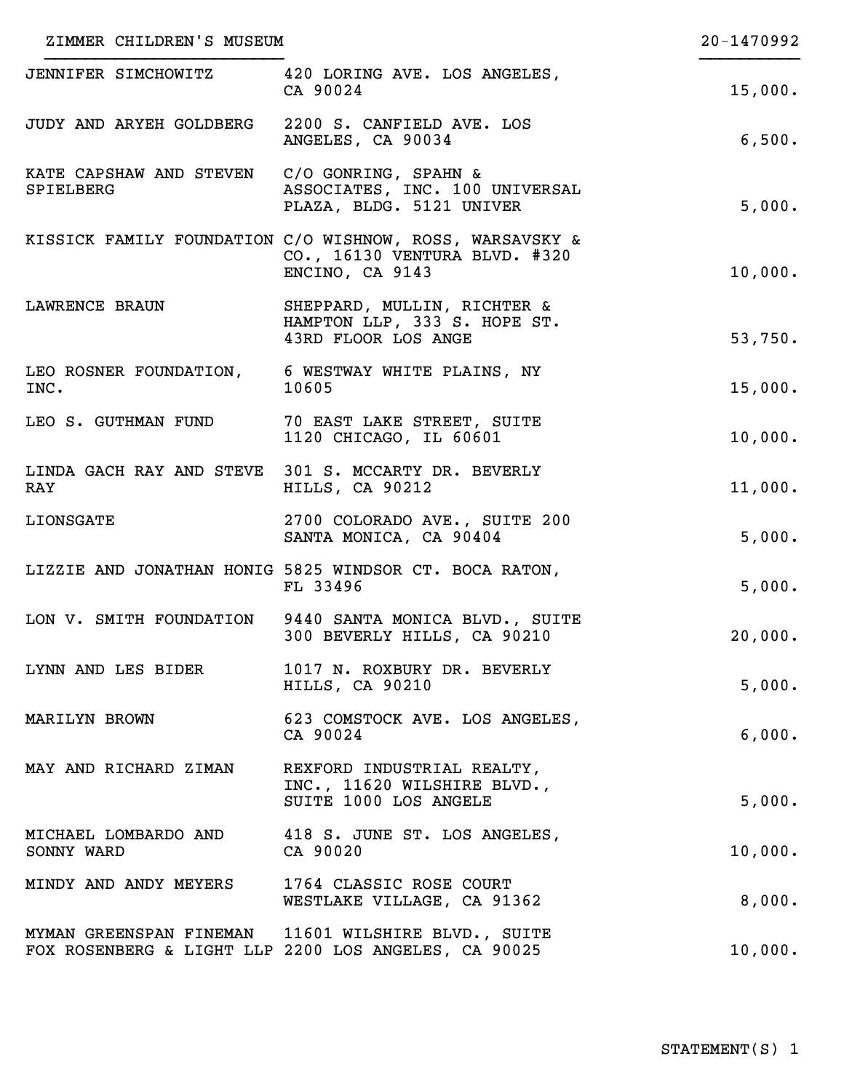| ZIMMER CHILDREN'S MUSEUM             | 20-1470992                                                                                                   |         |
|--------------------------------------|--------------------------------------------------------------------------------------------------------------|---------|
| JENNIFER SIMCHOWITZ                  | 420 LORING AVE. LOS ANGELES,<br>CA 90024                                                                     | 15,000. |
| JUDY AND ARYEH GOLDBERG              | 2200 S. CANFIELD AVE. LOS<br>ANGELES, CA 90034                                                               | 6,500.  |
| KATE CAPSHAW AND STEVEN<br>SPIELBERG | C/O GONRING, SPAHN &<br>ASSOCIATES, INC. 100 UNIVERSAL<br>PLAZA, BLDG. 5121 UNIVER                           | 5,000.  |
|                                      | KISSICK FAMILY FOUNDATION C/O WISHNOW, ROSS, WARSAVSKY &<br>CO., 16130 VENTURA BLVD. #320<br>ENCINO, CA 9143 | 10,000. |
| <b>LAWRENCE BRAUN</b>                | SHEPPARD, MULLIN, RICHTER &<br>HAMPTON LLP, 333 S. HOPE ST.<br>43RD FLOOR LOS ANGE                           | 53,750. |
| INC.                                 | LEO ROSNER FOUNDATION, 6 WESTWAY WHITE PLAINS, NY<br>10605                                                   | 15,000. |
| LEO S. GUTHMAN FUND                  | 70 EAST LAKE STREET, SUITE<br>1120 CHICAGO, IL 60601                                                         | 10,000. |
| RAY                                  | LINDA GACH RAY AND STEVE 301 S. MCCARTY DR. BEVERLY<br>HILLS, CA 90212                                       | 11,000. |
| LIONSGATE                            | 2700 COLORADO AVE., SUITE 200<br>SANTA MONICA, CA 90404                                                      | 5,000.  |
|                                      | LIZZIE AND JONATHAN HONIG 5825 WINDSOR CT. BOCA RATON,<br>FL 33496                                           | 5,000.  |
|                                      | LON V. SMITH FOUNDATION 9440 SANTA MONICA BLVD., SUITE<br>300 BEVERLY HILLS, CA 90210                        | 20,000. |
| LYNN AND LES BIDER                   | 1017 N. ROXBURY DR. BEVERLY<br>HILLS, CA 90210                                                               | 5,000.  |
| MARILYN BROWN                        | 623 COMSTOCK AVE. LOS ANGELES,<br>CA 90024                                                                   | 6,000.  |
| MAY AND RICHARD ZIMAN                | REXFORD INDUSTRIAL REALTY,<br>INC., 11620 WILSHIRE BLVD.,<br>SUITE 1000 LOS ANGELE                           | 5,000.  |
| SONNY WARD                           | MICHAEL LOMBARDO AND 418 S. JUNE ST. LOS ANGELES,<br>CA 90020                                                | 10,000. |
| MINDY AND ANDY MEYERS                | 1764 CLASSIC ROSE COURT<br>WESTLAKE VILLAGE, CA 91362                                                        | 8,000.  |
|                                      | MYMAN GREENSPAN FINEMAN 11601 WILSHIRE BLVD., SUITE<br>FOX ROSENBERG & LIGHT LLP 2200 LOS ANGELES, CA 90025  | 10,000. |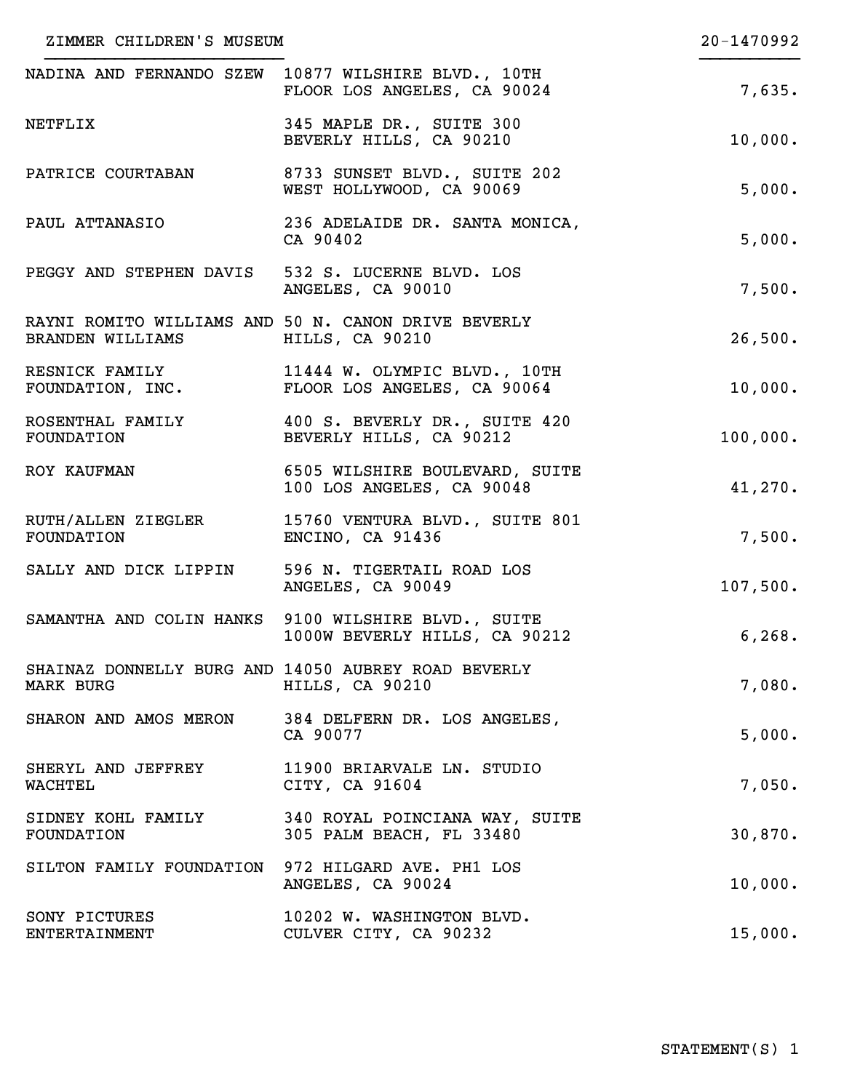| ZIMMER CHILDREN'S MUSEUM              | 20-1470992                                                                                  |          |
|---------------------------------------|---------------------------------------------------------------------------------------------|----------|
|                                       | NADINA AND FERNANDO SZEW 10877 WILSHIRE BLVD., 10TH<br>FLOOR LOS ANGELES, CA 90024          | 7,635.   |
| NETFLIX                               | 345 MAPLE DR., SUITE 300<br>BEVERLY HILLS, CA 90210                                         | 10,000.  |
| PATRICE COURTABAN                     | 8733 SUNSET BLVD., SUITE 202<br>WEST HOLLYWOOD, CA 90069                                    | 5,000.   |
| PAUL ATTANASIO                        | 236 ADELAIDE DR. SANTA MONICA,<br>CA 90402                                                  | 5,000.   |
|                                       | PEGGY AND STEPHEN DAVIS 532 S. LUCERNE BLVD. LOS<br>ANGELES, CA 90010                       | 7,500.   |
| BRANDEN WILLIAMS HILLS, CA 90210      | RAYNI ROMITO WILLIAMS AND 50 N. CANON DRIVE BEVERLY                                         | 26,500.  |
|                                       | RESNICK FAMILY 11444 W. OLYMPIC BLVD., 10TH<br>FOUNDATION, INC. FLOOR LOS ANGELES, CA 90064 | 10,000.  |
| ROSENTHAL FAMILY<br>FOUNDATION        | 400 S. BEVERLY DR., SUITE 420<br>BEVERLY HILLS, CA 90212                                    | 100,000. |
| ROY KAUFMAN                           | 6505 WILSHIRE BOULEVARD, SUITE<br>100 LOS ANGELES, CA 90048                                 | 41,270.  |
| RUTH/ALLEN ZIEGLER<br>FOUNDATION      | 15760 VENTURA BLVD., SUITE 801<br>ENCINO, CA 91436                                          | 7,500.   |
| SALLY AND DICK LIPPIN                 | 596 N. TIGERTAIL ROAD LOS<br>ANGELES, CA 90049                                              | 107,500. |
|                                       | SAMANTHA AND COLIN HANKS 9100 WILSHIRE BLVD., SUITE<br>1000W BEVERLY HILLS, CA 90212        | 6, 268.  |
| <b>MARK BURG</b>                      | SHAINAZ DONNELLY BURG AND 14050 AUBREY ROAD BEVERLY<br>HILLS, CA 90210                      | 7,080.   |
|                                       | SHARON AND AMOS MERON 384 DELFERN DR. LOS ANGELES,<br>CA 90077                              | 5,000.   |
| SHERYL AND JEFFREY<br><b>WACHTEL</b>  | 11900 BRIARVALE LN. STUDIO<br>CITY, CA 91604                                                | 7,050.   |
| FOUNDATION                            | SIDNEY KOHL FAMILY 340 ROYAL POINCIANA WAY, SUITE<br>305 PALM BEACH, FL 33480               | 30,870.  |
|                                       | SILTON FAMILY FOUNDATION 972 HILGARD AVE. PH1 LOS<br>ANGELES, CA 90024                      | 10,000.  |
| SONY PICTURES<br><b>ENTERTAINMENT</b> | 10202 W. WASHINGTON BLVD.<br>CULVER CITY, CA 90232                                          | 15,000.  |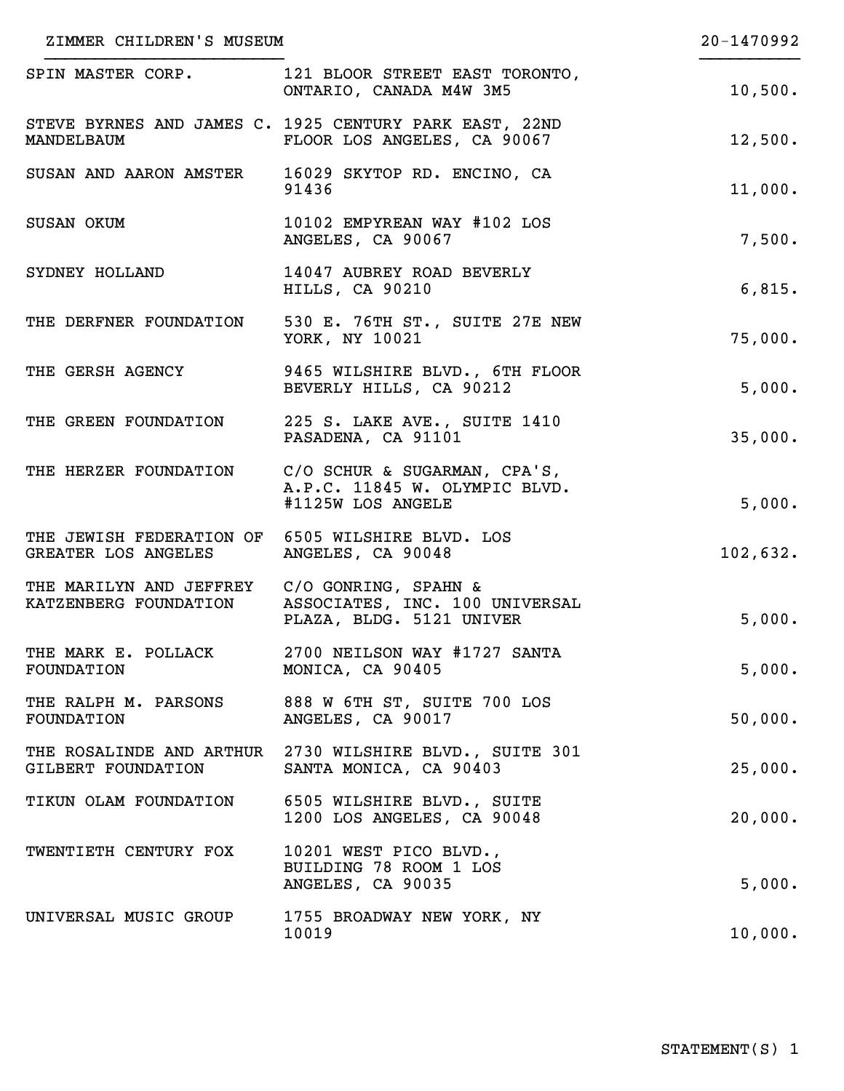| ZIMMER CHILDREN'S MUSEUM                                                                  |                                                                                       | 20-1470992 |
|-------------------------------------------------------------------------------------------|---------------------------------------------------------------------------------------|------------|
| SPIN MASTER CORP.                                                                         | 121 BLOOR STREET EAST TORONTO,<br>ONTARIO, CANADA M4W 3M5                             | 10,500.    |
| MANDELBAUM                                                                                | STEVE BYRNES AND JAMES C. 1925 CENTURY PARK EAST, 22ND<br>FLOOR LOS ANGELES, CA 90067 | 12,500.    |
| SUSAN AND AARON AMSTER                                                                    | 16029 SKYTOP RD. ENCINO, CA<br>91436                                                  | 11,000.    |
| SUSAN OKUM                                                                                | 10102 EMPYREAN WAY #102 LOS<br>ANGELES, CA 90067                                      | 7,500.     |
| SYDNEY HOLLAND                                                                            | 14047 AUBREY ROAD BEVERLY<br>HILLS, CA 90210                                          | 6,815.     |
| THE DERFNER FOUNDATION                                                                    | 530 E. 76TH ST., SUITE 27E NEW<br>YORK, NY 10021                                      | 75,000.    |
| THE GERSH AGENCY                                                                          | 9465 WILSHIRE BLVD., 6TH FLOOR<br>BEVERLY HILLS, CA 90212                             | 5,000.     |
| THE GREEN FOUNDATION                                                                      | 225 S. LAKE AVE., SUITE 1410<br>PASADENA, CA 91101                                    | 35,000.    |
| THE HERZER FOUNDATION                                                                     | C/O SCHUR & SUGARMAN, CPA'S,<br>A.P.C. 11845 W. OLYMPIC BLVD.<br>#1125W LOS ANGELE    | 5,000.     |
| THE JEWISH FEDERATION OF 6505 WILSHIRE BLVD. LOS<br>GREATER LOS ANGELES ANGELES, CA 90048 |                                                                                       | 102,632.   |
| THE MARILYN AND JEFFREY C/O GONRING, SPAHN &                                              | KATZENBERG FOUNDATION ASSOCIATES, INC. 100 UNIVERSAL<br>PLAZA, BLDG. 5121 UNIVER      | 5,000.     |
| THE MARK E. POLLACK<br>FOUNDATION                                                         | 2700 NEILSON WAY #1727 SANTA<br>MONICA, CA 90405                                      | 5,000.     |
| THE RALPH M. PARSONS<br>FOUNDATION                                                        | 888 W 6TH ST, SUITE 700 LOS<br>ANGELES, CA 90017                                      | 50,000.    |
| GILBERT FOUNDATION                                                                        | THE ROSALINDE AND ARTHUR 2730 WILSHIRE BLVD., SUITE 301<br>SANTA MONICA, CA 90403     | 25,000.    |
| TIKUN OLAM FOUNDATION                                                                     | 6505 WILSHIRE BLVD., SUITE<br>1200 LOS ANGELES, CA 90048                              | 20,000.    |
| TWENTIETH CENTURY FOX                                                                     | 10201 WEST PICO BLVD.,<br>BUILDING 78 ROOM 1 LOS<br>ANGELES, CA 90035                 | 5,000.     |
| UNIVERSAL MUSIC GROUP                                                                     | 1755 BROADWAY NEW YORK, NY<br>10019                                                   | 10,000.    |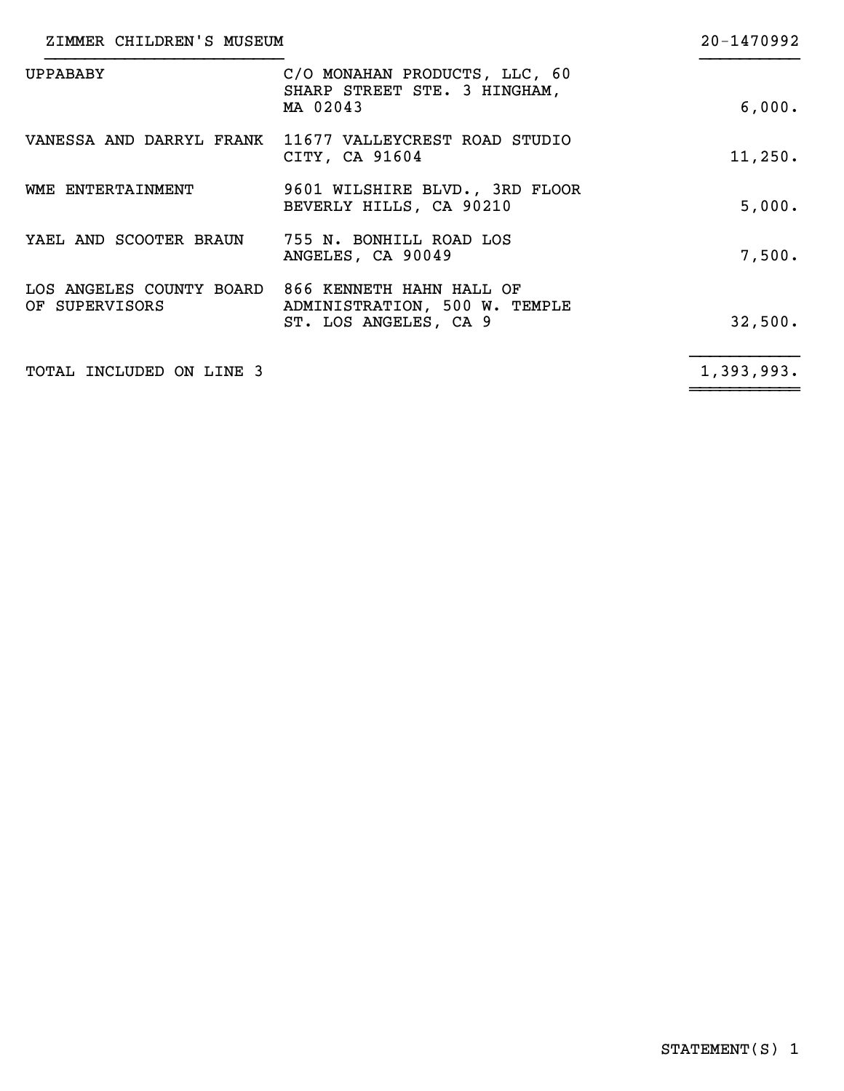| ZIMMER CHILDREN'S MUSEUM                                            |                                                                           | 20-1470992 |
|---------------------------------------------------------------------|---------------------------------------------------------------------------|------------|
| <b>UPPABABY</b>                                                     | C/O MONAHAN PRODUCTS, LLC, 60<br>SHARP STREET STE. 3 HINGHAM,<br>MA 02043 | 6,000.     |
|                                                                     | VANESSA AND DARRYL FRANK 11677 VALLEYCREST ROAD STUDIO<br>CITY, CA 91604  | 11, 250.   |
| WME ENTERTAINMENT                                                   | 9601 WILSHIRE BLVD., 3RD FLOOR<br>BEVERLY HILLS, CA 90210                 | 5,000.     |
| YAEL AND SCOOTER BRAUN 755 N. BONHILL ROAD LOS                      | ANGELES, CA 90049                                                         | 7,500.     |
| LOS ANGELES COUNTY BOARD 866 KENNETH HAHN HALL OF<br>OF SUPERVISORS | ADMINISTRATION, 500 W. TEMPLE<br>ST. LOS ANGELES, CA 9                    | 32,500.    |
| TOTAL INCLUDED ON LINE 3                                            |                                                                           | 1,393,993. |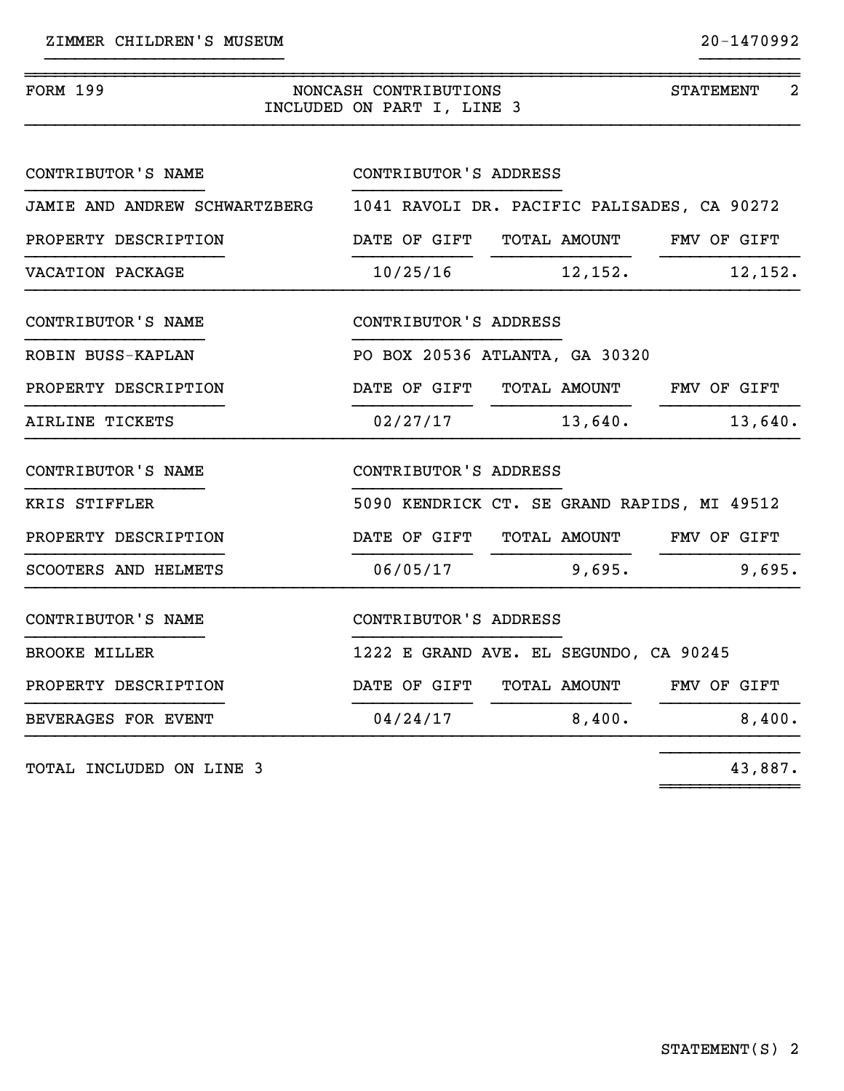| <b>FORM 199</b><br>NONCASH CONTRIBUTIONS<br>INCLUDED ON PART I, LINE 3 | <b>STATEMENT</b><br>2                       |             |
|------------------------------------------------------------------------|---------------------------------------------|-------------|
| CONTRIBUTOR'S NAME                                                     | CONTRIBUTOR'S ADDRESS                       |             |
| JAMIE AND ANDREW SCHWARTZBERG                                          | 1041 RAVOLI DR. PACIFIC PALISADES, CA 90272 |             |
| PROPERTY DESCRIPTION                                                   | DATE OF GIFT TOTAL AMOUNT FMV OF GIFT       |             |
| VACATION PACKAGE                                                       | 10/25/16<br>12,152.                         | 12, 152.    |
| CONTRIBUTOR'S NAME                                                     | CONTRIBUTOR'S ADDRESS                       |             |
| ROBIN BUSS-KAPLAN                                                      | PO BOX 20536 ATLANTA, GA 30320              |             |
| PROPERTY DESCRIPTION                                                   | DATE OF GIFT<br>TOTAL AMOUNT                | FMV OF GIFT |
| AIRLINE TICKETS                                                        | 13,640.<br>02/27/17                         | 13,640.     |
| CONTRIBUTOR'S NAME                                                     | CONTRIBUTOR'S ADDRESS                       |             |
| KRIS STIFFLER                                                          | 5090 KENDRICK CT. SE GRAND RAPIDS, MI 49512 |             |
| PROPERTY DESCRIPTION                                                   | DATE OF GIFT<br>TOTAL AMOUNT                | FMV OF GIFT |
| SCOOTERS AND HELMETS                                                   | 9,695.<br>06/05/17                          | 9,695.      |
| CONTRIBUTOR'S NAME                                                     | CONTRIBUTOR'S ADDRESS                       |             |
| <b>BROOKE MILLER</b>                                                   | 1222 E GRAND AVE. EL SEGUNDO, CA 90245      |             |
| PROPERTY DESCRIPTION                                                   | DATE OF GIFT<br>TOTAL AMOUNT                | FMV OF GIFT |
| BEVERAGES FOR EVENT                                                    | 8,400.<br>04/24/17                          | 8,400.      |

}}}}}}}}}}}}}}}}}}}}}}}} }}}}}}}}}}

TOTAL INCLUDED ON LINE 3

43,887.

}}}}}}}}}}}}}}

~~~~~~~~~~~~~~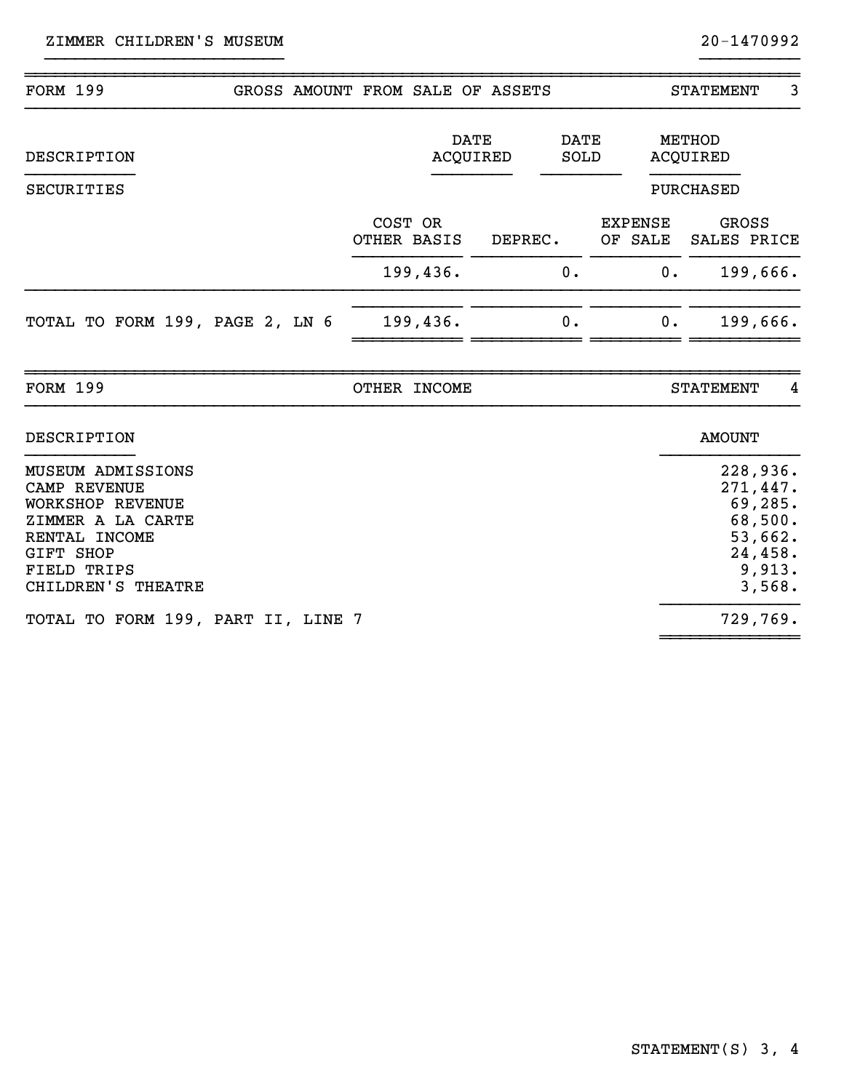| <b>FORM 199</b><br>GROSS AMOUNT FROM SALE OF ASSETS                                                                                                                              |                        |                                |              |                           |    | <b>STATEMENT</b>          | 3                                                            |
|----------------------------------------------------------------------------------------------------------------------------------------------------------------------------------|------------------------|--------------------------------|--------------|---------------------------|----|---------------------------|--------------------------------------------------------------|
| DESCRIPTION                                                                                                                                                                      |                        | <b>DATE</b><br><b>ACQUIRED</b> | DATE<br>SOLD |                           |    | METHOD<br><b>ACQUIRED</b> |                                                              |
| SECURITIES                                                                                                                                                                       |                        |                                |              |                           |    | PURCHASED                 |                                                              |
|                                                                                                                                                                                  | COST OR<br>OTHER BASIS | DEPREC.                        |              | <b>EXPENSE</b><br>OF SALE |    | GROSS<br>SALES PRICE      |                                                              |
|                                                                                                                                                                                  | 199,436.               |                                | 0.           |                           | 0. | 199,666.                  |                                                              |
| TOTAL TO FORM 199, PAGE 2, LN 6                                                                                                                                                  | 199,436.               |                                | 0.           |                           | 0. | 199,666.                  |                                                              |
| <b>FORM 199</b>                                                                                                                                                                  | OTHER INCOME           |                                |              |                           |    | <b>STATEMENT</b>          | 4                                                            |
| DESCRIPTION                                                                                                                                                                      |                        |                                |              |                           |    | <b>AMOUNT</b>             |                                                              |
| <b>MUSEUM ADMISSIONS</b><br><b>CAMP REVENUE</b><br><b>WORKSHOP REVENUE</b><br>ZIMMER A LA CARTE<br>RENTAL INCOME<br><b>GIFT SHOP</b><br><b>FIELD TRIPS</b><br>CHILDREN'S THEATRE |                        |                                |              |                           |    | 228,936.<br>271,447.      | 69,285.<br>68,500.<br>53,662.<br>24,458.<br>9,913.<br>3,568. |
| TOTAL TO FORM 199, PART II, LINE 7                                                                                                                                               |                        |                                |              |                           |    | 729,769.                  |                                                              |

}}}}}}}}}}}}}}}}}}}}}}}} }}}}}}}}}}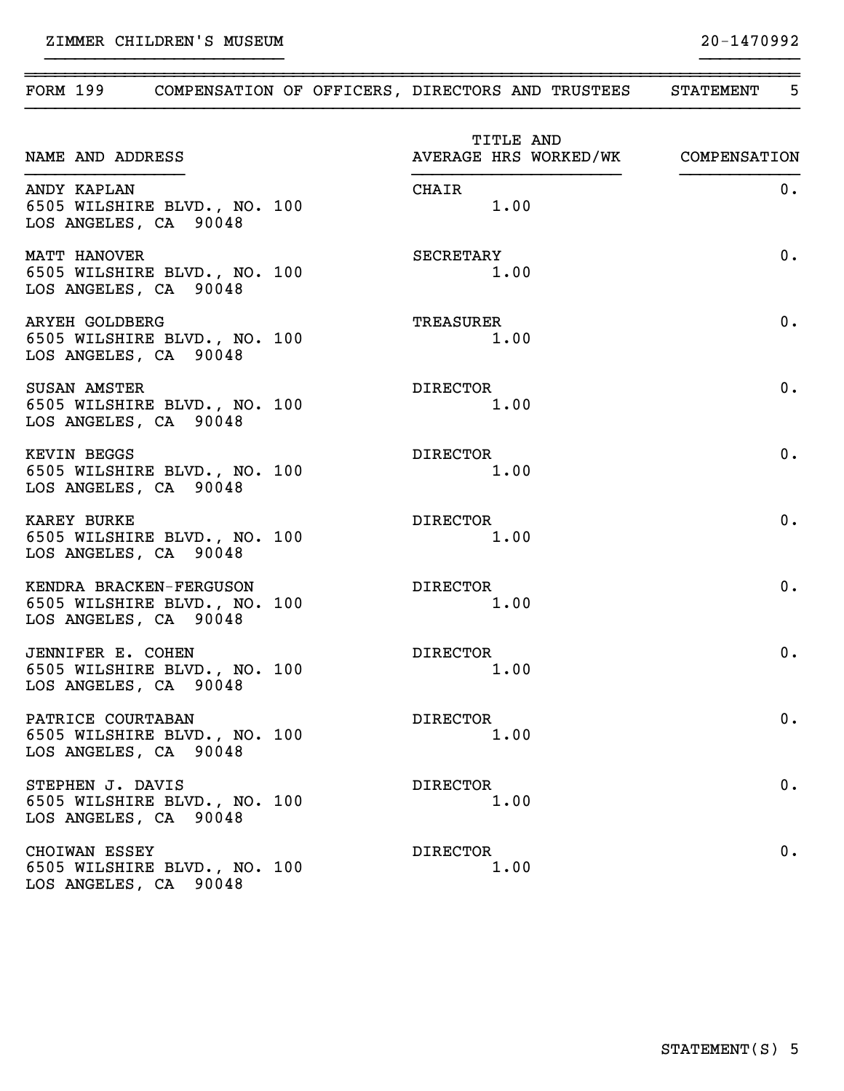| NAME AND ADDRESS                                                                 | TITLE AND<br>AVERAGE HRS WORKED/WK COMPENSATION |       |
|----------------------------------------------------------------------------------|-------------------------------------------------|-------|
| ANDY KAPLAN<br>6505 WILSHIRE BLVD., NO. 100<br>LOS ANGELES, CA 90048             | CHAIR<br>1.00                                   | 0.    |
| MATT HANOVER<br>6505 WILSHIRE BLVD., NO. 100<br>LOS ANGELES, CA 90048            | SECRETARY<br>1.00                               | 0.    |
| <b>ARYEH GOLDBERG</b><br>6505 WILSHIRE BLVD., NO. 100<br>LOS ANGELES, CA 90048   | TREASURER<br>1.00                               | 0.    |
| <b>SUSAN AMSTER</b><br>6505 WILSHIRE BLVD., NO. 100<br>LOS ANGELES, CA 90048     | DIRECTOR<br>1.00                                | 0.    |
| <b>KEVIN BEGGS</b><br>6505 WILSHIRE BLVD., NO. 100<br>LOS ANGELES, CA 90048      | DIRECTOR<br>1.00                                | $0$ . |
| <b>KAREY BURKE</b><br>6505 WILSHIRE BLVD., NO. 100<br>LOS ANGELES, CA 90048      | DIRECTOR<br>1.00                                | $0$ . |
| KENDRA BRACKEN-FERGUSON<br>6505 WILSHIRE BLVD., NO. 100<br>LOS ANGELES, CA 90048 | DIRECTOR<br>1.00                                | $0$ . |
| JENNIFER E. COHEN<br>6505 WILSHIRE BLVD., NO. 100<br>LOS ANGELES, CA 90048       | DIRECTOR<br>1.00                                | 0.    |
| PATRICE COURTABAN<br>6505 WILSHIRE BLVD., NO. 100<br>LOS ANGELES, CA 90048       | <b>DIRECTOR</b><br>1.00                         | 0.    |
| STEPHEN J. DAVIS<br>6505 WILSHIRE BLVD., NO. 100<br>LOS ANGELES, CA 90048        | <b>DIRECTOR</b><br>1.00                         | 0.    |
| CHOIWAN ESSEY<br>6505 WILSHIRE BLVD., NO. 100<br>LOS ANGELES, CA 90048           | <b>DIRECTOR</b><br>1.00                         | 0.    |

~~~~~~~~~~~~~~~~~~~~~~~~~~~~~~~~~~~~~~~~~~~~~~~~~~~~~~~~~~~~~~~~~~~~~~~~~~~~~~ FORM 199 COMPENSATION OF OFFICERS, DIRECTORS AND TRUSTEES STATEMENT 5 }}}}}}}}}}}}}}}}}}}}}}}}}}}}}}}}}}}}}}}}}}}}}}}}}}}}}}}}}}}}}}}}}}}}}}}}}}}}}}

}}}}}}}}}}}}}}}}}}}}}}}} }}}}}}}}}}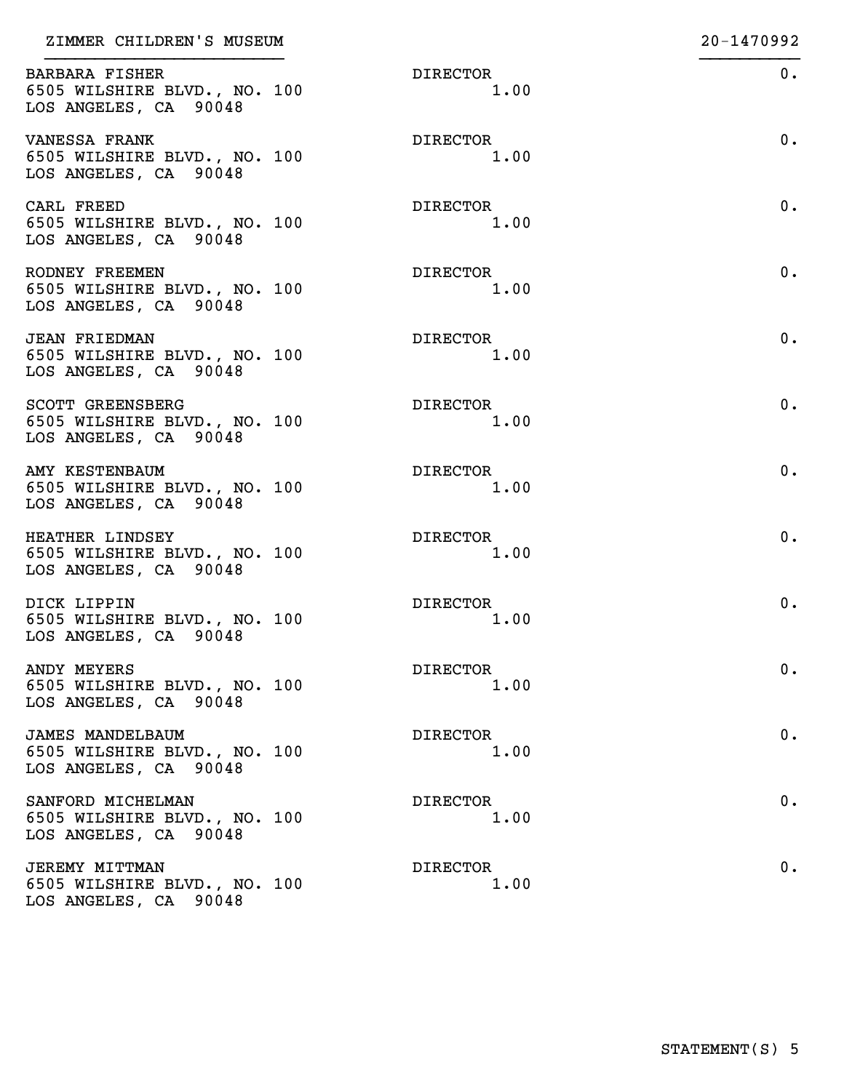| ZIMMER CHILDREN'S MUSEUM                                                         |                         | 20-1470992 |
|----------------------------------------------------------------------------------|-------------------------|------------|
| <b>BARBARA FISHER</b><br>6505 WILSHIRE BLVD., NO. 100<br>LOS ANGELES, CA 90048   | <b>DIRECTOR</b><br>1.00 | 0.         |
| VANESSA FRANK<br>6505 WILSHIRE BLVD., NO. 100<br>LOS ANGELES, CA 90048           | <b>DIRECTOR</b><br>1.00 | 0.         |
| CARL FREED<br>6505 WILSHIRE BLVD., NO. 100<br>LOS ANGELES, CA 90048              | <b>DIRECTOR</b><br>1.00 | 0.         |
| RODNEY FREEMEN<br>6505 WILSHIRE BLVD., NO. 100<br>LOS ANGELES, CA 90048          | <b>DIRECTOR</b><br>1.00 | 0.         |
| <b>JEAN FRIEDMAN</b><br>6505 WILSHIRE BLVD., NO. 100<br>LOS ANGELES, CA 90048    | <b>DIRECTOR</b><br>1.00 | 0.         |
| SCOTT GREENSBERG<br>6505 WILSHIRE BLVD., NO. 100<br>LOS ANGELES, CA 90048        | <b>DIRECTOR</b><br>1.00 | 0.         |
| AMY KESTENBAUM<br>6505 WILSHIRE BLVD., NO. 100<br>LOS ANGELES, CA 90048          | <b>DIRECTOR</b><br>1.00 | 0.         |
| HEATHER LINDSEY<br>6505 WILSHIRE BLVD., NO. 100<br>LOS ANGELES, CA 90048         | <b>DIRECTOR</b><br>1.00 | 0.         |
| DICK LIPPIN<br>6505 WILSHIRE BLVD., NO. 100<br>LOS ANGELES, CA 90048             | <b>DIRECTOR</b><br>1.00 | 0.         |
| ANDY MEYERS<br>6505 WILSHIRE BLVD., NO. 100<br>LOS ANGELES, CA 90048             | <b>DIRECTOR</b><br>1.00 | 0.         |
| <b>JAMES MANDELBAUM</b><br>6505 WILSHIRE BLVD., NO. 100<br>LOS ANGELES, CA 90048 | <b>DIRECTOR</b><br>1.00 | 0.         |
| SANFORD MICHELMAN<br>6505 WILSHIRE BLVD., NO. 100<br>LOS ANGELES, CA 90048       | <b>DIRECTOR</b><br>1.00 | 0.         |
| <b>JEREMY MITTMAN</b><br>6505 WILSHIRE BLVD., NO. 100<br>LOS ANGELES, CA 90048   | <b>DIRECTOR</b><br>1.00 | 0.         |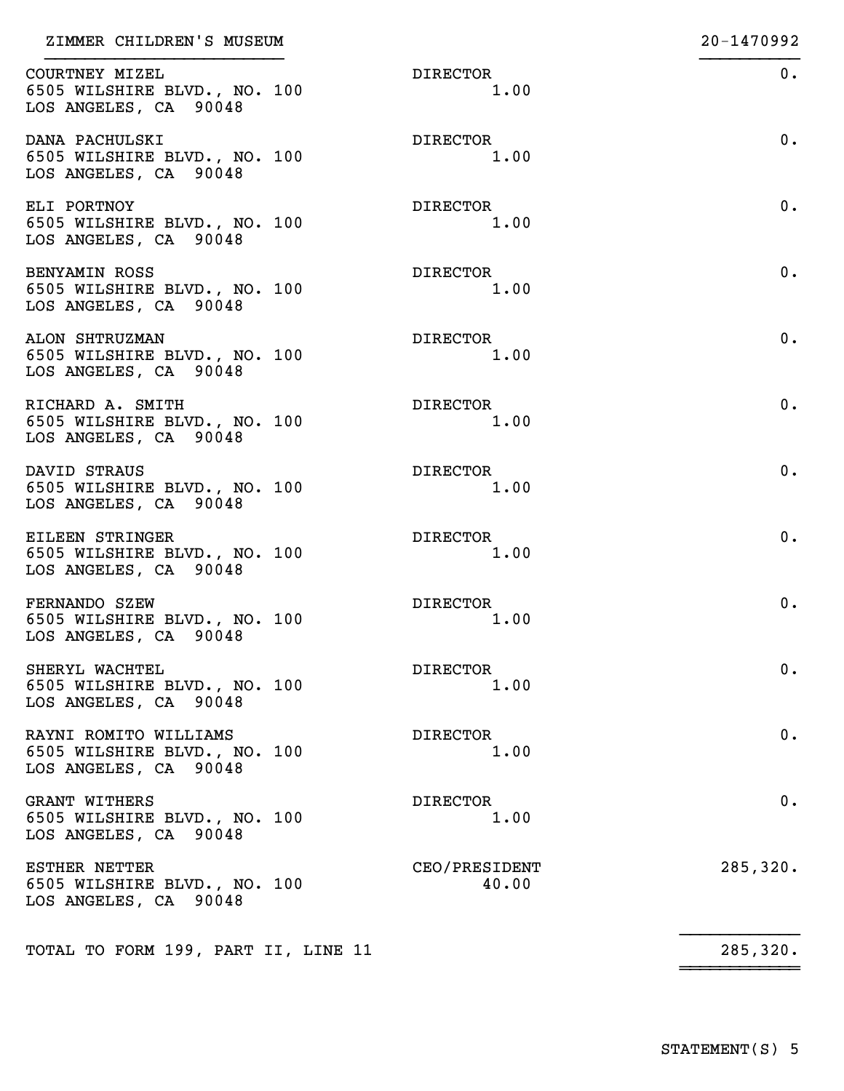| ZIMMER CHILDREN'S MUSEUM                                                       |                         | 20-1470992 |
|--------------------------------------------------------------------------------|-------------------------|------------|
| COURTNEY MIZEL<br>6505 WILSHIRE BLVD., NO. 100<br>LOS ANGELES, CA 90048        | <b>DIRECTOR</b><br>1.00 | 0.         |
| DANA PACHULSKI<br>6505 WILSHIRE BLVD., NO. 100<br>LOS ANGELES, CA 90048        | <b>DIRECTOR</b><br>1.00 | 0.         |
| ELI PORTNOY<br>6505 WILSHIRE BLVD., NO. 100<br>LOS ANGELES, CA 90048           | <b>DIRECTOR</b><br>1.00 | 0.         |
| BENYAMIN ROSS<br>6505 WILSHIRE BLVD., NO. 100<br>LOS ANGELES, CA 90048         | <b>DIRECTOR</b><br>1.00 | 0.         |
| ALON SHTRUZMAN<br>6505 WILSHIRE BLVD., NO. 100<br>LOS ANGELES, CA 90048        | <b>DIRECTOR</b><br>1.00 | 0.         |
| RICHARD A. SMITH<br>6505 WILSHIRE BLVD., NO. 100<br>LOS ANGELES, CA 90048      | <b>DIRECTOR</b><br>1.00 | 0.         |
| DAVID STRAUS<br>6505 WILSHIRE BLVD., NO. 100<br>LOS ANGELES, CA 90048          | <b>DIRECTOR</b><br>1.00 | 0.         |
| EILEEN STRINGER<br>6505 WILSHIRE BLVD., NO. 100<br>LOS ANGELES, CA 90048       | <b>DIRECTOR</b><br>1.00 | 0.         |
| FERNANDO SZEW<br>6505 WILSHIRE BLVD., NO. 100<br>LOS ANGELES, CA 90048         | <b>DIRECTOR</b><br>1.00 | 0.         |
| SHERYL WACHTEL<br>6505 WILSHIRE BLVD., NO. 100<br>LOS ANGELES, CA 90048        | <b>DIRECTOR</b><br>1.00 | 0.         |
| RAYNI ROMITO WILLIAMS<br>6505 WILSHIRE BLVD., NO. 100<br>LOS ANGELES, CA 90048 | <b>DIRECTOR</b><br>1.00 | 0.         |
| <b>GRANT WITHERS</b><br>6505 WILSHIRE BLVD., NO. 100<br>LOS ANGELES, CA 90048  | <b>DIRECTOR</b><br>1.00 | 0.         |
| <b>ESTHER NETTER</b><br>6505 WILSHIRE BLVD., NO. 100<br>LOS ANGELES, CA 90048  | CEO/PRESIDENT<br>40.00  | 285, 320.  |
| TOTAL TO FORM 199, PART II, LINE 11                                            |                         | 285,320.   |

~~~~~~~~~~~~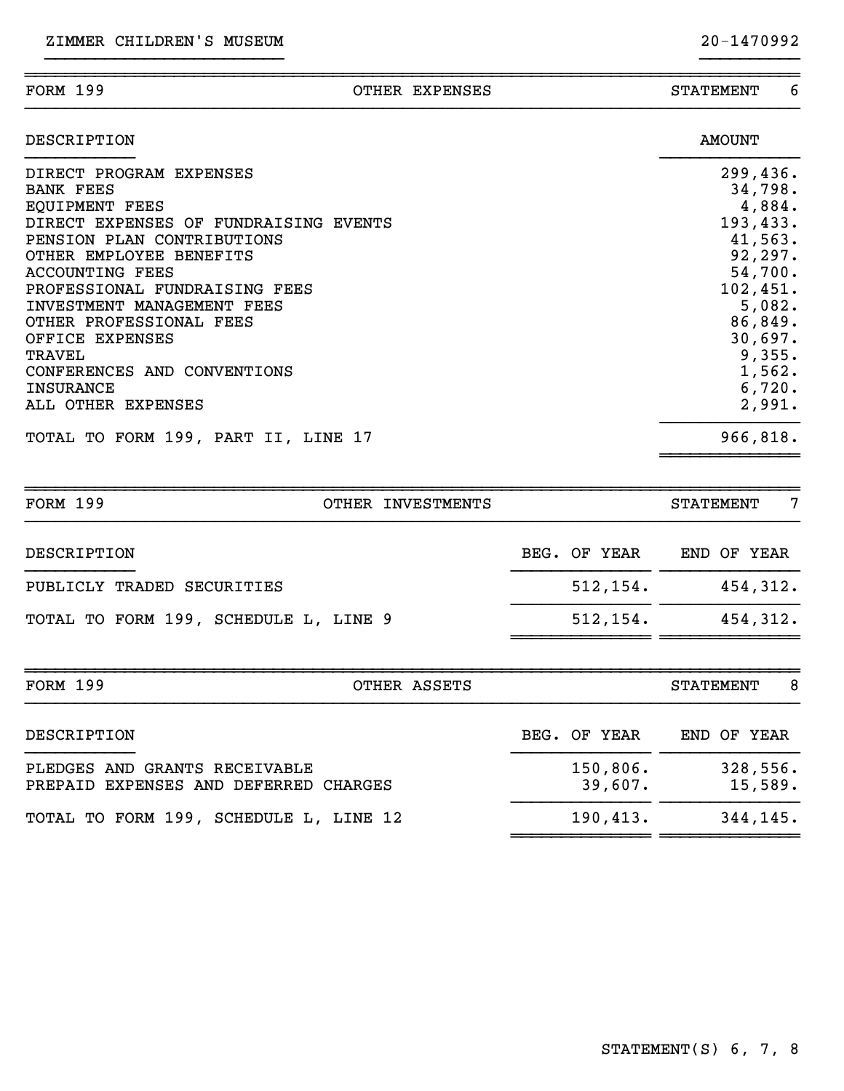| <b>FORM 199</b>                             | OTHER EXPENSES | -6<br><b>STATEMENT</b> |
|---------------------------------------------|----------------|------------------------|
| DESCRIPTION                                 |                | AMOUNT                 |
| DIRECT PROGRAM EXPENSES<br><b>BANK FEES</b> |                | 299,436.<br>34,798.    |

~~~~~~~~~~~~~~~~~~~~~~~~~~~~~~~~~~~~~~~~~~~~~~~~~~~~~~~~~~~~~~~~~~~~~~~~~~~~~~

|                                       | <u>J = , , J U •</u> |
|---------------------------------------|----------------------|
| <b>EQUIPMENT FEES</b>                 | 4,884.               |
| DIRECT EXPENSES OF FUNDRAISING EVENTS | 193,433.             |
| PENSION PLAN CONTRIBUTIONS            | 41,563.              |
| OTHER EMPLOYEE BENEFITS               | 92, 297.             |
| ACCOUNTING FEES                       | 54,700.              |
| PROFESSIONAL FUNDRAISING FEES         | 102,451.             |
| INVESTMENT MANAGEMENT FEES            | 5,082.               |
| OTHER PROFESSIONAL FEES               | 86,849.              |
| OFFICE EXPENSES                       | 30,697.              |
| TRAVEL                                | 9,355.               |
| CONFERENCES AND CONVENTIONS           | 1,562.               |
| INSURANCE                             | 6,720.               |
| ALL OTHER EXPENSES                    | 2,991.               |
| TOTAL TO FORM 199, PART II, LINE 17   | 966,818.             |
|                                       |                      |

| <b>FORM 199</b>                       | OTHER INVESTMENTS |              | 7<br>STATEMENT        |
|---------------------------------------|-------------------|--------------|-----------------------|
| DESCRIPTION                           |                   | BEG. OF YEAR | END OF YEAR           |
| PUBLICLY TRADED SECURITIES            |                   | 512, 154.    | 454,312.              |
| TOTAL TO FORM 199, SCHEDULE L, LINE 9 |                   | 512, 154.    | 454, 312.             |
| <b>FORM 199</b>                       | OTHER ASSETS      |              | 8<br><b>STATEMENT</b> |

| DESCRIPTION                                                            | BEG. OF YEAR        | END OF YEAR         |
|------------------------------------------------------------------------|---------------------|---------------------|
| PLEDGES AND GRANTS RECEIVABLE<br>PREPAID EXPENSES AND DEFERRED CHARGES | 150,806.<br>39,607. | 328,556.<br>15,589. |
| TOTAL TO FORM 199, SCHEDULE L, LINE 12                                 | 190, 413.           | 344,145.            |
|                                                                        |                     |                     |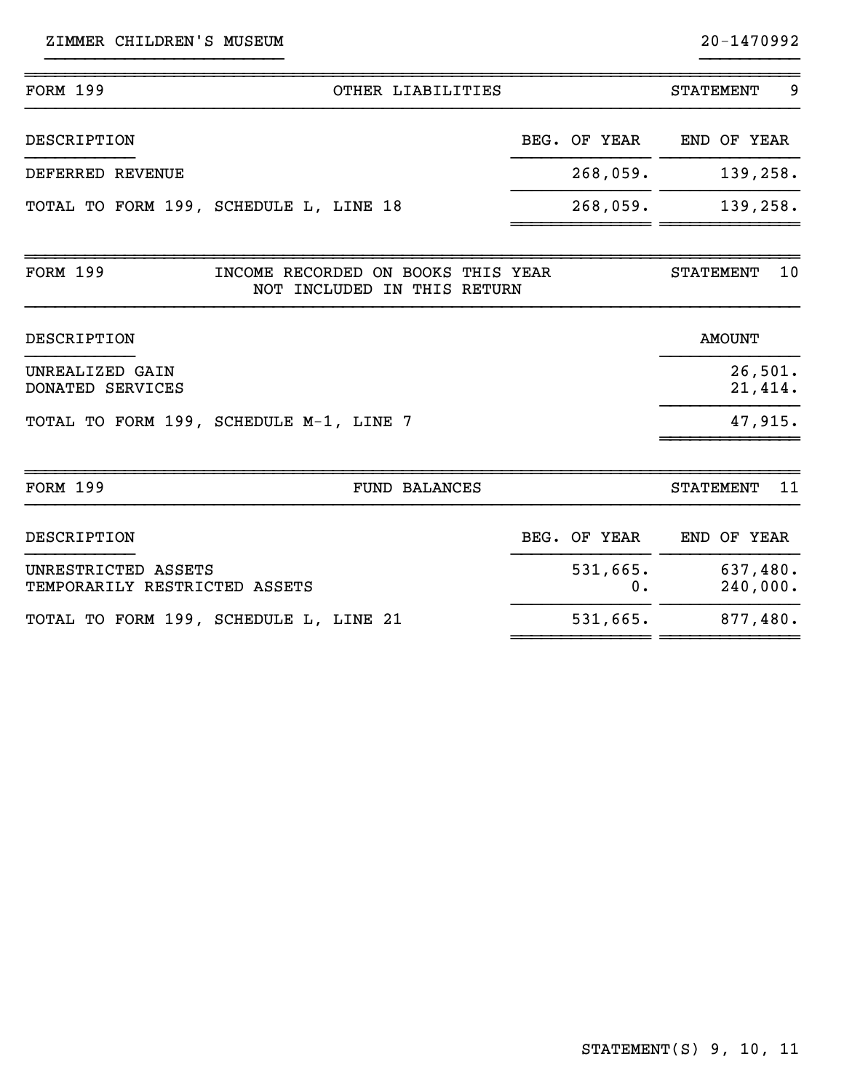| ZIMMER CHILDREN'S MUSEUM                             |                                                                   |                | 20-1470992             |
|------------------------------------------------------|-------------------------------------------------------------------|----------------|------------------------|
| <b>FORM 199</b>                                      | OTHER LIABILITIES                                                 |                | 9<br><b>STATEMENT</b>  |
| DESCRIPTION                                          |                                                                   | BEG. OF YEAR   | END OF YEAR            |
| DEFERRED REVENUE                                     |                                                                   | 268,059.       | 139,258.               |
|                                                      | TOTAL TO FORM 199, SCHEDULE L, LINE 18                            | 268,059.       | 139,258.               |
| <b>FORM 199</b>                                      | INCOME RECORDED ON BOOKS THIS YEAR<br>NOT INCLUDED IN THIS RETURN |                | 10<br><b>STATEMENT</b> |
| DESCRIPTION                                          |                                                                   |                | <b>AMOUNT</b>          |
| UNREALIZED GAIN<br>DONATED SERVICES                  |                                                                   |                | 26,501.<br>21,414.     |
|                                                      | TOTAL TO FORM 199, SCHEDULE M-1, LINE 7                           |                | 47,915.                |
| <b>FORM 199</b>                                      | <b>FUND BALANCES</b>                                              |                | 11<br><b>STATEMENT</b> |
| DESCRIPTION                                          |                                                                   | BEG. OF YEAR   | END OF YEAR            |
| UNRESTRICTED ASSETS<br>TEMPORARILY RESTRICTED ASSETS |                                                                   | 531,665.<br>0. | 637,480.<br>240,000.   |
|                                                      | TOTAL TO FORM 199, SCHEDULE L, LINE 21                            | 531,665.       | 877,480.               |
|                                                      |                                                                   |                |                        |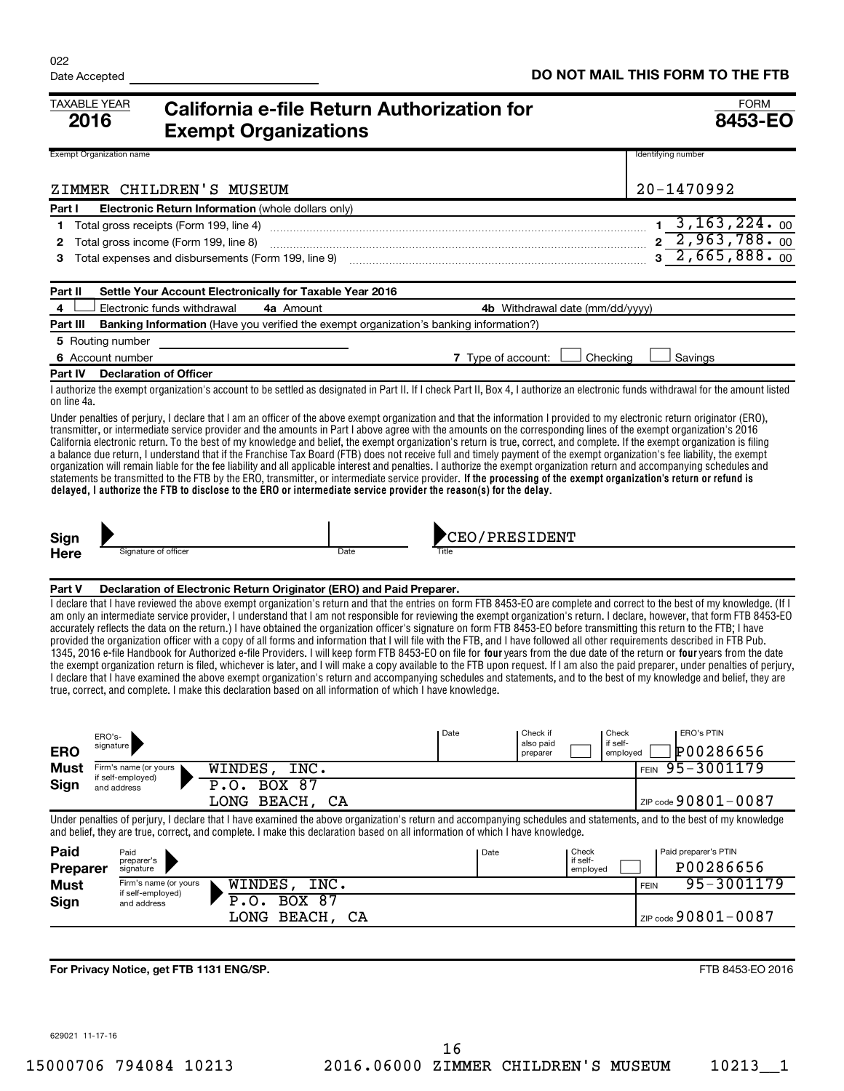| <b>TAXABLE YEAR</b><br>2016     |                                          | <b>Exempt Organizations</b>                              | California e-file Return Authorization for                                                                                                                                                                                                                                                                                                                                                                                                                   |                                 |                      | <b>FORM</b><br>8453-EO                                                                                                                                                                                                                                                                                                                                                                                                                                                                                                                                                                                                                                                                                                                                                                                                                                                                                                                                                                                                                                                                                                                                                                                                                                           |
|---------------------------------|------------------------------------------|----------------------------------------------------------|--------------------------------------------------------------------------------------------------------------------------------------------------------------------------------------------------------------------------------------------------------------------------------------------------------------------------------------------------------------------------------------------------------------------------------------------------------------|---------------------------------|----------------------|------------------------------------------------------------------------------------------------------------------------------------------------------------------------------------------------------------------------------------------------------------------------------------------------------------------------------------------------------------------------------------------------------------------------------------------------------------------------------------------------------------------------------------------------------------------------------------------------------------------------------------------------------------------------------------------------------------------------------------------------------------------------------------------------------------------------------------------------------------------------------------------------------------------------------------------------------------------------------------------------------------------------------------------------------------------------------------------------------------------------------------------------------------------------------------------------------------------------------------------------------------------|
| <b>Exempt Organization name</b> |                                          |                                                          |                                                                                                                                                                                                                                                                                                                                                                                                                                                              |                                 |                      | Identifying number                                                                                                                                                                                                                                                                                                                                                                                                                                                                                                                                                                                                                                                                                                                                                                                                                                                                                                                                                                                                                                                                                                                                                                                                                                               |
|                                 |                                          | ZIMMER CHILDREN'S MUSEUM                                 |                                                                                                                                                                                                                                                                                                                                                                                                                                                              |                                 |                      | 20-1470992                                                                                                                                                                                                                                                                                                                                                                                                                                                                                                                                                                                                                                                                                                                                                                                                                                                                                                                                                                                                                                                                                                                                                                                                                                                       |
|                                 |                                          |                                                          |                                                                                                                                                                                                                                                                                                                                                                                                                                                              |                                 |                      |                                                                                                                                                                                                                                                                                                                                                                                                                                                                                                                                                                                                                                                                                                                                                                                                                                                                                                                                                                                                                                                                                                                                                                                                                                                                  |
| Part I<br>1                     | Total gross receipts (Form 199, line 4)  | Electronic Return Information (whole dollars only)       |                                                                                                                                                                                                                                                                                                                                                                                                                                                              |                                 |                      | $1, 3, 163, 224.$ 00                                                                                                                                                                                                                                                                                                                                                                                                                                                                                                                                                                                                                                                                                                                                                                                                                                                                                                                                                                                                                                                                                                                                                                                                                                             |
| 2                               | Total gross income (Form 199, line 8)    |                                                          |                                                                                                                                                                                                                                                                                                                                                                                                                                                              |                                 |                      | $2\overline{2,963,788.00}$                                                                                                                                                                                                                                                                                                                                                                                                                                                                                                                                                                                                                                                                                                                                                                                                                                                                                                                                                                                                                                                                                                                                                                                                                                       |
| 3                               |                                          |                                                          | Total expenses and disbursements (Form 199, line 9) [11] manufacture manufacture and dispurse and disbursements (Form 199, line 9) [11] manufacture manufacture and dispute and dispute $\frac{1}{2}$                                                                                                                                                                                                                                                        |                                 |                      | $3\overline{2,665,888.00}$                                                                                                                                                                                                                                                                                                                                                                                                                                                                                                                                                                                                                                                                                                                                                                                                                                                                                                                                                                                                                                                                                                                                                                                                                                       |
|                                 |                                          |                                                          |                                                                                                                                                                                                                                                                                                                                                                                                                                                              |                                 |                      |                                                                                                                                                                                                                                                                                                                                                                                                                                                                                                                                                                                                                                                                                                                                                                                                                                                                                                                                                                                                                                                                                                                                                                                                                                                                  |
| Part II                         |                                          | Settle Your Account Electronically for Taxable Year 2016 |                                                                                                                                                                                                                                                                                                                                                                                                                                                              |                                 |                      |                                                                                                                                                                                                                                                                                                                                                                                                                                                                                                                                                                                                                                                                                                                                                                                                                                                                                                                                                                                                                                                                                                                                                                                                                                                                  |
| 4                               | Electronic funds withdrawal              | 4a Amount                                                |                                                                                                                                                                                                                                                                                                                                                                                                                                                              | 4b Withdrawal date (mm/dd/yyyy) |                      |                                                                                                                                                                                                                                                                                                                                                                                                                                                                                                                                                                                                                                                                                                                                                                                                                                                                                                                                                                                                                                                                                                                                                                                                                                                                  |
| Part III                        |                                          |                                                          | Banking Information (Have you verified the exempt organization's banking information?)                                                                                                                                                                                                                                                                                                                                                                       |                                 |                      |                                                                                                                                                                                                                                                                                                                                                                                                                                                                                                                                                                                                                                                                                                                                                                                                                                                                                                                                                                                                                                                                                                                                                                                                                                                                  |
| 5 Routing number                |                                          |                                                          |                                                                                                                                                                                                                                                                                                                                                                                                                                                              |                                 |                      |                                                                                                                                                                                                                                                                                                                                                                                                                                                                                                                                                                                                                                                                                                                                                                                                                                                                                                                                                                                                                                                                                                                                                                                                                                                                  |
| 6 Account number                |                                          |                                                          |                                                                                                                                                                                                                                                                                                                                                                                                                                                              | 7 Type of account:              | Checking             | Savings                                                                                                                                                                                                                                                                                                                                                                                                                                                                                                                                                                                                                                                                                                                                                                                                                                                                                                                                                                                                                                                                                                                                                                                                                                                          |
| Part IV                         | <b>Declaration of Officer</b>            |                                                          |                                                                                                                                                                                                                                                                                                                                                                                                                                                              |                                 |                      |                                                                                                                                                                                                                                                                                                                                                                                                                                                                                                                                                                                                                                                                                                                                                                                                                                                                                                                                                                                                                                                                                                                                                                                                                                                                  |
| on line 4a.                     |                                          |                                                          |                                                                                                                                                                                                                                                                                                                                                                                                                                                              |                                 |                      | I authorize the exempt organization's account to be settled as designated in Part II. If I check Part II, Box 4, I authorize an electronic funds withdrawal for the amount listed                                                                                                                                                                                                                                                                                                                                                                                                                                                                                                                                                                                                                                                                                                                                                                                                                                                                                                                                                                                                                                                                                |
|                                 |                                          |                                                          | transmitter, or intermediate service provider and the amounts in Part I above agree with the amounts on the corresponding lines of the exempt organization's 2016<br>statements be transmitted to the FTB by the ERO, transmitter, or intermediate service provider. If the processing of the exempt organization's return or refund is<br>delayed, I authorize the FTB to disclose to the ERO or intermediate service provider the reason(s) for the delay. |                                 |                      | California electronic return. To the best of my knowledge and belief, the exempt organization's return is true, correct, and complete. If the exempt organization is filing<br>a balance due return, I understand that if the Franchise Tax Board (FTB) does not receive full and timely payment of the exempt organization's fee liability, the exempt<br>organization will remain liable for the fee liability and all applicable interest and penalties. I authorize the exempt organization return and accompanying schedules and                                                                                                                                                                                                                                                                                                                                                                                                                                                                                                                                                                                                                                                                                                                            |
| Sign                            |                                          |                                                          |                                                                                                                                                                                                                                                                                                                                                                                                                                                              | <b>CEO/PRESIDENT</b>            |                      |                                                                                                                                                                                                                                                                                                                                                                                                                                                                                                                                                                                                                                                                                                                                                                                                                                                                                                                                                                                                                                                                                                                                                                                                                                                                  |
| <b>Here</b>                     | Signature of officer                     |                                                          | Date                                                                                                                                                                                                                                                                                                                                                                                                                                                         |                                 |                      |                                                                                                                                                                                                                                                                                                                                                                                                                                                                                                                                                                                                                                                                                                                                                                                                                                                                                                                                                                                                                                                                                                                                                                                                                                                                  |
|                                 |                                          |                                                          |                                                                                                                                                                                                                                                                                                                                                                                                                                                              |                                 |                      |                                                                                                                                                                                                                                                                                                                                                                                                                                                                                                                                                                                                                                                                                                                                                                                                                                                                                                                                                                                                                                                                                                                                                                                                                                                                  |
| Part V                          |                                          |                                                          | Declaration of Electronic Return Originator (ERO) and Paid Preparer.<br>true, correct, and complete. I make this declaration based on all information of which I have knowledge.                                                                                                                                                                                                                                                                             |                                 |                      | I declare that I have reviewed the above exempt organization's return and that the entries on form FTB 8453-EO are complete and correct to the best of my knowledge. (If I<br>am only an intermediate service provider, I understand that I am not responsible for reviewing the exempt organization's return. I declare, however, that form FTB 8453-EO<br>accurately reflects the data on the return.) I have obtained the organization officer's signature on form FTB 8453-EO before transmitting this return to the FTB; I have<br>provided the organization officer with a copy of all forms and information that I will file with the FTB, and I have followed all other requirements described in FTB Pub.<br>1345, 2016 e-file Handbook for Authorized e-file Providers. I will keep form FTB 8453-EO on file for four years from the due date of the return or four years from the date<br>the exempt organization return is filed, whichever is later, and I will make a copy available to the FTB upon request. If I am also the paid preparer, under penalties of perjury,<br>I declare that I have examined the above exempt organization's return and accompanying schedules and statements, and to the best of my knowledge and belief, they are |
| ERO's-<br><b>ERO</b>            | signature                                |                                                          | Date                                                                                                                                                                                                                                                                                                                                                                                                                                                         | Check if<br>also paid           | Check<br>if self-    | <b>ERO's PTIN</b><br>P00286656                                                                                                                                                                                                                                                                                                                                                                                                                                                                                                                                                                                                                                                                                                                                                                                                                                                                                                                                                                                                                                                                                                                                                                                                                                   |
| Must                            | Firm's name (or yours                    | WINDES, INC.                                             |                                                                                                                                                                                                                                                                                                                                                                                                                                                              | preparer                        | employed             | 95-3001179<br><b>FEIN</b>                                                                                                                                                                                                                                                                                                                                                                                                                                                                                                                                                                                                                                                                                                                                                                                                                                                                                                                                                                                                                                                                                                                                                                                                                                        |
| Sign                            | if self-employed)<br>and address         | <b>BOX 87</b><br>P.0.                                    |                                                                                                                                                                                                                                                                                                                                                                                                                                                              |                                 |                      |                                                                                                                                                                                                                                                                                                                                                                                                                                                                                                                                                                                                                                                                                                                                                                                                                                                                                                                                                                                                                                                                                                                                                                                                                                                                  |
|                                 |                                          | LONG BEACH, CA                                           |                                                                                                                                                                                                                                                                                                                                                                                                                                                              |                                 |                      | ZIP code 90801-0087                                                                                                                                                                                                                                                                                                                                                                                                                                                                                                                                                                                                                                                                                                                                                                                                                                                                                                                                                                                                                                                                                                                                                                                                                                              |
|                                 |                                          |                                                          | and belief, they are true, correct, and complete. I make this declaration based on all information of which I have knowledge.                                                                                                                                                                                                                                                                                                                                |                                 |                      | Under penalties of perjury, I declare that I have examined the above organization's return and accompanying schedules and statements, and to the best of my knowledge                                                                                                                                                                                                                                                                                                                                                                                                                                                                                                                                                                                                                                                                                                                                                                                                                                                                                                                                                                                                                                                                                            |
| Paid                            | Paid                                     |                                                          |                                                                                                                                                                                                                                                                                                                                                                                                                                                              | Date                            | Check                | Paid preparer's PTIN                                                                                                                                                                                                                                                                                                                                                                                                                                                                                                                                                                                                                                                                                                                                                                                                                                                                                                                                                                                                                                                                                                                                                                                                                                             |
| Preparer                        | preparer's<br>signature                  |                                                          |                                                                                                                                                                                                                                                                                                                                                                                                                                                              |                                 | if self-<br>employed | P00286656                                                                                                                                                                                                                                                                                                                                                                                                                                                                                                                                                                                                                                                                                                                                                                                                                                                                                                                                                                                                                                                                                                                                                                                                                                                        |
| <b>Must</b>                     | Firm's name (or yours                    | WINDES,<br>INC.                                          |                                                                                                                                                                                                                                                                                                                                                                                                                                                              |                                 |                      | 95-3001179<br><b>FEIN</b>                                                                                                                                                                                                                                                                                                                                                                                                                                                                                                                                                                                                                                                                                                                                                                                                                                                                                                                                                                                                                                                                                                                                                                                                                                        |
| Sign                            | if self-employed)<br>and address         | <b>BOX 87</b><br>.0.                                     |                                                                                                                                                                                                                                                                                                                                                                                                                                                              |                                 |                      |                                                                                                                                                                                                                                                                                                                                                                                                                                                                                                                                                                                                                                                                                                                                                                                                                                                                                                                                                                                                                                                                                                                                                                                                                                                                  |
|                                 |                                          | LONG BEACH, CA                                           |                                                                                                                                                                                                                                                                                                                                                                                                                                                              |                                 |                      | ZIP code $90801 - 0087$                                                                                                                                                                                                                                                                                                                                                                                                                                                                                                                                                                                                                                                                                                                                                                                                                                                                                                                                                                                                                                                                                                                                                                                                                                          |
|                                 |                                          |                                                          |                                                                                                                                                                                                                                                                                                                                                                                                                                                              |                                 |                      |                                                                                                                                                                                                                                                                                                                                                                                                                                                                                                                                                                                                                                                                                                                                                                                                                                                                                                                                                                                                                                                                                                                                                                                                                                                                  |
|                                 |                                          |                                                          |                                                                                                                                                                                                                                                                                                                                                                                                                                                              |                                 |                      |                                                                                                                                                                                                                                                                                                                                                                                                                                                                                                                                                                                                                                                                                                                                                                                                                                                                                                                                                                                                                                                                                                                                                                                                                                                                  |
|                                 | For Privacy Notice, get FTB 1131 ENG/SP. |                                                          |                                                                                                                                                                                                                                                                                                                                                                                                                                                              |                                 |                      | FTB 8453-EO 2016                                                                                                                                                                                                                                                                                                                                                                                                                                                                                                                                                                                                                                                                                                                                                                                                                                                                                                                                                                                                                                                                                                                                                                                                                                                 |

629021 11-17-16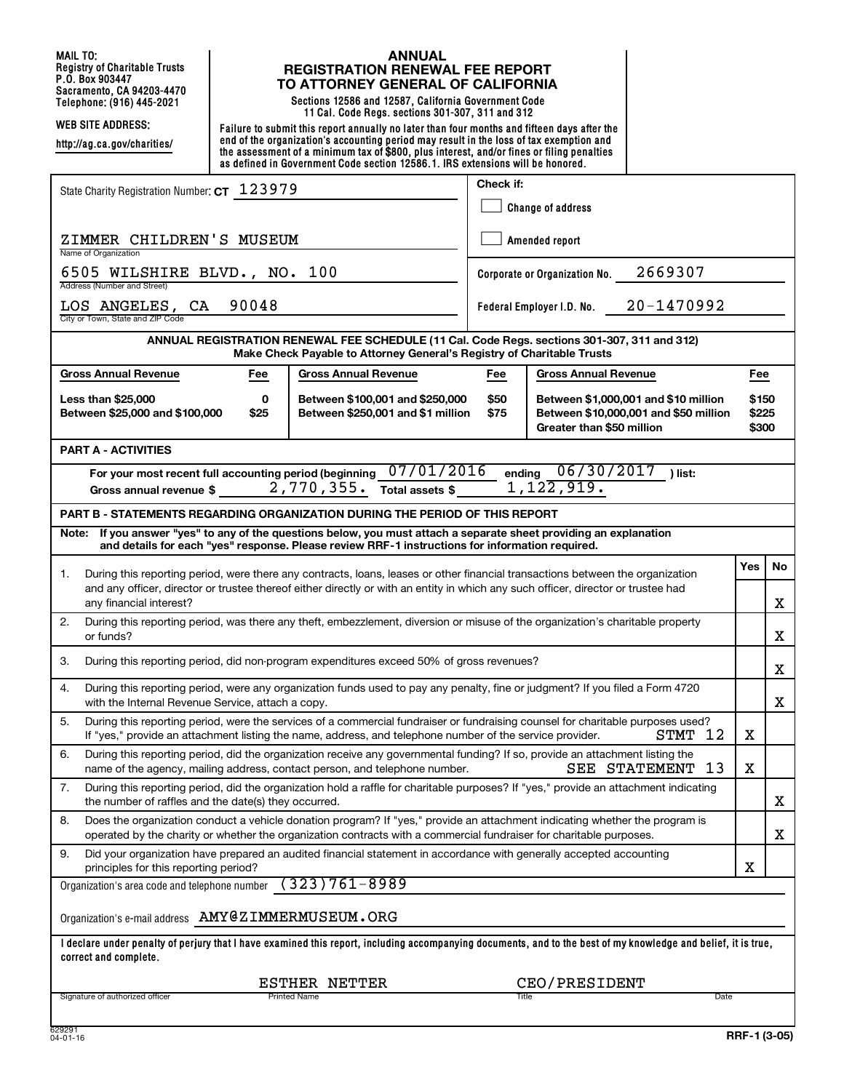**MAIL TO: Registry of Charitable Trusts P.O. Box 903447 Sacramento, CA 94203-4470**

**http://ag.ca.gov/charities/**

#### **ANNUAL REGISTRATION RENEWAL FEE REPORT TO ATTORNEY GENERAL OF CALIFORNIA**

**Telephone: (916) 445-2021 Sections 12586 and 12587, California Government Code 11 Cal. Code Regs. sections 301-307, 311 and 312**

**WEB SITE ADDRESS: Failure to submit this report annually no later than four months and fifteen days after the end of the organization's accounting period may result in the loss of tax exemption and the assessment of a minimum tax of \$800, plus interest, and/or fines or filing penalties as defined in Government Code section 12586.1. IRS extensions will be honored.**

| State Charity Registration Number: CT 123979                                                                                                                                                                                                                    | Check if:                                |                                                                   |                                       |                         |  |  |  |  |  |  |
|-----------------------------------------------------------------------------------------------------------------------------------------------------------------------------------------------------------------------------------------------------------------|------------------------------------------|-------------------------------------------------------------------|---------------------------------------|-------------------------|--|--|--|--|--|--|
|                                                                                                                                                                                                                                                                 |                                          | <b>Change of address</b>                                          |                                       |                         |  |  |  |  |  |  |
| ZIMMER CHILDREN'S MUSEUM<br>Name of Organization                                                                                                                                                                                                                | Amended report                           |                                                                   |                                       |                         |  |  |  |  |  |  |
| 6505 WILSHIRE BLVD., NO. 100<br>Address (Number and Street)                                                                                                                                                                                                     | 2669307<br>Corporate or Organization No. |                                                                   |                                       |                         |  |  |  |  |  |  |
| 90048<br>LOS ANGELES, CA<br>City or Town, State and ZIP Code                                                                                                                                                                                                    | 20-1470992<br>Federal Employer I.D. No.  |                                                                   |                                       |                         |  |  |  |  |  |  |
| ANNUAL REGISTRATION RENEWAL FEE SCHEDULE (11 Cal. Code Regs. sections 301-307, 311 and 312)<br>Make Check Payable to Attorney General's Registry of Charitable Trusts                                                                                           |                                          |                                                                   |                                       |                         |  |  |  |  |  |  |
| <b>Gross Annual Revenue</b><br><b>Gross Annual Revenue</b><br>Fee                                                                                                                                                                                               | Fee                                      | <b>Gross Annual Revenue</b>                                       |                                       | Fee                     |  |  |  |  |  |  |
| Less than \$25,000<br>0<br>Between \$100,001 and \$250,000<br>Between \$25,000 and \$100,000<br>\$25<br>Between \$250,001 and \$1 million                                                                                                                       | \$50<br>\$75                             | Between \$1,000,001 and \$10 million<br>Greater than \$50 million | Between \$10,000,001 and \$50 million | \$150<br>\$225<br>\$300 |  |  |  |  |  |  |
| <b>PART A - ACTIVITIES</b>                                                                                                                                                                                                                                      |                                          |                                                                   |                                       |                         |  |  |  |  |  |  |
| 07/01/2016<br>ending 06/30/2017<br>For your most recent full accounting period (beginning<br>) list:<br>$1, 12\overline{2, 919}$ .<br>2,770,355.<br>Total assets \$<br>Gross annual revenue \$                                                                  |                                          |                                                                   |                                       |                         |  |  |  |  |  |  |
| <b>PART B - STATEMENTS REGARDING ORGANIZATION DURING THE PERIOD OF THIS REPORT</b>                                                                                                                                                                              |                                          |                                                                   |                                       |                         |  |  |  |  |  |  |
| If you answer "yes" to any of the questions below, you must attach a separate sheet providing an explanation<br>Note:<br>and details for each "yes" response. Please review RRF-1 instructions for information required.                                        |                                          |                                                                   |                                       |                         |  |  |  |  |  |  |
| During this reporting period, were there any contracts, loans, leases or other financial transactions between the organization<br>1.                                                                                                                            |                                          |                                                                   |                                       |                         |  |  |  |  |  |  |
| and any officer, director or trustee thereof either directly or with an entity in which any such officer, director or trustee had<br>any financial interest?                                                                                                    |                                          |                                                                   |                                       |                         |  |  |  |  |  |  |
| 2.<br>During this reporting period, was there any theft, embezzlement, diversion or misuse of the organization's charitable property<br>or funds?                                                                                                               |                                          |                                                                   |                                       |                         |  |  |  |  |  |  |
| During this reporting period, did non-program expenditures exceed 50% of gross revenues?<br>3.                                                                                                                                                                  |                                          |                                                                   |                                       |                         |  |  |  |  |  |  |
| During this reporting period, were any organization funds used to pay any penalty, fine or judgment? If you filed a Form 4720<br>4.<br>with the Internal Revenue Service, attach a copy.                                                                        |                                          |                                                                   |                                       |                         |  |  |  |  |  |  |
| During this reporting period, were the services of a commercial fundraiser or fundraising counsel for charitable purposes used?<br>5.<br>12<br>If "yes," provide an attachment listing the name, address, and telephone number of the service provider.<br>STMT |                                          |                                                                   |                                       |                         |  |  |  |  |  |  |
| During this reporting period, did the organization receive any governmental funding? If so, provide an attachment listing the<br>6.<br>SEE STATEMENT<br>-13<br>name of the agency, mailing address, contact person, and telephone number.                       |                                          |                                                                   |                                       |                         |  |  |  |  |  |  |
| During this reporting period, did the organization hold a raffle for charitable purposes? If "yes," provide an attachment indicating<br>7.<br>the number of raffles and the date(s) they occurred.                                                              |                                          |                                                                   |                                       |                         |  |  |  |  |  |  |
| Does the organization conduct a vehicle donation program? If "yes," provide an attachment indicating whether the program is<br>8.<br>operated by the charity or whether the organization contracts with a commercial fundraiser for charitable purposes.        |                                          |                                                                   |                                       |                         |  |  |  |  |  |  |
| Did your organization have prepared an audited financial statement in accordance with generally accepted accounting<br>9.<br>principles for this reporting period?                                                                                              |                                          |                                                                   |                                       |                         |  |  |  |  |  |  |
| $(323)761 - 8989$<br>Organization's area code and telephone number                                                                                                                                                                                              |                                          |                                                                   |                                       |                         |  |  |  |  |  |  |
| Organization's e-mail address AMY@ZIMMERMUSEUM.ORG                                                                                                                                                                                                              |                                          |                                                                   |                                       |                         |  |  |  |  |  |  |
| I declare under penalty of perjury that I have examined this report, including accompanying documents, and to the best of my knowledge and belief, it is true,<br>correct and complete.                                                                         |                                          |                                                                   |                                       |                         |  |  |  |  |  |  |
| ESTHER NETTER<br>CEO/PRESIDENT                                                                                                                                                                                                                                  |                                          |                                                                   |                                       |                         |  |  |  |  |  |  |
| Signature of authorized officer<br><b>Printed Name</b><br>Title<br>Date                                                                                                                                                                                         |                                          |                                                                   |                                       |                         |  |  |  |  |  |  |
| 629291                                                                                                                                                                                                                                                          |                                          |                                                                   |                                       |                         |  |  |  |  |  |  |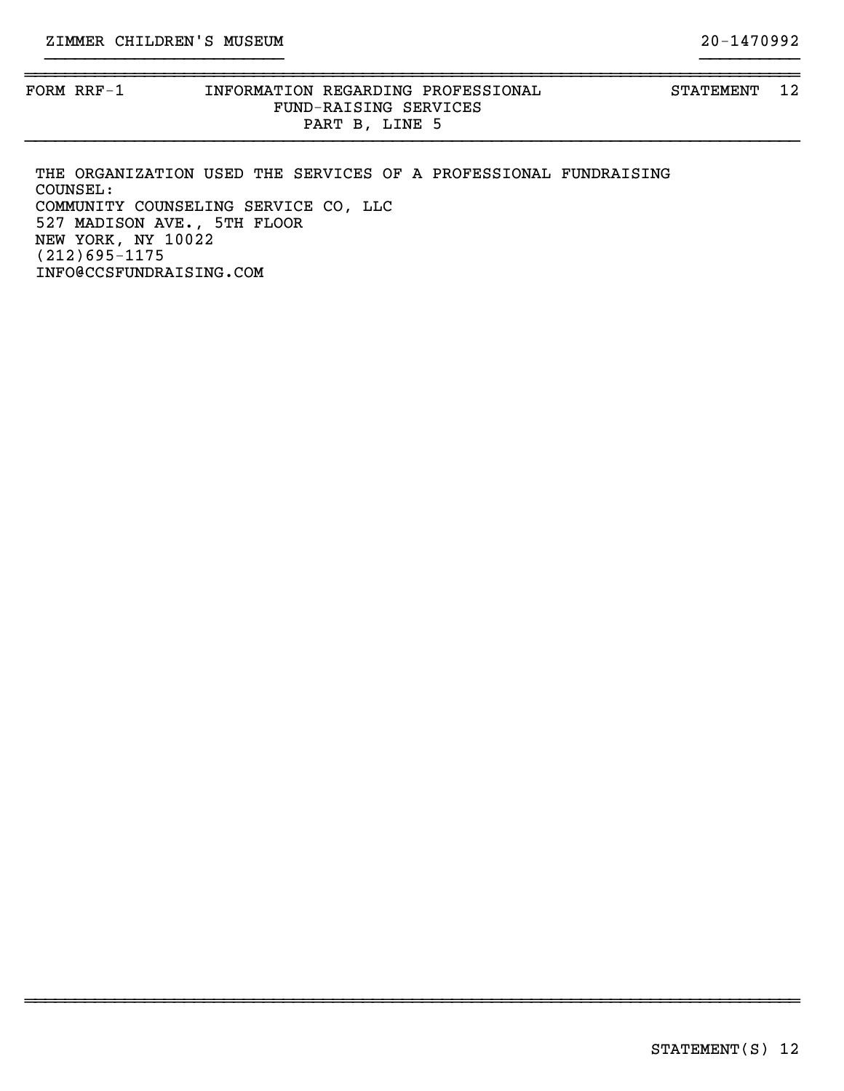}}}}}}}}}}}}}}}}}}}}}}}}}}}}}}}}}}}}}}}}}}}}}}}}}}}}}}}}}}}}}}}}}}}}}}}}}}}}}}

}}}}}}}}}}}}}}}}}}}}}}}} }}}}}}}}}}

~~~~~~~~~~~~~~~~~~~~~~~~~~~~~~~~~~~~~~~~~~~~~~~~~~~~~~~~~~~~~~~~~~~~~~~~~~~~~~

THE ORGANIZATION USED THE SERVICES OF A PROFESSIONAL FUNDRAISING COUNSEL: COMMUNITY COUNSELING SERVICE CO, LLC 527 MADISON AVE., 5TH FLOOR NEW YORK, NY 10022 (212)695-1175 INFO@CCSFUNDRAISING.COM